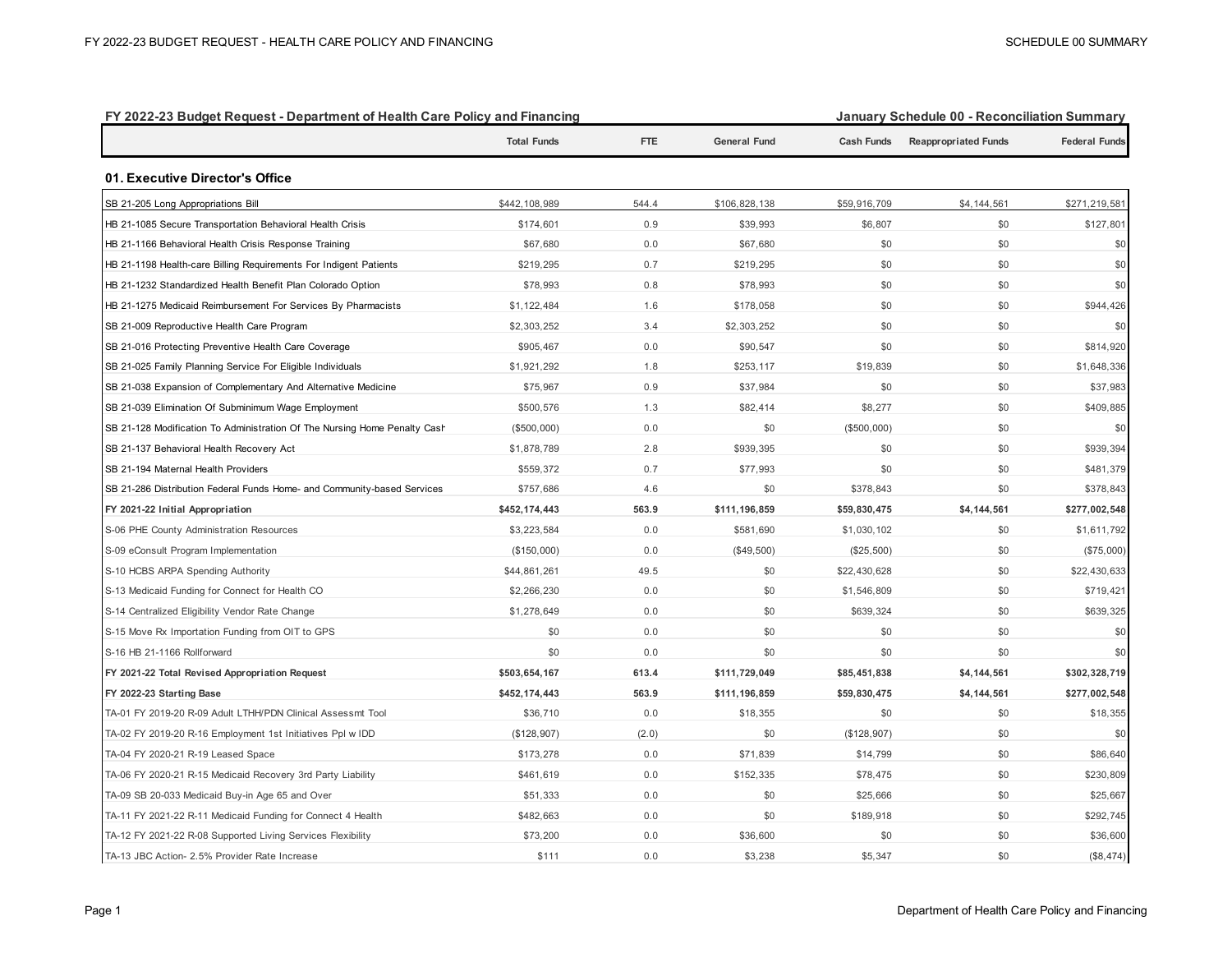| FY 2022-23 Budget Request - Department of Health Care Policy and Financing |                    |            |                     | January Schedule VV - Reconciliation Summary |                             |                      |  |
|----------------------------------------------------------------------------|--------------------|------------|---------------------|----------------------------------------------|-----------------------------|----------------------|--|
|                                                                            | <b>Total Funds</b> | <b>FTE</b> | <b>General Fund</b> | <b>Cash Funds</b>                            | <b>Reappropriated Funds</b> | <b>Federal Funds</b> |  |
| 01. Executive Director's Office                                            |                    |            |                     |                                              |                             |                      |  |
| SB 21-205 Long Appropriations Bill                                         | \$442,108,989      | 544.4      | \$106,828,138       | \$59,916,709                                 | \$4,144,561                 | \$271,219,581        |  |
| HB 21-1085 Secure Transportation Behavioral Health Crisis                  | \$174,601          | 0.9        | \$39,993            | \$6,807                                      | \$0                         | \$127,801            |  |
| HB 21-1166 Behavioral Health Crisis Response Training                      | \$67,680           | 0.0        | \$67,680            | \$0                                          | \$0                         | \$0                  |  |
| HB 21-1198 Health-care Billing Requirements For Indigent Patients          | \$219,295          | 0.7        | \$219,295           | \$0                                          | \$0                         | \$0                  |  |
| HB 21-1232 Standardized Health Benefit Plan Colorado Option                | \$78,993           | 0.8        | \$78,993            | \$0                                          | \$0                         | \$0                  |  |
| HB 21-1275 Medicaid Reimbursement For Services By Pharmacists              | \$1,122,484        | 1.6        | \$178,058           | \$0                                          | \$0                         | \$944,426            |  |
| SB 21-009 Reproductive Health Care Program                                 | \$2,303,252        | 3.4        | \$2,303,252         | \$0                                          | \$0                         | \$0                  |  |
| SB 21-016 Protecting Preventive Health Care Coverage                       | \$905,467          | 0.0        | \$90,547            | \$0                                          | \$0                         | \$814,920            |  |
| SB 21-025 Family Planning Service For Eligible Individuals                 | \$1,921,292        | 1.8        | \$253,117           | \$19,839                                     | \$0                         | \$1,648,336          |  |
| SB 21-038 Expansion of Complementary And Alternative Medicine              | \$75,967           | 0.9        | \$37,984            | \$0                                          | \$0                         | \$37,983             |  |
| SB 21-039 Elimination Of Subminimum Wage Employment                        | \$500,576          | 1.3        | \$82,414            | \$8,277                                      | \$0                         | \$409,885            |  |
| SB 21-128 Modification To Administration Of The Nursing Home Penalty Cash  | (\$500,000)        | 0.0        | \$0                 | (\$500,000)                                  | \$0                         | \$0                  |  |
| SB 21-137 Behavioral Health Recovery Act                                   | \$1,878,789        | 2.8        | \$939,395           | \$0                                          | \$0                         | \$939,394            |  |
| SB 21-194 Maternal Health Providers                                        | \$559,372          | 0.7        | \$77,993            | \$0                                          | \$0                         | \$481,379            |  |
| SB 21-286 Distribution Federal Funds Home- and Community-based Services    | \$757,686          | 4.6        | \$0                 | \$378,843                                    | \$0                         | \$378,843            |  |
| FY 2021-22 Initial Appropriation                                           | \$452,174,443      | 563.9      | \$111,196,859       | \$59,830,475                                 | \$4,144,561                 | \$277,002,548        |  |
| S-06 PHE County Administration Resources                                   | \$3,223,584        | 0.0        | \$581,690           | \$1,030,102                                  | \$0                         | \$1,611,792          |  |
| S-09 eConsult Program Implementation                                       | (\$150,000)        | 0.0        | (\$49,500)          | (\$25,500)                                   | \$0                         | $(\$75,000)$         |  |
| S-10 HCBS ARPA Spending Authority                                          | \$44,861,261       | 49.5       | \$0                 | \$22,430,628                                 | \$0                         | \$22,430,633         |  |
| S-13 Medicaid Funding for Connect for Health CO                            | \$2,266,230        | 0.0        | \$0                 | \$1,546,809                                  | \$0                         | \$719,421            |  |
| S-14 Centralized Eligibility Vendor Rate Change                            | \$1,278,649        | 0.0        | \$0                 | \$639,324                                    | \$0                         | \$639,325            |  |
| S-15 Move Rx Importation Funding from OIT to GPS                           | \$0                | 0.0        | \$0                 | \$0                                          | \$0                         | \$0                  |  |
| S-16 HB 21-1166 Rollforward                                                | \$0                | 0.0        | \$0                 | \$0                                          | \$0                         | \$0                  |  |
| FY 2021-22 Total Revised Appropriation Request                             | \$503,654,167      | 613.4      | \$111,729,049       | \$85,451,838                                 | \$4,144,561                 | \$302,328,719        |  |
| FY 2022-23 Starting Base                                                   | \$452,174,443      | 563.9      | \$111,196,859       | \$59,830,475                                 | \$4,144,561                 | \$277,002,548        |  |
| TA-01 FY 2019-20 R-09 Adult LTHH/PDN Clinical Assessmt Tool                | \$36,710           | 0.0        | \$18,355            | \$0                                          | \$0                         | \$18,355             |  |
| TA-02 FY 2019-20 R-16 Employment 1st Initiatives Ppl w IDD                 | (\$128,907)        | (2.0)      | \$0                 | (\$128,907)                                  | \$0                         | \$0                  |  |
| TA-04 FY 2020-21 R-19 Leased Space                                         | \$173,278          | 0.0        | \$71,839            | \$14,799                                     | \$0                         | \$86,640             |  |
| TA-06 FY 2020-21 R-15 Medicaid Recovery 3rd Party Liability                | \$461,619          | 0.0        | \$152,335           | \$78,475                                     | \$0                         | \$230,809            |  |
| TA-09 SB 20-033 Medicaid Buy-in Age 65 and Over                            | \$51,333           | 0.0        | \$0                 | \$25,666                                     | \$0                         | \$25,667             |  |
| TA-11 FY 2021-22 R-11 Medicaid Funding for Connect 4 Health                | \$482,663          | 0.0        | \$0                 | \$189,918                                    | \$0                         | \$292,745            |  |
| TA-12 FY 2021-22 R-08 Supported Living Services Flexibility                | \$73,200           | 0.0        | \$36,600            | \$0                                          | \$0                         | \$36,600             |  |
| TA-13 JBC Action- 2.5% Provider Rate Increase                              | \$111              | 0.0        | \$3,238             | \$5,347                                      | \$0                         | (\$8,474)            |  |

## **FY 2022-23 Budget Request - Department of Health Care Policy and Financing January Schedule 00 - Reconciliation Summary**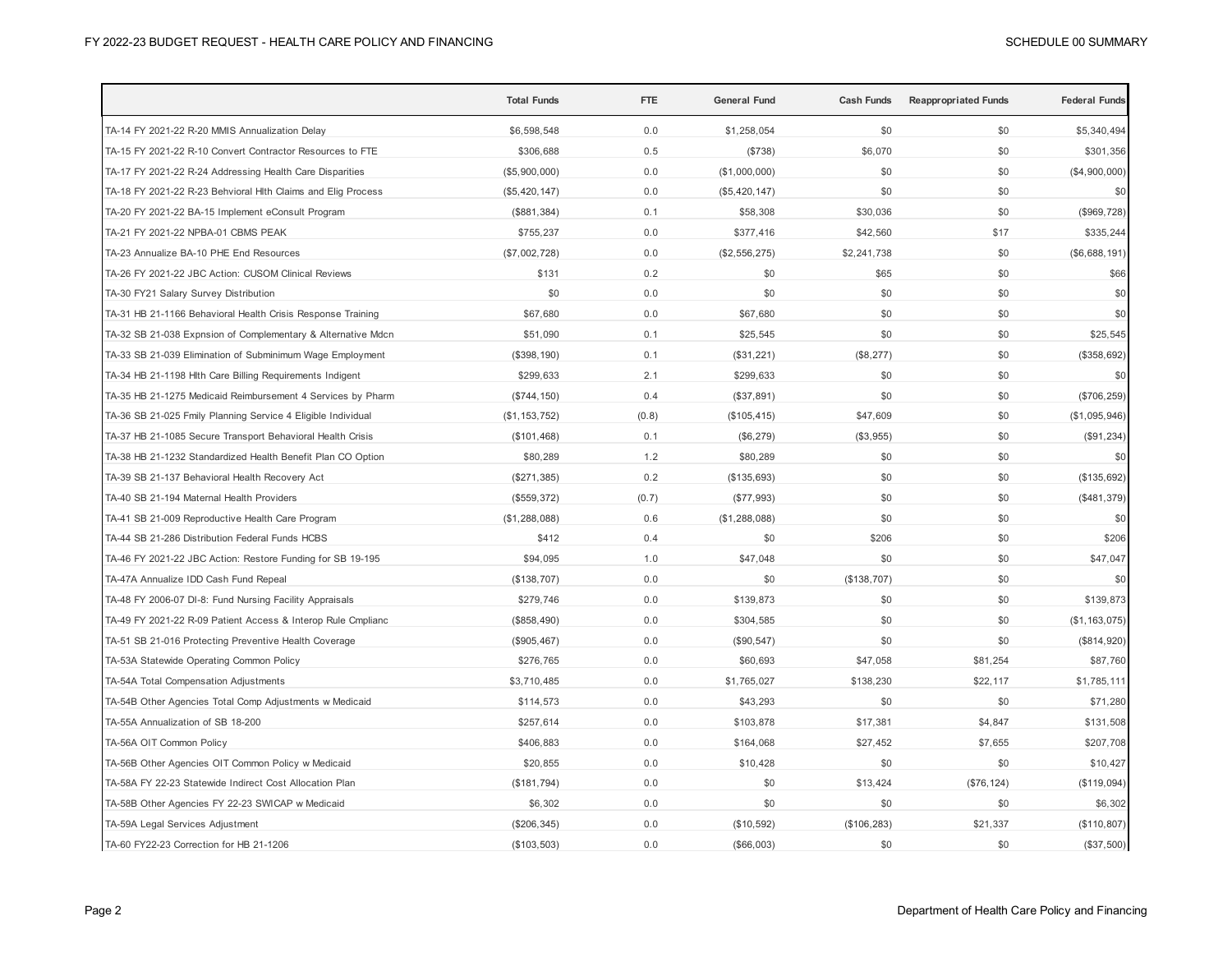|                                                              | <b>Total Funds</b> | <b>FTE</b> | <b>General Fund</b> | <b>Cash Funds</b> | <b>Reappropriated Funds</b> | <b>Federal Funds</b> |
|--------------------------------------------------------------|--------------------|------------|---------------------|-------------------|-----------------------------|----------------------|
| TA-14 FY 2021-22 R-20 MMIS Annualization Delay               | \$6,598,548        | 0.0        | \$1,258,054         | \$0               | \$0                         | \$5,340,494          |
| TA-15 FY 2021-22 R-10 Convert Contractor Resources to FTE    | \$306,688          | 0.5        | (\$738)             | \$6,070           | \$0                         | \$301,356            |
| TA-17 FY 2021-22 R-24 Addressing Health Care Disparities     | (\$5,900,000)      | 0.0        | (\$1,000,000)       | \$0               | \$0                         | (\$4,900,000)        |
| TA-18 FY 2021-22 R-23 Behvioral Hlth Claims and Elig Process | (\$5,420,147)      | 0.0        | (\$5,420,147)       | \$0               | \$0                         | \$0                  |
| TA-20 FY 2021-22 BA-15 Implement eConsult Program            | (\$881,384)        | 0.1        | \$58,308            | \$30,036          | \$0                         | (\$969, 728)         |
| TA-21 FY 2021-22 NPBA-01 CBMS PEAK                           | \$755,237          | 0.0        | \$377,416           | \$42,560          | \$17                        | \$335,244            |
| TA-23 Annualize BA-10 PHE End Resources                      | (\$7,002,728)      | 0.0        | (\$2,556,275)       | \$2,241,738       | \$0                         | (\$6,688,191)        |
| TA-26 FY 2021-22 JBC Action: CUSOM Clinical Reviews          | \$131              | 0.2        | \$0                 | \$65              | \$0                         | \$66                 |
| TA-30 FY21 Salary Survey Distribution                        | \$0                | 0.0        | \$0                 | \$0               | \$0                         | \$0                  |
| TA-31 HB 21-1166 Behavioral Health Crisis Response Training  | \$67,680           | 0.0        | \$67,680            | \$0               | \$0                         | \$0                  |
| TA-32 SB 21-038 Expnsion of Complementary & Alternative Mdcn | \$51,090           | 0.1        | \$25,545            | \$0               | \$0                         | \$25,545             |
| TA-33 SB 21-039 Elimination of Subminimum Wage Employment    | (\$398, 190)       | 0.1        | (\$31,221)          | (\$8,277)         | \$0                         | (\$358,692)          |
| TA-34 HB 21-1198 Hith Care Billing Requirements Indigent     | \$299,633          | 2.1        | \$299,633           | \$0               | \$0                         | \$0                  |
| TA-35 HB 21-1275 Medicaid Reimbursement 4 Services by Pharm  | (\$744, 150)       | 0.4        | (\$37,891)          | \$0               | \$0                         | (\$706, 259)         |
| TA-36 SB 21-025 Fmily Planning Service 4 Eligible Individual | (\$1, 153, 752)    | (0.8)      | (\$105, 415)        | \$47,609          | \$0                         | (\$1,095,946)        |
| TA-37 HB 21-1085 Secure Transport Behavioral Health Crisis   | (\$101,468)        | 0.1        | (\$6, 279)          | (\$3,955)         | \$0                         | (\$91,234)           |
| TA-38 HB 21-1232 Standardized Health Benefit Plan CO Option  | \$80,289           | 1.2        | \$80,289            | \$0               | \$0                         | \$0                  |
| TA-39 SB 21-137 Behavioral Health Recovery Act               | (\$271,385)        | 0.2        | (\$135,693)         | \$0               | \$0                         | (\$135,692)          |
| TA-40 SB 21-194 Maternal Health Providers                    | (\$559, 372)       | (0.7)      | (\$77,993)          | \$0               | \$0                         | (\$481,379)          |
| TA-41 SB 21-009 Reproductive Health Care Program             | (\$1,288,088)      | 0.6        | (\$1,288,088)       | \$0               | \$0                         | \$0                  |
| TA-44 SB 21-286 Distribution Federal Funds HCBS              | \$412              | 0.4        | \$0                 | \$206             | \$0                         | \$206                |
| TA-46 FY 2021-22 JBC Action: Restore Funding for SB 19-195   | \$94,095           | 1.0        | \$47,048            | \$0               | \$0                         | \$47,047             |
| TA-47A Annualize IDD Cash Fund Repeal                        | (\$138,707)        | 0.0        | \$0                 | (\$138,707)       | \$0                         | \$0                  |
| TA-48 FY 2006-07 DI-8: Fund Nursing Facility Appraisals      | \$279,746          | 0.0        | \$139,873           | \$0               | \$0                         | \$139,873            |
| TA-49 FY 2021-22 R-09 Patient Access & Interop Rule Cmplianc | (\$858,490)        | 0.0        | \$304,585           | \$0               | \$0                         | (\$1, 163, 075)      |
| TA-51 SB 21-016 Protecting Preventive Health Coverage        | (\$905,467)        | 0.0        | (\$90, 547)         | \$0               | \$0                         | (\$814,920)          |
| TA-53A Statewide Operating Common Policy                     | \$276,765          | 0.0        | \$60,693            | \$47,058          | \$81,254                    | \$87,760             |
| TA-54A Total Compensation Adjustments                        | \$3,710,485        | 0.0        | \$1,765,027         | \$138,230         | \$22,117                    | \$1,785,111          |
| TA-54B Other Agencies Total Comp Adjustments w Medicaid      | \$114,573          | 0.0        | \$43,293            | \$0               | \$0                         | \$71,280             |
| TA-55A Annualization of SB 18-200                            | \$257,614          | 0.0        | \$103,878           | \$17,381          | \$4,847                     | \$131,508            |
| TA-56A OIT Common Policy                                     | \$406,883          | 0.0        | \$164,068           | \$27,452          | \$7,655                     | \$207,708            |
| TA-56B Other Agencies OIT Common Policy w Medicaid           | \$20,855           | 0.0        | \$10,428            | \$0               | \$0                         | \$10,427             |
| TA-58A FY 22-23 Statewide Indirect Cost Allocation Plan      | (\$181,794)        | 0.0        | \$0                 | \$13,424          | (\$76, 124)                 | (\$119,094)          |
| TA-58B Other Agencies FY 22-23 SWICAP w Medicaid             | \$6,302            | 0.0        | \$0                 | \$0               | \$0                         | \$6,302              |
| TA-59A Legal Services Adjustment                             | (\$206, 345)       | 0.0        | (\$10,592)          | (\$106, 283)      | \$21,337                    | (\$110, 807)         |
| TA-60 FY22-23 Correction for HB 21-1206                      | (\$103,503)        | 0.0        | (\$66,003)          | \$0               | \$0                         | (\$37,500)           |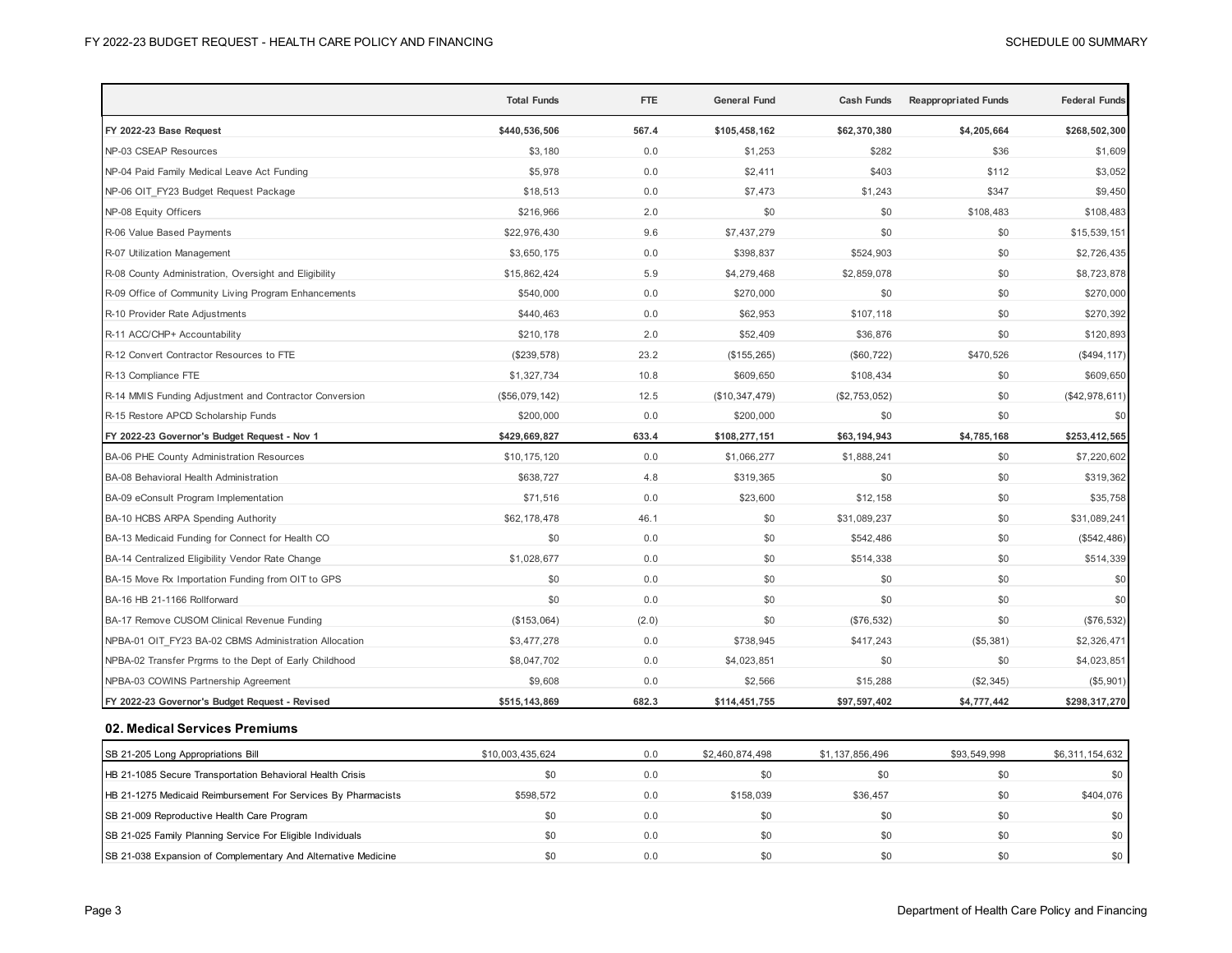|                                                        | <b>Total Funds</b> | <b>FTE</b> | General Fund   | <b>Cash Funds</b> | <b>Reappropriated Funds</b> | <b>Federal Funds</b> |
|--------------------------------------------------------|--------------------|------------|----------------|-------------------|-----------------------------|----------------------|
| FY 2022-23 Base Request                                | \$440,536,506      | 567.4      | \$105,458,162  | \$62,370,380      | \$4,205,664                 | \$268,502,300        |
| NP-03 CSEAP Resources                                  | \$3,180            | 0.0        | \$1,253        | \$282             | \$36                        | \$1,609              |
| NP-04 Paid Family Medical Leave Act Funding            | \$5,978            | 0.0        | \$2,411        | \$403             | \$112                       | \$3,052              |
| NP-06 OIT FY23 Budget Request Package                  | \$18,513           | 0.0        | \$7,473        | \$1,243           | \$347                       | \$9,450              |
| NP-08 Equity Officers                                  | \$216,966          | 2.0        | \$0            | \$0               | \$108,483                   | \$108,483            |
| R-06 Value Based Payments                              | \$22,976,430       | 9.6        | \$7,437,279    | \$0               | \$0                         | \$15,539,151         |
| R-07 Utilization Management                            | \$3,650,175        | 0.0        | \$398,837      | \$524,903         | \$0                         | \$2,726,435          |
| R-08 County Administration, Oversight and Eligibility  | \$15,862,424       | 5.9        | \$4,279,468    | \$2,859,078       | \$0                         | \$8,723,878          |
| R-09 Office of Community Living Program Enhancements   | \$540,000          | 0.0        | \$270,000      | \$0               | \$0                         | \$270,000            |
| R-10 Provider Rate Adjustments                         | \$440,463          | 0.0        | \$62,953       | \$107,118         | \$0                         | \$270,392            |
| R-11 ACC/CHP+ Accountability                           | \$210,178          | 2.0        | \$52,409       | \$36,876          | \$0                         | \$120,893            |
| R-12 Convert Contractor Resources to FTE               | (\$239,578)        | 23.2       | (\$155, 265)   | (\$60, 722)       | \$470,526                   | (\$494, 117)         |
| R-13 Compliance FTE                                    | \$1,327,734        | 10.8       | \$609,650      | \$108,434         | \$0                         | \$609,650            |
| R-14 MMIS Funding Adjustment and Contractor Conversion | (\$56,079,142)     | 12.5       | (\$10,347,479) | (\$2,753,052)     | \$0                         | (\$42,978,611)       |
| R-15 Restore APCD Scholarship Funds                    | \$200,000          | 0.0        | \$200,000      | \$0               | \$0                         | \$0                  |
| FY 2022-23 Governor's Budget Request - Nov 1           | \$429,669,827      | 633.4      | \$108,277,151  | \$63,194,943      | \$4,785,168                 | \$253,412,565        |
| BA-06 PHE County Administration Resources              | \$10,175,120       | 0.0        | \$1,066,277    | \$1,888,241       | \$0                         | \$7,220,602          |
| BA-08 Behavioral Health Administration                 | \$638,727          | 4.8        | \$319,365      | \$0               | \$0                         | \$319,362            |
| BA-09 eConsult Program Implementation                  | \$71,516           | 0.0        | \$23,600       | \$12,158          | \$0                         | \$35,758             |
| BA-10 HCBS ARPA Spending Authority                     | \$62,178,478       | 46.1       | \$0            | \$31,089,237      | \$0                         | \$31,089,241         |
| BA-13 Medicaid Funding for Connect for Health CO       | \$0                | 0.0        | \$0            | \$542,486         | \$0                         | (\$542,486)          |
| BA-14 Centralized Eligibility Vendor Rate Change       | \$1,028,677        | 0.0        | \$0            | \$514,338         | \$0                         | \$514,339            |
| BA-15 Move Rx Importation Funding from OIT to GPS      | \$0                | 0.0        | \$0            | \$0               | \$0                         | \$0                  |
| BA-16 HB 21-1166 Rollforward                           | \$0                | 0.0        | \$0            | \$0               | \$0                         | \$0                  |
| BA-17 Remove CUSOM Clinical Revenue Funding            | (\$153,064)        | (2.0)      | \$0            | (\$76,532)        | \$0                         | (\$76,532)           |
| NPBA-01 OIT FY23 BA-02 CBMS Administration Allocation  | \$3,477,278        | 0.0        | \$738,945      | \$417,243         | (\$5,381)                   | \$2,326,471          |
| NPBA-02 Transfer Prgrms to the Dept of Early Childhood | \$8,047,702        | 0.0        | \$4,023,851    | \$0               | \$0                         | \$4,023,851          |
| NPBA-03 COWINS Partnership Agreement                   | \$9,608            | 0.0        | \$2,566        | \$15,288          | (\$2,345)                   | (\$5,901)            |
| FY 2022-23 Governor's Budget Request - Revised         | \$515,143,869      | 682.3      | \$114,451,755  | \$97,597,402      | \$4,777,442                 | \$298,317,270        |
| 02. Medical Services Premiums                          |                    |            |                |                   |                             |                      |

| SB 21-205 Long Appropriations Bill                            | \$10,003,435,624 | 0.0 | \$2,460,874,498 | \$1.137.856.496 | \$93,549,998 | \$6,311,154,632 |
|---------------------------------------------------------------|------------------|-----|-----------------|-----------------|--------------|-----------------|
| HB 21-1085 Secure Transportation Behavioral Health Crisis     |                  | 0.0 | \$0             |                 | \$0          | \$0             |
| HB 21-1275 Medicaid Reimbursement For Services By Pharmacists | \$598.572        | 0.0 | \$158,039       | \$36,457        | \$0          | \$404,076       |
| SB 21-009 Reproductive Health Care Program                    |                  | 0.0 | \$0             |                 | \$0          | \$0             |
| SB 21-025 Family Planning Service For Eligible Individuals    |                  | 0.0 | \$0             |                 | \$0          | \$0             |
| SB 21-038 Expansion of Complementary And Alternative Medicine |                  | 0.0 | \$0             |                 | \$0          | \$0             |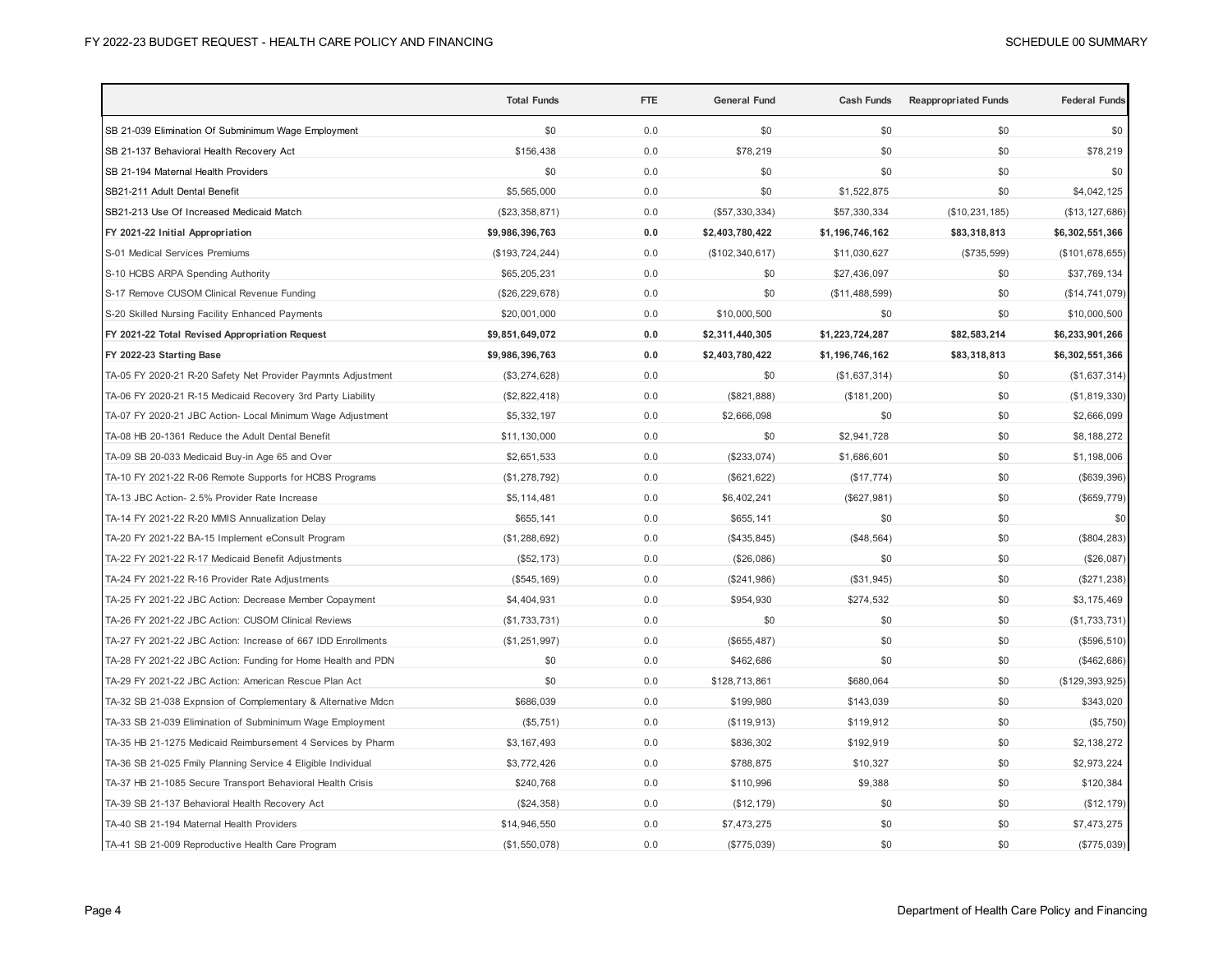|                                                              | <b>Total Funds</b> | <b>FTE</b> | <b>General Fund</b> | <b>Cash Funds</b> | <b>Reappropriated Funds</b> | <b>Federal Funds</b> |
|--------------------------------------------------------------|--------------------|------------|---------------------|-------------------|-----------------------------|----------------------|
| SB 21-039 Elimination Of Subminimum Wage Employment          | \$0                | 0.0        | \$0                 | \$0               | \$0                         | \$0                  |
| SB 21-137 Behavioral Health Recovery Act                     | \$156,438          | 0.0        | \$78,219            | \$0               | \$0                         | \$78,219             |
| SB 21-194 Maternal Health Providers                          | \$0                | 0.0        | \$0                 | \$0               | \$0                         | \$0                  |
| SB21-211 Adult Dental Benefit                                | \$5,565,000        | 0.0        | \$0                 | \$1,522,875       | \$0                         | \$4,042,125          |
| SB21-213 Use Of Increased Medicaid Match                     | (\$23,358,871)     | 0.0        | (\$57,330,334)      | \$57,330,334      | (\$10, 231, 185)            | (\$13, 127, 686)     |
| FY 2021-22 Initial Appropriation                             | \$9,986,396,763    | 0.0        | \$2,403,780,422     | \$1,196,746,162   | \$83,318,813                | \$6,302,551,366      |
| S-01 Medical Services Premiums                               | (\$193, 724, 244)  | 0.0        | (\$102, 340, 617)   | \$11,030,627      | (\$735,599)                 | (\$101,678,655)      |
| S-10 HCBS ARPA Spending Authority                            | \$65,205,231       | 0.0        | \$0                 | \$27,436,097      | \$0                         | \$37,769,134         |
| S-17 Remove CUSOM Clinical Revenue Funding                   | (\$26, 229, 678)   | 0.0        | \$0                 | (\$11,488,599)    | \$0                         | (\$14, 741, 079)     |
| S-20 Skilled Nursing Facility Enhanced Payments              | \$20,001,000       | 0.0        | \$10,000,500        | \$0               | \$0                         | \$10,000,500         |
| FY 2021-22 Total Revised Appropriation Request               | \$9,851,649,072    | $0.0\,$    | \$2,311,440,305     | \$1,223,724,287   | \$82,583,214                | \$6,233,901,266      |
| FY 2022-23 Starting Base                                     | \$9,986,396,763    | $0.0\,$    | \$2,403,780,422     | \$1,196,746,162   | \$83,318,813                | \$6,302,551,366      |
| TA-05 FY 2020-21 R-20 Safety Net Provider Paymnts Adjustment | (\$3,274,628)      | 0.0        | \$0                 | (\$1,637,314)     | \$0                         | (\$1,637,314)        |
| TA-06 FY 2020-21 R-15 Medicaid Recovery 3rd Party Liability  | (\$2,822,418)      | 0.0        | (\$821, 888)        | (\$181,200)       | \$0                         | (\$1,819,330)        |
| TA-07 FY 2020-21 JBC Action- Local Minimum Wage Adjustment   | \$5,332,197        | 0.0        | \$2,666,098         | \$0               | \$0                         | \$2,666,099          |
| TA-08 HB 20-1361 Reduce the Adult Dental Benefit             | \$11,130,000       | 0.0        | \$0                 | \$2,941,728       | \$0                         | \$8,188,272          |
| TA-09 SB 20-033 Medicaid Buy-in Age 65 and Over              | \$2,651,533        | 0.0        | (\$233,074)         | \$1,686,601       | \$0                         | \$1,198,006          |
| TA-10 FY 2021-22 R-06 Remote Supports for HCBS Programs      | (\$1,278,792)      | 0.0        | (\$621, 622)        | (\$17,774)        | \$0                         | (\$639,396)          |
| TA-13 JBC Action- 2.5% Provider Rate Increase                | \$5,114,481        | 0.0        | \$6,402,241         | (\$627,981)       | \$0                         | (\$659, 779)         |
| TA-14 FY 2021-22 R-20 MMIS Annualization Delay               | \$655,141          | 0.0        | \$655,141           | \$0               | \$0                         | \$0                  |
| TA-20 FY 2021-22 BA-15 Implement eConsult Program            | (\$1,288,692)      | 0.0        | (\$435, 845)        | (\$48,564)        | \$0                         | $(\$804, 283)$       |
| TA-22 FY 2021-22 R-17 Medicaid Benefit Adjustments           | (\$52, 173)        | 0.0        | (\$26,086)          | \$0               | \$0                         | (\$26,087)           |
| TA-24 FY 2021-22 R-16 Provider Rate Adjustments              | (\$545, 169)       | 0.0        | (\$241,986)         | (\$31,945)        | \$0                         | $(\$271,238)$        |
| TA-25 FY 2021-22 JBC Action: Decrease Member Copayment       | \$4,404,931        | 0.0        | \$954,930           | \$274,532         | \$0                         | \$3,175,469          |
| TA-26 FY 2021-22 JBC Action: CUSOM Clinical Reviews          | (\$1,733,731)      | 0.0        | \$0                 | \$0               | \$0                         | (\$1,733,731)        |
| TA-27 FY 2021-22 JBC Action: Increase of 667 IDD Enrollments | (\$1,251,997)      | 0.0        | (\$655,487)         | \$0               | \$0                         | (\$596,510)          |
| TA-28 FY 2021-22 JBC Action: Funding for Home Health and PDN | \$0                | 0.0        | \$462,686           | \$0               | \$0                         | (\$462,686)          |
| TA-29 FY 2021-22 JBC Action: American Rescue Plan Act        | \$0                | 0.0        | \$128,713,861       | \$680,064         | \$0                         | (\$129, 393, 925)    |
| TA-32 SB 21-038 Expnsion of Complementary & Alternative Mdcn | \$686,039          | 0.0        | \$199,980           | \$143,039         | \$0                         | \$343,020            |
| TA-33 SB 21-039 Elimination of Subminimum Wage Employment    | (\$5,751)          | 0.0        | (\$119,913)         | \$119,912         | \$0                         | (\$5,750)            |
| TA-35 HB 21-1275 Medicaid Reimbursement 4 Services by Pharm  | \$3,167,493        | 0.0        | \$836,302           | \$192,919         | \$0                         | \$2,138,272          |
| TA-36 SB 21-025 Fmily Planning Service 4 Eligible Individual | \$3,772,426        | 0.0        | \$788,875           | \$10,327          | \$0                         | \$2,973,224          |
| TA-37 HB 21-1085 Secure Transport Behavioral Health Crisis   | \$240,768          | 0.0        | \$110,996           | \$9,388           | \$0                         | \$120,384            |
| TA-39 SB 21-137 Behavioral Health Recovery Act               | (\$24,358)         | 0.0        | (\$12, 179)         | \$0               | \$0                         | (\$12, 179)          |
| TA-40 SB 21-194 Maternal Health Providers                    | \$14,946,550       | 0.0        | \$7,473,275         | \$0               | \$0                         | \$7,473,275          |
| TA-41 SB 21-009 Reproductive Health Care Program             | (\$1,550,078)      | 0.0        | (\$775,039)         | \$0               | \$0                         | (\$775,039)          |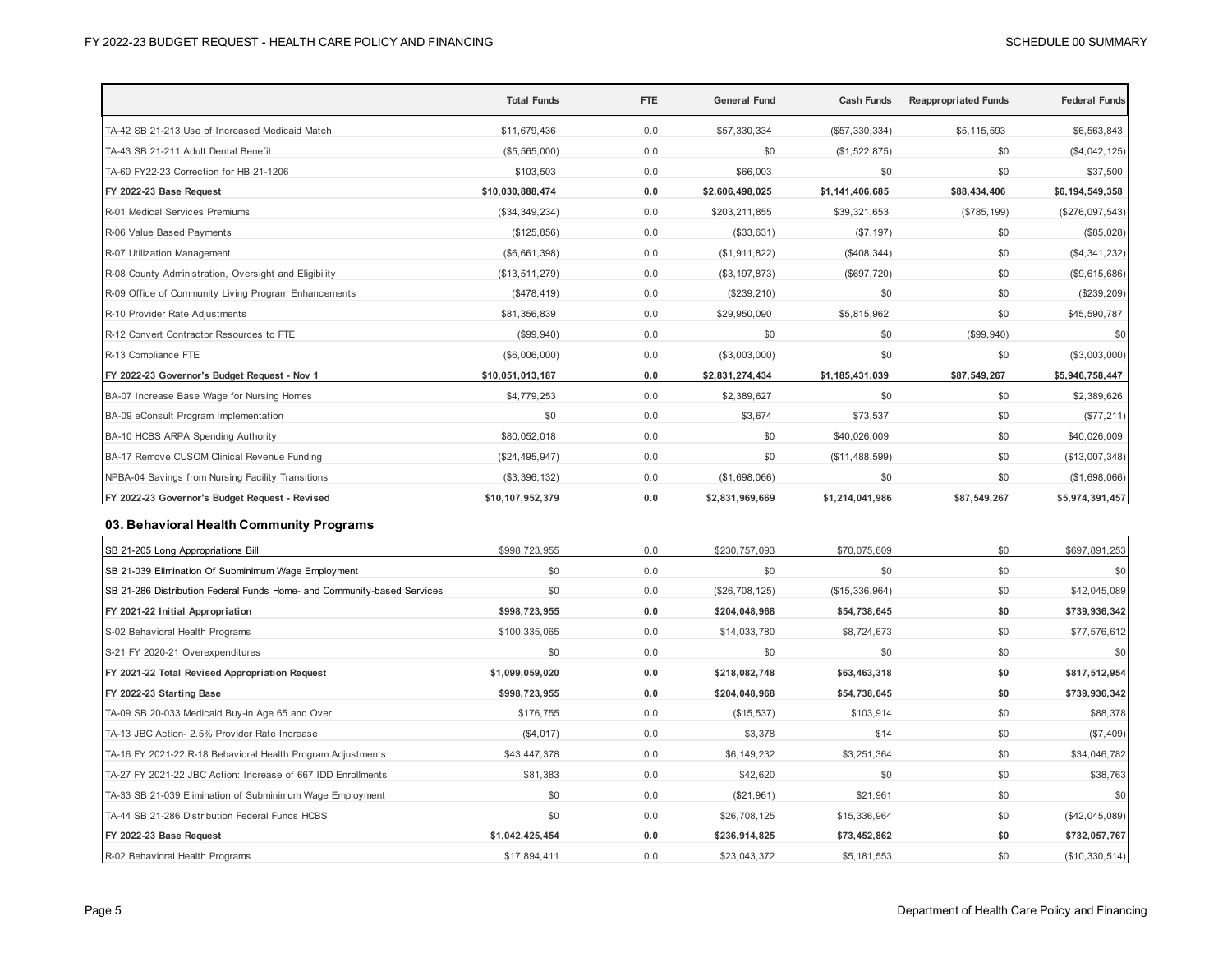|                                                                         | <b>Total Funds</b> | <b>FTE</b> | <b>General Fund</b> | <b>Cash Funds</b> | <b>Reappropriated Funds</b> | <b>Federal Funds</b> |
|-------------------------------------------------------------------------|--------------------|------------|---------------------|-------------------|-----------------------------|----------------------|
| TA-42 SB 21-213 Use of Increased Medicaid Match                         | \$11,679,436       | 0.0        | \$57,330,334        | (\$57,330,334)    | \$5,115,593                 | \$6,563,843          |
| TA-43 SB 21-211 Adult Dental Benefit                                    | (\$5,565,000)      | 0.0        | \$0                 | (\$1,522,875)     | \$0                         | (\$4,042,125)        |
| TA-60 FY22-23 Correction for HB 21-1206                                 | \$103,503          | 0.0        | \$66,003            | \$0               | \$0                         | \$37,500             |
| FY 2022-23 Base Request                                                 | \$10,030,888,474   | 0.0        | \$2,606,498,025     | \$1,141,406,685   | \$88,434,406                | \$6,194,549,358      |
| R-01 Medical Services Premiums                                          | (\$34,349,234)     | 0.0        | \$203,211,855       | \$39,321,653      | (\$785, 199)                | (\$276,097,543)      |
| R-06 Value Based Payments                                               | (\$125, 856)       | 0.0        | (\$33,631)          | (\$7,197)         | \$0                         | (\$85,028)           |
| R-07 Utilization Management                                             | (\$6,661,398)      | 0.0        | (\$1,911,822)       | (\$408,344)       | \$0                         | (\$4,341,232)        |
| R-08 County Administration, Oversight and Eligibility                   | (\$13,511,279)     | 0.0        | (\$3, 197, 873)     | (\$697,720)       | \$0                         | (\$9,615,686)        |
| R-09 Office of Community Living Program Enhancements                    | (\$478,419)        | 0.0        | (\$239, 210)        | \$0               | \$0                         | (\$239,209)          |
| R-10 Provider Rate Adjustments                                          | \$81,356,839       | 0.0        | \$29,950,090        | \$5,815,962       | \$0                         | \$45,590,787         |
| R-12 Convert Contractor Resources to FTE                                | (\$99,940)         | 0.0        | \$0                 | \$0               | (\$99,940)                  | \$0                  |
| R-13 Compliance FTE                                                     | (\$6,006,000)      | 0.0        | (\$3,003,000)       | \$0               | \$0                         | (\$3,003,000)        |
| FY 2022-23 Governor's Budget Request - Nov 1                            | \$10,051,013,187   | 0.0        | \$2,831,274,434     | \$1,185,431,039   | \$87,549,267                | \$5,946,758,447      |
| BA-07 Increase Base Wage for Nursing Homes                              | \$4,779,253        | 0.0        | \$2,389,627         | \$0               | \$0                         | \$2,389,626          |
| BA-09 eConsult Program Implementation                                   | \$0                | 0.0        | \$3,674             | \$73,537          | \$0                         | (\$77,211)           |
| BA-10 HCBS ARPA Spending Authority                                      | \$80,052,018       | 0.0        | \$0                 | \$40,026,009      | \$0                         | \$40,026,009         |
| BA-17 Remove CUSOM Clinical Revenue Funding                             | (\$24,495,947)     | 0.0        | \$0                 | (\$11,488,599)    | \$0                         | (\$13,007,348)       |
| NPBA-04 Savings from Nursing Facility Transitions                       | (\$3,396,132)      | 0.0        | (\$1,698,066)       | \$0               | \$0                         | (\$1,698,066)        |
| FY 2022-23 Governor's Budget Request - Revised                          | \$10,107,952,379   | $0.0\,$    | \$2,831,969,669     | \$1,214,041,986   | \$87,549,267                | \$5,974,391,457      |
| 03. Behavioral Health Community Programs                                |                    |            |                     |                   |                             |                      |
| SB 21-205 Long Appropriations Bill                                      | \$998,723,955      | 0.0        | \$230,757,093       | \$70,075,609      | \$0                         | \$697,891,253        |
| SB 21-039 Elimination Of Subminimum Wage Employment                     | \$0                | 0.0        | \$0                 | \$0               | \$0                         | \$0                  |
| SB 21-286 Distribution Federal Funds Home- and Community-based Services | \$0                | 0.0        | (\$26,708,125)      | (\$15,336,964)    | \$0                         | \$42,045,089         |
| FY 2021-22 Initial Appropriation                                        | \$998,723,955      | 0.0        | \$204,048,968       | \$54,738,645      | \$0                         | \$739,936,342        |
| S-02 Behavioral Health Programs                                         | \$100,335,065      | 0.0        | \$14,033,780        | \$8,724,673       | \$0                         | \$77,576,612         |
| S-21 FY 2020-21 Overexpenditures                                        | \$0                | 0.0        | \$0                 | \$0               | \$0                         | \$0                  |
| FY 2021-22 Total Revised Appropriation Request                          | \$1,099,059,020    | 0.0        | \$218,082,748       | \$63,463,318      | \$0                         | \$817,512,954        |
| FY 2022-23 Starting Base                                                | \$998,723,955      | 0.0        | \$204,048,968       | \$54,738,645      | \$0                         | \$739,936,342        |
| TA-09 SB 20-033 Medicaid Buy-in Age 65 and Over                         | \$176,755          | $0.0$      | (\$15,537)          | \$103,914         | \$0                         | \$88,378             |
| TA-13 JBC Action- 2.5% Provider Rate Increase                           | (\$4,017)          | 0.0        | \$3,378             | \$14              | \$0                         | (\$7,409)            |
| TA-16 FY 2021-22 R-18 Behavioral Health Program Adjustments             | \$43,447,378       | 0.0        | \$6,149,232         | \$3,251,364       | \$0                         | \$34,046,782         |
| TA-27 FY 2021-22 JBC Action: Increase of 667 IDD Enrollments            | \$81,383           | 0.0        | \$42,620            | \$0               | \$0                         | \$38,763             |
| TA-33 SB 21-039 Elimination of Subminimum Wage Employment               | \$0                | 0.0        | (\$21,961)          | \$21,961          | \$0                         | \$0                  |
| TA-44 SB 21-286 Distribution Federal Funds HCBS                         | \$0                | 0.0        | \$26,708,125        | \$15,336,964      | \$0                         | (\$42,045,089)       |
| FY 2022-23 Base Request                                                 | \$1,042,425,454    | 0.0        | \$236,914,825       | \$73.452.862      | \$0                         | \$732,057,767        |

R-02 Behavioral Health Programs 610,330,514) \$17,894,411 6.0 \$23,043,372 \$5,181,553 \$0 (\$10,330,514)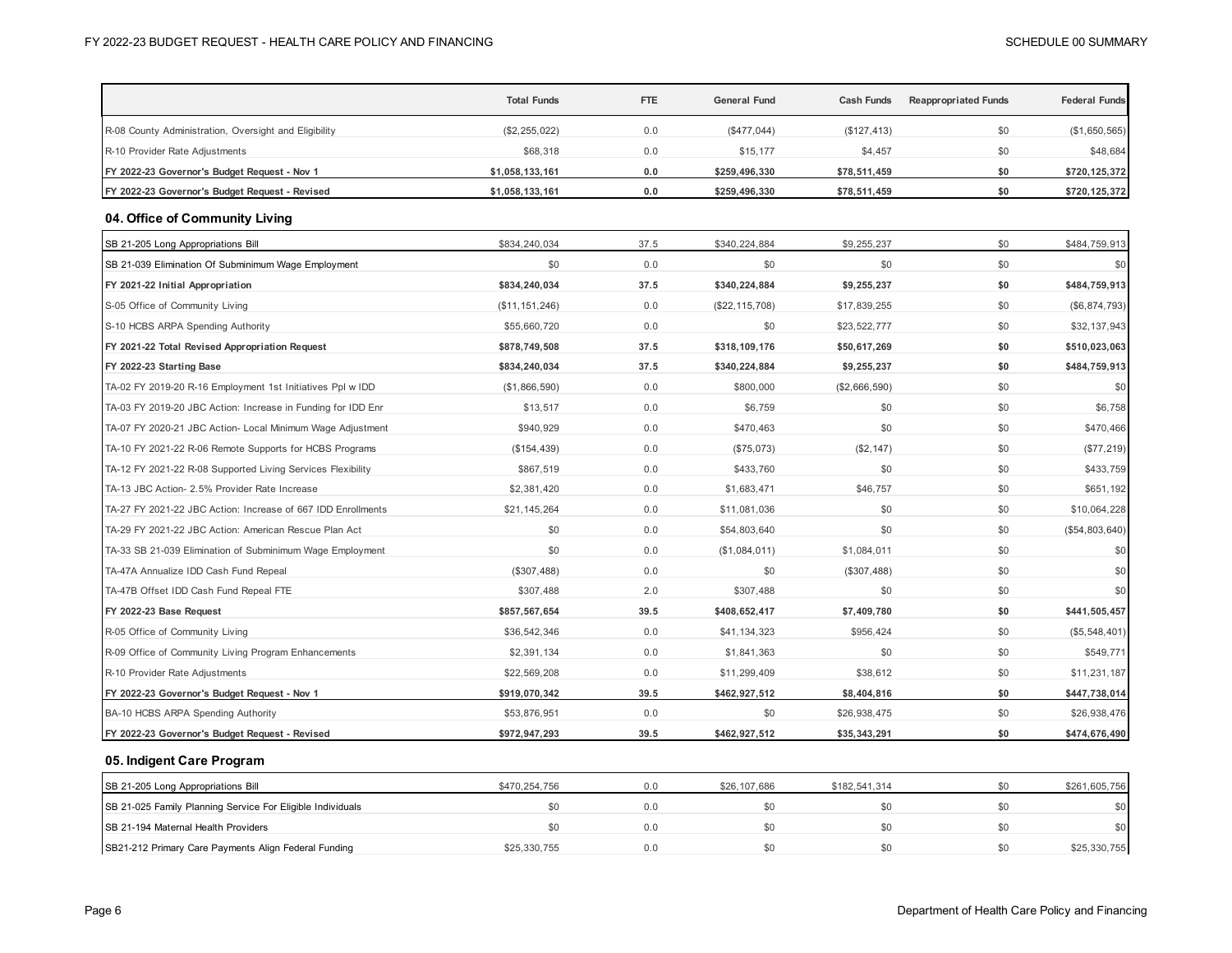|                                                              | <b>Total Funds</b> | <b>FTE</b> | General Fund     | <b>Cash Funds</b> | <b>Reappropriated Funds</b> | <b>Federal Funds</b> |
|--------------------------------------------------------------|--------------------|------------|------------------|-------------------|-----------------------------|----------------------|
| R-08 County Administration, Oversight and Eligibility        | (\$2, 255, 022)    | 0.0        | $(\$477,044)$    | (\$127, 413)      | \$0                         | (\$1,650,565)        |
| R-10 Provider Rate Adjustments                               | \$68,318           | 0.0        | \$15,177         | \$4,457           | \$0                         | \$48,684             |
| FY 2022-23 Governor's Budget Request - Nov 1                 | \$1,058,133,161    | 0.0        | \$259,496,330    | \$78,511,459      | \$0                         | \$720,125,372        |
| FY 2022-23 Governor's Budget Request - Revised               | \$1,058,133,161    | 0.0        | \$259,496,330    | \$78,511,459      | \$0                         | \$720,125,372        |
| 04. Office of Community Living                               |                    |            |                  |                   |                             |                      |
| SB 21-205 Long Appropriations Bill                           | \$834,240,034      | 37.5       | \$340,224,884    | \$9,255,237       | \$0                         | \$484,759,913        |
| SB 21-039 Elimination Of Subminimum Wage Employment          | \$0                | 0.0        | \$0              | \$0               | \$0                         | \$0                  |
| FY 2021-22 Initial Appropriation                             | \$834,240,034      | 37.5       | \$340,224,884    | \$9,255,237       | \$0                         | \$484,759,913        |
| S-05 Office of Community Living                              | (\$11, 151, 246)   | 0.0        | (\$22, 115, 708) | \$17,839,255      | \$0                         | (\$6,874,793)        |
| S-10 HCBS ARPA Spending Authority                            | \$55,660,720       | 0.0        | \$0              | \$23,522,777      | \$0                         | \$32,137,943         |
| FY 2021-22 Total Revised Appropriation Request               | \$878,749,508      | 37.5       | \$318,109,176    | \$50,617,269      | \$0                         | \$510,023,063        |
| FY 2022-23 Starting Base                                     | \$834,240,034      | 37.5       | \$340,224,884    | \$9,255,237       | \$0                         | \$484,759,913        |
| TA-02 FY 2019-20 R-16 Employment 1st Initiatives Ppl w IDD   | (\$1,866,590)      | 0.0        | \$800,000        | (\$2,666,590)     | \$0                         | \$0                  |
| TA-03 FY 2019-20 JBC Action: Increase in Funding for IDD Enr | \$13,517           | 0.0        | \$6,759          | \$0               | \$0                         | \$6,758              |
| TA-07 FY 2020-21 JBC Action- Local Minimum Wage Adjustment   | \$940,929          | 0.0        | \$470,463        | \$0               | \$0                         | \$470,466            |
| TA-10 FY 2021-22 R-06 Remote Supports for HCBS Programs      | (\$154, 439)       | 0.0        | (\$75,073)       | (\$2,147)         | \$0                         | (\$77, 219)          |
| TA-12 FY 2021-22 R-08 Supported Living Services Flexibility  | \$867,519          | 0.0        | \$433,760        | \$0               | \$0                         | \$433,759            |
| TA-13 JBC Action- 2.5% Provider Rate Increase                | \$2,381,420        | 0.0        | \$1,683,471      | \$46,757          | \$0                         | \$651,192            |
| TA-27 FY 2021-22 JBC Action: Increase of 667 IDD Enrollments | \$21,145,264       | 0.0        | \$11,081,036     | \$0               | \$0                         | \$10,064,228         |
| TA-29 FY 2021-22 JBC Action: American Rescue Plan Act        | \$0                | 0.0        | \$54,803,640     | \$0               | \$0                         | (\$54,803,640)       |
| TA-33 SB 21-039 Elimination of Subminimum Wage Employment    | \$0                | 0.0        | (\$1,084,011)    | \$1,084,011       | \$0                         | \$0                  |
| TA-47A Annualize IDD Cash Fund Repeal                        | (\$307,488)        | 0.0        | \$0              | (\$307,488)       | \$0                         | \$0                  |
| TA-47B Offset IDD Cash Fund Repeal FTE                       | \$307,488          | 2.0        | \$307,488        | \$0               | \$0                         | \$0                  |
| FY 2022-23 Base Request                                      | \$857,567,654      | 39.5       | \$408,652,417    | \$7,409,780       | \$0                         | \$441,505,457        |
| R-05 Office of Community Living                              | \$36,542,346       | 0.0        | \$41,134,323     | \$956,424         | \$0                         | (\$5,548,401)        |
| R-09 Office of Community Living Program Enhancements         | \$2,391,134        | 0.0        | \$1,841,363      | \$0               | \$0                         | \$549,771            |
| R-10 Provider Rate Adjustments                               | \$22,569,208       | 0.0        | \$11,299,409     | \$38,612          | \$0                         | \$11,231,187         |
| FY 2022-23 Governor's Budget Request - Nov 1                 | \$919,070,342      | 39.5       | \$462,927,512    | \$8,404,816       | \$0                         | \$447,738,014        |
| BA-10 HCBS ARPA Spending Authority                           | \$53,876,951       | 0.0        | \$0              | \$26,938,475      | \$0                         | \$26,938,476         |
| FY 2022-23 Governor's Budget Request - Revised               | \$972,947,293      | 39.5       | \$462,927,512    | \$35,343,291      | \$0                         | \$474,676,490        |
| 05. Indigent Care Program                                    |                    |            |                  |                   |                             |                      |
| SB 21-205 Long Appropriations Bill                           | \$470,254,756      | 0.0        | \$26,107,686     | \$182,541,314     | \$0                         | \$261,605,756        |
| SB 21-025 Family Planning Service For Eligible Individuals   | \$0                | 0.0        | \$0              | \$0               | \$0                         | \$0                  |
| SB 21-194 Maternal Health Providers                          | \$0                | 0.0        | \$0              | \$0               | \$0                         | \$0                  |
| SB21-212 Primary Care Payments Align Federal Funding         | \$25,330,755       | 0.0        | \$0              | \$0               | \$0                         | \$25,330,755         |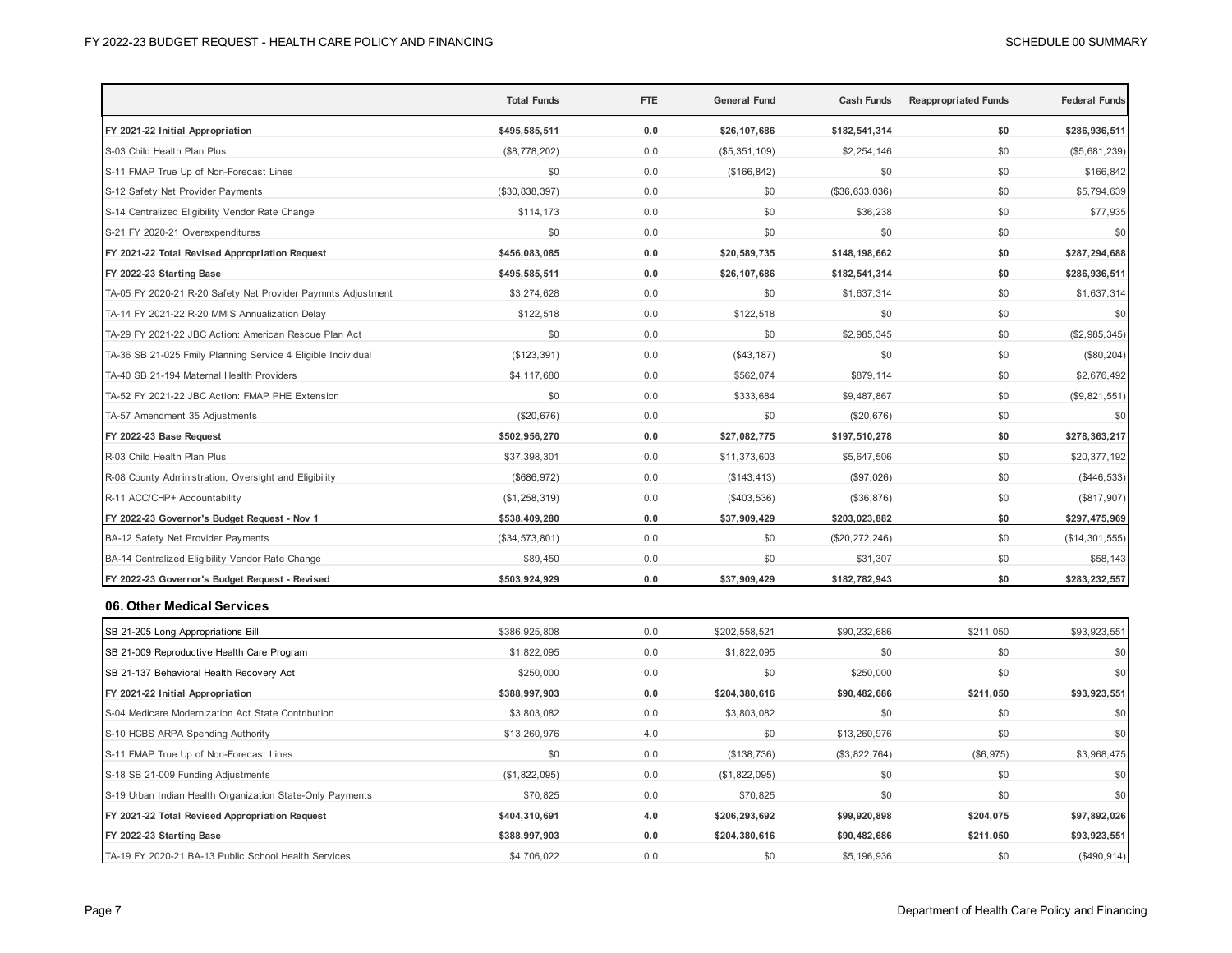|                                                              | <b>Total Funds</b> | <b>FTE</b> | <b>General Fund</b> | <b>Cash Funds</b> | <b>Reappropriated Funds</b> | <b>Federal Funds</b> |
|--------------------------------------------------------------|--------------------|------------|---------------------|-------------------|-----------------------------|----------------------|
| FY 2021-22 Initial Appropriation                             | \$495,585,511      | 0.0        | \$26,107,686        | \$182,541,314     | \$0                         | \$286,936,511        |
| S-03 Child Health Plan Plus                                  | (\$8,778,202)      | 0.0        | (\$5,351,109)       | \$2,254,146       | \$0                         | (\$5,681,239)        |
| S-11 FMAP True Up of Non-Forecast Lines                      | \$0                | 0.0        | (\$166, 842)        | \$0               | \$0                         | \$166,842            |
| S-12 Safety Net Provider Payments                            | (\$30,838,397)     | 0.0        | \$0                 | (\$36,633,036)    | \$0                         | \$5,794,639          |
| S-14 Centralized Eligibility Vendor Rate Change              | \$114,173          | 0.0        | \$0                 | \$36,238          | \$0                         | \$77,935             |
| S-21 FY 2020-21 Overexpenditures                             | \$0                | 0.0        | \$0                 | \$0               | \$0                         | \$0                  |
| FY 2021-22 Total Revised Appropriation Request               | \$456,083,085      | 0.0        | \$20,589,735        | \$148,198,662     | \$0                         | \$287,294,688        |
| FY 2022-23 Starting Base                                     | \$495,585,511      | 0.0        | \$26,107,686        | \$182,541,314     | \$0                         | \$286,936,511        |
| TA-05 FY 2020-21 R-20 Safety Net Provider Paymnts Adjustment | \$3,274,628        | 0.0        | \$0                 | \$1,637,314       | \$0                         | \$1,637,314          |
| TA-14 FY 2021-22 R-20 MMIS Annualization Delay               | \$122,518          | 0.0        | \$122,518           | \$0               | \$0                         | \$0                  |
| TA-29 FY 2021-22 JBC Action: American Rescue Plan Act        | \$0                | 0.0        | \$0                 | \$2,985,345       | \$0                         | (\$2,985,345)        |
| TA-36 SB 21-025 Fmily Planning Service 4 Eligible Individual | (\$123, 391)       | 0.0        | (\$43, 187)         | \$0               | \$0                         | (\$80, 204)          |
| TA-40 SB 21-194 Maternal Health Providers                    | \$4,117,680        | 0.0        | \$562,074           | \$879,114         | \$0                         | \$2,676,492          |
| TA-52 FY 2021-22 JBC Action: FMAP PHE Extension              | \$0                | 0.0        | \$333,684           | \$9,487,867       | \$0                         | (\$9,821,551)        |
| TA-57 Amendment 35 Adjustments                               | (\$20,676)         | 0.0        | \$0                 | (\$20,676)        | \$0                         | \$0                  |
| FY 2022-23 Base Request                                      | \$502,956,270      | $0.0$      | \$27,082,775        | \$197,510,278     | \$0                         | \$278,363,217        |
| R-03 Child Health Plan Plus                                  | \$37,398,301       | 0.0        | \$11,373,603        | \$5,647,506       | \$0                         | \$20,377,192         |
| R-08 County Administration, Oversight and Eligibility        | (\$686,972)        | 0.0        | (\$143, 413)        | (\$97,026)        | \$0                         | $(\$446,533)$        |
| R-11 ACC/CHP+ Accountability                                 | (\$1,258,319)      | 0.0        | $(\$403,536)$       | (\$36,876)        | \$0                         | (\$817,907)          |
| FY 2022-23 Governor's Budget Request - Nov 1                 | \$538,409,280      | 0.0        | \$37,909,429        | \$203,023,882     | \$0                         | \$297,475,969        |
| BA-12 Safety Net Provider Payments                           | (\$34,573,801)     | 0.0        | \$0                 | (\$20,272,246)    | \$0                         | (\$14,301,555)       |
| BA-14 Centralized Eligibility Vendor Rate Change             | \$89,450           | 0.0        | \$0                 | \$31,307          | \$0                         | \$58,143             |
| FY 2022-23 Governor's Budget Request - Revised               | \$503,924,929      | 0.0        | \$37,909,429        | \$182,782,943     | \$0                         | \$283,232,557        |
| 06. Other Medical Services                                   |                    |            |                     |                   |                             |                      |
| SB 21-205 Long Appropriations Bill                           | \$386,925,808      | 0.0        | \$202,558,521       | \$90,232,686      | \$211,050                   | \$93,923,551         |
| SB 21-009 Reproductive Health Care Program                   | \$1,822,095        | 0.0        | \$1,822,095         | \$0               | \$0                         | \$0                  |
| SB 21-137 Behavioral Health Recovery Act                     | \$250,000          | 0.0        | \$0                 | \$250,000         | \$0                         | \$0                  |
| FY 2021-22 Initial Appropriation                             | \$388,997,903      | 0.0        | \$204,380,616       | \$90,482,686      | \$211,050                   | \$93,923,551         |
| S-04 Medicare Modernization Act State Contribution           | \$3,803,082        | 0.0        | \$3,803,082         | \$0               | \$0                         | \$0                  |
| S-10 HCBS ARPA Spending Authority                            | \$13,260,976       | 4.0        | \$0                 | \$13,260,976      | \$0                         | \$0                  |
| S-11 FMAP True Up of Non-Forecast Lines                      | \$0                | 0.0        | (\$138,736)         | (\$3,822,764)     | (\$6,975)                   | \$3,968,475          |
| S-18 SB 21-009 Funding Adjustments                           | (\$1,822,095)      | 0.0        | (\$1,822,095)       | \$0               | \$0                         | \$0                  |
| S-19 Urban Indian Health Organization State-Only Payments    | \$70,825           | 0.0        | \$70,825            | \$0               | \$0                         | \$0                  |
| FY 2021-22 Total Revised Appropriation Request               | \$404,310,691      | 4.0        | \$206,293,692       | \$99,920,898      | \$204,075                   | \$97,892,026         |
| FY 2022-23 Starting Base                                     | \$388,997,903      | 0.0        | \$204,380,616       | \$90,482,686      | \$211,050                   | \$93,923,551         |
| TA-19 FY 2020-21 BA-13 Public School Health Services         | \$4,706,022        | 0.0        | \$0                 | \$5,196,936       | \$0                         | (\$490, 914)         |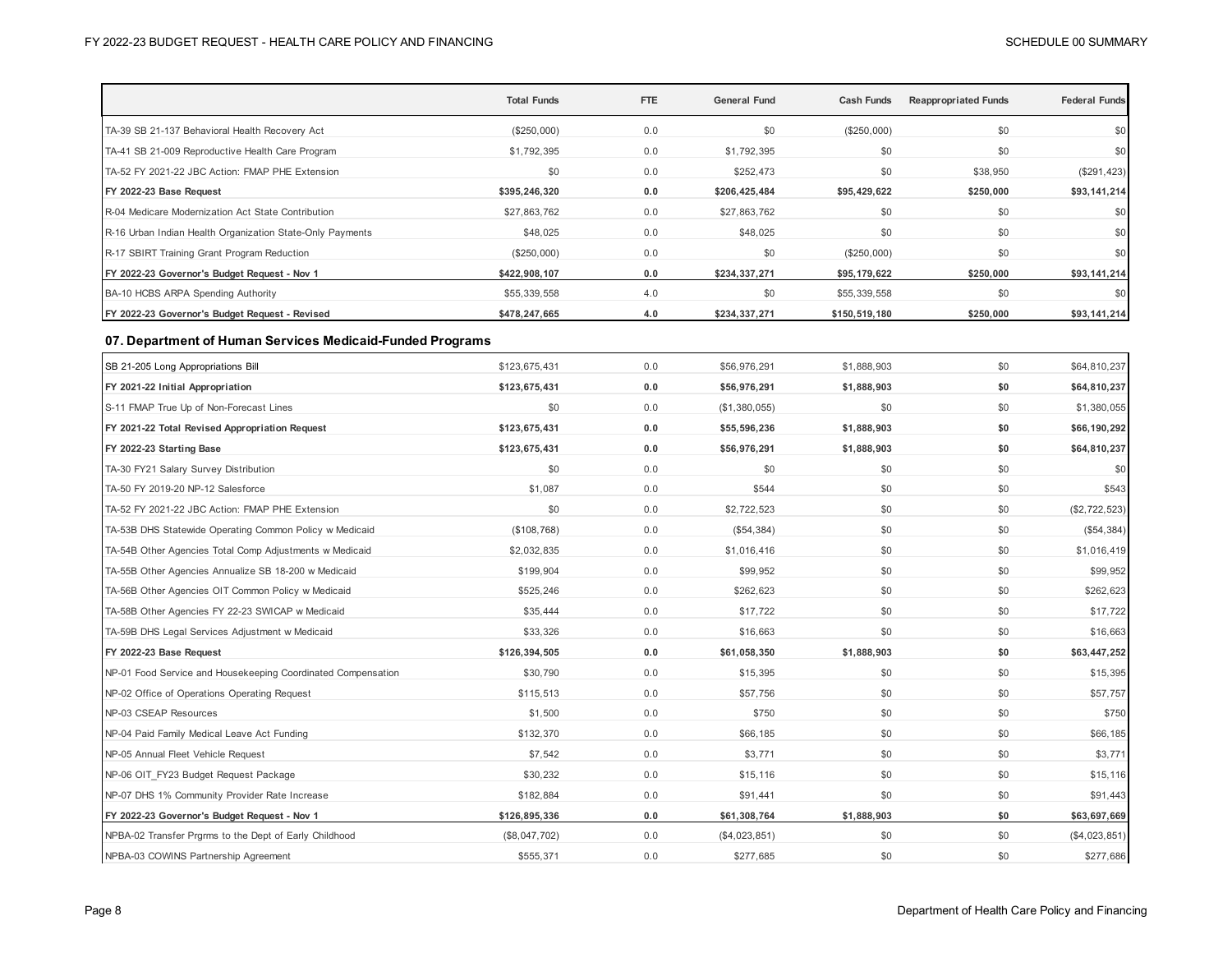|                                                              | <b>Total Funds</b> | <b>FTE</b> | <b>General Fund</b> | <b>Cash Funds</b> | <b>Reappropriated Funds</b> | <b>Federal Funds</b> |
|--------------------------------------------------------------|--------------------|------------|---------------------|-------------------|-----------------------------|----------------------|
| TA-39 SB 21-137 Behavioral Health Recovery Act               | (\$250,000)        | 0.0        | \$0                 | (\$250,000)       | \$0                         | \$0                  |
| TA-41 SB 21-009 Reproductive Health Care Program             | \$1,792,395        | 0.0        | \$1,792,395         | \$0               | \$0                         | \$0                  |
| TA-52 FY 2021-22 JBC Action: FMAP PHE Extension              | \$0                | 0.0        | \$252,473           | \$0               | \$38,950                    | (\$291, 423)         |
| FY 2022-23 Base Request                                      | \$395,246,320      | 0.0        | \$206,425,484       | \$95,429,622      | \$250,000                   | \$93,141,214         |
| R-04 Medicare Modernization Act State Contribution           | \$27,863,762       | 0.0        | \$27,863,762        | \$0               | \$0                         | \$0                  |
| R-16 Urban Indian Health Organization State-Only Payments    | \$48,025           | 0.0        | \$48,025            | \$0               | \$0                         | \$0                  |
| R-17 SBIRT Training Grant Program Reduction                  | (\$250,000)        | 0.0        | \$0                 | (\$250,000)       | \$0                         | \$0                  |
| FY 2022-23 Governor's Budget Request - Nov 1                 | \$422,908,107      | 0.0        | \$234,337,271       | \$95,179,622      | \$250,000                   | \$93,141,214         |
| BA-10 HCBS ARPA Spending Authority                           | \$55,339,558       | 4.0        | \$0                 | \$55,339,558      | \$0                         | \$0                  |
| FY 2022-23 Governor's Budget Request - Revised               | \$478,247,665      | 4.0        | \$234,337,271       | \$150,519,180     | \$250,000                   | \$93,141,214         |
| 07. Department of Human Services Medicaid-Funded Programs    |                    |            |                     |                   |                             |                      |
| SB 21-205 Long Appropriations Bill                           | \$123,675,431      | 0.0        | \$56,976,291        | \$1,888,903       | \$0                         | \$64,810,237         |
| FY 2021-22 Initial Appropriation                             | \$123,675,431      | 0.0        | \$56,976,291        | \$1,888,903       | \$0                         | \$64,810,237         |
| S-11 FMAP True Up of Non-Forecast Lines                      | \$0                | 0.0        | (\$1,380,055)       | \$0               | \$0                         | \$1,380,055          |
| FY 2021-22 Total Revised Appropriation Request               | \$123,675,431      | 0.0        | \$55,596,236        | \$1,888,903       | \$0                         | \$66,190,292         |
| FY 2022-23 Starting Base                                     | \$123,675,431      | 0.0        | \$56,976,291        | \$1,888,903       | \$0                         | \$64,810,237         |
| TA-30 FY21 Salary Survey Distribution                        | \$0                | 0.0        | \$0                 | \$0               | \$0                         | \$0                  |
| TA-50 FY 2019-20 NP-12 Salesforce                            | \$1,087            | 0.0        | \$544               | \$0               | \$0                         | \$543                |
| TA-52 FY 2021-22 JBC Action: FMAP PHE Extension              | \$0                | 0.0        | \$2,722,523         | \$0               | \$0                         | (\$2,722,523)        |
| TA-53B DHS Statewide Operating Common Policy w Medicaid      | (\$108,768)        | 0.0        | (\$54,384)          | \$0               | \$0                         | (\$54,384)           |
| TA-54B Other Agencies Total Comp Adjustments w Medicaid      | \$2,032,835        | 0.0        | \$1,016,416         | \$0               | \$0                         | \$1,016,419          |
| TA-55B Other Agencies Annualize SB 18-200 w Medicaid         | \$199,904          | 0.0        | \$99,952            | \$0               | \$0                         | \$99,952             |
| TA-56B Other Agencies OIT Common Policy w Medicaid           | \$525,246          | 0.0        | \$262,623           | \$0               | \$0                         | \$262,623            |
| TA-58B Other Agencies FY 22-23 SWICAP w Medicaid             | \$35,444           | 0.0        | \$17,722            | \$0               | \$0                         | \$17,722             |
| TA-59B DHS Legal Services Adjustment w Medicaid              | \$33,326           | 0.0        | \$16,663            | \$0               | \$0                         | \$16,663             |
| FY 2022-23 Base Request                                      | \$126,394,505      | 0.0        | \$61,058,350        | \$1,888,903       | \$0                         | \$63,447,252         |
| NP-01 Food Service and Housekeeping Coordinated Compensation | \$30,790           | 0.0        | \$15,395            | \$0               | \$0                         | \$15,395             |
| NP-02 Office of Operations Operating Request                 | \$115,513          | 0.0        | \$57,756            | \$0               | \$0                         | \$57,757             |
| NP-03 CSEAP Resources                                        | \$1,500            | 0.0        | \$750               | \$0               | \$0                         | \$750                |
| NP-04 Paid Family Medical Leave Act Funding                  | \$132,370          | 0.0        | \$66,185            | \$0               | \$0                         | \$66,185             |
| NP-05 Annual Fleet Vehicle Request                           | \$7,542            | 0.0        | \$3,771             | \$0               | \$0                         | \$3,771              |
| NP-06 OIT_FY23 Budget Request Package                        | \$30,232           | 0.0        | \$15,116            | \$0               | \$0                         | \$15,116             |
| NP-07 DHS 1% Community Provider Rate Increase                | \$182,884          | 0.0        | \$91,441            | \$0               | \$0                         | \$91,443             |
| FY 2022-23 Governor's Budget Request - Nov 1                 | \$126,895,336      | 0.0        | \$61,308,764        | \$1,888,903       | \$0                         | \$63,697,669         |
| NPBA-02 Transfer Prgrms to the Dept of Early Childhood       | (\$8,047,702)      | 0.0        | (\$4,023,851)       | \$0               | \$0                         | (\$4,023,851)        |
| NPBA-03 COWINS Partnership Agreement                         | \$555,371          | 0.0        | \$277,685           | \$0               | \$0                         | \$277,686            |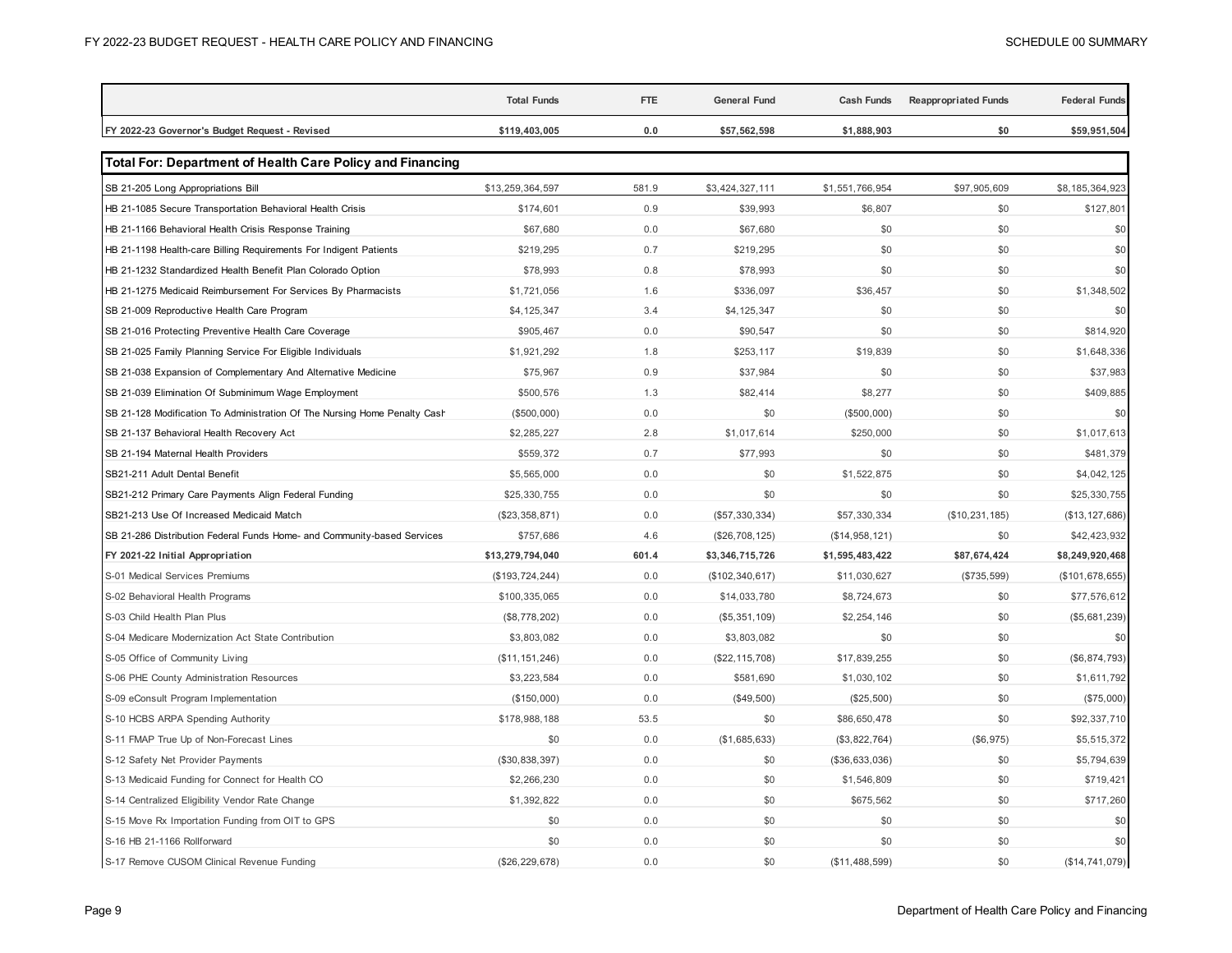|                                                                           | <b>Total Funds</b> | <b>FTE</b> | <b>General Fund</b> | <b>Cash Funds</b> | <b>Reappropriated Funds</b> | <b>Federal Funds</b> |
|---------------------------------------------------------------------------|--------------------|------------|---------------------|-------------------|-----------------------------|----------------------|
| FY 2022-23 Governor's Budget Request - Revised                            | \$119,403,005      | 0.0        | \$57,562,598        | \$1,888,903       | \$0                         | \$59,951,504         |
| <b>Total For: Department of Health Care Policy and Financing</b>          |                    |            |                     |                   |                             |                      |
| SB 21-205 Long Appropriations Bill                                        | \$13,259,364,597   | 581.9      | \$3,424,327,111     | \$1,551,766,954   | \$97,905,609                | \$8,185,364,923      |
| HB 21-1085 Secure Transportation Behavioral Health Crisis                 | \$174,601          | 0.9        | \$39,993            | \$6,807           | \$0                         | \$127,801            |
| HB 21-1166 Behavioral Health Crisis Response Training                     | \$67,680           | 0.0        | \$67,680            | \$0               | \$0                         | \$0                  |
| HB 21-1198 Health-care Billing Requirements For Indigent Patients         | \$219,295          | 0.7        | \$219,295           | \$0               | \$0                         | \$0                  |
| HB 21-1232 Standardized Health Benefit Plan Colorado Option               | \$78,993           | 0.8        | \$78,993            | \$0               | \$0                         | \$0                  |
| HB 21-1275 Medicaid Reimbursement For Services By Pharmacists             | \$1,721,056        | 1.6        | \$336,097           | \$36,457          | \$0                         | \$1,348,502          |
| SB 21-009 Reproductive Health Care Program                                | \$4,125,347        | 3.4        | \$4,125,347         | \$0               | \$0                         | \$0                  |
| SB 21-016 Protecting Preventive Health Care Coverage                      | \$905,467          | 0.0        | \$90,547            | \$0               | \$0                         | \$814,920            |
| SB 21-025 Family Planning Service For Eligible Individuals                | \$1,921,292        | 1.8        | \$253,117           | \$19,839          | \$0                         | \$1,648,336          |
| SB 21-038 Expansion of Complementary And Alternative Medicine             | \$75,967           | 0.9        | \$37,984            | \$0               | \$0                         | \$37,983             |
| SB 21-039 Elimination Of Subminimum Wage Employment                       | \$500,576          | 1.3        | \$82,414            | \$8,277           | \$0                         | \$409,885            |
| SB 21-128 Modification To Administration Of The Nursing Home Penalty Cash | (\$500,000)        | 0.0        | \$0                 | (\$500,000)       | \$0                         | \$0                  |
| SB 21-137 Behavioral Health Recovery Act                                  | \$2,285,227        | 2.8        | \$1,017,614         | \$250,000         | \$0                         | \$1,017,613          |
| SB 21-194 Maternal Health Providers                                       | \$559,372          | 0.7        | \$77,993            | \$0               | \$0                         | \$481,379            |
| SB21-211 Adult Dental Benefit                                             | \$5,565,000        | 0.0        | \$0                 | \$1,522,875       | \$0                         | \$4,042,125          |
| SB21-212 Primary Care Payments Align Federal Funding                      | \$25,330,755       | 0.0        | \$0                 | \$0               | \$0                         | \$25,330,755         |
| SB21-213 Use Of Increased Medicaid Match                                  | (\$23,358,871)     | 0.0        | (\$57,330,334)      | \$57,330,334      | (\$10, 231, 185)            | (\$13, 127, 686)     |
| SB 21-286 Distribution Federal Funds Home- and Community-based Services   | \$757,686          | 4.6        | (\$26,708,125)      | (\$14,958,121)    | \$0                         | \$42,423,932         |
| FY 2021-22 Initial Appropriation                                          | \$13,279,794,040   | 601.4      | \$3,346,715,726     | \$1,595,483,422   | \$87,674,424                | \$8,249,920,468      |
| S-01 Medical Services Premiums                                            | (\$193, 724, 244)  | 0.0        | (\$102, 340, 617)   | \$11,030,627      | (\$735,599)                 | (\$101, 678, 655)    |
| S-02 Behavioral Health Programs                                           | \$100,335,065      | 0.0        | \$14,033,780        | \$8,724,673       | \$0                         | \$77,576,612         |
| S-03 Child Health Plan Plus                                               | (\$8,778,202)      | 0.0        | (\$5,351,109)       | \$2,254,146       | \$0                         | (\$5,681,239)        |
| S-04 Medicare Modernization Act State Contribution                        | \$3,803,082        | 0.0        | \$3,803,082         | \$0               | \$0                         | \$0                  |
| S-05 Office of Community Living                                           | (\$11, 151, 246)   | 0.0        | (\$22, 115, 708)    | \$17,839,255      | \$0                         | (\$6,874,793)        |
| S-06 PHE County Administration Resources                                  | \$3,223,584        | 0.0        | \$581,690           | \$1,030,102       | \$0                         | \$1,611,792          |
| S-09 eConsult Program Implementation                                      | (\$150,000)        | 0.0        | (\$49,500)          | (\$25,500)        | \$0                         | (\$75,000)           |
| S-10 HCBS ARPA Spending Authority                                         | \$178,988,188      | 53.5       | \$0                 | \$86,650,478      | \$0                         | \$92,337,710         |
| S-11 FMAP True Up of Non-Forecast Lines                                   | \$0                | 0.0        | (\$1,685,633)       | (\$3,822,764)     | (\$6,975)                   | \$5,515,372          |
| S-12 Safety Net Provider Payments                                         | (\$30,838,397)     | 0.0        | \$0                 | (\$36,633,036)    | \$0                         | \$5,794,639          |
| S-13 Medicaid Funding for Connect for Health CO                           | \$2,266,230        | 0.0        | \$0                 | \$1,546,809       | \$0                         | \$719,421            |
| S-14 Centralized Eligibility Vendor Rate Change                           | \$1,392,822        | 0.0        | \$0                 | \$675,562         | \$0                         | \$717,260            |
| S-15 Move Rx Importation Funding from OIT to GPS                          | \$0                | 0.0        | \$0                 | \$0               | \$0                         | \$0                  |
| S-16 HB 21-1166 Rollforward                                               | \$0                | 0.0        | \$0                 | \$0               | \$0                         | \$0                  |
| S-17 Remove CUSOM Clinical Revenue Funding                                | (\$26, 229, 678)   | 0.0        | \$0                 | (\$11,488,599)    | \$0                         | (\$14, 741, 079)     |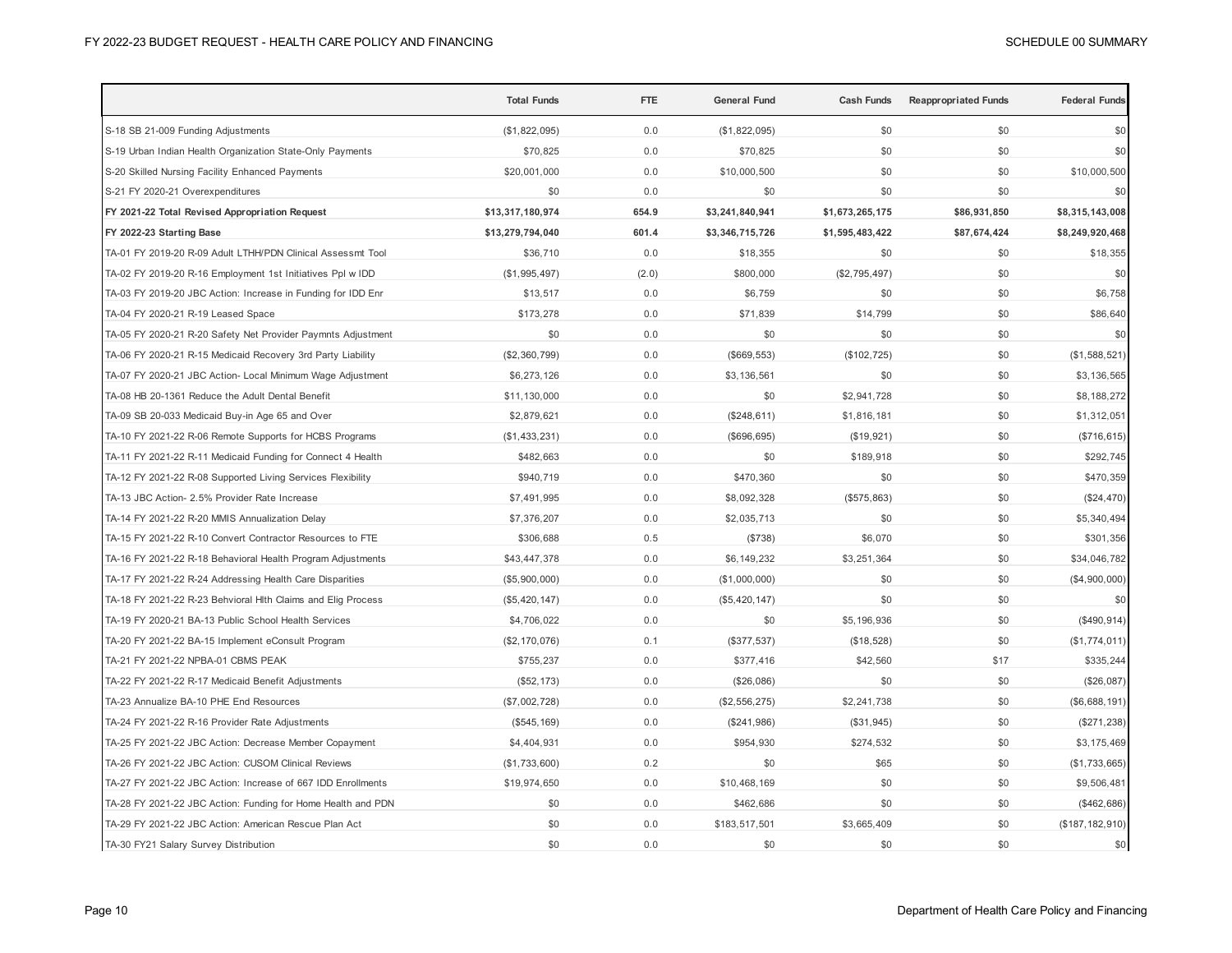|                                                              | <b>Total Funds</b> | <b>FTE</b> | <b>General Fund</b> | <b>Cash Funds</b> | <b>Reappropriated Funds</b> | <b>Federal Funds</b> |
|--------------------------------------------------------------|--------------------|------------|---------------------|-------------------|-----------------------------|----------------------|
| S-18 SB 21-009 Funding Adjustments                           | (\$1,822,095)      | 0.0        | (\$1,822,095)       | \$0               | \$0                         | \$0                  |
| S-19 Urban Indian Health Organization State-Only Payments    | \$70,825           | 0.0        | \$70,825            | \$0               | \$0                         | \$0                  |
| S-20 Skilled Nursing Facility Enhanced Payments              | \$20,001,000       | 0.0        | \$10,000,500        | \$0               | \$0                         | \$10,000,500         |
| S-21 FY 2020-21 Overexpenditures                             | \$0                | 0.0        | \$0                 | \$0               | \$0                         | \$0                  |
| FY 2021-22 Total Revised Appropriation Request               | \$13,317,180,974   | 654.9      | \$3,241,840,941     | \$1,673,265,175   | \$86,931,850                | \$8,315,143,008      |
| FY 2022-23 Starting Base                                     | \$13,279,794,040   | 601.4      | \$3,346,715,726     | \$1,595,483,422   | \$87,674,424                | \$8,249,920,468      |
| TA-01 FY 2019-20 R-09 Adult LTHH/PDN Clinical Assessmt Tool  | \$36,710           | 0.0        | \$18,355            | \$0               | \$0                         | \$18,355             |
| TA-02 FY 2019-20 R-16 Employment 1st Initiatives Ppl w IDD   | (\$1,995,497)      | (2.0)      | \$800,000           | (\$2,795,497)     | \$0                         | \$0                  |
| TA-03 FY 2019-20 JBC Action: Increase in Funding for IDD Enr | \$13,517           | 0.0        | \$6,759             | \$0               | \$0                         | \$6,758              |
| TA-04 FY 2020-21 R-19 Leased Space                           | \$173,278          | 0.0        | \$71,839            | \$14,799          | \$0                         | \$86,640             |
| TA-05 FY 2020-21 R-20 Safety Net Provider Paymnts Adjustment | \$0                | 0.0        | \$0                 | \$0               | \$0                         | \$0                  |
| TA-06 FY 2020-21 R-15 Medicaid Recovery 3rd Party Liability  | (\$2,360,799)      | 0.0        | (\$669, 553)        | (\$102, 725)      | \$0                         | (\$1,588,521)        |
| TA-07 FY 2020-21 JBC Action- Local Minimum Wage Adjustment   | \$6,273,126        | 0.0        | \$3,136,561         | \$0               | \$0                         | \$3,136,565          |
| TA-08 HB 20-1361 Reduce the Adult Dental Benefit             | \$11,130,000       | 0.0        | \$0                 | \$2,941,728       | \$0                         | \$8,188,272          |
| TA-09 SB 20-033 Medicaid Buy-in Age 65 and Over              | \$2,879,621        | 0.0        | (\$248, 611)        | \$1,816,181       | \$0                         | \$1,312,051          |
| TA-10 FY 2021-22 R-06 Remote Supports for HCBS Programs      | (\$1,433,231)      | 0.0        | (\$696, 695)        | (\$19,921)        | \$0                         | (\$716, 615)         |
| TA-11 FY 2021-22 R-11 Medicaid Funding for Connect 4 Health  | \$482,663          | 0.0        | \$0                 | \$189,918         | \$0                         | \$292,745            |
| TA-12 FY 2021-22 R-08 Supported Living Services Flexibility  | \$940,719          | 0.0        | \$470,360           | \$0               | \$0                         | \$470,359            |
| TA-13 JBC Action- 2.5% Provider Rate Increase                | \$7,491,995        | 0.0        | \$8,092,328         | (\$575,863)       | \$0                         | (\$24,470)           |
| TA-14 FY 2021-22 R-20 MMIS Annualization Delay               | \$7,376,207        | 0.0        | \$2,035,713         | \$0               | \$0                         | \$5,340,494          |
| TA-15 FY 2021-22 R-10 Convert Contractor Resources to FTE    | \$306,688          | 0.5        | (\$738)             | \$6,070           | \$0                         | \$301,356            |
| TA-16 FY 2021-22 R-18 Behavioral Health Program Adjustments  | \$43,447,378       | 0.0        | \$6,149,232         | \$3,251,364       | \$0                         | \$34,046,782         |
| TA-17 FY 2021-22 R-24 Addressing Health Care Disparities     | (\$5,900,000)      | 0.0        | (\$1,000,000)       | \$0               | \$0                         | (\$4,900,000)        |
| TA-18 FY 2021-22 R-23 Behvioral Hith Claims and Elig Process | (\$5,420,147)      | 0.0        | (\$5,420,147)       | \$0               | \$0                         | \$0                  |
| TA-19 FY 2020-21 BA-13 Public School Health Services         | \$4,706,022        | 0.0        | \$0                 | \$5,196,936       | \$0                         | (\$490,914)          |
| TA-20 FY 2021-22 BA-15 Implement eConsult Program            | (\$2,170,076)      | 0.1        | (\$377,537)         | (\$18,528)        | \$0                         | (\$1,774,011)        |
| TA-21 FY 2021-22 NPBA-01 CBMS PEAK                           | \$755,237          | 0.0        | \$377,416           | \$42,560          | \$17                        | \$335,244            |
| TA-22 FY 2021-22 R-17 Medicaid Benefit Adjustments           | (\$52, 173)        | 0.0        | (\$26,086)          | \$0               | \$0                         | (\$26,087)           |
| TA-23 Annualize BA-10 PHE End Resources                      | (\$7,002,728)      | 0.0        | (\$2,556,275)       | \$2,241,738       | \$0                         | (\$6,688,191)        |
| TA-24 FY 2021-22 R-16 Provider Rate Adjustments              | (\$545, 169)       | 0.0        | (\$241,986)         | (\$31,945)        | \$0                         | (\$271, 238)         |
| TA-25 FY 2021-22 JBC Action: Decrease Member Copayment       | \$4,404,931        | 0.0        | \$954,930           | \$274,532         | \$0                         | \$3,175,469          |
| TA-26 FY 2021-22 JBC Action: CUSOM Clinical Reviews          | (\$1,733,600)      | 0.2        | \$0                 | \$65              | \$0                         | (\$1,733,665)        |
| TA-27 FY 2021-22 JBC Action: Increase of 667 IDD Enrollments | \$19,974,650       | $0.0\,$    | \$10,468,169        | \$0               | \$0                         | \$9,506,481          |
| TA-28 FY 2021-22 JBC Action: Funding for Home Health and PDN | \$0                | $0.0\,$    | \$462,686           | \$0               | \$0                         | (\$462,686)          |
| TA-29 FY 2021-22 JBC Action: American Rescue Plan Act        | \$0                | 0.0        | \$183,517,501       | \$3,665,409       | \$0                         | (\$187, 182, 910)    |
| TA-30 FY21 Salary Survey Distribution                        | \$0                | 0.0        | \$0                 | \$0               | \$0                         | \$0                  |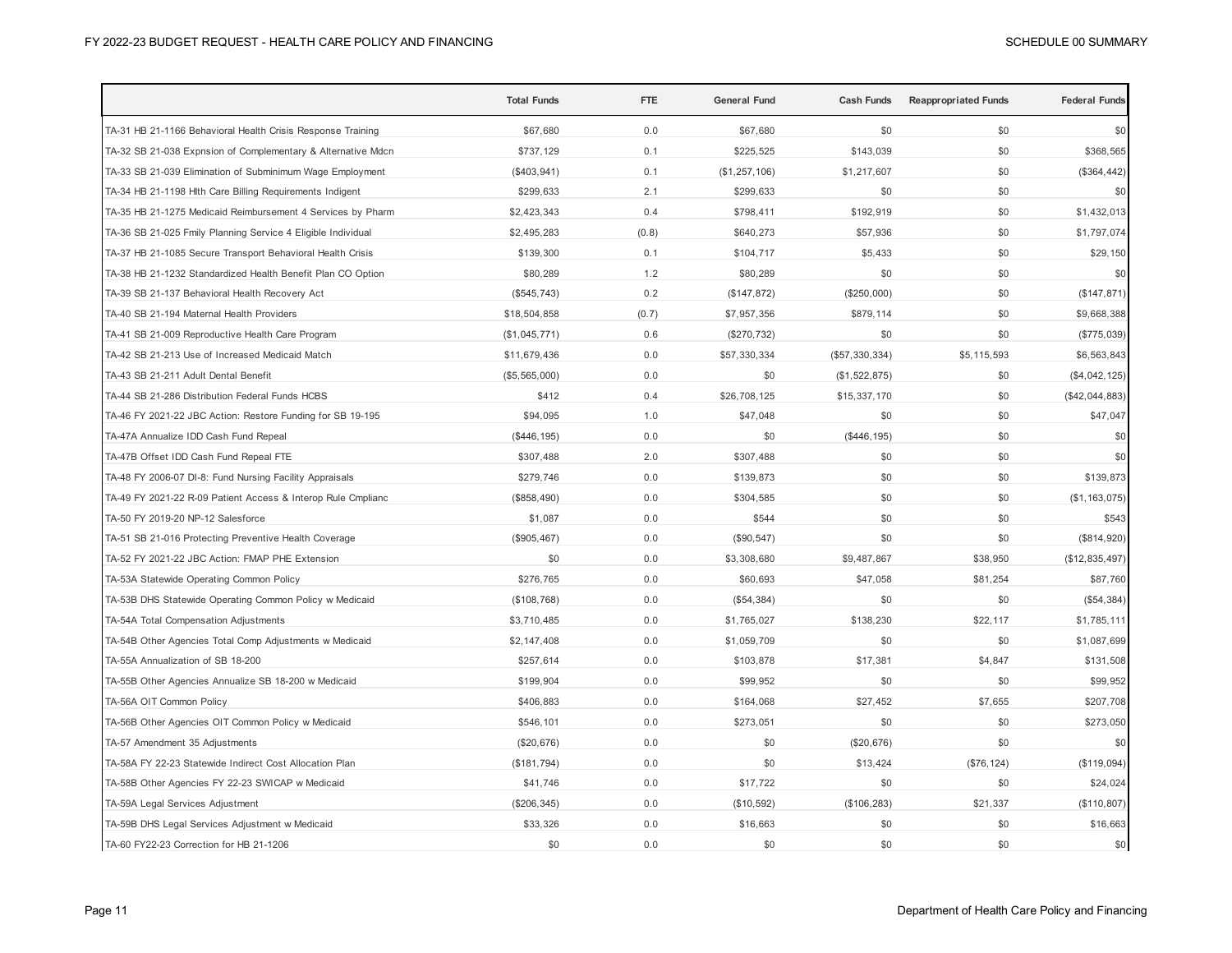|                                                              | <b>Total Funds</b> | <b>FTE</b> | General Fund  | <b>Cash Funds</b> | <b>Reappropriated Funds</b> | <b>Federal Funds</b> |
|--------------------------------------------------------------|--------------------|------------|---------------|-------------------|-----------------------------|----------------------|
| TA-31 HB 21-1166 Behavioral Health Crisis Response Training  | \$67,680           | 0.0        | \$67,680      | \$0               | \$0                         | \$0                  |
| TA-32 SB 21-038 Expnsion of Complementary & Alternative Mdcn | \$737,129          | 0.1        | \$225,525     | \$143,039         | \$0                         | \$368,565            |
| TA-33 SB 21-039 Elimination of Subminimum Wage Employment    | (\$403, 941)       | 0.1        | (\$1,257,106) | \$1,217,607       | \$0                         | (\$364, 442)         |
| TA-34 HB 21-1198 Hlth Care Billing Requirements Indigent     | \$299,633          | 2.1        | \$299,633     | \$0               | \$0                         | \$0                  |
| TA-35 HB 21-1275 Medicaid Reimbursement 4 Services by Pharm  | \$2,423,343        | 0.4        | \$798,411     | \$192,919         | \$0                         | \$1,432,013          |
| TA-36 SB 21-025 Fmily Planning Service 4 Eligible Individual | \$2,495,283        | (0.8)      | \$640,273     | \$57,936          | \$0                         | \$1,797,074          |
| TA-37 HB 21-1085 Secure Transport Behavioral Health Crisis   | \$139,300          | 0.1        | \$104,717     | \$5,433           | \$0                         | \$29,150             |
| TA-38 HB 21-1232 Standardized Health Benefit Plan CO Option  | \$80,289           | 1.2        | \$80,289      | \$0               | \$0                         | \$0                  |
| TA-39 SB 21-137 Behavioral Health Recovery Act               | (\$545,743)        | 0.2        | (\$147,872)   | (\$250,000)       | \$0                         | (\$147, 871)         |
| TA-40 SB 21-194 Maternal Health Providers                    | \$18,504,858       | (0.7)      | \$7,957,356   | \$879,114         | \$0                         | \$9,668,388          |
| TA-41 SB 21-009 Reproductive Health Care Program             | (\$1,045,771)      | 0.6        | (\$270, 732)  | \$0               | \$0                         | $(\$775,039)$        |
| TA-42 SB 21-213 Use of Increased Medicaid Match              | \$11,679,436       | 0.0        | \$57,330,334  | (\$57,330,334)    | \$5,115,593                 | \$6,563,843          |
| TA-43 SB 21-211 Adult Dental Benefit                         | (\$5,565,000)      | 0.0        | \$0           | (\$1,522,875)     | \$0                         | (\$4,042,125)        |
| TA-44 SB 21-286 Distribution Federal Funds HCBS              | \$412              | 0.4        | \$26,708,125  | \$15,337,170      | \$0                         | $(\$42,044,883)$     |
| TA-46 FY 2021-22 JBC Action: Restore Funding for SB 19-195   | \$94,095           | 1.0        | \$47,048      | \$0               | \$0                         | \$47,047             |
| TA-47A Annualize IDD Cash Fund Repeal                        | (\$446, 195)       | 0.0        | \$0           | (\$446, 195)      | \$0                         | \$0                  |
| TA-47B Offset IDD Cash Fund Repeal FTE                       | \$307,488          | 2.0        | \$307,488     | \$0               | \$0                         | \$0                  |
| TA-48 FY 2006-07 DI-8: Fund Nursing Facility Appraisals      | \$279,746          | 0.0        | \$139,873     | \$0               | \$0                         | \$139,873            |
| TA-49 FY 2021-22 R-09 Patient Access & Interop Rule Cmplianc | (\$858,490)        | 0.0        | \$304,585     | \$0               | \$0                         | (\$1, 163, 075)      |
| TA-50 FY 2019-20 NP-12 Salesforce                            | \$1,087            | 0.0        | \$544         | \$0               | \$0                         | \$543                |
| TA-51 SB 21-016 Protecting Preventive Health Coverage        | (\$905,467)        | 0.0        | (\$90, 547)   | \$0               | \$0                         | (\$814,920)          |
| TA-52 FY 2021-22 JBC Action: FMAP PHE Extension              | \$0                | 0.0        | \$3,308,680   | \$9,487,867       | \$38,950                    | (\$12,835,497)       |
| TA-53A Statewide Operating Common Policy                     | \$276,765          | 0.0        | \$60,693      | \$47,058          | \$81,254                    | \$87,760             |
| TA-53B DHS Statewide Operating Common Policy w Medicaid      | (\$108,768)        | 0.0        | (\$54,384)    | \$0               | \$0                         | (\$54,384)           |
| TA-54A Total Compensation Adjustments                        | \$3,710,485        | 0.0        | \$1,765,027   | \$138,230         | \$22,117                    | \$1,785,111          |
| TA-54B Other Agencies Total Comp Adjustments w Medicaid      | \$2,147,408        | 0.0        | \$1,059,709   | \$0               | \$0                         | \$1,087,699          |
| TA-55A Annualization of SB 18-200                            | \$257,614          | 0.0        | \$103,878     | \$17,381          | \$4,847                     | \$131,508            |
| TA-55B Other Agencies Annualize SB 18-200 w Medicaid         | \$199,904          | 0.0        | \$99,952      | \$0               | \$0                         | \$99,952             |
| TA-56A OIT Common Policy                                     | \$406,883          | 0.0        | \$164,068     | \$27,452          | \$7,655                     | \$207,708            |
| TA-56B Other Agencies OIT Common Policy w Medicaid           | \$546,101          | 0.0        | \$273,051     | \$0               | \$0                         | \$273,050            |
| TA-57 Amendment 35 Adjustments                               | (\$20,676)         | 0.0        | \$0           | (\$20,676)        | \$0                         | \$0                  |
| TA-58A FY 22-23 Statewide Indirect Cost Allocation Plan      | (\$181,794)        | 0.0        | \$0           | \$13,424          | (\$76, 124)                 | (\$119,094)          |
| TA-58B Other Agencies FY 22-23 SWICAP w Medicaid             | \$41,746           | 0.0        | \$17,722      | \$0               | \$0                         | \$24,024             |
| TA-59A Legal Services Adjustment                             | (\$206,345)        | 0.0        | (\$10,592)    | (\$106, 283)      | \$21,337                    | (\$110,807)          |
| TA-59B DHS Legal Services Adjustment w Medicaid              | \$33,326           | 0.0        | \$16,663      | \$0               | \$0                         | \$16,663             |
| TA-60 FY22-23 Correction for HB 21-1206                      | \$0                | 0.0        | \$0           | \$0               | \$0                         | \$0                  |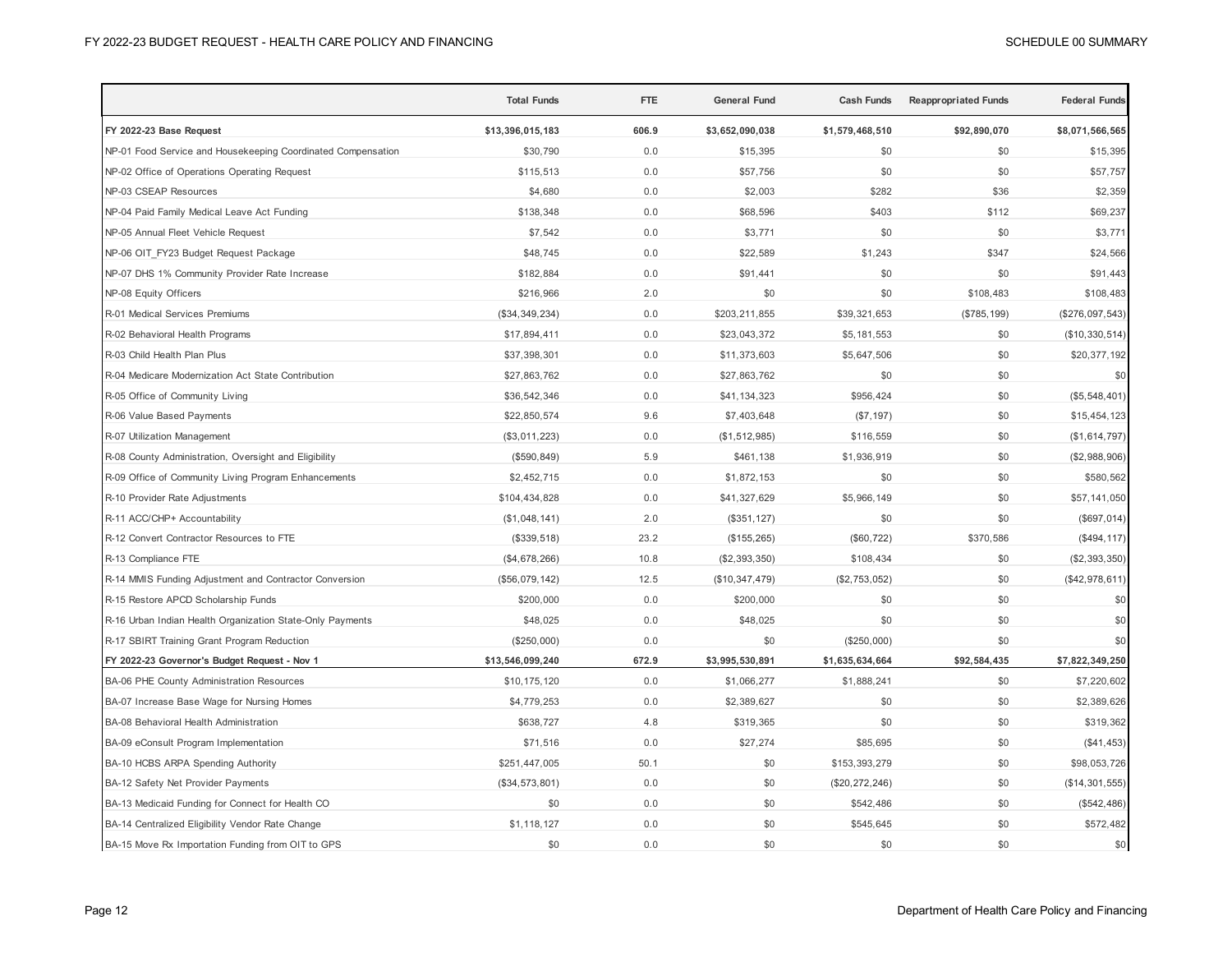|                                                              | <b>Total Funds</b> | <b>FTE</b> | <b>General Fund</b> | <b>Cash Funds</b> | <b>Reappropriated Funds</b> | <b>Federal Funds</b> |
|--------------------------------------------------------------|--------------------|------------|---------------------|-------------------|-----------------------------|----------------------|
| FY 2022-23 Base Request                                      | \$13,396,015,183   | 606.9      | \$3,652,090,038     | \$1,579,468,510   | \$92,890,070                | \$8,071,566,565      |
| NP-01 Food Service and Housekeeping Coordinated Compensation | \$30,790           | 0.0        | \$15,395            | \$0               | \$0                         | \$15,395             |
| NP-02 Office of Operations Operating Request                 | \$115,513          | 0.0        | \$57,756            | \$0               | \$0                         | \$57,757             |
| NP-03 CSEAP Resources                                        | \$4,680            | 0.0        | \$2,003             | \$282             | \$36                        | \$2,359              |
| NP-04 Paid Family Medical Leave Act Funding                  | \$138,348          | 0.0        | \$68,596            | \$403             | \$112                       | \$69,237             |
| NP-05 Annual Fleet Vehicle Request                           | \$7,542            | 0.0        | \$3,771             | \$0               | \$0                         | \$3,771              |
| NP-06 OIT_FY23 Budget Request Package                        | \$48,745           | 0.0        | \$22,589            | \$1,243           | \$347                       | \$24,566             |
| NP-07 DHS 1% Community Provider Rate Increase                | \$182,884          | 0.0        | \$91,441            | \$0               | \$0                         | \$91,443             |
| NP-08 Equity Officers                                        | \$216,966          | 2.0        | \$0                 | \$0               | \$108,483                   | \$108,483            |
| R-01 Medical Services Premiums                               | (\$34,349,234)     | 0.0        | \$203,211,855       | \$39,321,653      | (\$785, 199)                | (\$276,097,543)      |
| R-02 Behavioral Health Programs                              | \$17,894,411       | 0.0        | \$23,043,372        | \$5,181,553       | \$0                         | (\$10,330,514)       |
| R-03 Child Health Plan Plus                                  | \$37,398,301       | 0.0        | \$11,373,603        | \$5,647,506       | \$0                         | \$20,377,192         |
| R-04 Medicare Modernization Act State Contribution           | \$27,863,762       | 0.0        | \$27,863,762        | \$0               | \$0                         | \$0                  |
| R-05 Office of Community Living                              | \$36,542,346       | 0.0        | \$41,134,323        | \$956,424         | \$0                         | (\$5,548,401)        |
| R-06 Value Based Payments                                    | \$22,850,574       | 9.6        | \$7,403,648         | (\$7,197)         | \$0                         | \$15,454,123         |
| R-07 Utilization Management                                  | (\$3,011,223)      | 0.0        | (\$1,512,985)       | \$116,559         | \$0                         | (\$1,614,797)        |
| R-08 County Administration, Oversight and Eligibility        | (\$590, 849)       | 5.9        | \$461,138           | \$1,936,919       | \$0                         | (\$2,988,906)        |
| R-09 Office of Community Living Program Enhancements         | \$2,452,715        | 0.0        | \$1,872,153         | \$0               | \$0                         | \$580,562            |
| R-10 Provider Rate Adjustments                               | \$104,434,828      | 0.0        | \$41,327,629        | \$5,966,149       | \$0                         | \$57,141,050         |
| R-11 ACC/CHP+ Accountability                                 | (\$1,048,141)      | 2.0        | (\$351, 127)        | \$0               | \$0                         | (\$697,014)          |
| R-12 Convert Contractor Resources to FTE                     | (\$339,518)        | 23.2       | (\$155, 265)        | (\$60, 722)       | \$370,586                   | (\$494, 117)         |
| R-13 Compliance FTE                                          | (\$4,678,266)      | 10.8       | (\$2,393,350)       | \$108,434         | \$0                         | $(\$2,393,350)$      |
| R-14 MMIS Funding Adjustment and Contractor Conversion       | (\$56,079,142)     | 12.5       | (\$10,347,479)      | (\$2,753,052)     | \$0                         | (\$42,978,611)       |
| R-15 Restore APCD Scholarship Funds                          | \$200,000          | 0.0        | \$200,000           | \$0               | \$0                         | \$0                  |
| R-16 Urban Indian Health Organization State-Only Payments    | \$48,025           | 0.0        | \$48,025            | \$0               | \$0                         | \$0                  |
| R-17 SBIRT Training Grant Program Reduction                  | (\$250,000)        | 0.0        | \$0                 | (\$250,000)       | \$0                         | \$0                  |
| FY 2022-23 Governor's Budget Request - Nov 1                 | \$13,546,099,240   | 672.9      | \$3,995,530,891     | \$1,635,634,664   | \$92,584,435                | \$7,822,349,250      |
| <b>BA-06 PHE County Administration Resources</b>             | \$10,175,120       | 0.0        | \$1,066,277         | \$1,888,241       | \$0                         | \$7,220,602          |
| BA-07 Increase Base Wage for Nursing Homes                   | \$4,779,253        | 0.0        | \$2,389,627         | \$0               | \$0                         | \$2,389,626          |
| BA-08 Behavioral Health Administration                       | \$638,727          | 4.8        | \$319,365           | \$0               | \$0                         | \$319,362            |
| BA-09 eConsult Program Implementation                        | \$71,516           | 0.0        | \$27,274            | \$85,695          | \$0                         | (\$41,453)           |
| BA-10 HCBS ARPA Spending Authority                           | \$251,447,005      | 50.1       | \$0                 | \$153,393,279     | \$0                         | \$98,053,726         |
| BA-12 Safety Net Provider Payments                           | (\$34,573,801)     | 0.0        | \$0                 | (\$20, 272, 246)  | \$0                         | (\$14,301,555)       |
| BA-13 Medicaid Funding for Connect for Health CO             | \$0                | 0.0        | \$0                 | \$542,486         | \$0                         | (\$542,486)          |
| BA-14 Centralized Eligibility Vendor Rate Change             | \$1,118,127        | 0.0        | \$0                 | \$545,645         | \$0                         | \$572,482            |
| BA-15 Move Rx Importation Funding from OIT to GPS            | \$0                | 0.0        | \$0                 | \$0               | \$0                         | \$0                  |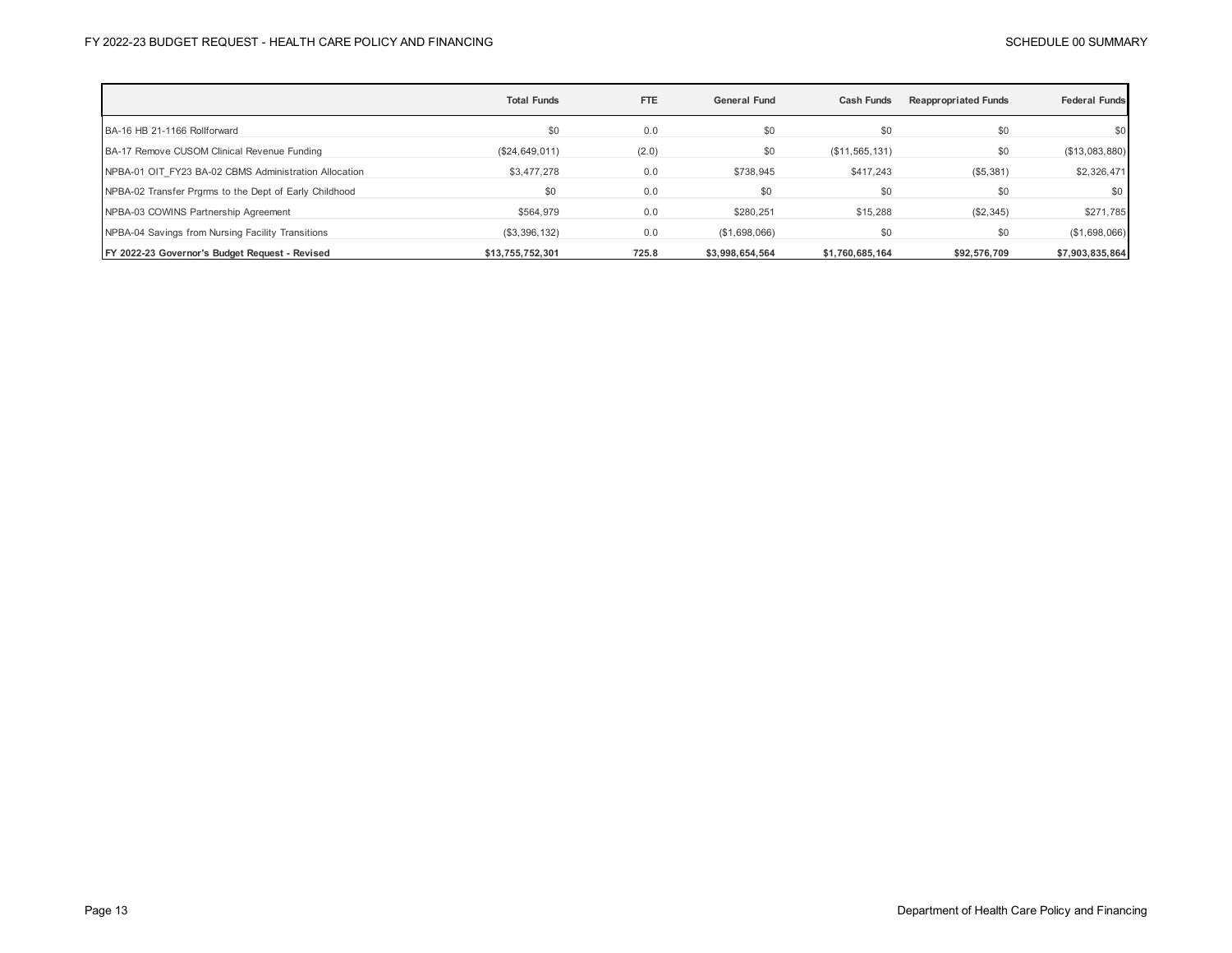|                                                        | <b>Total Funds</b> | <b>FTE</b> | <b>General Fund</b> | <b>Cash Funds</b> | <b>Reappropriated Funds</b> | <b>Federal Funds</b> |
|--------------------------------------------------------|--------------------|------------|---------------------|-------------------|-----------------------------|----------------------|
| BA-16 HB 21-1166 Rollforward                           | \$0                | 0.0        | \$0                 | \$0               | \$0                         | \$0                  |
| BA-17 Remove CUSOM Clinical Revenue Funding            | (\$24,649,011)     | (2.0)      | \$0                 | (\$11,565,131)    | \$0                         | (\$13,083,880)       |
| NPBA-01 OIT FY23 BA-02 CBMS Administration Allocation  | \$3,477,278        | 0.0        | \$738,945           | \$417,243         | (\$5,381)                   | \$2,326,471          |
| NPBA-02 Transfer Prgrms to the Dept of Early Childhood | \$0                | 0.0        | \$0                 | \$0               | \$0                         | \$0                  |
| NPBA-03 COWINS Partnership Agreement                   | \$564.979          | 0.0        | \$280.251           | \$15,288          | (\$2,345)                   | \$271,785            |
| NPBA-04 Savings from Nursing Facility Transitions      | (\$3,396,132)      | 0.0        | (\$1,698,066)       | \$0               | \$0                         | (\$1,698,066)        |
| FY 2022-23 Governor's Budget Request - Revised         | \$13,755,752,301   | 725.8      | \$3.998.654.564     | \$1,760,685,164   | \$92,576,709                | \$7,903,835,864      |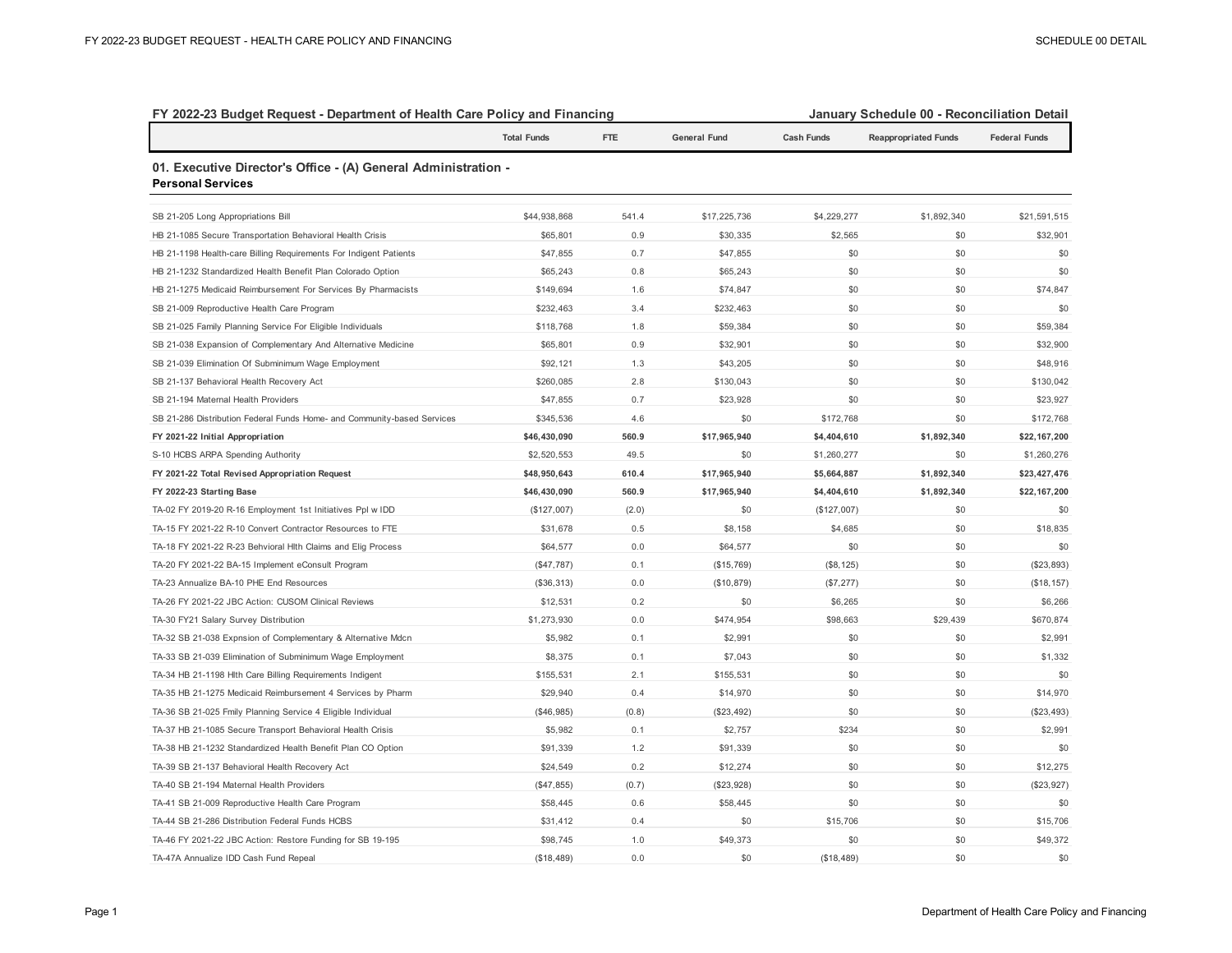| FY 2022-23 Budget Request - Department of Health Care Policy and Financing                 |                    |       |                     |                   | January Schedule 00 - Reconciliation Detail |                      |  |
|--------------------------------------------------------------------------------------------|--------------------|-------|---------------------|-------------------|---------------------------------------------|----------------------|--|
|                                                                                            | <b>Total Funds</b> | FTE   | <b>General Fund</b> | <b>Cash Funds</b> | <b>Reappropriated Funds</b>                 | <b>Federal Funds</b> |  |
| 01. Executive Director's Office - (A) General Administration -<br><b>Personal Services</b> |                    |       |                     |                   |                                             |                      |  |
| SB 21-205 Long Appropriations Bill                                                         | \$44,938,868       | 541.4 | \$17,225,736        | \$4,229,277       | \$1,892,340                                 | \$21,591,515         |  |
| HB 21-1085 Secure Transportation Behavioral Health Crisis                                  | \$65,801           | 0.9   | \$30,335            | \$2,565           | \$0                                         | \$32,901             |  |
| HB 21-1198 Health-care Billing Requirements For Indigent Patients                          | \$47,855           | 0.7   | \$47,855            | \$0               | \$0                                         | \$0                  |  |
| HB 21-1232 Standardized Health Benefit Plan Colorado Option                                | \$65,243           | 0.8   | \$65,243            | \$0               | \$0                                         | \$0                  |  |
| HB 21-1275 Medicaid Reimbursement For Services By Pharmacists                              | \$149,694          | 1.6   | \$74,847            | \$0               | \$0                                         | \$74,847             |  |
| SB 21-009 Reproductive Health Care Program                                                 | \$232,463          | 3.4   | \$232,463           | \$0               | \$0                                         | \$0                  |  |
| SB 21-025 Family Planning Service For Eligible Individuals                                 | \$118,768          | 1.8   | \$59,384            | \$0               | \$0                                         | \$59,384             |  |
| SB 21-038 Expansion of Complementary And Alternative Medicine                              | \$65,801           | 0.9   | \$32,901            | \$0               | \$0                                         | \$32,900             |  |
| SB 21-039 Elimination Of Subminimum Wage Employment                                        | \$92,121           | 1.3   | \$43,205            | \$0               | \$0                                         | \$48,916             |  |
| SB 21-137 Behavioral Health Recovery Act                                                   | \$260,085          | 2.8   | \$130,043           | \$0               | \$0                                         | \$130,042            |  |
| SB 21-194 Maternal Health Providers                                                        | \$47,855           | 0.7   | \$23,928            | \$0               | \$0                                         | \$23,927             |  |
| SB 21-286 Distribution Federal Funds Home- and Community-based Services                    | \$345,536          | 4.6   | \$0                 | \$172,768         | \$0                                         | \$172,768            |  |
| FY 2021-22 Initial Appropriation                                                           | \$46,430,090       | 560.9 | \$17,965,940        | \$4,404,610       | \$1,892,340                                 | \$22,167,200         |  |
| S-10 HCBS ARPA Spending Authority                                                          | \$2,520,553        | 49.5  | \$0                 | \$1,260,277       | \$0                                         | \$1,260,276          |  |
| FY 2021-22 Total Revised Appropriation Request                                             | \$48,950,643       | 610.4 | \$17,965,940        | \$5,664,887       | \$1,892,340                                 | \$23,427,476         |  |
| FY 2022-23 Starting Base                                                                   | \$46,430,090       | 560.9 | \$17,965,940        | \$4,404,610       | \$1,892,340                                 | \$22,167,200         |  |
| TA-02 FY 2019-20 R-16 Employment 1st Initiatives Ppl w IDD                                 | (\$127,007)        | (2.0) | \$0                 | (\$127,007)       | \$0                                         | \$0                  |  |
| TA-15 FY 2021-22 R-10 Convert Contractor Resources to FTE                                  | \$31,678           | 0.5   | \$8,158             | \$4,685           | \$0                                         | \$18,835             |  |
| TA-18 FY 2021-22 R-23 Behvioral Hlth Claims and Elig Process                               | \$64,577           | 0.0   | \$64,577            | \$0               | \$0                                         | \$0                  |  |
| TA-20 FY 2021-22 BA-15 Implement eConsult Program                                          | (\$47,787)         | 0.1   | (\$15,769)          | (\$8, 125)        | \$0                                         | (\$23,893)           |  |
| TA-23 Annualize BA-10 PHE End Resources                                                    | (\$36,313)         | 0.0   | (\$10, 879)         | (\$7,277)         | \$0                                         | (\$18, 157)          |  |
| TA-26 FY 2021-22 JBC Action: CUSOM Clinical Reviews                                        | \$12,531           | 0.2   | \$0                 | \$6,265           | \$0                                         | \$6,266              |  |
| TA-30 FY21 Salary Survey Distribution                                                      | \$1,273,930        | 0.0   | \$474,954           | \$98,663          | \$29,439                                    | \$670,874            |  |
| TA-32 SB 21-038 Expnsion of Complementary & Alternative Mdcn                               | \$5,982            | 0.1   | \$2,991             | \$0               | \$0                                         | \$2,991              |  |
| TA-33 SB 21-039 Elimination of Subminimum Wage Employment                                  | \$8,375            | 0.1   | \$7,043             | \$0               | \$0                                         | \$1,332              |  |
| TA-34 HB 21-1198 Hlth Care Billing Requirements Indigent                                   | \$155,531          | 2.1   | \$155,531           | \$0               | \$0                                         | \$0                  |  |
| TA-35 HB 21-1275 Medicaid Reimbursement 4 Services by Pharm                                | \$29,940           | 0.4   | \$14,970            | \$0               | \$0                                         | \$14,970             |  |
| TA-36 SB 21-025 Fmily Planning Service 4 Eligible Individual                               | (\$46,985)         | (0.8) | (\$23,492)          | \$0               | \$0                                         | (\$23,493)           |  |
| TA-37 HB 21-1085 Secure Transport Behavioral Health Crisis                                 | \$5,982            | 0.1   | \$2,757             | \$234             | \$0                                         | \$2,991              |  |
| TA-38 HB 21-1232 Standardized Health Benefit Plan CO Option                                | \$91,339           | 1.2   | \$91,339            | \$0               | \$0                                         | \$0                  |  |
| TA-39 SB 21-137 Behavioral Health Recovery Act                                             | \$24,549           | 0.2   | \$12,274            | \$0               | \$0                                         | \$12,275             |  |
| TA-40 SB 21-194 Maternal Health Providers                                                  | (\$47,855)         | (0.7) | (\$23,928)          | \$0               | \$0                                         | (\$23,927)           |  |
| TA-41 SB 21-009 Reproductive Health Care Program                                           | \$58,445           | 0.6   | \$58,445            | \$0               | \$0                                         | \$0                  |  |
| TA-44 SB 21-286 Distribution Federal Funds HCBS                                            | \$31,412           | 0.4   | \$0                 | \$15,706          | \$0                                         | \$15,706             |  |
| TA-46 FY 2021-22 JBC Action: Restore Funding for SB 19-195                                 | \$98,745           | 1.0   | \$49,373            | \$0               | \$0                                         | \$49,372             |  |
| TA-47A Annualize IDD Cash Fund Repeal                                                      | (\$18,489)         | 0.0   | \$0                 | (\$18,489)        | \$0                                         | \$0                  |  |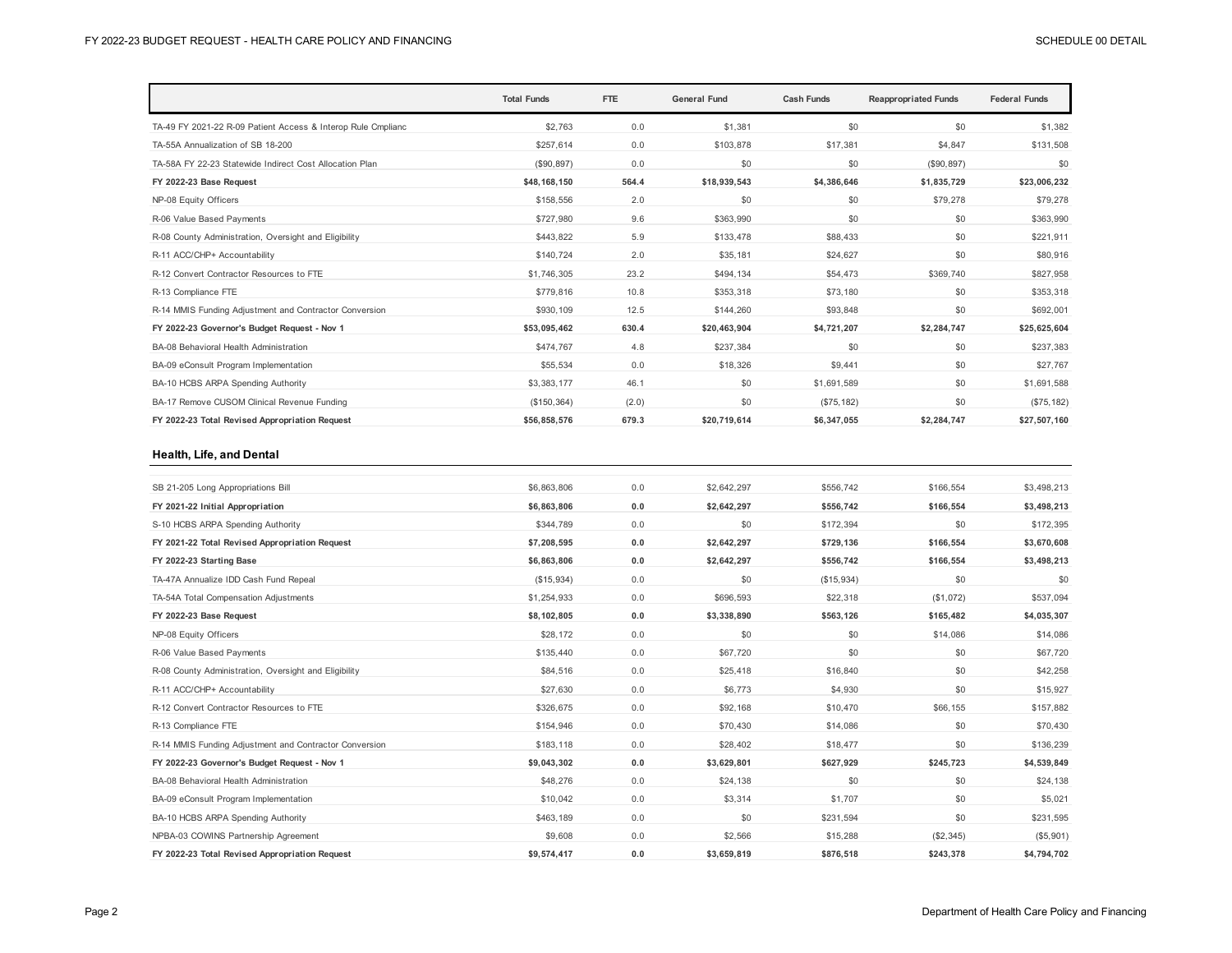|                                                              | <b>Total Funds</b> | FTE   | <b>General Fund</b> | <b>Cash Funds</b> | <b>Reappropriated Funds</b> | <b>Federal Funds</b> |
|--------------------------------------------------------------|--------------------|-------|---------------------|-------------------|-----------------------------|----------------------|
| TA-49 FY 2021-22 R-09 Patient Access & Interop Rule Cmplianc | \$2,763            | 0.0   | \$1.381             | \$0               | \$0                         | \$1,382              |
| TA-55A Annualization of SB 18-200                            | \$257,614          | 0.0   | \$103,878           | \$17.381          | \$4,847                     | \$131,508            |
| TA-58A FY 22-23 Statewide Indirect Cost Allocation Plan      | (\$90,897)         | 0.0   | \$0                 | \$0               | (\$90, 897)                 | \$0                  |
| FY 2022-23 Base Request                                      | \$48,168,150       | 564.4 | \$18,939,543        | \$4,386,646       | \$1,835,729                 | \$23,006,232         |
| NP-08 Equity Officers                                        | \$158,556          | 2.0   | \$0                 | \$0               | \$79,278                    | \$79,278             |
| R-06 Value Based Payments                                    | \$727,980          | 9.6   | \$363,990           | \$0               | \$0                         | \$363,990            |
| R-08 County Administration, Oversight and Eligibility        | \$443,822          | 5.9   | \$133,478           | \$88,433          | \$0                         | \$221,911            |
| R-11 ACC/CHP+ Accountability                                 | \$140.724          | 2.0   | \$35,181            | \$24.627          | \$0                         | \$80,916             |
| R-12 Convert Contractor Resources to FTE                     | \$1,746,305        | 23.2  | \$494,134           | \$54,473          | \$369,740                   | \$827,958            |
| R-13 Compliance FTE                                          | \$779,816          | 10.8  | \$353,318           | \$73,180          | \$0                         | \$353,318            |
| R-14 MMIS Funding Adjustment and Contractor Conversion       | \$930,109          | 12.5  | \$144.260           | \$93,848          | \$0                         | \$692,001            |
| FY 2022-23 Governor's Budget Request - Nov 1                 | \$53,095,462       | 630.4 | \$20,463,904        | \$4,721,207       | \$2,284,747                 | \$25,625,604         |
| BA-08 Behavioral Health Administration                       | \$474.767          | 4.8   | \$237.384           | \$0               | \$0                         | \$237,383            |
| BA-09 eConsult Program Implementation                        | \$55,534           | 0.0   | \$18,326            | \$9.441           | \$0                         | \$27,767             |
| BA-10 HCBS ARPA Spending Authority                           | \$3,383,177        | 46.1  | \$0                 | \$1,691.589       | \$0                         | \$1,691,588          |
| BA-17 Remove CUSOM Clinical Revenue Funding                  | (\$150, 364)       | (2.0) | \$0                 | (\$75, 182)       | \$0                         | (\$75, 182)          |
| FY 2022-23 Total Revised Appropriation Request               | \$56,858,576       | 679.3 | \$20,719,614        | \$6.347.055       | \$2,284,747                 | \$27,507,160         |

#### **Health, Life, and Dental**

| SB 21-205 Long Appropriations Bill                     | \$6,863,806 | 0.0 | \$2,642,297 | \$556.742  | \$166.554 | \$3,498,213 |
|--------------------------------------------------------|-------------|-----|-------------|------------|-----------|-------------|
| FY 2021-22 Initial Appropriation                       | \$6,863,806 | 0.0 | \$2,642,297 | \$556,742  | \$166,554 | \$3,498,213 |
| S-10 HCBS ARPA Spending Authority                      | \$344,789   | 0.0 | \$0         | \$172,394  | \$0       | \$172,395   |
| FY 2021-22 Total Revised Appropriation Request         | \$7,208,595 | 0.0 | \$2,642,297 | \$729,136  | \$166,554 | \$3,670,608 |
| FY 2022-23 Starting Base                               | \$6,863,806 | 0.0 | \$2,642,297 | \$556,742  | \$166,554 | \$3,498,213 |
| TA-47A Annualize IDD Cash Fund Repeal                  | (\$15,934)  | 0.0 | \$0         | (\$15,934) | \$0       | \$0         |
| TA-54A Total Compensation Adjustments                  | \$1,254,933 | 0.0 | \$696,593   | \$22,318   | (\$1,072) | \$537,094   |
| FY 2022-23 Base Request                                | \$8,102,805 | 0.0 | \$3,338,890 | \$563,126  | \$165,482 | \$4,035,307 |
| NP-08 Equity Officers                                  | \$28,172    | 0.0 | \$0         | \$0        | \$14,086  | \$14,086    |
| R-06 Value Based Payments                              | \$135.440   | 0.0 | \$67,720    | \$0        | \$0       | \$67,720    |
| R-08 County Administration, Oversight and Eligibility  | \$84,516    | 0.0 | \$25,418    | \$16,840   | \$0       | \$42,258    |
| R-11 ACC/CHP+ Accountability                           | \$27,630    | 0.0 | \$6,773     | \$4,930    | \$0       | \$15,927    |
| R-12 Convert Contractor Resources to FTE               | \$326,675   | 0.0 | \$92,168    | \$10,470   | \$66,155  | \$157,882   |
| R-13 Compliance FTE                                    | \$154,946   | 0.0 | \$70,430    | \$14,086   | \$0       | \$70,430    |
| R-14 MMIS Funding Adjustment and Contractor Conversion | \$183,118   | 0.0 | \$28,402    | \$18,477   | \$0       | \$136,239   |
| FY 2022-23 Governor's Budget Request - Nov 1           | \$9,043,302 | 0.0 | \$3,629,801 | \$627,929  | \$245,723 | \$4,539,849 |
| BA-08 Behavioral Health Administration                 | \$48,276    | 0.0 | \$24,138    | \$0        | \$0       | \$24,138    |
| BA-09 eConsult Program Implementation                  | \$10,042    | 0.0 | \$3,314     | \$1,707    | \$0       | \$5,021     |
| BA-10 HCBS ARPA Spending Authority                     | \$463,189   | 0.0 | \$0         | \$231.594  | \$0       | \$231,595   |
| NPBA-03 COWINS Partnership Agreement                   | \$9,608     | 0.0 | \$2,566     | \$15,288   | (\$2,345) | (\$5,901)   |
| FY 2022-23 Total Revised Appropriation Request         | \$9,574,417 | 0.0 | \$3,659,819 | \$876,518  | \$243,378 | \$4,794,702 |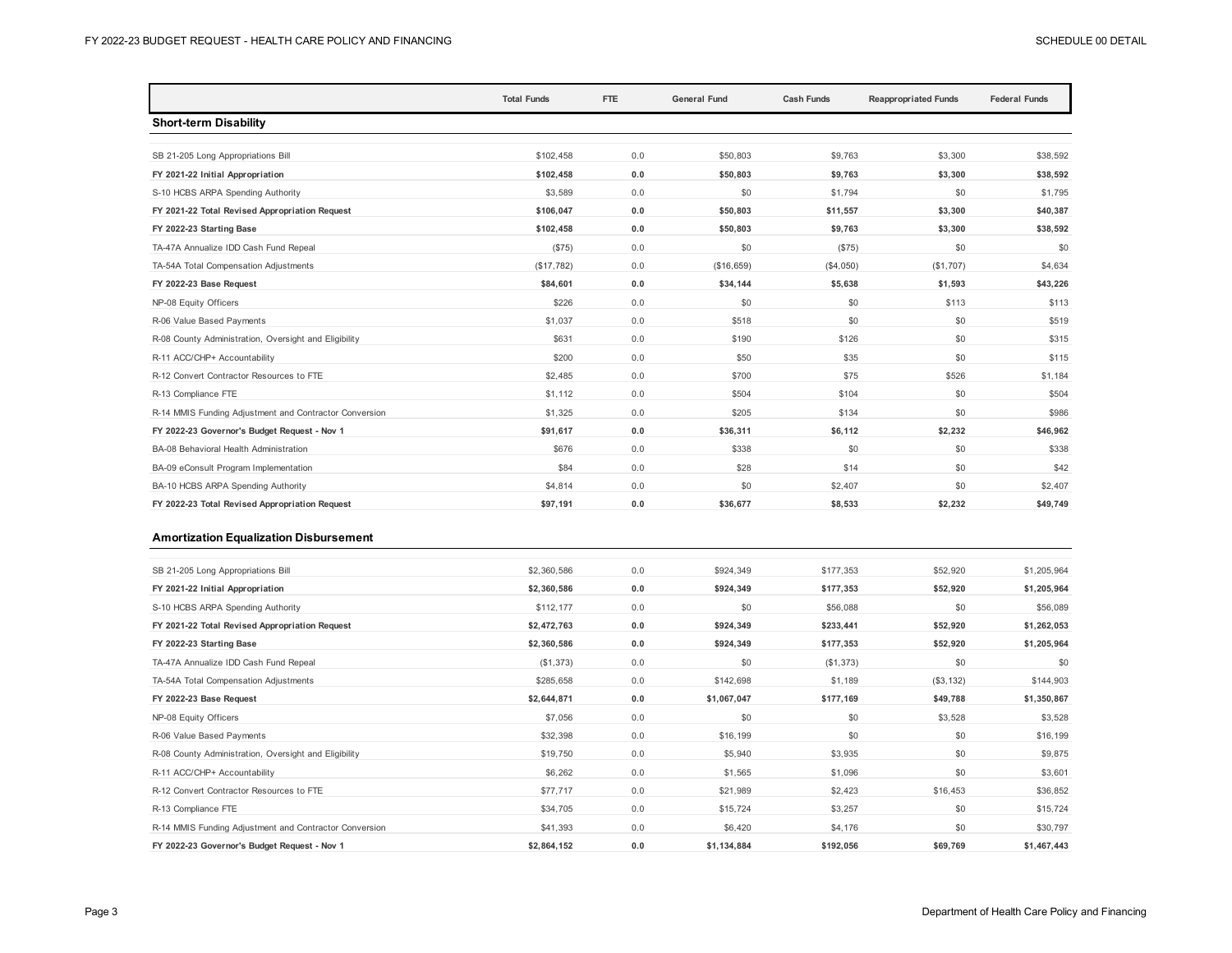|                                                        | <b>Total Funds</b> | FTE | <b>General Fund</b> | <b>Cash Funds</b> | <b>Reappropriated Funds</b> | <b>Federal Funds</b> |
|--------------------------------------------------------|--------------------|-----|---------------------|-------------------|-----------------------------|----------------------|
| <b>Short-term Disability</b>                           |                    |     |                     |                   |                             |                      |
|                                                        |                    |     |                     |                   |                             |                      |
| SB 21-205 Long Appropriations Bill                     | \$102.458          | 0.0 | \$50,803            | \$9,763           | \$3,300                     | \$38,592             |
| FY 2021-22 Initial Appropriation                       | \$102,458          | 0.0 | \$50,803            | \$9,763           | \$3,300                     | \$38,592             |
| S-10 HCBS ARPA Spending Authority                      | \$3,589            | 0.0 | \$0                 | \$1,794           | \$0                         | \$1,795              |
| FY 2021-22 Total Revised Appropriation Request         | \$106,047          | 0.0 | \$50,803            | \$11,557          | \$3.300                     | \$40,387             |
| FY 2022-23 Starting Base                               | \$102,458          | 0.0 | \$50,803            | \$9,763           | \$3,300                     | \$38,592             |
| TA-47A Annualize IDD Cash Fund Repeal                  | (S75)              | 0.0 | \$0                 | (\$75)            | \$0                         | \$0                  |
| TA-54A Total Compensation Adjustments                  | (\$17,782)         | 0.0 | (\$16,659)          | (\$4,050)         | (\$1,707)                   | \$4,634              |
| FY 2022-23 Base Request                                | \$84,601           | 0.0 | \$34,144            | \$5,638           | \$1,593                     | \$43,226             |
| NP-08 Equity Officers                                  | \$226              | 0.0 | \$0                 | \$0               | \$113                       | \$113                |
| R-06 Value Based Payments                              | \$1,037            | 0.0 | \$518               | \$0               | \$0                         | \$519                |
| R-08 County Administration, Oversight and Eligibility  | \$631              | 0.0 | \$190               | \$126             | \$0                         | \$315                |
| R-11 ACC/CHP+ Accountability                           | \$200              | 0.0 | \$50                | \$35              | \$0                         | \$115                |
| R-12 Convert Contractor Resources to FTE               | \$2,485            | 0.0 | \$700               | \$75              | \$526                       | \$1,184              |
| R-13 Compliance FTE                                    | \$1,112            | 0.0 | \$504               | \$104             | \$0                         | \$504                |
| R-14 MMIS Funding Adjustment and Contractor Conversion | \$1,325            | 0.0 | \$205               | \$134             | \$0                         | \$986                |
| FY 2022-23 Governor's Budget Request - Nov 1           | \$91,617           | 0.0 | \$36,311            | \$6,112           | \$2,232                     | \$46,962             |
| BA-08 Behavioral Health Administration                 | \$676              | 0.0 | \$338               | \$0               | \$0                         | \$338                |
| BA-09 eConsult Program Implementation                  | \$84               | 0.0 | \$28                | \$14              | \$0                         | \$42                 |
| BA-10 HCBS ARPA Spending Authority                     | \$4,814            | 0.0 | \$0                 | \$2,407           | \$0                         | \$2,407              |
| FY 2022-23 Total Revised Appropriation Request         | \$97,191           | 0.0 | \$36,677            | \$8,533           | \$2,232                     | \$49,749             |

#### **Amortization Equalization Disbursement**

| SB 21-205 Long Appropriations Bill                     | \$2,360,586 | 0.0 | \$924,349   | \$177,353 | \$52,920   | \$1,205,964 |
|--------------------------------------------------------|-------------|-----|-------------|-----------|------------|-------------|
| FY 2021-22 Initial Appropriation                       | \$2,360,586 | 0.0 | \$924,349   | \$177,353 | \$52,920   | \$1,205,964 |
| S-10 HCBS ARPA Spending Authority                      | \$112,177   | 0.0 | \$0         | \$56,088  | \$0        | \$56,089    |
| FY 2021-22 Total Revised Appropriation Request         | \$2,472,763 | 0.0 | \$924,349   | \$233,441 | \$52,920   | \$1,262,053 |
| FY 2022-23 Starting Base                               | \$2,360,586 | 0.0 | \$924,349   | \$177,353 | \$52,920   | \$1,205,964 |
| TA-47A Annualize IDD Cash Fund Repeal                  | (\$1,373)   | 0.0 | \$0         | (\$1,373) | \$0        | \$0         |
| TA-54A Total Compensation Adjustments                  | \$285,658   | 0.0 | \$142,698   | \$1,189   | (\$3, 132) | \$144,903   |
| FY 2022-23 Base Request                                | \$2,644,871 | 0.0 | \$1,067,047 | \$177,169 | \$49,788   | \$1,350,867 |
| NP-08 Equity Officers                                  | \$7,056     | 0.0 | \$0         | \$0       | \$3,528    | \$3,528     |
| R-06 Value Based Payments                              | \$32,398    | 0.0 | \$16,199    | \$0       | \$0        | \$16,199    |
| R-08 County Administration, Oversight and Eligibility  | \$19,750    | 0.0 | \$5,940     | \$3,935   | \$0        | \$9,875     |
| R-11 ACC/CHP+ Accountability                           | \$6,262     | 0.0 | \$1,565     | \$1,096   | \$0        | \$3,601     |
| R-12 Convert Contractor Resources to FTE               | \$77,717    | 0.0 | \$21,989    | \$2,423   | \$16,453   | \$36,852    |
| R-13 Compliance FTE                                    | \$34,705    | 0.0 | \$15,724    | \$3,257   | \$0        | \$15,724    |
| R-14 MMIS Funding Adjustment and Contractor Conversion | \$41,393    | 0.0 | \$6,420     | \$4,176   | \$0        | \$30,797    |
| FY 2022-23 Governor's Budget Request - Nov 1           | \$2,864,152 | 0.0 | \$1,134,884 | \$192,056 | \$69,769   | \$1,467,443 |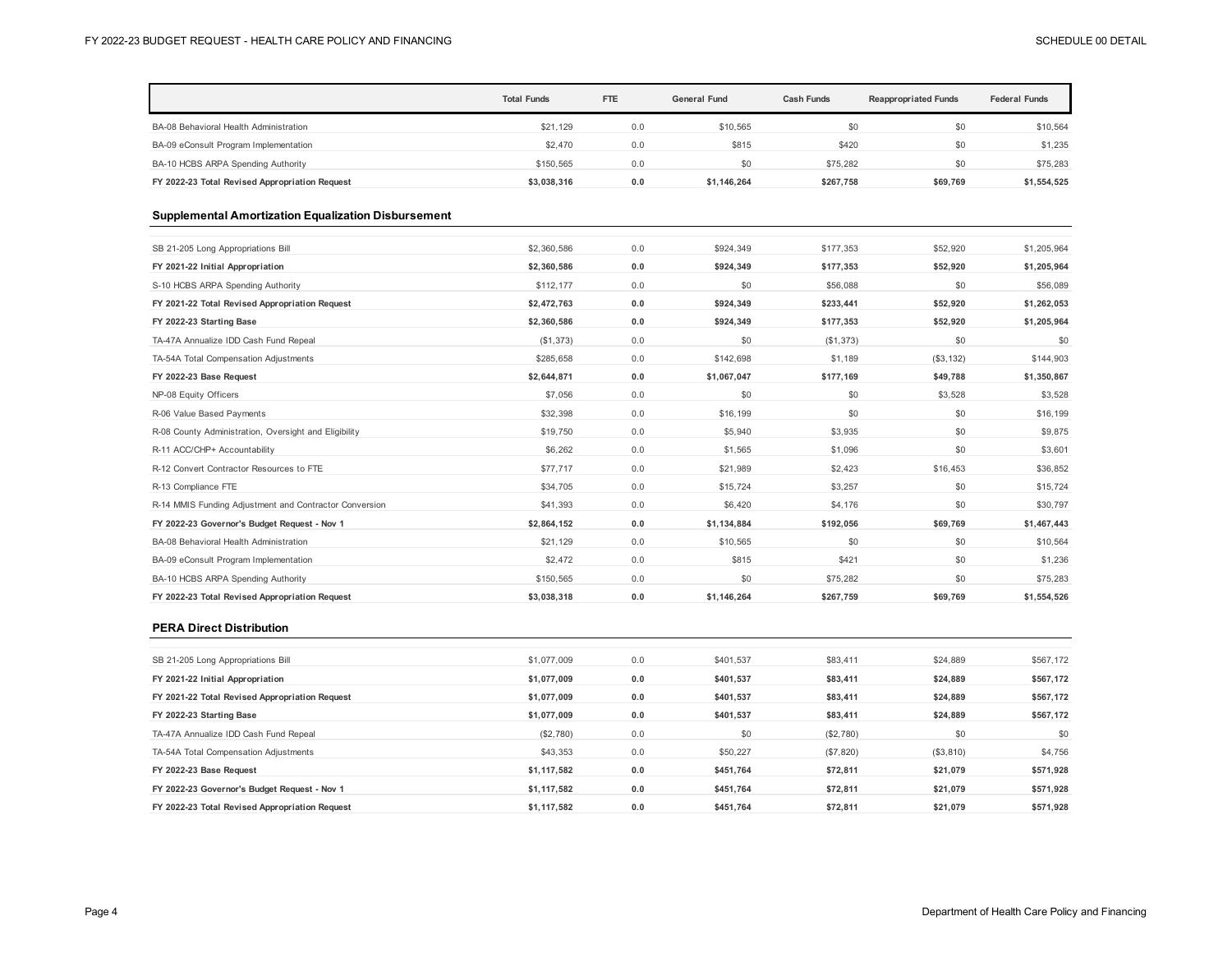|                                                            | <b>Total Funds</b> | FTE | <b>General Fund</b> | <b>Cash Funds</b> | <b>Reappropriated Funds</b> | <b>Federal Funds</b> |
|------------------------------------------------------------|--------------------|-----|---------------------|-------------------|-----------------------------|----------------------|
| BA-08 Behavioral Health Administration                     | \$21.129           | 0.0 | \$10,565            | \$0               | \$0                         | \$10,564             |
| BA-09 eConsult Program Implementation                      | \$2,470            | 0.0 | \$815               | \$420             | \$0                         | \$1,235              |
| BA-10 HCBS ARPA Spending Authority                         | \$150,565          | 0.0 | \$0                 | \$75,282          | \$0                         | \$75,283             |
| FY 2022-23 Total Revised Appropriation Request             | \$3,038,316        | 0.0 | \$1,146,264         | \$267,758         | \$69,769                    | \$1,554,525          |
| <b>Supplemental Amortization Equalization Disbursement</b> |                    |     |                     |                   |                             |                      |
| SB 21-205 Long Appropriations Bill                         | \$2,360,586        | 0.0 | \$924,349           | \$177,353         | \$52.920                    | \$1,205,964          |
| FY 2021-22 Initial Appropriation                           | \$2,360,586        | 0.0 | \$924,349           | \$177,353         | \$52,920                    | \$1,205,964          |
| S-10 HCBS ARPA Spending Authority                          | \$112,177          | 0.0 | \$0                 | \$56,088          | \$0                         | \$56,089             |
| FY 2021-22 Total Revised Appropriation Request             | \$2,472,763        | 0.0 | \$924,349           | \$233,441         | \$52.920                    | \$1,262,053          |
| FY 2022-23 Starting Base                                   | \$2,360,586        | 0.0 | \$924,349           | \$177,353         | \$52,920                    | \$1,205,964          |
| TA-47A Annualize IDD Cash Fund Repeal                      | (\$1,373)          | 0.0 | \$0                 | (S1, 373)         | \$0                         | \$0                  |
| TA-54A Total Compensation Adjustments                      | \$285,658          | 0.0 | \$142,698           | \$1,189           | (\$3, 132)                  | \$144,903            |
| FY 2022-23 Base Request                                    | \$2,644,871        | 0.0 | \$1,067,047         | \$177,169         | \$49,788                    | \$1,350,867          |
| NP-08 Equity Officers                                      | \$7,056            | 0.0 | \$0                 | \$0               | \$3,528                     | \$3,528              |
| R-06 Value Based Payments                                  | \$32,398           | 0.0 | \$16,199            | \$0               | \$0                         | \$16,199             |
| R-08 County Administration, Oversight and Eligibility      | \$19,750           | 0.0 | \$5,940             | \$3,935           | \$0                         | \$9,875              |
| R-11 ACC/CHP+ Accountability                               | \$6,262            | 0.0 | \$1,565             | \$1,096           | \$0                         | \$3,601              |
| R-12 Convert Contractor Resources to FTE                   | \$77,717           | 0.0 | \$21,989            | \$2,423           | \$16,453                    | \$36,852             |
| R-13 Compliance FTE                                        | \$34,705           | 0.0 | \$15,724            | \$3,257           | \$0                         | \$15,724             |
| R-14 MMIS Funding Adjustment and Contractor Conversion     | \$41,393           | 0.0 | \$6,420             | \$4,176           | \$0                         | \$30,797             |
| FY 2022-23 Governor's Budget Request - Nov 1               | \$2,864,152        | 0.0 | \$1,134,884         | \$192,056         | \$69,769                    | \$1,467,443          |
| BA-08 Behavioral Health Administration                     | \$21,129           | 0.0 | \$10,565            | \$0               | \$0                         | \$10,564             |
| BA-09 eConsult Program Implementation                      | \$2,472            | 0.0 | \$815               | \$421             | \$0                         | \$1,236              |
| BA-10 HCBS ARPA Spending Authority                         | \$150,565          | 0.0 | \$0                 | \$75.282          | \$0                         | \$75,283             |
| FY 2022-23 Total Revised Appropriation Request             | \$3,038,318        | 0.0 | \$1,146,264         | \$267,759         | \$69.769                    | \$1,554,526          |

#### **PERA Direct Distribution**

| SB 21-205 Long Appropriations Bill             | \$1,077,009 | 0.0 | \$401,537 | \$83,411  | \$24,889  | \$567,172 |
|------------------------------------------------|-------------|-----|-----------|-----------|-----------|-----------|
| FY 2021-22 Initial Appropriation               | \$1.077.009 | 0.0 | \$401,537 | \$83,411  | \$24,889  | \$567,172 |
| FY 2021-22 Total Revised Appropriation Request | \$1.077.009 | 0.0 | \$401,537 | \$83,411  | \$24,889  | \$567,172 |
| FY 2022-23 Starting Base                       | \$1,077,009 | 0.0 | \$401,537 | \$83,411  | \$24,889  | \$567,172 |
| TA-47A Annualize IDD Cash Fund Repeal          | (\$2,780)   | 0.0 | \$0       | (\$2,780) | \$0       | \$0       |
| TA-54A Total Compensation Adjustments          | \$43,353    | 0.0 | \$50,227  | (S7, 820) | (\$3,810) | \$4,756   |
| FY 2022-23 Base Request                        | \$1,117,582 | 0.0 | \$451,764 | \$72,811  | \$21,079  | \$571,928 |
| FY 2022-23 Governor's Budget Request - Nov 1   | \$1.117.582 | 0.0 | \$451,764 | \$72.811  | \$21.079  | \$571,928 |
| FY 2022-23 Total Revised Appropriation Request | \$1.117.582 | 0.0 | \$451.764 | \$72.811  | \$21.079  | \$571,928 |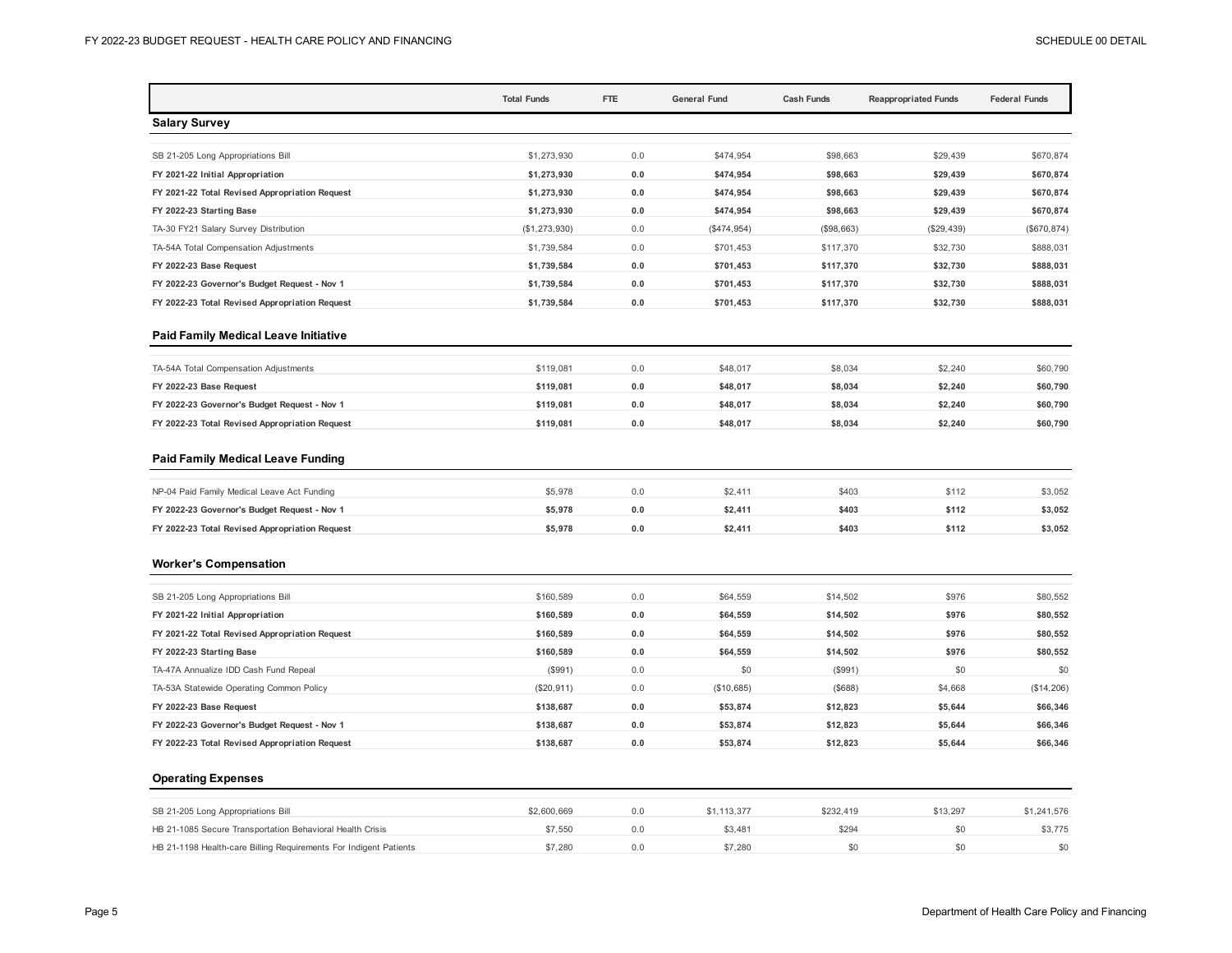|                                                | <b>Total Funds</b> | <b>FTE</b> | <b>General Fund</b> | <b>Cash Funds</b> | <b>Reappropriated Funds</b> | <b>Federal Funds</b> |
|------------------------------------------------|--------------------|------------|---------------------|-------------------|-----------------------------|----------------------|
| <b>Salary Survey</b>                           |                    |            |                     |                   |                             |                      |
| SB 21-205 Long Appropriations Bill             | \$1,273,930        | 0.0        | \$474,954           | \$98,663          | \$29,439                    | \$670,874            |
| FY 2021-22 Initial Appropriation               | \$1,273,930        | 0.0        | \$474,954           | \$98,663          | \$29,439                    | \$670,874            |
| FY 2021-22 Total Revised Appropriation Request | \$1,273,930        | 0.0        | \$474,954           | \$98,663          | \$29,439                    | \$670,874            |
| FY 2022-23 Starting Base                       | \$1,273,930        | $0.0$      | \$474,954           | \$98,663          | \$29,439                    | \$670,874            |
| TA-30 FY21 Salary Survey Distribution          | (\$1,273,930)      | 0.0        | (\$474,954)         | (\$98,663)        | (\$29,439)                  | (\$670, 874)         |
| TA-54A Total Compensation Adjustments          | \$1,739,584        | 0.0        | \$701,453           | \$117,370         | \$32,730                    | \$888,031            |
| FY 2022-23 Base Request                        | \$1,739,584        | 0.0        | \$701,453           | \$117,370         | \$32,730                    | \$888,031            |
| FY 2022-23 Governor's Budget Request - Nov 1   | \$1,739,584        | 0.0        | \$701,453           | \$117,370         | \$32,730                    | \$888,031            |
| FY 2022-23 Total Revised Appropriation Request | \$1,739,584        | 0.0        | \$701,453           | \$117,370         | \$32,730                    | \$888,031            |
| <b>Paid Family Medical Leave Initiative</b>    |                    |            |                     |                   |                             |                      |
| TA-54A Total Compensation Adjustments          | \$119,081          | 0.0        | \$48,017            | \$8,034           | \$2,240                     | \$60,790             |
| FY 2022-23 Base Request                        | \$119,081          | 0.0        | \$48,017            | \$8,034           | \$2,240                     | \$60,790             |
| FY 2022-23 Governor's Budget Request - Nov 1   | \$119,081          | 0.0        | \$48,017            | \$8,034           | \$2,240                     | \$60,790             |
| FY 2022-23 Total Revised Appropriation Request | \$119,081          | 0.0        | \$48,017            | \$8,034           | \$2,240                     | \$60,790             |
| <b>Paid Family Medical Leave Funding</b>       |                    |            |                     |                   |                             |                      |
| NP-04 Paid Family Medical Leave Act Funding    | \$5,978            | 0.0        | \$2,411             | \$403             | \$112                       | \$3,052              |
| FY 2022-23 Governor's Budget Request - Nov 1   | \$5,978            | 0.0        | \$2,411             | \$403             | \$112                       | \$3,052              |
| FY 2022-23 Total Revised Appropriation Request | \$5,978            | 0.0        | \$2,411             | \$403             | \$112                       | \$3,052              |
| <b>Worker's Compensation</b>                   |                    |            |                     |                   |                             |                      |
| SB 21-205 Long Appropriations Bill             | \$160,589          | 0.0        | \$64,559            | \$14,502          | \$976                       | \$80,552             |
| FY 2021-22 Initial Appropriation               | \$160,589          | 0.0        | \$64,559            | \$14,502          | \$976                       | \$80,552             |
| FY 2021-22 Total Revised Appropriation Request | \$160,589          | 0.0        | \$64,559            | \$14,502          | \$976                       | \$80,552             |
| FY 2022-23 Starting Base                       | \$160,589          | 0.0        | \$64,559            | \$14,502          | \$976                       | \$80,552             |
| TA-47A Annualize IDD Cash Fund Repeal          | (\$991)            | 0.0        | \$0                 | (\$991)           | \$0                         | \$0                  |
| TA-53A Statewide Operating Common Policy       | (\$20,911)         | 0.0        | (\$10,685)          | (\$688)           | \$4,668                     | (\$14,206)           |
| FY 2022-23 Base Request                        | \$138,687          | 0.0        | \$53,874            | \$12,823          | \$5,644                     | \$66,346             |
| FY 2022-23 Governor's Budget Request - Nov 1   | \$138,687          | 0.0        | \$53,874            | \$12,823          | \$5,644                     | \$66,346             |
| FY 2022-23 Total Revised Appropriation Request | \$138,687          | 0.0        | \$53,874            | \$12,823          | \$5,644                     | \$66,346             |
| <b>Operating Expenses</b>                      |                    |            |                     |                   |                             |                      |

| SB 21-205 Long Appropriations Bill                                | \$2,600,669 | 0.0 | \$1.113.377 | \$232.419 | \$13,297 | \$1,241,576 |
|-------------------------------------------------------------------|-------------|-----|-------------|-----------|----------|-------------|
| HB 21-1085 Secure Transportation Behavioral Health Crisis         | \$7.550     |     | \$3.481     | \$294     |          | \$3,775     |
| HB 21-1198 Health-care Billing Requirements For Indigent Patients | \$7.280     | 0.0 | \$7.280     |           |          | \$0         |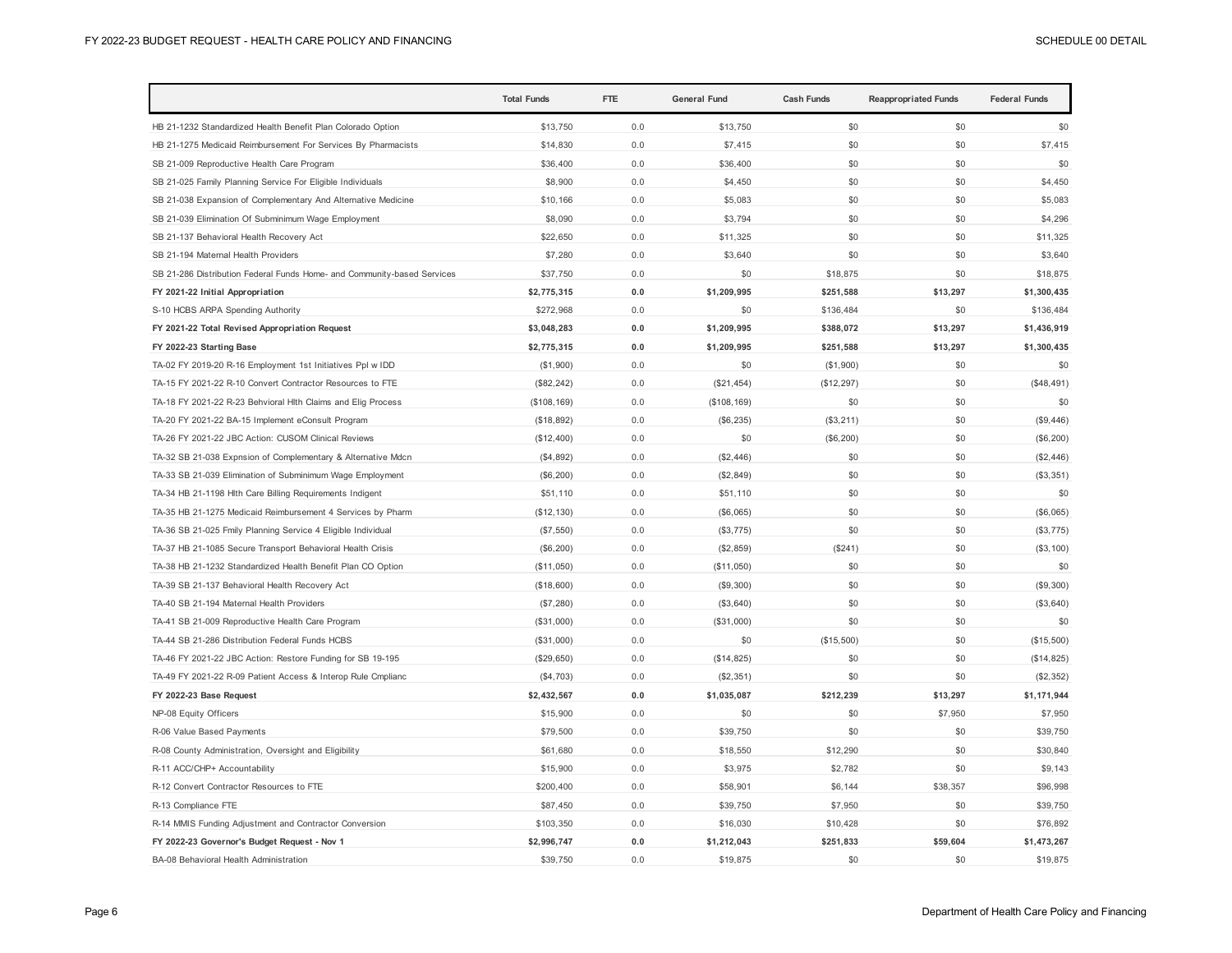|                                                                         | <b>Total Funds</b> | <b>FTE</b> | <b>General Fund</b> | <b>Cash Funds</b> | <b>Reappropriated Funds</b> | <b>Federal Funds</b> |
|-------------------------------------------------------------------------|--------------------|------------|---------------------|-------------------|-----------------------------|----------------------|
| HB 21-1232 Standardized Health Benefit Plan Colorado Option             | \$13,750           | 0.0        | \$13,750            | \$0               | \$0                         | \$0                  |
| HB 21-1275 Medicaid Reimbursement For Services By Pharmacists           | \$14,830           | 0.0        | \$7,415             | \$0               | \$0                         | \$7,415              |
| SB 21-009 Reproductive Health Care Program                              | \$36,400           | 0.0        | \$36,400            | \$0               | \$0                         | \$0                  |
| SB 21-025 Family Planning Service For Eligible Individuals              | \$8,900            | 0.0        | \$4,450             | \$0               | \$0                         | \$4,450              |
| SB 21-038 Expansion of Complementary And Alternative Medicine           | \$10,166           | 0.0        | \$5,083             | \$0               | \$0                         | \$5,083              |
| SB 21-039 Elimination Of Subminimum Wage Employment                     | \$8,090            | 0.0        | \$3,794             | \$0               | \$0                         | \$4,296              |
| SB 21-137 Behavioral Health Recovery Act                                | \$22,650           | 0.0        | \$11,325            | \$0               | \$0                         | \$11,325             |
| SB 21-194 Maternal Health Providers                                     | \$7,280            | 0.0        | \$3,640             | \$0               | \$0                         | \$3,640              |
| SB 21-286 Distribution Federal Funds Home- and Community-based Services | \$37,750           | 0.0        | \$0                 | \$18,875          | \$0                         | \$18,875             |
| FY 2021-22 Initial Appropriation                                        | \$2,775,315        | 0.0        | \$1,209,995         | \$251,588         | \$13,297                    | \$1,300,435          |
| S-10 HCBS ARPA Spending Authority                                       | \$272,968          | 0.0        | \$0                 | \$136,484         | \$0                         | \$136,484            |
| FY 2021-22 Total Revised Appropriation Request                          | \$3,048,283        | 0.0        | \$1,209,995         | \$388,072         | \$13,297                    | \$1,436,919          |
| FY 2022-23 Starting Base                                                | \$2,775,315        | 0.0        | \$1,209,995         | \$251,588         | \$13,297                    | \$1,300,435          |
| TA-02 FY 2019-20 R-16 Employment 1st Initiatives Ppl w IDD              | (\$1,900)          | 0.0        | \$0                 | (\$1,900)         | \$0                         | \$0                  |
| TA-15 FY 2021-22 R-10 Convert Contractor Resources to FTE               | (\$82,242)         | 0.0        | (\$21,454)          | (\$12,297)        | \$0                         | (\$48,491)           |
| TA-18 FY 2021-22 R-23 Behvioral Hlth Claims and Elig Process            | (\$108, 169)       | 0.0        | (\$108, 169)        | \$0               | \$0                         | \$0                  |
| TA-20 FY 2021-22 BA-15 Implement eConsult Program                       | (\$18,892)         | 0.0        | (\$6,235)           | (\$3,211)         | \$0                         | (\$9,446)            |
| TA-26 FY 2021-22 JBC Action: CUSOM Clinical Reviews                     | (\$12,400)         | 0.0        | \$0                 | (\$6,200)         | \$0                         | (\$6,200)            |
| TA-32 SB 21-038 Expnsion of Complementary & Alternative Mdcn            | (\$4,892)          | 0.0        | (\$2,446)           | \$0               | \$0                         | (\$2,446)            |
| TA-33 SB 21-039 Elimination of Subminimum Wage Employment               | (\$6,200)          | 0.0        | (\$2,849)           | \$0               | \$0                         | (\$3,351)            |
| TA-34 HB 21-1198 Hlth Care Billing Requirements Indigent                | \$51,110           | 0.0        | \$51,110            | \$0               | \$0                         | \$0                  |
| TA-35 HB 21-1275 Medicaid Reimbursement 4 Services by Pharm             | (\$12,130)         | 0.0        | (\$6,065)           | \$0               | \$0                         | (\$6,065)            |
| TA-36 SB 21-025 Fmily Planning Service 4 Eligible Individual            | (\$7,550)          | 0.0        | (\$3,775)           | \$0               | \$0                         | (\$3,775)            |
| TA-37 HB 21-1085 Secure Transport Behavioral Health Crisis              | (\$6,200)          | 0.0        | (\$2,859)           | (\$241)           | \$0                         | (\$3,100)            |
| TA-38 HB 21-1232 Standardized Health Benefit Plan CO Option             | (\$11,050)         | 0.0        | (\$11,050)          | \$0               | \$0                         | \$0                  |
| TA-39 SB 21-137 Behavioral Health Recovery Act                          | (\$18,600)         | 0.0        | (\$9,300)           | \$0               | \$0                         | (\$9,300)            |
| TA-40 SB 21-194 Maternal Health Providers                               | (\$7,280)          | 0.0        | (\$3,640)           | \$0               | \$0                         | (\$3,640)            |
| TA-41 SB 21-009 Reproductive Health Care Program                        | (\$31,000)         | 0.0        | (\$31,000)          | \$0               | \$0                         | \$0                  |
| TA-44 SB 21-286 Distribution Federal Funds HCBS                         | (\$31,000)         | 0.0        | \$0                 | (\$15,500)        | \$0                         | (\$15,500)           |
| TA-46 FY 2021-22 JBC Action: Restore Funding for SB 19-195              | (\$29,650)         | 0.0        | (\$14,825)          | \$0               | \$0                         | (\$14,825)           |
| TA-49 FY 2021-22 R-09 Patient Access & Interop Rule Cmplianc            | (\$4,703)          | 0.0        | (\$2,351)           | \$0               | \$0                         | (\$2,352)            |
| FY 2022-23 Base Request                                                 | \$2,432,567        | 0.0        | \$1,035,087         | \$212,239         | \$13,297                    | \$1,171,944          |
| NP-08 Equity Officers                                                   | \$15,900           | 0.0        | \$0                 | \$0               | \$7,950                     | \$7,950              |
| R-06 Value Based Payments                                               | \$79,500           | 0.0        | \$39,750            | \$0               | \$0                         | \$39,750             |
| R-08 County Administration, Oversight and Eligibility                   | \$61,680           | 0.0        | \$18,550            | \$12,290          | \$0                         | \$30,840             |
| R-11 ACC/CHP+ Accountability                                            | \$15,900           | 0.0        | \$3,975             | \$2,782           | \$0                         | \$9,143              |
| R-12 Convert Contractor Resources to FTE                                | \$200,400          | 0.0        | \$58,901            | \$6,144           | \$38,357                    | \$96,998             |
| R-13 Compliance FTE                                                     | \$87,450           | 0.0        | \$39,750            | \$7,950           | \$0                         | \$39,750             |
| R-14 MMIS Funding Adjustment and Contractor Conversion                  | \$103,350          | 0.0        | \$16,030            | \$10,428          | \$0                         | \$76,892             |
| FY 2022-23 Governor's Budget Request - Nov 1                            | \$2,996,747        | 0.0        | \$1,212,043         | \$251,833         | \$59,604                    | \$1,473,267          |
| BA-08 Behavioral Health Administration                                  | \$39,750           | 0.0        | \$19,875            | \$0               | \$0                         | \$19,875             |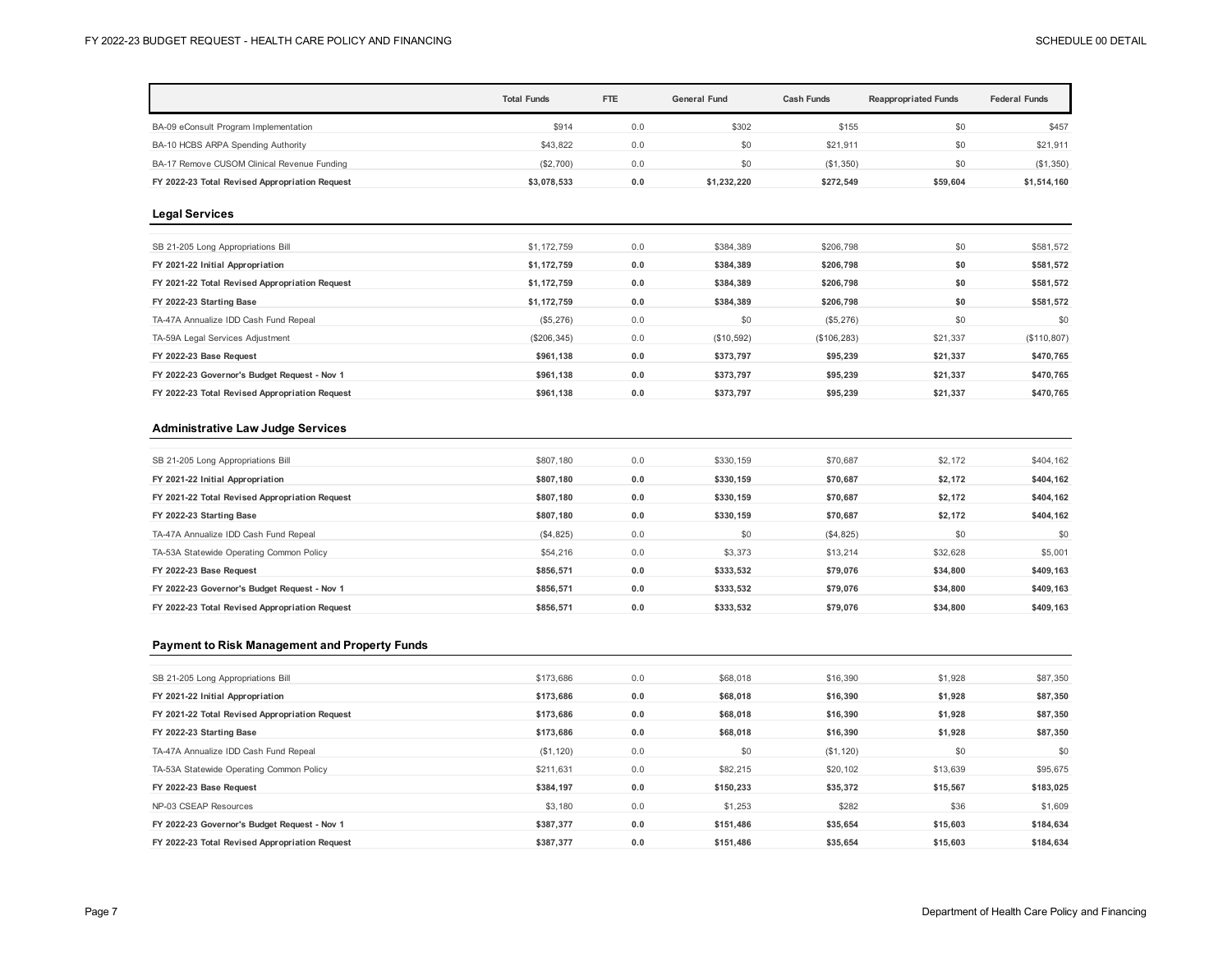|                                                | <b>Total Funds</b> | <b>FTE</b> | <b>General Fund</b> | Cash Funds | <b>Reappropriated Funds</b> | <b>Federal Funds</b> |
|------------------------------------------------|--------------------|------------|---------------------|------------|-----------------------------|----------------------|
| BA-09 eConsult Program Implementation          | \$914              | 0.0        | \$302               | \$155      | \$0                         | \$457                |
| BA-10 HCBS ARPA Spending Authority             | \$43,822           | 0.0        | \$0                 | \$21,911   | \$0                         | \$21,911             |
| BA-17 Remove CUSOM Clinical Revenue Funding    | (\$2,700)          | 0.0        | \$0                 | (\$1,350)  | \$0                         | (\$1,350)            |
| FY 2022-23 Total Revised Appropriation Request | \$3,078,533        | 0.0        | \$1,232,220         | \$272,549  | \$59,604                    | \$1,514,160          |
| <b>Legal Services</b>                          |                    |            |                     |            |                             |                      |

| SB 21-205 Long Appropriations Bill             | \$1,172,759 | 0.0 | \$384,389  | \$206,798    | \$0      | \$581,572   |
|------------------------------------------------|-------------|-----|------------|--------------|----------|-------------|
| FY 2021-22 Initial Appropriation               | \$1.172.759 | 0.0 | \$384.389  | \$206.798    | \$0      | \$581,572   |
| FY 2021-22 Total Revised Appropriation Request | \$1.172.759 | 0.0 | \$384,389  | \$206,798    | \$0      | \$581,572   |
| FY 2022-23 Starting Base                       | \$1,172,759 | 0.0 | \$384,389  | \$206,798    | \$0      | \$581,572   |
| TA-47A Annualize IDD Cash Fund Repeal          | (\$5,276)   | 0.0 | \$0        | (\$5,276)    | \$0      | \$0         |
| TA-59A Legal Services Adjustment               | (\$206,345) | 0.0 | (\$10,592) | (\$106, 283) | \$21,337 | (S110, 807) |
| FY 2022-23 Base Request                        | \$961,138   | 0.0 | \$373,797  | \$95,239     | \$21,337 | \$470,765   |
| FY 2022-23 Governor's Budget Request - Nov 1   | \$961,138   | 0.0 | \$373,797  | \$95,239     | \$21,337 | \$470,765   |
| FY 2022-23 Total Revised Appropriation Request | \$961.138   | 0.0 | \$373.797  | \$95,239     | \$21.337 | \$470.765   |
|                                                |             |     |            |              |          |             |

#### **Administrative Law Judge Services**

| \$807.180 | 0.0 | \$330,159 | \$70.687  | \$2,172  | \$404,162 |
|-----------|-----|-----------|-----------|----------|-----------|
| \$807.180 | 0.0 | \$330.159 | \$70.687  | \$2.172  | \$404,162 |
| \$807.180 | 0.0 | \$330,159 | \$70,687  | \$2,172  | \$404,162 |
| \$807.180 | 0.0 | \$330,159 | \$70,687  | \$2,172  | \$404,162 |
| (\$4,825) | 0.0 | \$0       | (S4, 825) | \$0      | \$0       |
| \$54,216  | 0.0 | \$3,373   | \$13,214  | \$32,628 | \$5,001   |
| \$856.571 | 0.0 | \$333.532 | \$79.076  | \$34,800 | \$409,163 |
| \$856.571 | 0.0 | \$333,532 | \$79.076  | \$34,800 | \$409,163 |
| \$856.571 | 0.0 | \$333.532 | \$79.076  | \$34.800 | \$409.163 |
|           |     |           |           |          |           |

#### **Payment to Risk Management and Property Funds**

| SB 21-205 Long Appropriations Bill             | \$173,686 | 0.0 | \$68,018  | \$16,390  | \$1,928  | \$87,350  |
|------------------------------------------------|-----------|-----|-----------|-----------|----------|-----------|
| FY 2021-22 Initial Appropriation               | \$173,686 | 0.0 | \$68,018  | \$16,390  | \$1,928  | \$87,350  |
| FY 2021-22 Total Revised Appropriation Request | \$173,686 | 0.0 | \$68,018  | \$16,390  | \$1,928  | \$87,350  |
| FY 2022-23 Starting Base                       | \$173,686 | 0.0 | \$68,018  | \$16,390  | \$1,928  | \$87,350  |
| TA-47A Annualize IDD Cash Fund Repeal          | (\$1,120) | 0.0 | \$0       | (S1, 120) | \$0      | \$0       |
| TA-53A Statewide Operating Common Policy       | \$211.631 | 0.0 | \$82,215  | \$20,102  | \$13,639 | \$95,675  |
| FY 2022-23 Base Request                        | \$384,197 | 0.0 | \$150,233 | \$35,372  | \$15,567 | \$183,025 |
| NP-03 CSEAP Resources                          | \$3,180   | 0.0 | \$1,253   | \$282     | \$36     | \$1,609   |
| FY 2022-23 Governor's Budget Request - Nov 1   | \$387,377 | 0.0 | \$151,486 | \$35,654  | \$15,603 | \$184,634 |
| FY 2022-23 Total Revised Appropriation Request | \$387.377 | 0.0 | \$151.486 | \$35,654  | \$15,603 | \$184,634 |
|                                                |           |     |           |           |          |           |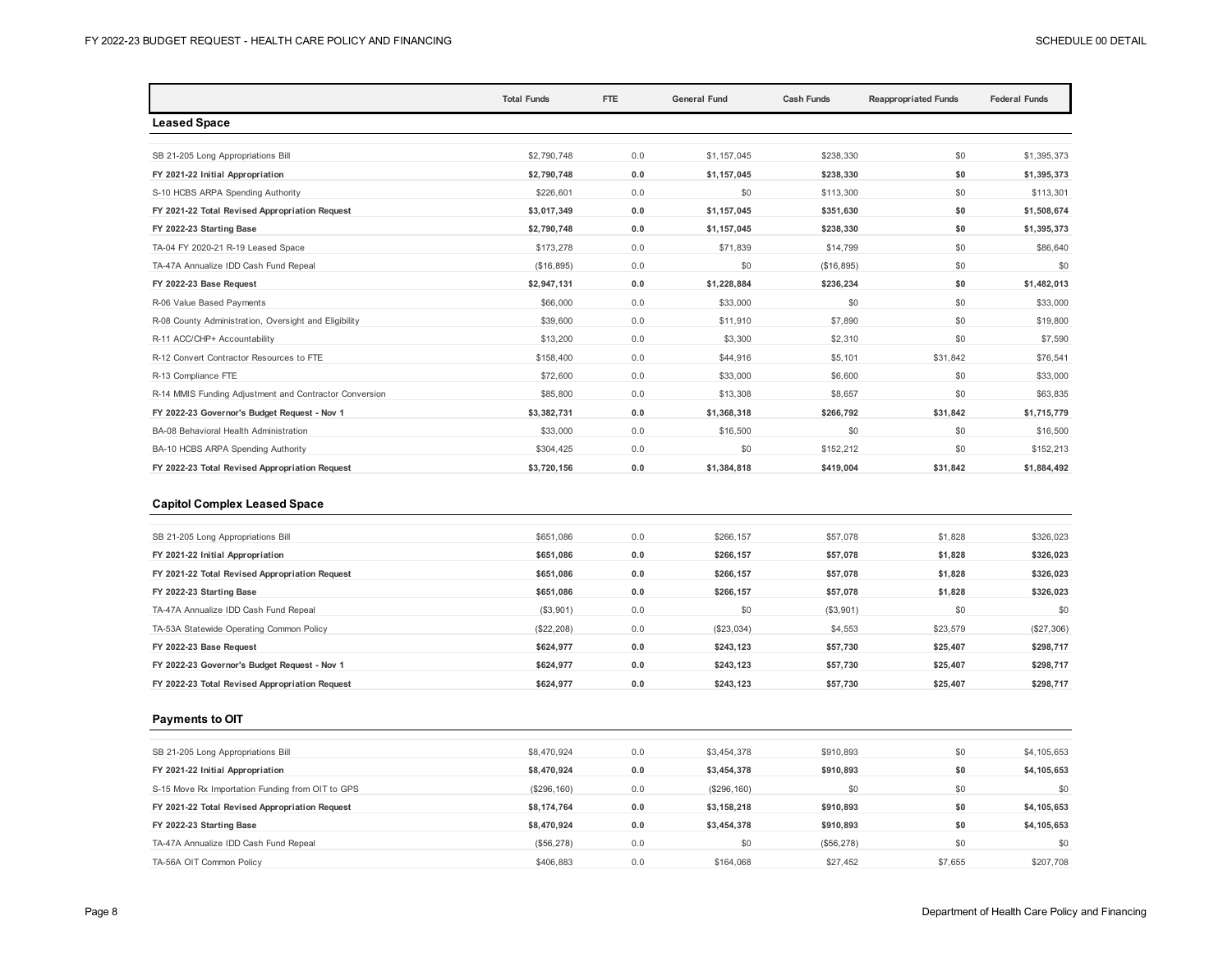|                                                        | <b>Total Funds</b> | FTE | <b>General Fund</b> | <b>Cash Funds</b> | <b>Reappropriated Funds</b> | <b>Federal Funds</b> |
|--------------------------------------------------------|--------------------|-----|---------------------|-------------------|-----------------------------|----------------------|
| <b>Leased Space</b>                                    |                    |     |                     |                   |                             |                      |
|                                                        |                    |     |                     |                   |                             |                      |
| SB 21-205 Long Appropriations Bill                     | \$2,790,748        | 0.0 | \$1.157.045         | \$238,330         | \$0                         | \$1,395,373          |
| FY 2021-22 Initial Appropriation                       | \$2,790,748        | 0.0 | \$1,157,045         | \$238,330         | \$0                         | \$1,395,373          |
| S-10 HCBS ARPA Spending Authority                      | \$226,601          | 0.0 | \$0                 | \$113,300         | \$0                         | \$113,301            |
| FY 2021-22 Total Revised Appropriation Request         | \$3,017,349        | 0.0 | \$1,157,045         | \$351,630         | \$0                         | \$1,508,674          |
| FY 2022-23 Starting Base                               | \$2,790,748        | 0.0 | \$1,157,045         | \$238,330         | \$0                         | \$1,395,373          |
| TA-04 FY 2020-21 R-19 Leased Space                     | \$173,278          | 0.0 | \$71,839            | \$14,799          | \$0                         | \$86,640             |
| TA-47A Annualize IDD Cash Fund Repeal                  | (\$16,895)         | 0.0 | \$0                 | (\$16,895)        | \$0                         | \$0                  |
| FY 2022-23 Base Request                                | \$2,947,131        | 0.0 | \$1,228,884         | \$236,234         | \$0                         | \$1,482,013          |
| R-06 Value Based Payments                              | \$66,000           | 0.0 | \$33,000            | \$0               | \$0                         | \$33,000             |
| R-08 County Administration, Oversight and Eligibility  | \$39,600           | 0.0 | \$11,910            | \$7,890           | \$0                         | \$19,800             |
| R-11 ACC/CHP+ Accountability                           | \$13,200           | 0.0 | \$3,300             | \$2,310           | \$0                         | \$7,590              |
| R-12 Convert Contractor Resources to FTE               | \$158,400          | 0.0 | \$44,916            | \$5,101           | \$31,842                    | \$76,541             |
| R-13 Compliance FTE                                    | \$72,600           | 0.0 | \$33,000            | \$6,600           | \$0                         | \$33,000             |
| R-14 MMIS Funding Adjustment and Contractor Conversion | \$85,800           | 0.0 | \$13,308            | \$8,657           | \$0                         | \$63,835             |
| FY 2022-23 Governor's Budget Request - Nov 1           | \$3,382,731        | 0.0 | \$1,368,318         | \$266,792         | \$31,842                    | \$1,715,779          |
| BA-08 Behavioral Health Administration                 | \$33,000           | 0.0 | \$16,500            | \$0               | \$0                         | \$16,500             |
| BA-10 HCBS ARPA Spending Authority                     | \$304,425          | 0.0 | \$0                 | \$152,212         | \$0                         | \$152,213            |
| FY 2022-23 Total Revised Appropriation Request         | \$3,720,156        | 0.0 | \$1,384,818         | \$419,004         | \$31,842                    | \$1,884,492          |

## **Capitol Complex Leased Space**

| SB 21-205 Long Appropriations Bill             | \$651,086  | 0.0 | \$266,157  | \$57,078  | \$1,828  | \$326,023    |
|------------------------------------------------|------------|-----|------------|-----------|----------|--------------|
| FY 2021-22 Initial Appropriation               | \$651.086  | 0.0 | \$266.157  | \$57.078  | \$1,828  | \$326,023    |
| FY 2021-22 Total Revised Appropriation Request | \$651.086  | 0.0 | \$266.157  | \$57,078  | \$1,828  | \$326,023    |
| FY 2022-23 Starting Base                       | \$651.086  | 0.0 | \$266.157  | \$57,078  | \$1,828  | \$326,023    |
| TA-47A Annualize IDD Cash Fund Repeal          | (\$3,901)  | 0.0 | \$0        | (\$3,901) | \$0      | \$0          |
| TA-53A Statewide Operating Common Policy       | (\$22,208) | 0.0 | (\$23,034) | \$4,553   | \$23,579 | $(\$27,306)$ |
| FY 2022-23 Base Request                        | \$624.977  | 0.0 | \$243.123  | \$57.730  | \$25.407 | \$298,717    |
| FY 2022-23 Governor's Budget Request - Nov 1   | \$624.977  | 0.0 | \$243.123  | \$57.730  | \$25.407 | \$298,717    |
| FY 2022-23 Total Revised Appropriation Request | \$624.977  | 0.0 | \$243.123  | \$57.730  | \$25.407 | \$298,717    |
|                                                |            |     |            |           |          |              |

#### **Payments to OIT**

| SB 21-205 Long Appropriations Bill               | \$8,470,924  | 0.0 | \$3,454,378  | \$910,893  | \$0     | \$4,105,653 |
|--------------------------------------------------|--------------|-----|--------------|------------|---------|-------------|
| FY 2021-22 Initial Appropriation                 | \$8,470,924  | 0.0 | \$3,454,378  | \$910.893  | \$0     | \$4,105,653 |
| S-15 Move Rx Importation Funding from OIT to GPS | (\$296, 160) | 0.0 | (\$296, 160) | \$0        | \$0     | \$0         |
| FY 2021-22 Total Revised Appropriation Request   | \$8,174,764  | 0.0 | \$3.158.218  | \$910.893  | \$0     | \$4,105,653 |
| FY 2022-23 Starting Base                         | \$8,470,924  | 0.0 | \$3,454,378  | \$910.893  | \$0     | \$4,105,653 |
| TA-47A Annualize IDD Cash Fund Repeal            | (\$56,278)   | 0.0 | \$0          | (\$56,278) | \$0     | \$0         |
| TA-56A OIT Common Policy                         | \$406,883    | 0.0 | \$164,068    | \$27,452   | \$7.655 | \$207,708   |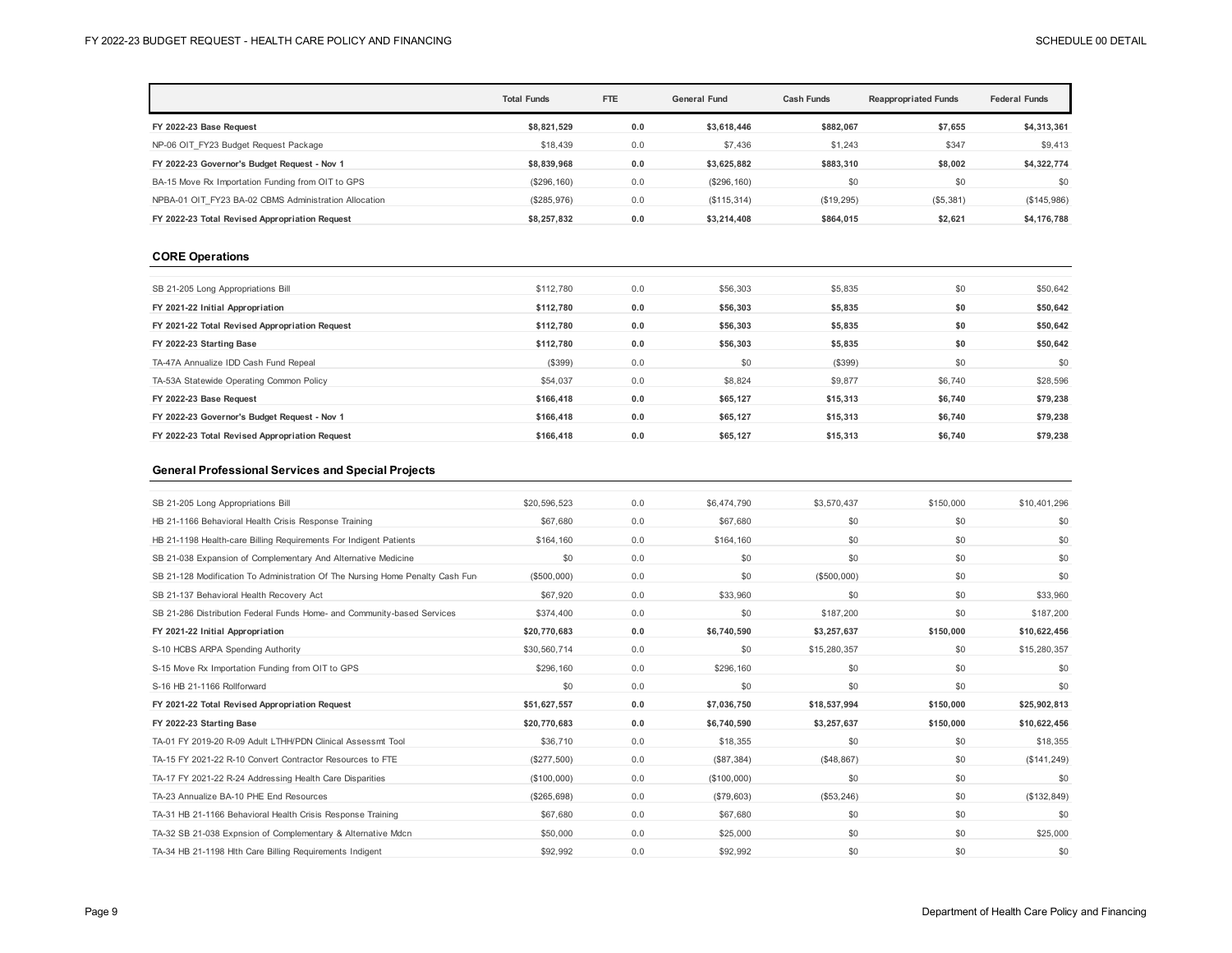|                                                       | <b>Total Funds</b> | <b>FTE</b> | <b>General Fund</b> | <b>Cash Funds</b> | <b>Reappropriated Funds</b> | <b>Federal Funds</b> |
|-------------------------------------------------------|--------------------|------------|---------------------|-------------------|-----------------------------|----------------------|
| FY 2022-23 Base Request                               | \$8,821,529        | 0.0        | \$3.618.446         | \$882,067         | \$7,655                     | \$4,313,361          |
| NP-06 OIT FY23 Budget Request Package                 | \$18,439           | 0.0        | \$7,436             | \$1,243           | \$347                       | \$9,413              |
| FY 2022-23 Governor's Budget Request - Nov 1          | \$8,839,968        | 0.0        | \$3,625,882         | \$883,310         | \$8,002                     | \$4,322,774          |
| BA-15 Move Rx Importation Funding from OIT to GPS     | (\$296, 160)       | 0.0        | (\$296, 160)        | \$0               | \$0                         | \$0                  |
| NPBA-01 OIT FY23 BA-02 CBMS Administration Allocation | (\$285,976)        | 0.0        | (\$115,314)         | (\$19,295)        | $($ \$5,381)                | (\$145,986)          |
| FY 2022-23 Total Revised Appropriation Request        | \$8,257,832        | 0.0        | \$3,214,408         | \$864.015         | \$2,621                     | \$4,176,788          |

#### **CORE Operations**

| SB 21-205 Long Appropriations Bill             | \$112,780 | 0.0 | \$56,303 | \$5,835  | \$0     | \$50,642 |
|------------------------------------------------|-----------|-----|----------|----------|---------|----------|
| FY 2021-22 Initial Appropriation               | \$112.780 | 0.0 | \$56,303 | \$5,835  | \$0     | \$50,642 |
| FY 2021-22 Total Revised Appropriation Request | \$112.780 | 0.0 | \$56,303 | \$5,835  | \$0     | \$50,642 |
| FY 2022-23 Starting Base                       | \$112.780 | 0.0 | \$56,303 | \$5,835  | \$0     | \$50,642 |
| TA-47A Annualize IDD Cash Fund Repeal          | (\$399)   | 0.0 | \$0      | (\$399)  | \$0     | \$0      |
| TA-53A Statewide Operating Common Policy       | \$54,037  | 0.0 | \$8,824  | \$9,877  | \$6,740 | \$28,596 |
| FY 2022-23 Base Request                        | \$166,418 | 0.0 | \$65,127 | \$15,313 | \$6,740 | \$79,238 |
| FY 2022-23 Governor's Budget Request - Nov 1   | \$166,418 | 0.0 | \$65,127 | \$15,313 | \$6.740 | \$79,238 |
| FY 2022-23 Total Revised Appropriation Request | \$166,418 | 0.0 | \$65,127 | \$15,313 | \$6,740 | \$79,238 |
|                                                |           |     |          |          |         |          |

## **General Professional Services and Special Projects**

| SB 21-205 Long Appropriations Bill                                            | \$20,596.523 | 0.0 | \$6,474,790 | \$3.570.437  | \$150,000 | \$10,401,296 |
|-------------------------------------------------------------------------------|--------------|-----|-------------|--------------|-----------|--------------|
| HB 21-1166 Behavioral Health Crisis Response Training                         | \$67,680     | 0.0 | \$67,680    | \$0          | \$0       | \$0          |
| HB 21-1198 Health-care Billing Requirements For Indigent Patients             | \$164,160    | 0.0 | \$164,160   | \$0          | \$0       | \$0          |
| SB 21-038 Expansion of Complementary And Alternative Medicine                 | \$0          | 0.0 | \$0         | \$0          | \$0       | \$0          |
| SB 21-128 Modification To Administration Of The Nursing Home Penalty Cash Fun | (\$500,000)  | 0.0 | \$0         | (\$500,000)  | \$0       | \$0          |
| SB 21-137 Behavioral Health Recovery Act                                      | \$67,920     | 0.0 | \$33,960    | \$0          | \$0       | \$33,960     |
| SB 21-286 Distribution Federal Funds Home- and Community-based Services       | \$374,400    | 0.0 | \$0         | \$187,200    | \$0       | \$187,200    |
| FY 2021-22 Initial Appropriation                                              | \$20,770,683 | 0.0 | \$6,740,590 | \$3,257,637  | \$150,000 | \$10,622,456 |
| S-10 HCBS ARPA Spending Authority                                             | \$30,560,714 | 0.0 | \$0         | \$15,280,357 | \$0       | \$15,280,357 |
| S-15 Move Rx Importation Funding from OIT to GPS                              | \$296.160    | 0.0 | \$296,160   | \$0          | \$0       | \$0          |
| S-16 HB 21-1166 Rollforward                                                   | \$0          | 0.0 | \$0         | \$0          | \$0       | \$0          |
| FY 2021-22 Total Revised Appropriation Request                                | \$51,627,557 | 0.0 | \$7,036,750 | \$18,537,994 | \$150,000 | \$25,902,813 |
| FY 2022-23 Starting Base                                                      | \$20,770,683 | 0.0 | \$6,740,590 | \$3,257,637  | \$150.000 | \$10,622,456 |
| TA-01 FY 2019-20 R-09 Adult LTHH/PDN Clinical Assessmt Tool                   | \$36,710     | 0.0 | \$18,355    | \$0          | \$0       | \$18,355     |
| TA-15 FY 2021-22 R-10 Convert Contractor Resources to FTE                     | (\$277,500)  | 0.0 | (\$87,384)  | (\$48,867)   | \$0       | (S141, 249)  |
| TA-17 FY 2021-22 R-24 Addressing Health Care Disparities                      | (S100,000)   | 0.0 | (\$100,000) | \$0          | \$0       | \$0          |
| TA-23 Annualize BA-10 PHE End Resources                                       | (S265.698)   | 0.0 | (\$79,603)  | (\$53,246)   | \$0       | (S132, 849)  |
| TA-31 HB 21-1166 Behavioral Health Crisis Response Training                   | \$67,680     | 0.0 | \$67,680    | \$0          | \$0       | \$0          |
| TA-32 SB 21-038 Expnsion of Complementary & Alternative Mdcn                  | \$50,000     | 0.0 | \$25,000    | \$0          | \$0       | \$25,000     |
| TA-34 HB 21-1198 Hlth Care Billing Requirements Indigent                      | \$92.992     | 0.0 | \$92.992    | \$0          | \$0       | \$0          |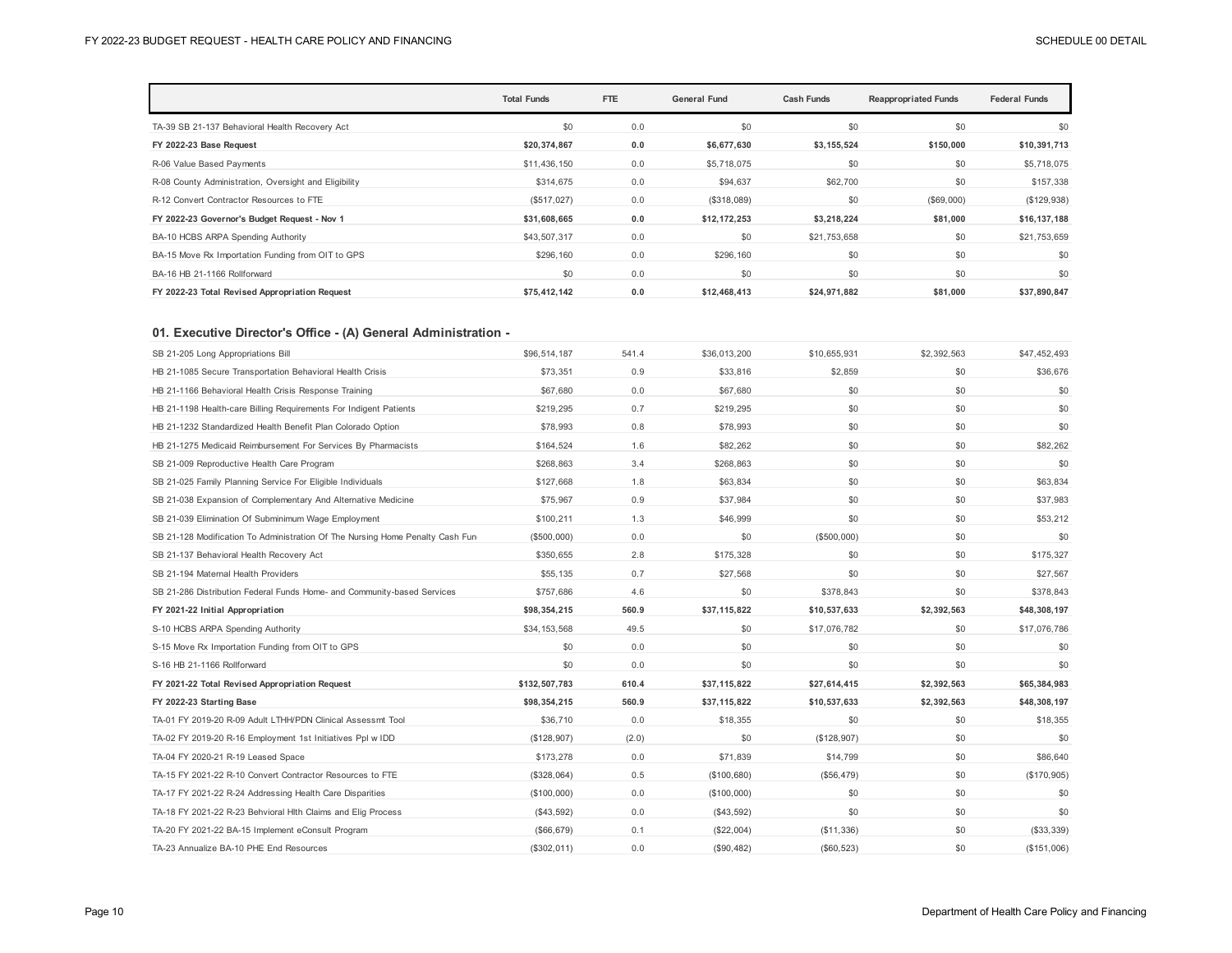|                                                       | <b>Total Funds</b> | FTE | <b>General Fund</b> | <b>Cash Funds</b> | <b>Reappropriated Funds</b> | <b>Federal Funds</b> |
|-------------------------------------------------------|--------------------|-----|---------------------|-------------------|-----------------------------|----------------------|
| TA-39 SB 21-137 Behavioral Health Recovery Act        | \$0                | 0.0 | \$0                 | \$0               | \$0                         | \$0                  |
| FY 2022-23 Base Request                               | \$20,374,867       | 0.0 | \$6,677,630         | \$3,155,524       | \$150,000                   | \$10,391,713         |
| R-06 Value Based Payments                             | \$11,436,150       | 0.0 | \$5,718,075         | \$0               | \$0                         | \$5,718,075          |
| R-08 County Administration, Oversight and Eligibility | \$314,675          | 0.0 | \$94,637            | \$62,700          | \$0                         | \$157,338            |
| R-12 Convert Contractor Resources to FTE              | (\$517,027)        | 0.0 | (\$318,089)         | \$0               | (\$69,000)                  | (S129, 938)          |
| FY 2022-23 Governor's Budget Request - Nov 1          | \$31,608,665       | 0.0 | \$12,172,253        | \$3,218,224       | \$81.000                    | \$16,137,188         |
| BA-10 HCBS ARPA Spending Authority                    | \$43,507,317       | 0.0 | \$0                 | \$21,753,658      | \$0                         | \$21,753,659         |
| BA-15 Move Rx Importation Funding from OIT to GPS     | \$296,160          | 0.0 | \$296,160           | \$0               | \$0                         | \$0                  |
| BA-16 HB 21-1166 Rollforward                          | \$0                | 0.0 | \$0                 | \$0               | \$0                         | \$0                  |
| FY 2022-23 Total Revised Appropriation Request        | \$75,412,142       | 0.0 | \$12,468,413        | \$24,971,882      | \$81,000                    | \$37,890,847         |

## **01. Executive Director's Office - (A) General Administration -**

| SB 21-205 Long Appropriations Bill                                            | \$96,514,187  | 541.4 | \$36,013,200 | \$10.655.931 | \$2.392.563 | \$47,452,493 |
|-------------------------------------------------------------------------------|---------------|-------|--------------|--------------|-------------|--------------|
| HB 21-1085 Secure Transportation Behavioral Health Crisis                     | \$73,351      | 0.9   | \$33,816     | \$2,859      | \$0         | \$36,676     |
| HB 21-1166 Behavioral Health Crisis Response Training                         | \$67,680      | 0.0   | \$67,680     | \$0          | \$0         | \$0          |
| HB 21-1198 Health-care Billing Requirements For Indigent Patients             | \$219.295     | 0.7   | \$219.295    | \$0          | \$0         | \$0          |
| HB 21-1232 Standardized Health Benefit Plan Colorado Option                   | \$78,993      | 0.8   | \$78,993     | \$0          | \$0         | \$0          |
| HB 21-1275 Medicaid Reimbursement For Services By Pharmacists                 | \$164.524     | 1.6   | \$82,262     | \$0          | \$0         | \$82,262     |
| SB 21-009 Reproductive Health Care Program                                    | \$268,863     | 3.4   | \$268,863    | \$0          | \$0         | \$0          |
| SB 21-025 Family Planning Service For Eligible Individuals                    | \$127,668     | 1.8   | \$63,834     | \$0          | \$0         | \$63.834     |
| SB 21-038 Expansion of Complementary And Alternative Medicine                 | \$75,967      | 0.9   | \$37,984     | \$0          | \$0         | \$37,983     |
| SB 21-039 Elimination Of Subminimum Wage Employment                           | \$100,211     | 1.3   | \$46,999     | \$0          | \$0         | \$53,212     |
| SB 21-128 Modification To Administration Of The Nursing Home Penalty Cash Fun | (\$500,000)   | 0.0   | \$0          | (\$500,000)  | \$0         | \$0          |
| SB 21-137 Behavioral Health Recovery Act                                      | \$350.655     | 2.8   | \$175.328    | \$0          | \$0         | \$175.327    |
| SB 21-194 Maternal Health Providers                                           | \$55,135      | 0.7   | \$27,568     | \$0          | \$0         | \$27,567     |
| SB 21-286 Distribution Federal Funds Home- and Community-based Services       | \$757,686     | 4.6   | \$0          | \$378,843    | \$0         | \$378,843    |
|                                                                               |               |       |              |              |             |              |
| FY 2021-22 Initial Appropriation                                              | \$98,354,215  | 560.9 | \$37,115,822 | \$10,537,633 | \$2,392,563 | \$48,308,197 |
| S-10 HCBS ARPA Spending Authority                                             | \$34,153,568  | 49.5  | \$0          | \$17,076,782 | \$0         | \$17,076,786 |
| S-15 Move Rx Importation Funding from OIT to GPS                              | \$0           | 0.0   | \$0          | \$0          | \$0         | \$0          |
| S-16 HB 21-1166 Rollforward                                                   | \$0           | 0.0   | \$0          | \$0          | \$0         | \$0          |
| FY 2021-22 Total Revised Appropriation Request                                | \$132,507,783 | 610.4 | \$37,115,822 | \$27,614,415 | \$2,392,563 | \$65,384,983 |
| FY 2022-23 Starting Base                                                      | \$98,354,215  | 560.9 | \$37,115,822 | \$10,537,633 | \$2,392,563 | \$48,308,197 |
| TA-01 FY 2019-20 R-09 Adult LTHH/PDN Clinical Assessmt Tool                   | \$36,710      | 0.0   | \$18,355     | \$0          | \$0         | \$18,355     |
| TA-02 FY 2019-20 R-16 Employment 1st Initiatives Ppl w IDD                    | (\$128,907)   | (2.0) | \$0          | (\$128,907)  | \$0         | \$0          |
| TA-04 FY 2020-21 R-19 Leased Space                                            | \$173,278     | 0.0   | \$71,839     | \$14,799     | \$0         | \$86,640     |
| TA-15 FY 2021-22 R-10 Convert Contractor Resources to FTE                     | (\$328,064)   | 0.5   | (\$100,680)  | (\$56,479)   | \$0         | (\$170,905)  |
| TA-17 FY 2021-22 R-24 Addressing Health Care Disparities                      | (\$100,000)   | 0.0   | (\$100,000)  | \$0          | \$0         | \$0          |
| TA-18 FY 2021-22 R-23 Behvioral Hlth Claims and Elig Process                  | $(\$43,592)$  | 0.0   | (\$43,592)   | \$0          | \$0         | \$0          |
| TA-20 FY 2021-22 BA-15 Implement eConsult Program                             | (\$66,679)    | 0.1   | (\$22,004)   | (\$11,336)   | \$0         | ( \$33, 339) |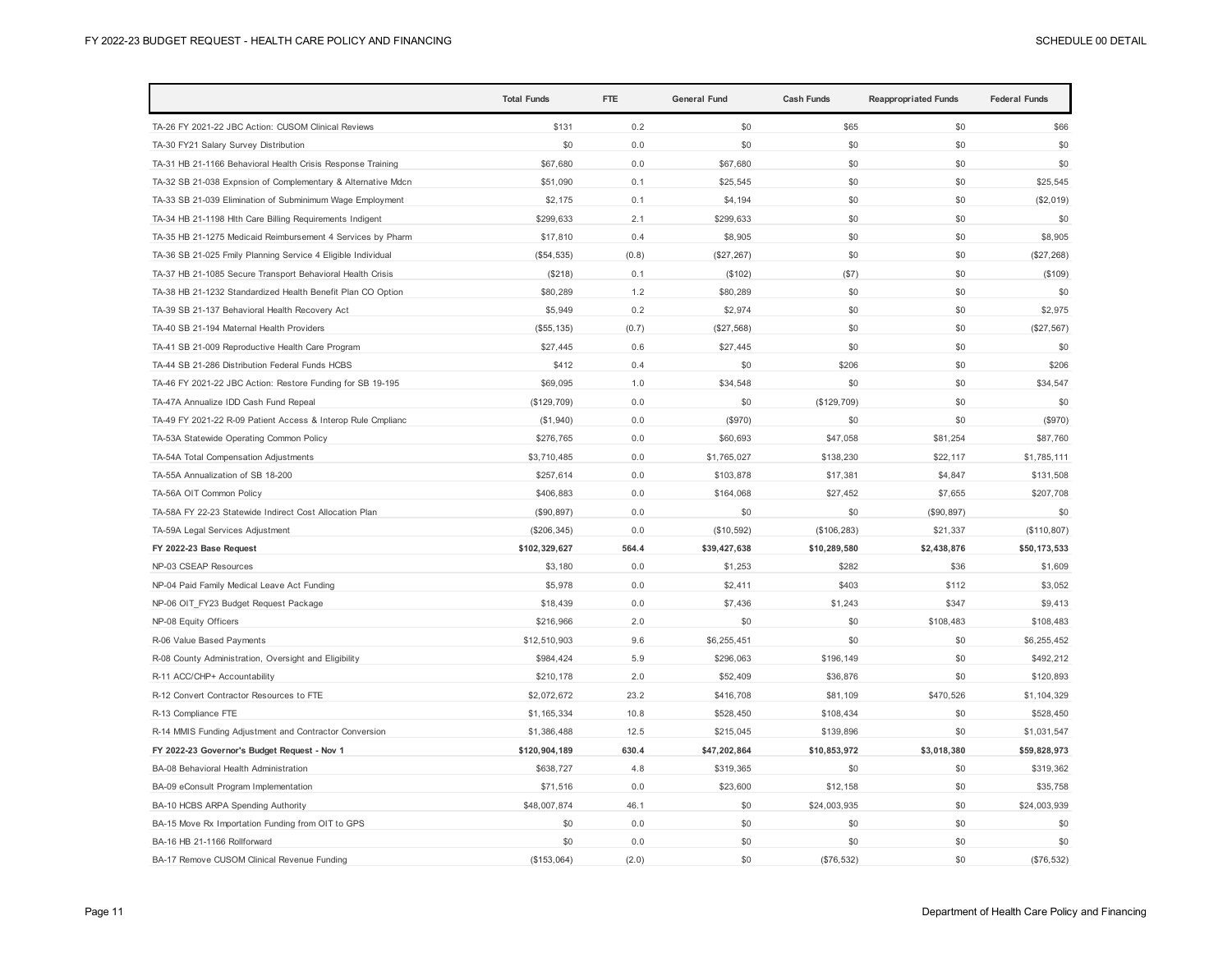|                                                              | <b>Total Funds</b> | <b>FTE</b> | <b>General Fund</b> | <b>Cash Funds</b> | <b>Reappropriated Funds</b> | <b>Federal Funds</b> |
|--------------------------------------------------------------|--------------------|------------|---------------------|-------------------|-----------------------------|----------------------|
| TA-26 FY 2021-22 JBC Action: CUSOM Clinical Reviews          | \$131              | 0.2        | \$0                 | \$65              | \$0                         | \$66                 |
| TA-30 FY21 Salary Survey Distribution                        | \$0                | 0.0        | \$0                 | \$0               | \$0                         | \$0                  |
| TA-31 HB 21-1166 Behavioral Health Crisis Response Training  | \$67,680           | 0.0        | \$67,680            | \$0               | \$0                         | \$0                  |
| TA-32 SB 21-038 Expnsion of Complementary & Alternative Mdcn | \$51,090           | 0.1        | \$25,545            | \$0               | \$0                         | \$25,545             |
| TA-33 SB 21-039 Elimination of Subminimum Wage Employment    | \$2,175            | 0.1        | \$4,194             | \$0               | \$0                         | (\$2,019)            |
| TA-34 HB 21-1198 Hlth Care Billing Requirements Indigent     | \$299,633          | 2.1        | \$299,633           | \$0               | \$0                         | \$0                  |
| TA-35 HB 21-1275 Medicaid Reimbursement 4 Services by Pharm  | \$17,810           | 0.4        | \$8,905             | \$0               | \$0                         | \$8,905              |
| TA-36 SB 21-025 Fmily Planning Service 4 Eligible Individual | (\$54,535)         | (0.8)      | (\$27, 267)         | \$0               | \$0                         | (\$27,268)           |
| TA-37 HB 21-1085 Secure Transport Behavioral Health Crisis   | (\$218)            | 0.1        | (\$102)             | (\$7)             | \$0                         | (\$109)              |
| TA-38 HB 21-1232 Standardized Health Benefit Plan CO Option  | \$80,289           | 1.2        | \$80,289            | \$0               | \$0                         | \$0                  |
| TA-39 SB 21-137 Behavioral Health Recovery Act               | \$5,949            | 0.2        | \$2,974             | \$0               | \$0                         | \$2,975              |
| TA-40 SB 21-194 Maternal Health Providers                    | (\$55, 135)        | (0.7)      | (\$27,568)          | \$0               | \$0                         | (\$27,567)           |
| TA-41 SB 21-009 Reproductive Health Care Program             | \$27,445           | 0.6        | \$27,445            | \$0               | \$0                         | \$0                  |
| TA-44 SB 21-286 Distribution Federal Funds HCBS              | \$412              | 0.4        | \$0                 | \$206             | \$0                         | \$206                |
| TA-46 FY 2021-22 JBC Action: Restore Funding for SB 19-195   | \$69,095           | 1.0        | \$34,548            | \$0               | \$0                         | \$34.547             |
| TA-47A Annualize IDD Cash Fund Repeal                        | (\$129,709)        | 0.0        | \$0                 | (\$129,709)       | \$0                         | \$0                  |
| TA-49 FY 2021-22 R-09 Patient Access & Interop Rule Cmplianc | (\$1,940)          | 0.0        | (\$970)             | \$0               | \$0                         | (\$970)              |
| TA-53A Statewide Operating Common Policy                     | \$276,765          | 0.0        | \$60,693            | \$47,058          | \$81,254                    | \$87,760             |
| TA-54A Total Compensation Adjustments                        | \$3,710,485        | 0.0        | \$1,765,027         | \$138,230         | \$22,117                    | \$1,785,111          |
| TA-55A Annualization of SB 18-200                            | \$257,614          | 0.0        | \$103,878           | \$17,381          | \$4,847                     | \$131,508            |
| TA-56A OIT Common Policy                                     | \$406,883          | 0.0        | \$164,068           | \$27,452          | \$7,655                     | \$207,708            |
| TA-58A FY 22-23 Statewide Indirect Cost Allocation Plan      | (\$90, 897)        | 0.0        | \$0                 | \$0               | (\$90, 897)                 | \$0                  |
| TA-59A Legal Services Adjustment                             | (\$206,345)        | 0.0        | (\$10,592)          | (\$106, 283)      | \$21,337                    | (\$110,807)          |
| FY 2022-23 Base Request                                      | \$102,329,627      | 564.4      | \$39,427,638        | \$10,289,580      | \$2,438,876                 | \$50,173,533         |
| NP-03 CSEAP Resources                                        | \$3,180            | 0.0        | \$1,253             | \$282             | \$36                        | \$1,609              |
| NP-04 Paid Family Medical Leave Act Funding                  | \$5,978            | 0.0        | \$2,411             | \$403             | \$112                       | \$3,052              |
| NP-06 OIT_FY23 Budget Request Package                        | \$18,439           | 0.0        | \$7,436             | \$1,243           | \$347                       | \$9,413              |
| NP-08 Equity Officers                                        | \$216,966          | 2.0        | \$0                 | \$0               | \$108,483                   | \$108,483            |
| R-06 Value Based Payments                                    | \$12,510,903       | 9.6        | \$6,255,451         | \$0               | \$0                         | \$6,255,452          |
| R-08 County Administration, Oversight and Eligibility        | \$984,424          | 5.9        | \$296,063           | \$196,149         | \$0                         | \$492,212            |
| R-11 ACC/CHP+ Accountability                                 | \$210,178          | 2.0        | \$52,409            | \$36,876          | \$0                         | \$120,893            |
| R-12 Convert Contractor Resources to FTE                     | \$2,072,672        | 23.2       | \$416,708           | \$81,109          | \$470,526                   | \$1,104,329          |
| R-13 Compliance FTE                                          | \$1,165,334        | 10.8       | \$528,450           | \$108,434         | \$0                         | \$528,450            |
| R-14 MMIS Funding Adjustment and Contractor Conversion       | \$1,386,488        | 12.5       | \$215,045           | \$139,896         | \$0                         | \$1,031,547          |
| FY 2022-23 Governor's Budget Request - Nov 1                 | \$120,904,189      | 630.4      | \$47,202,864        | \$10,853,972      | \$3,018,380                 | \$59,828,973         |
| BA-08 Behavioral Health Administration                       | \$638,727          | 4.8        | \$319,365           | \$0               | \$0                         | \$319,362            |
| BA-09 eConsult Program Implementation                        | \$71,516           | 0.0        | \$23,600            | \$12,158          | \$0                         | \$35,758             |
| BA-10 HCBS ARPA Spending Authority                           | \$48,007,874       | 46.1       | \$0                 | \$24,003,935      | \$0                         | \$24,003,939         |
| BA-15 Move Rx Importation Funding from OIT to GPS            | \$0                | 0.0        | \$0                 | \$0               | \$0                         | \$0                  |
| BA-16 HB 21-1166 Rollforward                                 | \$0                | 0.0        | \$0                 | \$0               | \$0                         | \$0                  |
| BA-17 Remove CUSOM Clinical Revenue Funding                  | (S153.064)         | (2.0)      | \$0                 | (\$76,532)        | \$0                         | (\$76,532)           |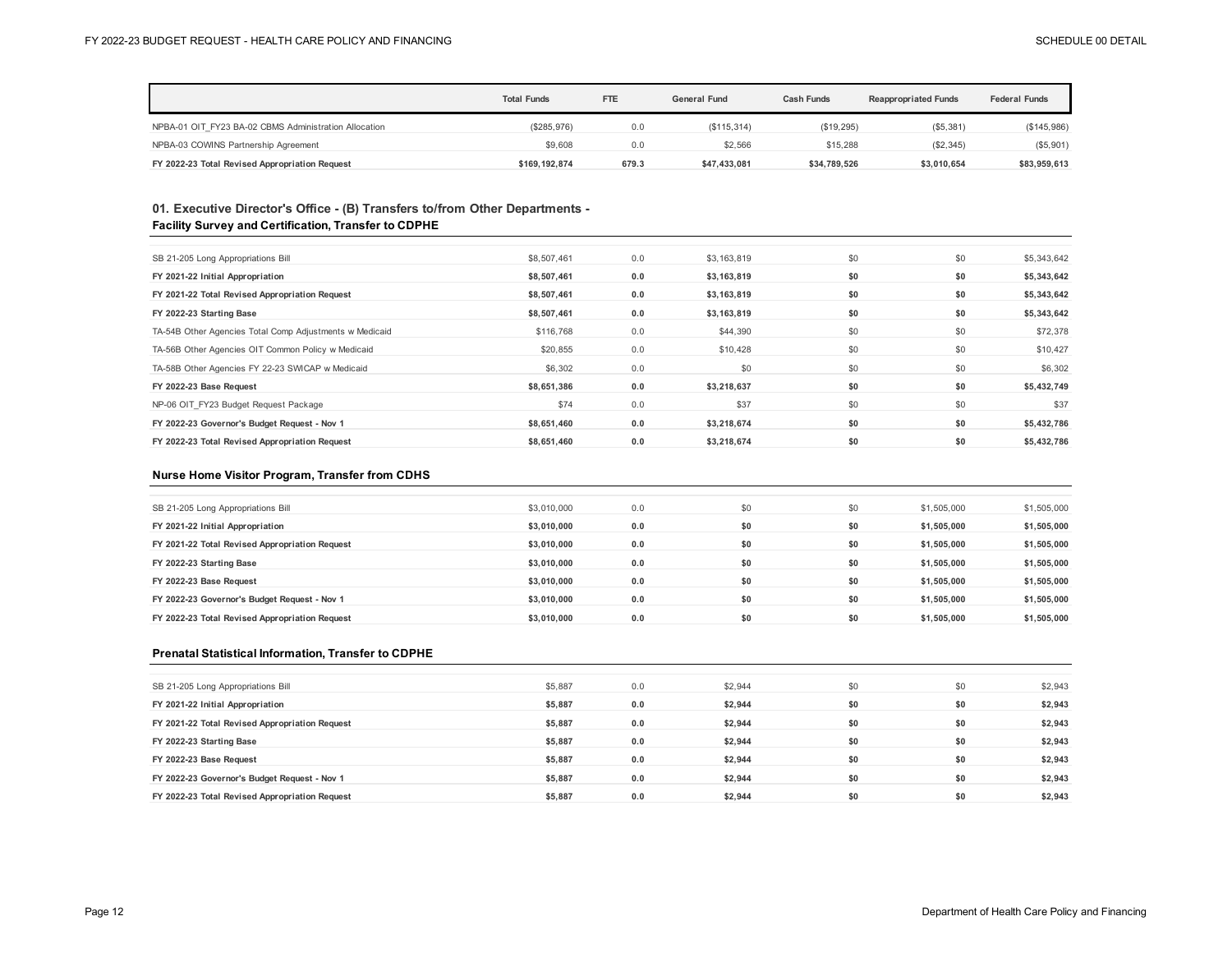|                                                       | <b>Total Funds</b> | <b>FTE</b> | General Fund | <b>Cash Funds</b> | <b>Reappropriated Funds</b> | <b>Federal Funds</b> |
|-------------------------------------------------------|--------------------|------------|--------------|-------------------|-----------------------------|----------------------|
| NPBA-01 OIT FY23 BA-02 CBMS Administration Allocation | (\$285,976)        | 0.0        | (\$115,314)  | (\$19,295)        | ( \$5,381)                  | (\$145,986)          |
| NPBA-03 COWINS Partnership Agreement                  | \$9,608            | 0.0        | \$2.566      | \$15,288          | (\$2,345)                   | (\$5,901)            |
| FY 2022-23 Total Revised Appropriation Request        | \$169.192.874      | 679.3      | \$47.433.081 | \$34,789,526      | \$3.010.654                 | \$83,959,613         |

## **01. Executive Director's Office - (B) Transfers to/from Other Departments - Facility Survey and Certification, Transfer to CDPHE**

| SB 21-205 Long Appropriations Bill                      | \$8,507,461 | 0.0 | \$3,163,819 | \$0 | \$0 | \$5,343,642 |
|---------------------------------------------------------|-------------|-----|-------------|-----|-----|-------------|
| FY 2021-22 Initial Appropriation                        | \$8,507,461 | 0.0 | \$3,163,819 | \$0 | \$0 | \$5,343,642 |
| FY 2021-22 Total Revised Appropriation Request          | \$8,507,461 | 0.0 | \$3,163,819 | \$0 | \$0 | \$5,343,642 |
| FY 2022-23 Starting Base                                | \$8,507,461 | 0.0 | \$3,163,819 | \$0 | \$0 | \$5,343,642 |
| TA-54B Other Agencies Total Comp Adjustments w Medicaid | \$116,768   | 0.0 | \$44,390    | \$0 | \$0 | \$72,378    |
| TA-56B Other Agencies OIT Common Policy w Medicaid      | \$20,855    | 0.0 | \$10,428    | \$0 | \$0 | \$10,427    |
| TA-58B Other Agencies FY 22-23 SWICAP w Medicaid        | \$6,302     | 0.0 | \$0         | \$0 | \$0 | \$6,302     |
| FY 2022-23 Base Request                                 | \$8,651,386 | 0.0 | \$3,218,637 | \$0 | \$0 | \$5,432,749 |
| NP-06 OIT FY23 Budget Request Package                   | \$74        | 0.0 | \$37        | \$0 | \$0 | \$37        |
| FY 2022-23 Governor's Budget Request - Nov 1            | \$8.651.460 | 0.0 | \$3.218.674 | \$0 | \$0 | \$5,432,786 |
| FY 2022-23 Total Revised Appropriation Request          | \$8,651,460 | 0.0 | \$3,218,674 | \$0 | \$0 | \$5,432,786 |

### **Nurse Home Visitor Program, Transfer from CDHS**

| SB 21-205 Long Appropriations Bill             | \$3,010,000 | 0.0 | \$0 | \$0 | \$1,505,000 | \$1,505,000 |
|------------------------------------------------|-------------|-----|-----|-----|-------------|-------------|
| FY 2021-22 Initial Appropriation               | \$3.010.000 | 0.0 | \$0 | \$0 | \$1.505.000 | \$1,505,000 |
| FY 2021-22 Total Revised Appropriation Request | \$3.010.000 | 0.0 | \$0 | \$0 | \$1.505.000 | \$1,505,000 |
| FY 2022-23 Starting Base                       | \$3,010,000 | 0.0 | \$0 | \$0 | \$1,505,000 | \$1,505,000 |
| FY 2022-23 Base Request                        | \$3.010.000 | 0.0 | \$0 | \$0 | \$1.505.000 | \$1,505,000 |
| FY 2022-23 Governor's Budget Request - Nov 1   | \$3.010.000 | 0.0 | \$0 | \$0 | \$1,505,000 | \$1,505,000 |
| FY 2022-23 Total Revised Appropriation Request | \$3.010.000 | 0.0 | \$0 | \$0 | \$1.505.000 | \$1,505,000 |

#### **Prenatal Statistical Information, Transfer to CDPHE**

| SB 21-205 Long Appropriations Bill             | \$5,887 | 0.0 | \$2.944 | \$0 | \$0 | \$2,943 |
|------------------------------------------------|---------|-----|---------|-----|-----|---------|
| FY 2021-22 Initial Appropriation               | \$5,887 | 0.0 | \$2,944 | \$0 | \$0 | \$2,943 |
| FY 2021-22 Total Revised Appropriation Request | \$5.887 | 0.0 | \$2,944 | \$0 | \$0 | \$2,943 |
| FY 2022-23 Starting Base                       | \$5,887 | 0.0 | \$2,944 | \$0 | \$0 | \$2,943 |
| FY 2022-23 Base Request                        | \$5,887 | 0.0 | \$2,944 | \$0 | \$0 | \$2,943 |
| FY 2022-23 Governor's Budget Request - Nov 1   | \$5.887 | 0.0 | \$2.944 | \$0 | \$0 | \$2,943 |
| FY 2022-23 Total Revised Appropriation Request | \$5,887 | 0.0 | \$2,944 | \$0 | \$0 | \$2,943 |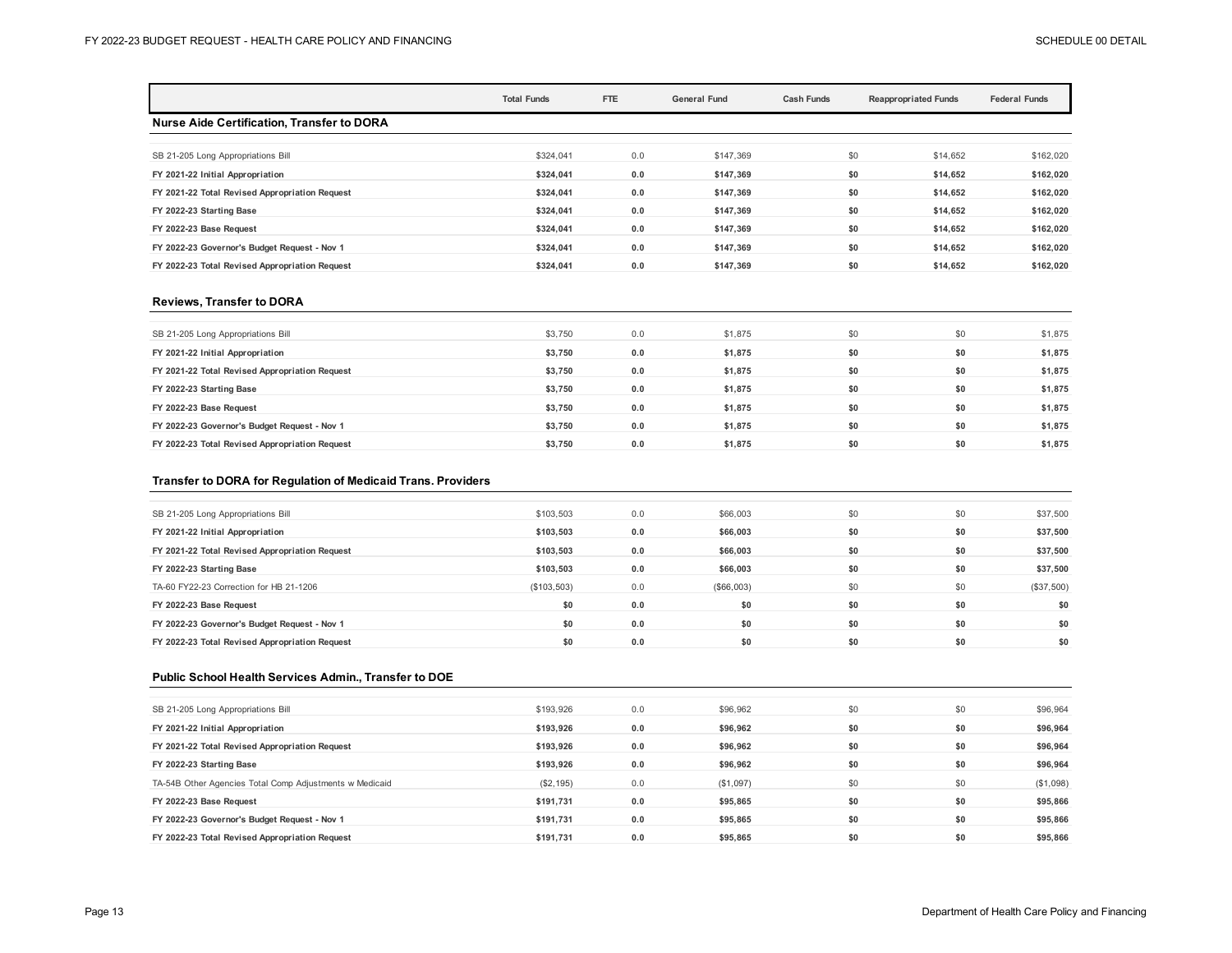|                                                   | <b>Total Funds</b> | FTE | <b>General Fund</b> | <b>Cash Funds</b> | <b>Reappropriated Funds</b> | <b>Federal Funds</b> |
|---------------------------------------------------|--------------------|-----|---------------------|-------------------|-----------------------------|----------------------|
| <b>Nurse Aide Certification, Transfer to DORA</b> |                    |     |                     |                   |                             |                      |
| SB 21-205 Long Appropriations Bill                | \$324.041          | 0.0 | \$147,369           |                   | \$0<br>\$14,652             | \$162,020            |
| FY 2021-22 Initial Appropriation                  | \$324.041          | 0.0 | \$147.369           |                   | \$0<br>\$14,652             | \$162,020            |
| FY 2021-22 Total Revised Appropriation Request    | \$324.041          | 0.0 | \$147.369           |                   | \$0<br>\$14.652             | \$162,020            |
| FY 2022-23 Starting Base                          | \$324.041          | 0.0 | \$147.369           |                   | \$0<br>\$14,652             | \$162,020            |
| FY 2022-23 Base Request                           | \$324.041          | 0.0 | \$147,369           |                   | \$0<br>\$14,652             | \$162,020            |
| FY 2022-23 Governor's Budget Request - Nov 1      | \$324.041          | 0.0 | \$147,369           |                   | \$0<br>\$14,652             | \$162,020            |
| FY 2022-23 Total Revised Appropriation Request    | \$324.041          | 0.0 | \$147.369           |                   | \$0<br>\$14,652             | \$162,020            |

#### **Reviews, Transfer to DORA**

| SB 21-205 Long Appropriations Bill             | \$3,750 | 0.0 | \$1,875 | \$0 | \$0 | \$1,875 |
|------------------------------------------------|---------|-----|---------|-----|-----|---------|
| FY 2021-22 Initial Appropriation               | \$3.750 | 0.0 | \$1,875 | \$0 | \$0 | \$1,875 |
| FY 2021-22 Total Revised Appropriation Request | \$3.750 | 0.0 | \$1,875 | \$0 | \$0 | \$1,875 |
| FY 2022-23 Starting Base                       | \$3,750 | 0.0 | \$1,875 | \$0 | \$0 | \$1,875 |
| FY 2022-23 Base Request                        | \$3,750 | 0.0 | \$1,875 | \$0 | \$0 | \$1,875 |
| FY 2022-23 Governor's Budget Request - Nov 1   | \$3.750 | 0.0 | \$1.875 | \$0 | \$0 | \$1,875 |
| FY 2022-23 Total Revised Appropriation Request | \$3,750 | 0.0 | \$1,875 | \$0 | \$0 | \$1,875 |

## **Transfer to DORA for Regulation of Medicaid Trans. Providers**

| SB 21-205 Long Appropriations Bill             | \$103,503   | 0.0 | \$66,003   | \$0 | \$0 | \$37,500     |
|------------------------------------------------|-------------|-----|------------|-----|-----|--------------|
| FY 2021-22 Initial Appropriation               | \$103.503   | 0.0 | \$66,003   | \$0 | \$0 | \$37,500     |
| FY 2021-22 Total Revised Appropriation Request | \$103.503   | 0.0 | \$66,003   | \$0 | \$0 | \$37,500     |
| FY 2022-23 Starting Base                       | \$103,503   | 0.0 | \$66,003   | \$0 | \$0 | \$37,500     |
| TA-60 FY22-23 Correction for HB 21-1206        | (\$103,503) | 0.0 | (\$66,003) | \$0 | \$0 | $(\$37,500)$ |
| FY 2022-23 Base Request                        | \$0         | 0.0 | \$0        | \$0 | \$0 | \$0          |
| FY 2022-23 Governor's Budget Request - Nov 1   | \$0         | 0.0 | \$0        | \$0 | \$0 | \$0          |
| FY 2022-23 Total Revised Appropriation Request | \$0         | 0.0 | \$0        | \$0 | \$0 | \$0          |

#### **Public School Health Services Admin., Transfer to DOE**

| SB 21-205 Long Appropriations Bill                      | \$193,926 | 0.0 | \$96,962  | \$0 | \$0 | \$96,964  |
|---------------------------------------------------------|-----------|-----|-----------|-----|-----|-----------|
| FY 2021-22 Initial Appropriation                        | \$193,926 | 0.0 | \$96,962  | \$0 | \$0 | \$96,964  |
| FY 2021-22 Total Revised Appropriation Request          | \$193.926 | 0.0 | \$96.962  | \$0 | \$0 | \$96,964  |
| FY 2022-23 Starting Base                                | \$193.926 | 0.0 | \$96,962  | \$0 | \$0 | \$96,964  |
| TA-54B Other Agencies Total Comp Adjustments w Medicaid | (\$2,195) | 0.0 | (\$1,097) | \$0 | \$0 | (\$1,098) |
| FY 2022-23 Base Request                                 | \$191.731 | 0.0 | \$95,865  | \$0 | \$0 | \$95,866  |
| FY 2022-23 Governor's Budget Request - Nov 1            | \$191.731 | 0.0 | \$95,865  | \$0 | \$0 | \$95,866  |
| FY 2022-23 Total Revised Appropriation Request          | \$191.731 | 0.0 | \$95,865  | \$0 | \$0 | \$95.866  |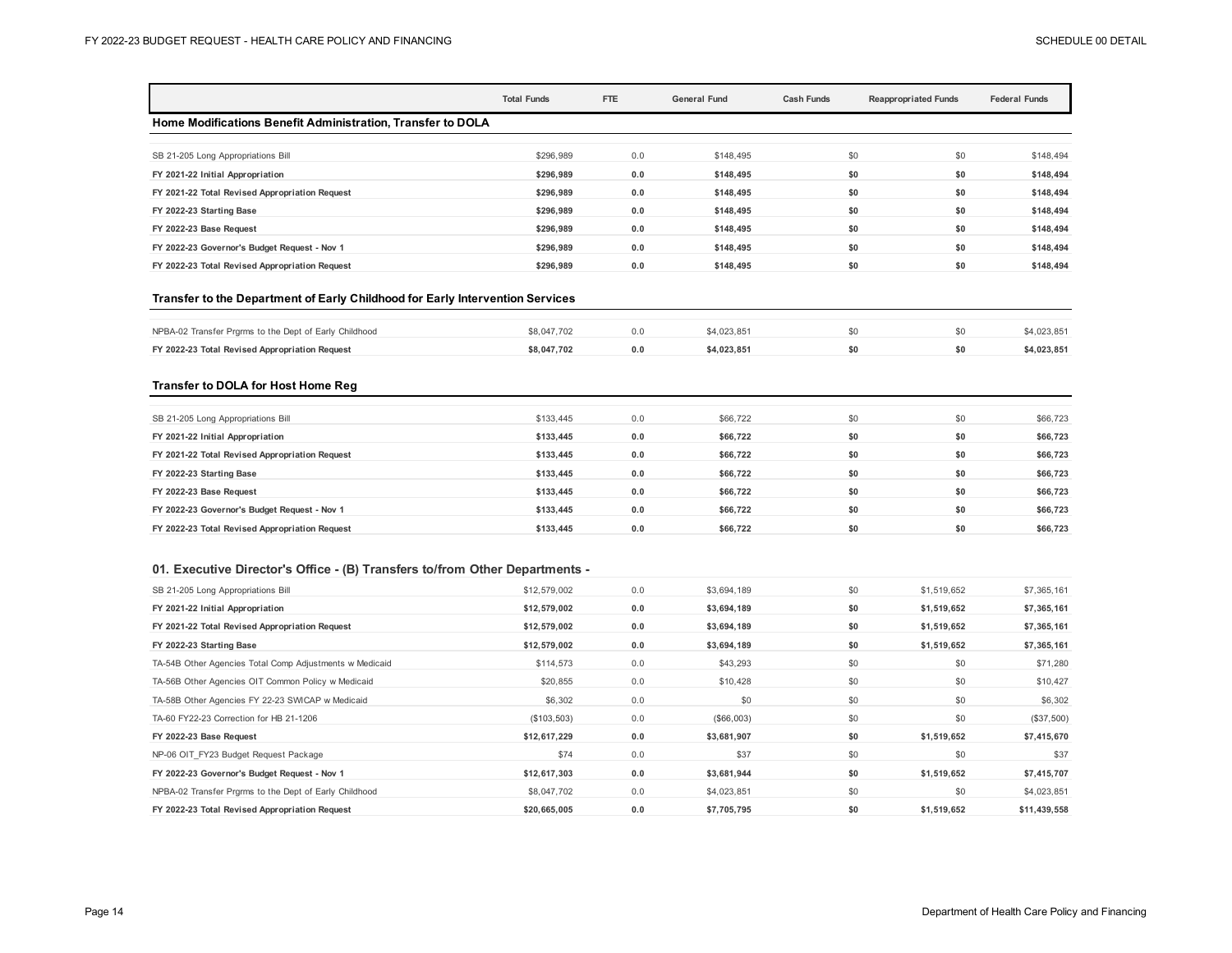|                                                                               | <b>Total Funds</b> | FTE | <b>General Fund</b> | <b>Cash Funds</b> | <b>Reappropriated Funds</b> | <b>Federal Funds</b> |
|-------------------------------------------------------------------------------|--------------------|-----|---------------------|-------------------|-----------------------------|----------------------|
| Home Modifications Benefit Administration, Transfer to DOLA                   |                    |     |                     |                   |                             |                      |
| SB 21-205 Long Appropriations Bill                                            | \$296.989          | 0.0 | \$148,495           |                   | \$0<br>\$0                  | \$148,494            |
| FY 2021-22 Initial Appropriation                                              | \$296.989          | 0.0 | \$148,495           |                   | \$0<br>\$0                  | \$148.494            |
| FY 2021-22 Total Revised Appropriation Request                                | \$296,989          | 0.0 | \$148,495           |                   | \$0<br>\$0                  | \$148,494            |
| FY 2022-23 Starting Base                                                      | \$296,989          | 0.0 | \$148,495           |                   | \$0<br>\$0                  | \$148,494            |
| FY 2022-23 Base Request                                                       | \$296,989          | 0.0 | \$148,495           |                   | \$0<br>\$0                  | \$148,494            |
| FY 2022-23 Governor's Budget Request - Nov 1                                  | \$296,989          | 0.0 | \$148,495           |                   | \$0<br>\$0                  | \$148,494            |
| FY 2022-23 Total Revised Appropriation Request                                | \$296,989          | 0.0 | \$148,495           |                   | \$0<br>\$0                  | \$148,494            |
| Transfer to the Department of Early Childhood for Early Intervention Services |                    |     |                     |                   |                             |                      |
| NPBA-02 Transfer Prgrms to the Dept of Early Childhood                        | \$8,047,702        | 0.0 | \$4,023,851         |                   | \$0<br>\$0                  | \$4,023,851          |
| FY 2022-23 Total Revised Appropriation Request                                | \$8,047,702        | 0.0 | \$4.023.851         |                   | \$0<br>\$0                  | \$4.023.851          |
| <b>Transfer to DOLA for Host Home Reg</b>                                     |                    |     |                     |                   |                             |                      |
| SB 21-205 Long Appropriations Bill                                            | \$133,445          | 0.0 | \$66,722            |                   | \$0<br>\$0                  | \$66,723             |
| FY 2021-22 Initial Appropriation                                              | \$133,445          | 0.0 | \$66,722            |                   | \$0<br>\$0                  | \$66,723             |
| FY 2021-22 Total Revised Appropriation Request                                | \$133.445          | 0.0 | \$66.722            |                   | \$0<br>\$0                  | \$66.723             |

| FY 2021-22 Total Revised Appropriation Request | \$133,445 | 0.0 | \$66.722 | 50  | \$66,723 |
|------------------------------------------------|-----------|-----|----------|-----|----------|
| FY 2022-23 Starting Base                       | \$133.445 | 0.0 | \$66.722 | \$0 | \$66,723 |
| FY 2022-23 Base Request                        | \$133.445 | 0.0 | \$66.722 | \$0 | \$66,723 |
| FY 2022-23 Governor's Budget Request - Nov 1   | \$133.445 | 0.0 | \$66.722 | \$0 | \$66,723 |
| FY 2022-23 Total Revised Appropriation Request | \$133.445 | 0.0 | \$66.722 | \$0 | \$66,723 |
|                                                |           |     |          |     |          |

## **01. Executive Director's Office - (B) Transfers to/from Other Departments -**

| SB 21-205 Long Appropriations Bill                      | \$12,579,002 | 0.0 | \$3,694,189 | \$0 | \$1,519,652 | \$7,365,161  |
|---------------------------------------------------------|--------------|-----|-------------|-----|-------------|--------------|
| FY 2021-22 Initial Appropriation                        | \$12,579,002 | 0.0 | \$3,694,189 | \$0 | \$1,519,652 | \$7,365,161  |
| FY 2021-22 Total Revised Appropriation Request          | \$12,579,002 | 0.0 | \$3,694,189 | \$0 | \$1,519,652 | \$7,365,161  |
| FY 2022-23 Starting Base                                | \$12,579,002 | 0.0 | \$3,694,189 | \$0 | \$1,519,652 | \$7,365,161  |
| TA-54B Other Agencies Total Comp Adjustments w Medicaid | \$114,573    | 0.0 | \$43,293    | \$0 | \$0         | \$71,280     |
| TA-56B Other Agencies OIT Common Policy w Medicaid      | \$20,855     | 0.0 | \$10,428    | \$0 | \$0         | \$10,427     |
| TA-58B Other Agencies FY 22-23 SWICAP w Medicaid        | \$6,302      | 0.0 | \$0         | \$0 | \$0         | \$6,302      |
| TA-60 FY22-23 Correction for HB 21-1206                 | (\$103,503)  | 0.0 | (\$66,003)  | \$0 | \$0         | (\$37,500)   |
| FY 2022-23 Base Request                                 | \$12,617,229 | 0.0 | \$3,681,907 | \$0 | \$1,519,652 | \$7,415,670  |
| NP-06 OIT FY23 Budget Request Package                   | \$74         | 0.0 | \$37        | \$0 | \$0         | \$37         |
| FY 2022-23 Governor's Budget Request - Nov 1            | \$12,617,303 | 0.0 | \$3,681,944 | \$0 | \$1,519,652 | \$7,415,707  |
| NPBA-02 Transfer Prgrms to the Dept of Early Childhood  | \$8,047,702  | 0.0 | \$4,023,851 | \$0 | \$0         | \$4,023,851  |
| FY 2022-23 Total Revised Appropriation Request          | \$20,665,005 | 0.0 | \$7,705,795 | \$0 | \$1,519,652 | \$11,439,558 |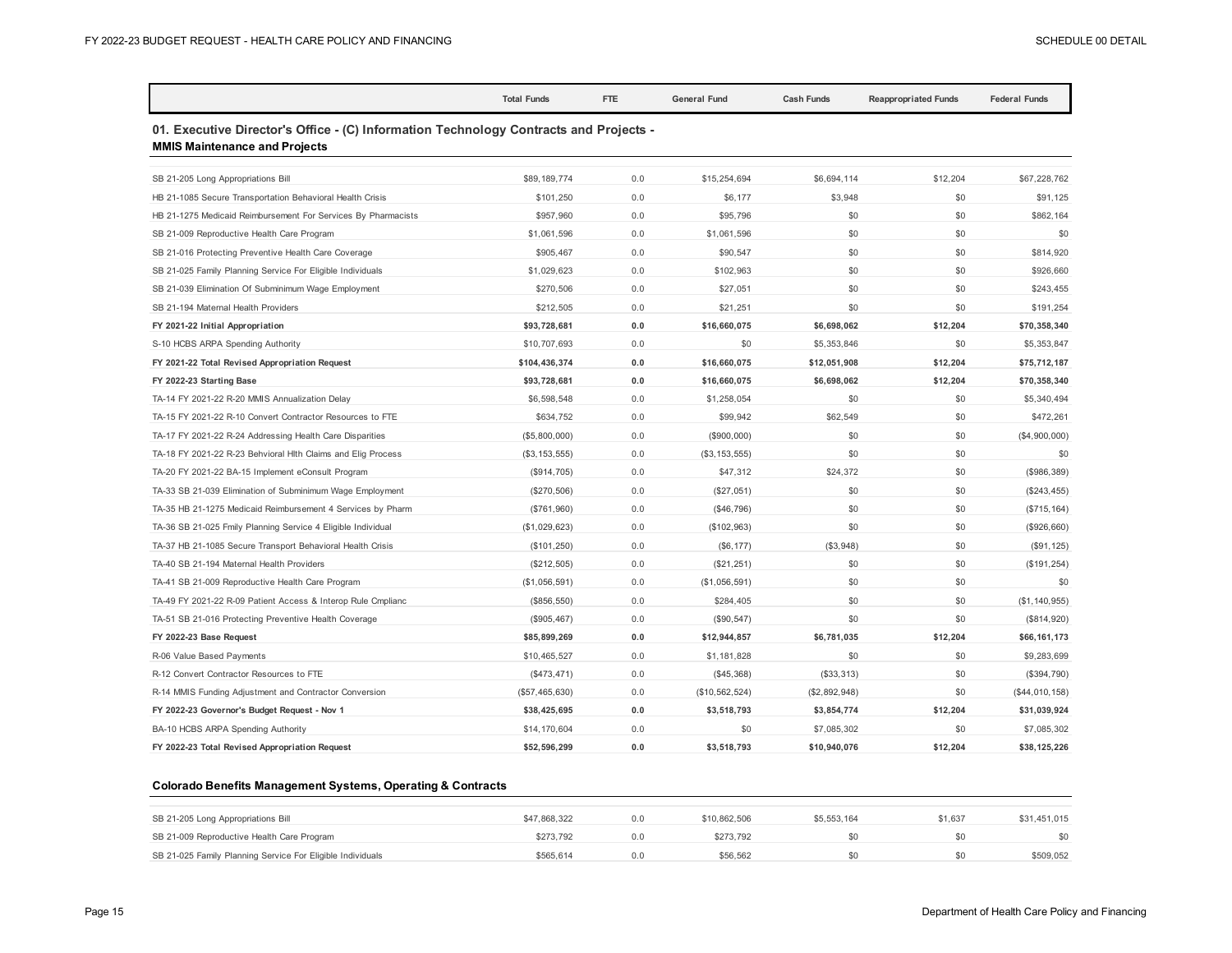|                                                                                                                               | <b>Total Funds</b> | FTE | <b>General Fund</b> | <b>Cash Funds</b> | <b>Reappropriated Funds</b> | <b>Federal Funds</b> |  |  |  |  |
|-------------------------------------------------------------------------------------------------------------------------------|--------------------|-----|---------------------|-------------------|-----------------------------|----------------------|--|--|--|--|
| 01. Executive Director's Office - (C) Information Technology Contracts and Projects -<br><b>MMIS Maintenance and Projects</b> |                    |     |                     |                   |                             |                      |  |  |  |  |
| SB 21-205 Long Appropriations Bill                                                                                            | \$89,189,774       | 0.0 | \$15,254,694        | \$6,694,114       | \$12,204                    | \$67,228,762         |  |  |  |  |
| HB 21-1085 Secure Transportation Behavioral Health Crisis                                                                     | \$101,250          | 0.0 | \$6,177             | \$3,948           | \$0                         | \$91,125             |  |  |  |  |
| HB 21-1275 Medicaid Reimbursement For Services By Pharmacists                                                                 | \$957,960          | 0.0 | \$95,796            | \$0               | \$0                         | \$862,164            |  |  |  |  |
| SB 21-009 Reproductive Health Care Program                                                                                    | \$1,061,596        | 0.0 | \$1,061,596         | \$0               | \$0                         | \$0                  |  |  |  |  |
| SB 21-016 Protecting Preventive Health Care Coverage                                                                          | \$905,467          | 0.0 | \$90,547            | \$0               | \$0                         | \$814.920            |  |  |  |  |
| SB 21-025 Family Planning Service For Eligible Individuals                                                                    | \$1,029,623        | 0.0 | \$102,963           | \$0               | \$0                         | \$926,660            |  |  |  |  |
| SB 21-039 Elimination Of Subminimum Wage Employment                                                                           | \$270,506          | 0.0 | \$27,051            | \$0               | \$0                         | \$243,455            |  |  |  |  |
| SB 21-194 Maternal Health Providers                                                                                           | \$212,505          | 0.0 | \$21,251            | \$0               | \$0                         | \$191,254            |  |  |  |  |
| FY 2021-22 Initial Appropriation                                                                                              | \$93,728,681       | 0.0 | \$16,660,075        | \$6,698,062       | \$12,204                    | \$70,358,340         |  |  |  |  |
| S-10 HCBS ARPA Spending Authority                                                                                             | \$10,707,693       | 0.0 | \$0                 | \$5,353,846       | \$0                         | \$5,353,847          |  |  |  |  |
| FY 2021-22 Total Revised Appropriation Request                                                                                | \$104,436,374      | 0.0 | \$16,660,075        | \$12,051,908      | \$12,204                    | \$75,712,187         |  |  |  |  |
| FY 2022-23 Starting Base                                                                                                      | \$93,728,681       | 0.0 | \$16,660,075        | \$6,698,062       | \$12,204                    | \$70,358,340         |  |  |  |  |
| TA-14 FY 2021-22 R-20 MMIS Annualization Delay                                                                                | \$6,598,548        | 0.0 | \$1,258,054         | \$0               | \$0                         | \$5,340,494          |  |  |  |  |
| TA-15 FY 2021-22 R-10 Convert Contractor Resources to FTE                                                                     | \$634,752          | 0.0 | \$99,942            | \$62,549          | \$0                         | \$472,261            |  |  |  |  |
| TA-17 FY 2021-22 R-24 Addressing Health Care Disparities                                                                      | (\$5,800,000)      | 0.0 | (\$900,000)         | \$0               | \$0                         | (\$4,900,000)        |  |  |  |  |
| TA-18 FY 2021-22 R-23 Behvioral Hlth Claims and Elig Process                                                                  | (\$3, 153, 555)    | 0.0 | (\$3, 153, 555)     | \$0               | \$0                         | \$0                  |  |  |  |  |
| TA-20 FY 2021-22 BA-15 Implement eConsult Program                                                                             | (\$914,705)        | 0.0 | \$47,312            | \$24,372          | \$0                         | (\$986,389)          |  |  |  |  |
| TA-33 SB 21-039 Elimination of Subminimum Wage Employment                                                                     | (\$270,506)        | 0.0 | (\$27,051)          | \$0               | \$0                         | $(\$243, 455)$       |  |  |  |  |
| TA-35 HB 21-1275 Medicaid Reimbursement 4 Services by Pharm                                                                   | (\$761,960)        | 0.0 | (\$46,796)          | \$0               | \$0                         | (\$715, 164)         |  |  |  |  |
| TA-36 SB 21-025 Fmily Planning Service 4 Eligible Individual                                                                  | (\$1,029,623)      | 0.0 | (\$102,963)         | \$0               | \$0                         | (\$926,660)          |  |  |  |  |
| TA-37 HB 21-1085 Secure Transport Behavioral Health Crisis                                                                    | (\$101,250)        | 0.0 | (\$6, 177)          | (\$3,948)         | \$0                         | (\$91, 125)          |  |  |  |  |
| TA-40 SB 21-194 Maternal Health Providers                                                                                     | (\$212,505)        | 0.0 | (\$21, 251)         | \$0               | \$0                         | (\$191, 254)         |  |  |  |  |
| TA-41 SB 21-009 Reproductive Health Care Program                                                                              | (\$1,056,591)      | 0.0 | (\$1,056,591)       | \$0               | \$0                         | \$0                  |  |  |  |  |
| TA-49 FY 2021-22 R-09 Patient Access & Interop Rule Cmplianc                                                                  | (\$856,550)        | 0.0 | \$284,405           | \$0               | \$0                         | (\$1, 140, 955)      |  |  |  |  |
| TA-51 SB 21-016 Protecting Preventive Health Coverage                                                                         | (\$905,467)        | 0.0 | (\$90, 547)         | \$0               | \$0                         | (\$814,920)          |  |  |  |  |
| FY 2022-23 Base Request                                                                                                       | \$85,899,269       | 0.0 | \$12,944,857        | \$6,781,035       | \$12,204                    | \$66,161,173         |  |  |  |  |
| R-06 Value Based Payments                                                                                                     | \$10,465,527       | 0.0 | \$1,181,828         | \$0               | \$0                         | \$9,283,699          |  |  |  |  |
| R-12 Convert Contractor Resources to FTE                                                                                      | (\$473, 471)       | 0.0 | (\$45,368)          | (\$33,313)        | \$0                         | (\$394,790)          |  |  |  |  |
| R-14 MMIS Funding Adjustment and Contractor Conversion                                                                        | (\$57,465,630)     | 0.0 | (\$10,562,524)      | (\$2,892,948)     | \$0                         | (\$44,010,158)       |  |  |  |  |
| FY 2022-23 Governor's Budget Request - Nov 1                                                                                  | \$38,425,695       | 0.0 | \$3,518,793         | \$3,854,774       | \$12,204                    | \$31,039,924         |  |  |  |  |
| BA-10 HCBS ARPA Spending Authority                                                                                            | \$14,170,604       | 0.0 | \$0                 | \$7,085,302       | \$0                         | \$7,085,302          |  |  |  |  |
| FY 2022-23 Total Revised Appropriation Request                                                                                | \$52,596,299       | 0.0 | \$3,518,793         | \$10,940,076      | \$12,204                    | \$38,125,226         |  |  |  |  |

## **Colorado Benefits Management Systems, Operating & Contracts**

| SB 21-205 Long Appropriations Bill                         | \$47,868,322 | 0.0 | \$10,862,506 | \$5,553,164 | \$1.637 | \$31.451.015 |
|------------------------------------------------------------|--------------|-----|--------------|-------------|---------|--------------|
| SB 21-009 Reproductive Health Care Program                 | \$273.792    | 0.0 | \$273.792    |             |         |              |
| SB 21-025 Family Planning Service For Eligible Individuals | \$565.614    | 0.0 | \$56,562     |             | SO.     | \$509,052    |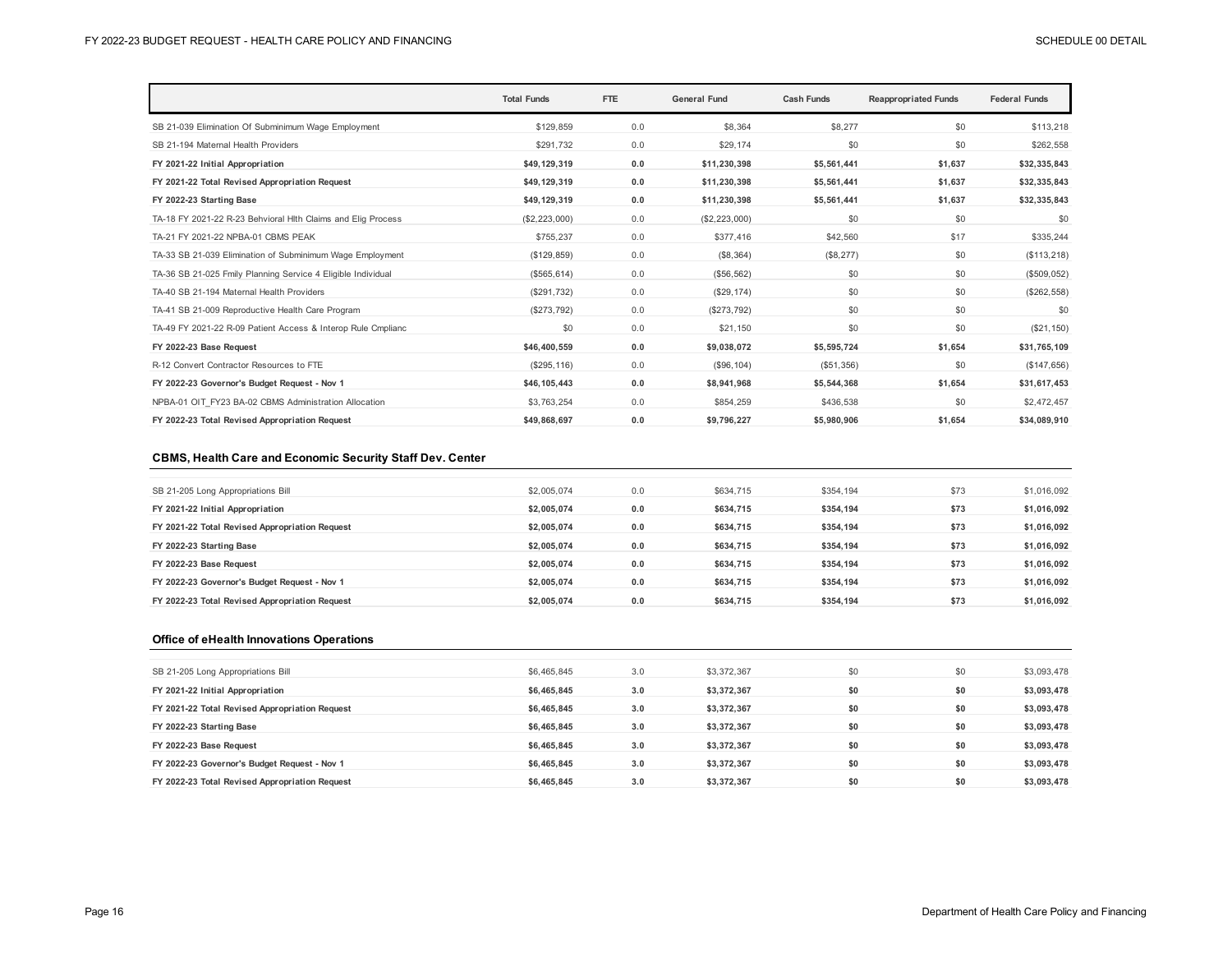|                                                              | <b>Total Funds</b> | FTE | <b>General Fund</b> | <b>Cash Funds</b> | <b>Reappropriated Funds</b> | <b>Federal Funds</b> |
|--------------------------------------------------------------|--------------------|-----|---------------------|-------------------|-----------------------------|----------------------|
| SB 21-039 Elimination Of Subminimum Wage Employment          | \$129.859          | 0.0 | \$8.364             | \$8,277           | \$0                         | \$113.218            |
| SB 21-194 Maternal Health Providers                          | \$291,732          | 0.0 | \$29,174            | \$0               | \$0                         | \$262,558            |
| FY 2021-22 Initial Appropriation                             | \$49,129,319       | 0.0 | \$11,230,398        | \$5,561,441       | \$1,637                     | \$32,335,843         |
| FY 2021-22 Total Revised Appropriation Request               | \$49,129,319       | 0.0 | \$11,230,398        | \$5,561,441       | \$1,637                     | \$32,335,843         |
| FY 2022-23 Starting Base                                     | \$49,129,319       | 0.0 | \$11,230,398        | \$5,561,441       | \$1,637                     | \$32,335,843         |
| TA-18 FY 2021-22 R-23 Behvioral Hlth Claims and Elig Process | (\$2,223,000)      | 0.0 | (\$2,223,000)       | \$0               | \$0                         | \$0                  |
| TA-21 FY 2021-22 NPBA-01 CBMS PEAK                           | \$755,237          | 0.0 | \$377,416           | \$42,560          | \$17                        | \$335,244            |
| TA-33 SB 21-039 Elimination of Subminimum Wage Employment    | (\$129,859)        | 0.0 | (\$8,364)           | (\$8,277)         | \$0                         | (\$113,218)          |
| TA-36 SB 21-025 Fmily Planning Service 4 Eligible Individual | (\$565, 614)       | 0.0 | (\$56,562)          | \$0               | \$0                         | (\$509,052)          |
| TA-40 SB 21-194 Maternal Health Providers                    | (\$291,732)        | 0.0 | (\$29, 174)         | \$0               | \$0                         | (\$262, 558)         |
| TA-41 SB 21-009 Reproductive Health Care Program             | (\$273,792)        | 0.0 | (\$273,792)         | \$0               | \$0                         | \$0                  |
| TA-49 FY 2021-22 R-09 Patient Access & Interop Rule Cmplianc | \$0                | 0.0 | \$21,150            | \$0               | \$0                         | (\$21,150)           |
| FY 2022-23 Base Request                                      | \$46,400,559       | 0.0 | \$9,038,072         | \$5,595,724       | \$1,654                     | \$31,765,109         |
| R-12 Convert Contractor Resources to FTE                     | (\$295, 116)       | 0.0 | (\$96, 104)         | (\$51,356)        | \$0                         | (\$147,656)          |
| FY 2022-23 Governor's Budget Request - Nov 1                 | \$46,105,443       | 0.0 | \$8,941,968         | \$5,544,368       | \$1.654                     | \$31,617,453         |
| NPBA-01 OIT FY23 BA-02 CBMS Administration Allocation        | \$3,763,254        | 0.0 | \$854,259           | \$436,538         | \$0                         | \$2,472,457          |
| FY 2022-23 Total Revised Appropriation Request               | \$49,868,697       | 0.0 | \$9,796,227         | \$5,980,906       | \$1,654                     | \$34,089,910         |

#### **CBMS, Health Care and Economic Security Staff Dev. Center**

| SB 21-205 Long Appropriations Bill             | \$2,005.074 | 0.0 | \$634,715 | \$354.194 | \$73 | \$1,016,092 |
|------------------------------------------------|-------------|-----|-----------|-----------|------|-------------|
| FY 2021-22 Initial Appropriation               | \$2,005,074 | 0.0 | \$634.715 | \$354.194 | \$73 | \$1,016,092 |
| FY 2021-22 Total Revised Appropriation Request | \$2,005.074 | 0.0 | \$634.715 | \$354.194 | \$73 | \$1,016,092 |
| FY 2022-23 Starting Base                       | \$2,005.074 | 0.0 | \$634.715 | \$354.194 | \$73 | \$1,016,092 |
| FY 2022-23 Base Request                        | \$2,005,074 | 0.0 | \$634.715 | \$354.194 | \$73 | \$1,016,092 |
| FY 2022-23 Governor's Budget Request - Nov 1   | \$2,005,074 | 0.0 | \$634.715 | \$354.194 | \$73 | \$1,016,092 |
| FY 2022-23 Total Revised Appropriation Request | \$2,005.074 | 0.0 | \$634.715 | \$354.194 | \$73 | \$1,016,092 |

#### **Office of eHealth Innovations Operations**

| SB 21-205 Long Appropriations Bill             | \$6,465,845 | 3.0 | \$3,372,367 | \$0 | \$0 | \$3,093,478 |
|------------------------------------------------|-------------|-----|-------------|-----|-----|-------------|
| FY 2021-22 Initial Appropriation               | \$6.465.845 | 3.0 | \$3,372,367 | \$0 | \$0 | \$3,093,478 |
| FY 2021-22 Total Revised Appropriation Request | \$6,465,845 | 3.0 | \$3,372,367 | \$0 | \$0 | \$3,093,478 |
| FY 2022-23 Starting Base                       | \$6,465,845 | 3.0 | \$3,372,367 | \$0 | \$0 | \$3,093,478 |
| FY 2022-23 Base Request                        | \$6.465.845 | 3.0 | \$3,372,367 | \$0 | \$0 | \$3,093,478 |
| FY 2022-23 Governor's Budget Request - Nov 1   | \$6.465.845 | 3.0 | \$3,372,367 | \$0 | \$0 | \$3,093,478 |
| FY 2022-23 Total Revised Appropriation Request | \$6.465.845 | 3.0 | \$3,372,367 | \$0 | \$0 | \$3,093,478 |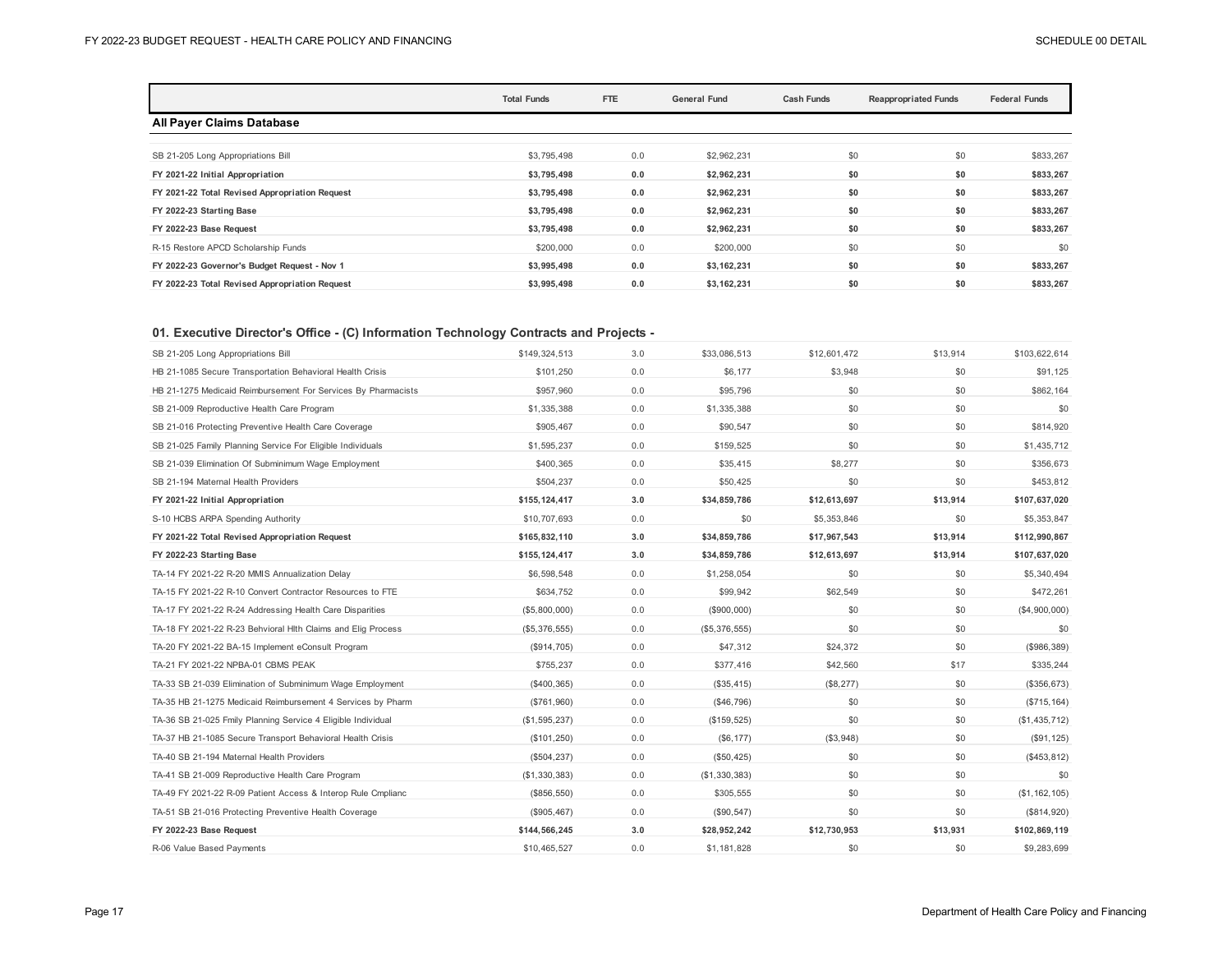|                                                | <b>Total Funds</b> | FTE | <b>General Fund</b> | <b>Cash Funds</b> | <b>Reappropriated Funds</b> |           |
|------------------------------------------------|--------------------|-----|---------------------|-------------------|-----------------------------|-----------|
| <b>All Payer Claims Database</b>               |                    |     |                     |                   |                             |           |
| SB 21-205 Long Appropriations Bill             | \$3,795,498        | 0.0 | \$2,962,231         | \$0               | \$0                         | \$833,267 |
| FY 2021-22 Initial Appropriation               | \$3,795,498        | 0.0 | \$2,962,231         | \$0               | \$0                         | \$833,267 |
| FY 2021-22 Total Revised Appropriation Request | \$3,795,498        | 0.0 | \$2,962,231         | \$0               | \$0                         | \$833,267 |
| FY 2022-23 Starting Base                       | \$3,795,498        | 0.0 | \$2,962,231         | \$0               | \$0                         | \$833,267 |
| FY 2022-23 Base Request                        | \$3,795,498        | 0.0 | \$2,962,231         | \$0               | \$0                         | \$833,267 |
| R-15 Restore APCD Scholarship Funds            | \$200,000          | 0.0 | \$200,000           | \$0               | \$0                         | \$0       |
| FY 2022-23 Governor's Budget Request - Nov 1   | \$3,995,498        | 0.0 | \$3,162,231         | \$0               | \$0                         | \$833,267 |
| FY 2022-23 Total Revised Appropriation Request | \$3,995,498        | 0.0 | \$3,162,231         | \$0               | \$0                         | \$833,267 |

## **01. Executive Director's Office - (C) Information Technology Contracts and Projects -**

| SB 21-205 Long Appropriations Bill                            | \$149.324.513  | 3.0 | \$33,086,513  | \$12,601.472 | \$13,914 | \$103,622,614   |
|---------------------------------------------------------------|----------------|-----|---------------|--------------|----------|-----------------|
| HB 21-1085 Secure Transportation Behavioral Health Crisis     | \$101,250      | 0.0 | \$6,177       | \$3,948      | \$0      | \$91,125        |
| HB 21-1275 Medicaid Reimbursement For Services By Pharmacists | \$957,960      | 0.0 | \$95,796      | \$0          | \$0      | \$862,164       |
| SB 21-009 Reproductive Health Care Program                    | \$1,335,388    | 0.0 | \$1,335,388   | \$0          | \$0      | \$0             |
| SB 21-016 Protecting Preventive Health Care Coverage          | \$905,467      | 0.0 | \$90,547      | \$0          | \$0      | \$814,920       |
| SB 21-025 Family Planning Service For Eligible Individuals    | \$1,595,237    | 0.0 | \$159,525     | \$0          | \$0      | \$1,435,712     |
| SB 21-039 Elimination Of Subminimum Wage Employment           | \$400,365      | 0.0 | \$35.415      | \$8,277      | \$0      | \$356.673       |
| SB 21-194 Maternal Health Providers                           | \$504,237      | 0.0 | \$50,425      | \$0          | \$0      | \$453,812       |
| FY 2021-22 Initial Appropriation                              | \$155,124,417  | 3.0 | \$34,859,786  | \$12,613,697 | \$13,914 | \$107,637,020   |
| S-10 HCBS ARPA Spending Authority                             | \$10,707,693   | 0.0 | \$0           | \$5,353,846  | \$0      | \$5,353,847     |
| FY 2021-22 Total Revised Appropriation Request                | \$165,832,110  | 3.0 | \$34,859,786  | \$17,967,543 | \$13,914 | \$112,990,867   |
| FY 2022-23 Starting Base                                      | \$155,124,417  | 3.0 | \$34,859,786  | \$12,613,697 | \$13,914 | \$107,637,020   |
| TA-14 FY 2021-22 R-20 MMIS Annualization Delay                | \$6,598,548    | 0.0 | \$1,258,054   | \$0          | \$0      | \$5,340,494     |
| TA-15 FY 2021-22 R-10 Convert Contractor Resources to FTE     | \$634,752      | 0.0 | \$99,942      | \$62,549     | \$0      | \$472,261       |
| TA-17 FY 2021-22 R-24 Addressing Health Care Disparities      | (\$5,800,000)  | 0.0 | (\$900,000)   | \$0          | \$0      | (\$4,900,000)   |
| TA-18 FY 2021-22 R-23 Behvioral Hith Claims and Elig Process  | (\$5,376,555)  | 0.0 | (\$5,376,555) | \$0          | \$0      | \$0             |
| TA-20 FY 2021-22 BA-15 Implement eConsult Program             | (\$914,705)    | 0.0 | \$47,312      | \$24,372     | \$0      | (\$986,389)     |
| TA-21 FY 2021-22 NPBA-01 CBMS PEAK                            | \$755,237      | 0.0 | \$377,416     | \$42,560     | \$17     | \$335,244       |
| TA-33 SB 21-039 Elimination of Subminimum Wage Employment     | (\$400,365)    | 0.0 | (\$35,415)    | (\$8,277)    | \$0      | (\$356, 673)    |
| TA-35 HB 21-1275 Medicaid Reimbursement 4 Services by Pharm   | (\$761,960)    | 0.0 | (\$46,796)    | \$0          | \$0      | (\$715, 164)    |
| TA-36 SB 21-025 Fmily Planning Service 4 Eligible Individual  | (\$1,595,237)  | 0.0 | (\$159, 525)  | \$0          | \$0      | (\$1,435,712)   |
| TA-37 HB 21-1085 Secure Transport Behavioral Health Crisis    | (\$101,250)    | 0.0 | (S6, 177)     | (\$3,948)    | \$0      | (\$91, 125)     |
| TA-40 SB 21-194 Maternal Health Providers                     | (\$504, 237)   | 0.0 | (\$50,425)    | \$0          | \$0      | (\$453, 812)    |
| TA-41 SB 21-009 Reproductive Health Care Program              | (S1, 330, 383) | 0.0 | (\$1,330,383) | \$0          | \$0      | \$0             |
| TA-49 FY 2021-22 R-09 Patient Access & Interop Rule Cmplianc  | (\$856,550)    | 0.0 | \$305,555     | \$0          | \$0      | (\$1, 162, 105) |
| TA-51 SB 21-016 Protecting Preventive Health Coverage         | (\$905,467)    | 0.0 | (\$90, 547)   | \$0          | \$0      | (\$814,920)     |
| FY 2022-23 Base Request                                       | \$144,566,245  | 3.0 | \$28,952,242  | \$12,730,953 | \$13,931 | \$102,869,119   |
| R-06 Value Based Payments                                     | \$10.465.527   | 0.0 | \$1,181,828   | \$0          | \$0      | \$9.283.699     |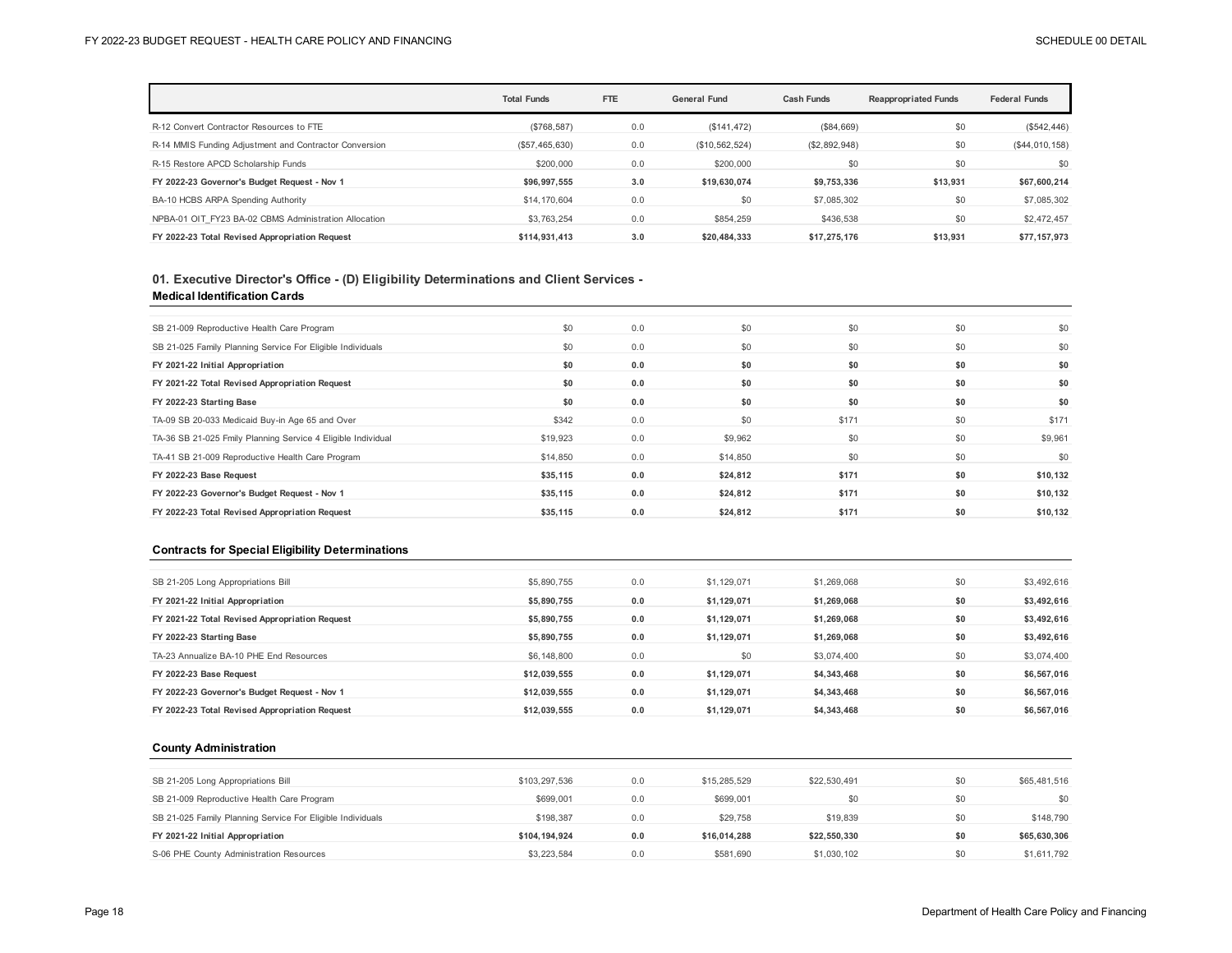|                                                        | <b>Total Funds</b> | <b>FTE</b> | <b>General Fund</b> | <b>Cash Funds</b> | <b>Reappropriated Funds</b> | <b>Federal Funds</b> |
|--------------------------------------------------------|--------------------|------------|---------------------|-------------------|-----------------------------|----------------------|
| R-12 Convert Contractor Resources to FTE               | (S768, 587)        | 0.0        | (\$141, 472)        | (\$84,669)        | \$0                         | (\$542,446)          |
| R-14 MMIS Funding Adjustment and Contractor Conversion | (\$57,465,630)     | 0.0        | (\$10,562,524)      | (\$2,892,948)     | \$0                         | (\$44,010,158)       |
| R-15 Restore APCD Scholarship Funds                    | \$200,000          | 0.0        | \$200,000           | \$0               | \$0                         | \$0                  |
| FY 2022-23 Governor's Budget Request - Nov 1           | \$96.997.555       | 3.0        | \$19.630.074        | \$9,753,336       | \$13,931                    | \$67,600,214         |
| BA-10 HCBS ARPA Spending Authority                     | \$14,170,604       | 0.0        | \$0                 | \$7,085,302       | \$0                         | \$7,085,302          |
| NPBA-01 OIT FY23 BA-02 CBMS Administration Allocation  | \$3,763,254        | 0.0        | \$854,259           | \$436,538         | \$0                         | \$2,472,457          |
| FY 2022-23 Total Revised Appropriation Request         | \$114.931.413      | 3.0        | \$20.484.333        | \$17.275.176      | \$13.931                    | \$77.157.973         |

## **01. Executive Director's Office - (D) Eligibility Determinations and Client Services - Medical Identification Cards**

| SB 21-009 Reproductive Health Care Program                   | \$0      | 0.0 | \$0      | \$0   | \$0 | \$0      |
|--------------------------------------------------------------|----------|-----|----------|-------|-----|----------|
| SB 21-025 Family Planning Service For Eligible Individuals   | \$0      | 0.0 | \$0      | \$0   | \$0 | \$0      |
| FY 2021-22 Initial Appropriation                             | \$0      | 0.0 | \$0      | \$0   | \$0 | \$0      |
| FY 2021-22 Total Revised Appropriation Request               | \$0      | 0.0 | \$0      | \$0   | \$0 | \$0      |
| FY 2022-23 Starting Base                                     | \$0      | 0.0 | \$0      | \$0   | \$0 | \$0      |
| TA-09 SB 20-033 Medicaid Buy-in Age 65 and Over              | \$342    | 0.0 | \$0      | \$171 | \$0 | \$171    |
| TA-36 SB 21-025 Fmily Planning Service 4 Eligible Individual | \$19,923 | 0.0 | \$9,962  | \$0   | \$0 | \$9,961  |
| TA-41 SB 21-009 Reproductive Health Care Program             | \$14,850 | 0.0 | \$14,850 | \$0   | \$0 | \$0      |
| FY 2022-23 Base Request                                      | \$35,115 | 0.0 | \$24,812 | \$171 | \$0 | \$10,132 |
| FY 2022-23 Governor's Budget Request - Nov 1                 | \$35,115 | 0.0 | \$24,812 | \$171 | \$0 | \$10,132 |
| FY 2022-23 Total Revised Appropriation Request               | \$35,115 | 0.0 | \$24,812 | \$171 | \$0 | \$10,132 |

#### **Contracts for Special Eligibility Determinations**

| SB 21-205 Long Appropriations Bill             | \$5,890,755  | 0.0 | \$1,129,071 | \$1,269,068 | \$0 | \$3,492,616 |
|------------------------------------------------|--------------|-----|-------------|-------------|-----|-------------|
| FY 2021-22 Initial Appropriation               | \$5,890,755  | 0.0 | \$1,129,071 | \$1.269.068 | \$0 | \$3,492,616 |
| FY 2021-22 Total Revised Appropriation Request | \$5,890,755  | 0.0 | \$1,129,071 | \$1,269,068 | \$0 | \$3,492,616 |
| FY 2022-23 Starting Base                       | \$5,890,755  | 0.0 | \$1,129,071 | \$1,269,068 | \$0 | \$3,492,616 |
| TA-23 Annualize BA-10 PHE End Resources        | \$6,148,800  | 0.0 | \$0         | \$3,074,400 | \$0 | \$3,074,400 |
| FY 2022-23 Base Request                        | \$12,039,555 | 0.0 | \$1,129,071 | \$4,343,468 | \$0 | \$6,567,016 |
| FY 2022-23 Governor's Budget Request - Nov 1   | \$12,039,555 | 0.0 | \$1,129,071 | \$4,343,468 | \$0 | \$6,567,016 |
| FY 2022-23 Total Revised Appropriation Request | \$12,039,555 | 0.0 | \$1,129,071 | \$4,343,468 | \$0 | \$6,567,016 |

#### **County Administration**

| SB 21-205 Long Appropriations Bill                         | \$103.297.536 | 0.0 | \$15,285,529 | \$22,530,491 | \$0 | \$65,481,516 |
|------------------------------------------------------------|---------------|-----|--------------|--------------|-----|--------------|
| SB 21-009 Reproductive Health Care Program                 | \$699,001     | 0.0 | \$699.001    | \$0          | \$0 | \$0          |
| SB 21-025 Family Planning Service For Eligible Individuals | \$198.387     | 0.0 | \$29,758     | \$19,839     | \$0 | \$148,790    |
| FY 2021-22 Initial Appropriation                           | \$104.194.924 | 0.0 | \$16.014.288 | \$22,550,330 | \$0 | \$65,630,306 |
| S-06 PHE County Administration Resources                   | \$3,223,584   | 0.0 | \$581.690    | \$1,030,102  | \$0 | \$1,611,792  |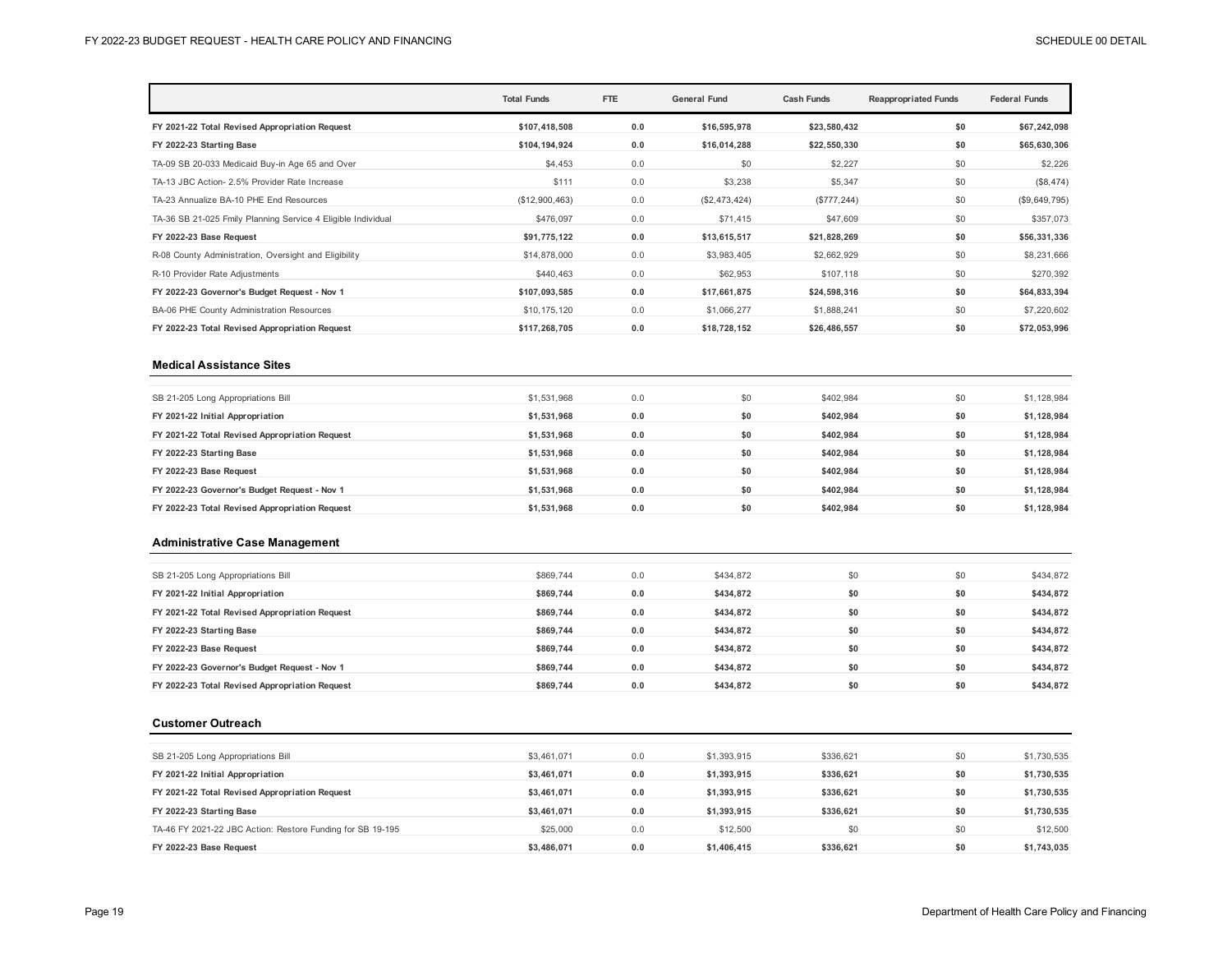|                                                              | <b>Total Funds</b> | <b>FTE</b> | <b>General Fund</b> | <b>Cash Funds</b> | <b>Reappropriated Funds</b> | <b>Federal Funds</b> |
|--------------------------------------------------------------|--------------------|------------|---------------------|-------------------|-----------------------------|----------------------|
| FY 2021-22 Total Revised Appropriation Request               | \$107,418,508      | 0.0        | \$16,595,978        | \$23,580,432      | \$0                         | \$67,242,098         |
| FY 2022-23 Starting Base                                     | \$104,194,924      | 0.0        | \$16,014,288        | \$22,550,330      | \$0                         | \$65,630,306         |
| TA-09 SB 20-033 Medicaid Buy-in Age 65 and Over              | \$4,453            | 0.0        | \$0                 | \$2,227           | \$0                         | \$2,226              |
| TA-13 JBC Action- 2.5% Provider Rate Increase                | \$111              | 0.0        | \$3,238             | \$5,347           | \$0                         | (\$8,474)            |
| TA-23 Annualize BA-10 PHE End Resources                      | (\$12,900,463)     | 0.0        | (\$2,473,424)       | (\$777, 244)      | \$0                         | (\$9,649,795)        |
| TA-36 SB 21-025 Fmily Planning Service 4 Eligible Individual | \$476,097          | 0.0        | \$71,415            | \$47,609          | \$0                         | \$357,073            |
| FY 2022-23 Base Request                                      | \$91,775,122       | 0.0        | \$13,615,517        | \$21,828,269      | \$0                         | \$56,331,336         |
| R-08 County Administration, Oversight and Eligibility        | \$14,878,000       | 0.0        | \$3,983,405         | \$2,662,929       | \$0                         | \$8,231,666          |
| R-10 Provider Rate Adjustments                               | \$440,463          | 0.0        | \$62,953            | \$107,118         | \$0                         | \$270,392            |
| FY 2022-23 Governor's Budget Request - Nov 1                 | \$107,093,585      | 0.0        | \$17,661,875        | \$24,598,316      | \$0                         | \$64,833,394         |
| BA-06 PHE County Administration Resources                    | \$10,175,120       | 0.0        | \$1,066,277         | \$1,888,241       | \$0                         | \$7,220,602          |
| FY 2022-23 Total Revised Appropriation Request               | \$117,268,705      | 0.0        | \$18,728,152        | \$26,486,557      | \$0                         | \$72,053,996         |

#### **Medical Assistance Sites**

| SB 21-205 Long Appropriations Bill             | \$1,531,968 | 0.0 | \$0 | \$402.984 | \$0 | \$1,128,984 |
|------------------------------------------------|-------------|-----|-----|-----------|-----|-------------|
| FY 2021-22 Initial Appropriation               | \$1,531,968 | 0.0 | \$0 | \$402.984 | \$0 | \$1,128,984 |
| FY 2021-22 Total Revised Appropriation Request | \$1,531,968 | 0.0 | \$0 | \$402.984 | \$0 | \$1,128,984 |
| FY 2022-23 Starting Base                       | \$1,531,968 | 0.0 | \$0 | \$402.984 | \$0 | \$1,128,984 |
| FY 2022-23 Base Request                        | \$1,531,968 | 0.0 | \$0 | \$402.984 | \$0 | \$1,128,984 |
| FY 2022-23 Governor's Budget Request - Nov 1   | \$1,531,968 | 0.0 | \$0 | \$402.984 | \$0 | \$1,128,984 |
| FY 2022-23 Total Revised Appropriation Request | \$1,531,968 | 0.0 | \$0 | \$402,984 | \$0 | \$1,128,984 |

#### **Administrative Case Management**

| SB 21-205 Long Appropriations Bill             | \$869,744 | 0.0 | \$434,872 | \$0 | \$0 | \$434,872 |
|------------------------------------------------|-----------|-----|-----------|-----|-----|-----------|
| FY 2021-22 Initial Appropriation               | \$869,744 | 0.0 | \$434,872 | \$0 | \$0 | \$434,872 |
| FY 2021-22 Total Revised Appropriation Request | \$869.744 | 0.0 | \$434.872 | \$0 | \$0 | \$434,872 |
| FY 2022-23 Starting Base                       | \$869.744 | 0.0 | \$434.872 | \$0 | \$0 | \$434,872 |
| FY 2022-23 Base Request                        | \$869,744 | 0.0 | \$434,872 | \$0 | \$0 | \$434,872 |
| FY 2022-23 Governor's Budget Request - Nov 1   | \$869,744 | 0.0 | \$434,872 | \$0 | \$0 | \$434,872 |
| FY 2022-23 Total Revised Appropriation Request | \$869,744 | 0.0 | \$434.872 | \$0 | \$0 | \$434,872 |

#### **Customer Outreach**

| SB 21-205 Long Appropriations Bill                         | \$3,461,071 | 0.0 | \$1,393,915 | \$336.621 | \$0 | \$1,730,535 |
|------------------------------------------------------------|-------------|-----|-------------|-----------|-----|-------------|
| FY 2021-22 Initial Appropriation                           | \$3.461.071 | 0.0 | \$1.393.915 | \$336.621 | \$0 | \$1,730,535 |
| FY 2021-22 Total Revised Appropriation Request             | \$3.461.071 | 0.0 | \$1.393.915 | \$336.621 | \$0 | \$1,730,535 |
| FY 2022-23 Starting Base                                   | \$3,461,071 | 0.0 | \$1,393,915 | \$336.621 | \$0 | \$1,730,535 |
| TA-46 FY 2021-22 JBC Action: Restore Funding for SB 19-195 | \$25,000    | 0.0 | \$12,500    | \$0       | \$0 | \$12,500    |
| FY 2022-23 Base Request                                    | \$3,486,071 | 0.0 | \$1,406,415 | \$336.621 | \$0 | \$1,743,035 |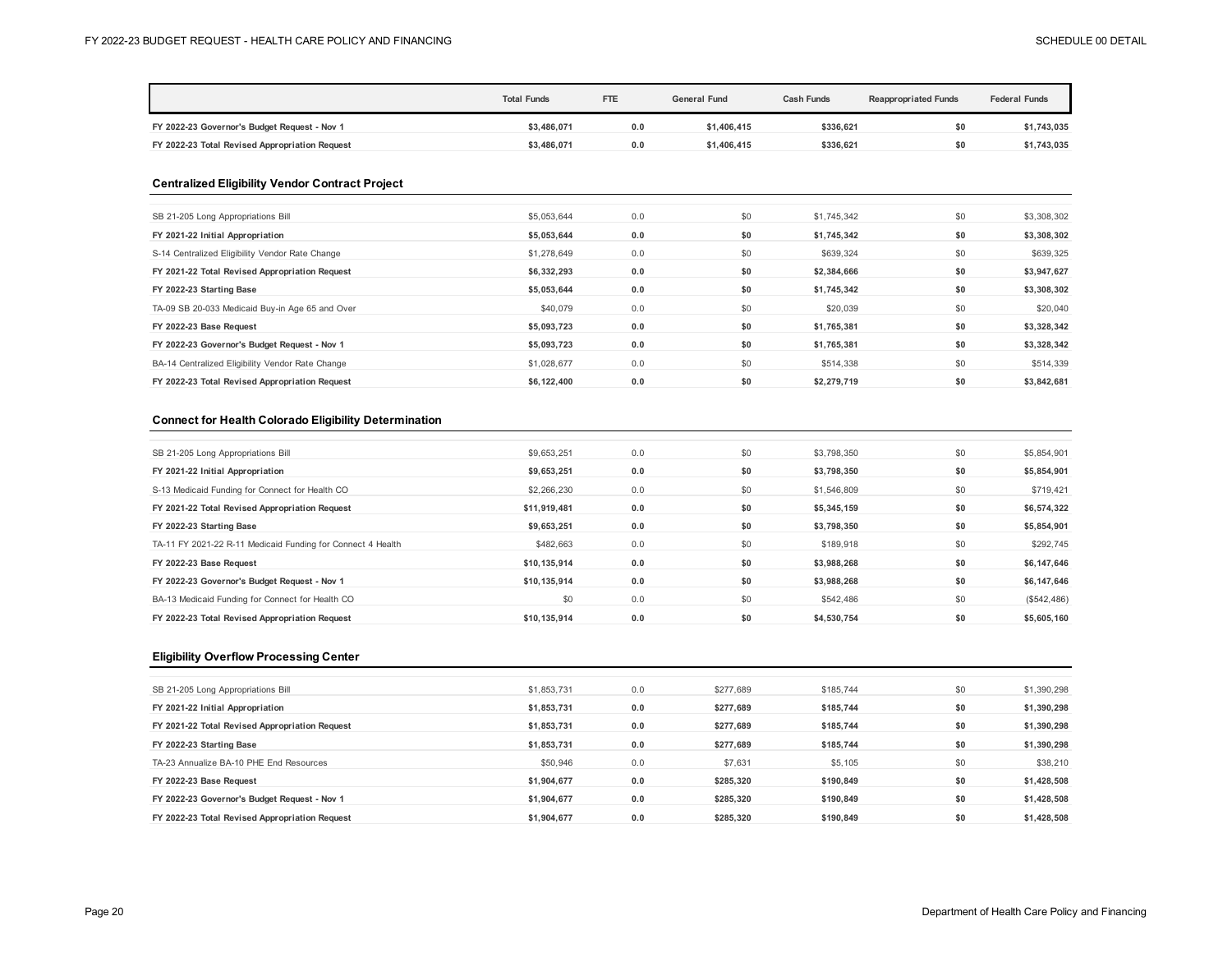|                                                        | <b>Total Funds</b> | FTE | <b>General Fund</b> | <b>Cash Funds</b> | <b>Reappropriated Funds</b> | <b>Federal Funds</b> |
|--------------------------------------------------------|--------------------|-----|---------------------|-------------------|-----------------------------|----------------------|
| FY 2022-23 Governor's Budget Request - Nov 1           | \$3,486,071        | 0.0 | \$1,406,415         | \$336,621         | \$0                         | \$1,743,035          |
| FY 2022-23 Total Revised Appropriation Request         | \$3,486,071        | 0.0 | \$1,406,415         | \$336,621         | \$0                         | \$1,743,035          |
| <b>Centralized Eligibility Vendor Contract Project</b> |                    |     |                     |                   |                             |                      |
| SB 21-205 Long Appropriations Bill                     | \$5,053,644        | 0.0 | \$0                 | \$1,745,342       | \$0                         | \$3,308,302          |
| FY 2021-22 Initial Appropriation                       | \$5,053,644        | 0.0 | \$0                 | \$1,745,342       | \$0                         | \$3,308,302          |
| S-14 Centralized Eligibility Vendor Rate Change        | \$1,278,649        | 0.0 | \$0                 | \$639,324         | \$0                         | \$639,325            |
| FY 2021-22 Total Revised Appropriation Request         | \$6,332,293        | 0.0 | \$0                 | \$2,384,666       | \$0                         | \$3,947,627          |
| FY 2022-23 Starting Base                               | \$5,053,644        | 0.0 | \$0                 | \$1,745,342       | \$0                         | \$3,308,302          |
| TA-09 SB 20-033 Medicaid Buy-in Age 65 and Over        | \$40,079           | 0.0 | \$0                 | \$20,039          | \$0                         | \$20,040             |
| FY 2022-23 Base Request                                | \$5,093,723        | 0.0 | \$0                 | \$1,765,381       | \$0                         | \$3,328,342          |
| FY 2022-23 Governor's Budget Request - Nov 1           | \$5,093,723        | 0.0 | \$0                 | \$1,765,381       | \$0                         | \$3,328,342          |
| BA-14 Centralized Eligibility Vendor Rate Change       | \$1,028,677        | 0.0 | \$0                 | \$514,338         | \$0                         | \$514,339            |
| FY 2022-23 Total Revised Appropriation Request         | \$6,122,400        | 0.0 | \$0                 | \$2,279,719       | \$0                         | \$3,842,681          |

### **Connect for Health Colorado Eligibility Determination**

| SB 21-205 Long Appropriations Bill                          | \$9,653,251  | 0.0 | \$0 | \$3,798,350 | \$0 | \$5,854,901 |
|-------------------------------------------------------------|--------------|-----|-----|-------------|-----|-------------|
| FY 2021-22 Initial Appropriation                            | \$9,653,251  | 0.0 | \$0 | \$3,798,350 | \$0 | \$5,854,901 |
| S-13 Medicaid Funding for Connect for Health CO             | \$2,266,230  | 0.0 | \$0 | \$1,546,809 | \$0 | \$719,421   |
| FY 2021-22 Total Revised Appropriation Request              | \$11,919,481 | 0.0 | \$0 | \$5,345,159 | \$0 | \$6,574,322 |
| FY 2022-23 Starting Base                                    | \$9,653,251  | 0.0 | \$0 | \$3,798,350 | \$0 | \$5,854,901 |
| TA-11 FY 2021-22 R-11 Medicaid Funding for Connect 4 Health | \$482,663    | 0.0 | \$0 | \$189,918   | \$0 | \$292,745   |
| FY 2022-23 Base Request                                     | \$10,135,914 | 0.0 | \$0 | \$3,988,268 | \$0 | \$6,147,646 |
| FY 2022-23 Governor's Budget Request - Nov 1                | \$10,135,914 | 0.0 | \$0 | \$3,988,268 | \$0 | \$6,147,646 |
| BA-13 Medicaid Funding for Connect for Health CO            | \$0          | 0.0 | \$0 | \$542,486   | \$0 | (\$542,486) |
| FY 2022-23 Total Revised Appropriation Request              | \$10.135.914 | 0.0 | \$0 | \$4,530,754 | \$0 | \$5,605,160 |

## **Eligibility Overflow Processing Center**

| SB 21-205 Long Appropriations Bill             | \$1,853,731 | 0.0 | \$277.689 | \$185,744 | \$0 | \$1,390,298 |
|------------------------------------------------|-------------|-----|-----------|-----------|-----|-------------|
| FY 2021-22 Initial Appropriation               | \$1,853,731 | 0.0 | \$277.689 | \$185.744 | \$0 | \$1,390,298 |
| FY 2021-22 Total Revised Appropriation Request | \$1,853,731 | 0.0 | \$277.689 | \$185.744 | \$0 | \$1,390,298 |
| FY 2022-23 Starting Base                       | \$1.853.731 | 0.0 | \$277.689 | \$185.744 | \$0 | \$1,390,298 |
| TA-23 Annualize BA-10 PHE End Resources        | \$50,946    | 0.0 | \$7,631   | \$5,105   | \$0 | \$38,210    |
| FY 2022-23 Base Request                        | \$1,904,677 | 0.0 | \$285,320 | \$190.849 | \$0 | \$1,428,508 |
| FY 2022-23 Governor's Budget Request - Nov 1   | \$1.904.677 | 0.0 | \$285.320 | \$190.849 | \$0 | \$1,428,508 |
| FY 2022-23 Total Revised Appropriation Request | \$1,904,677 | 0.0 | \$285.320 | \$190.849 | \$0 | \$1,428,508 |
|                                                |             |     |           |           |     |             |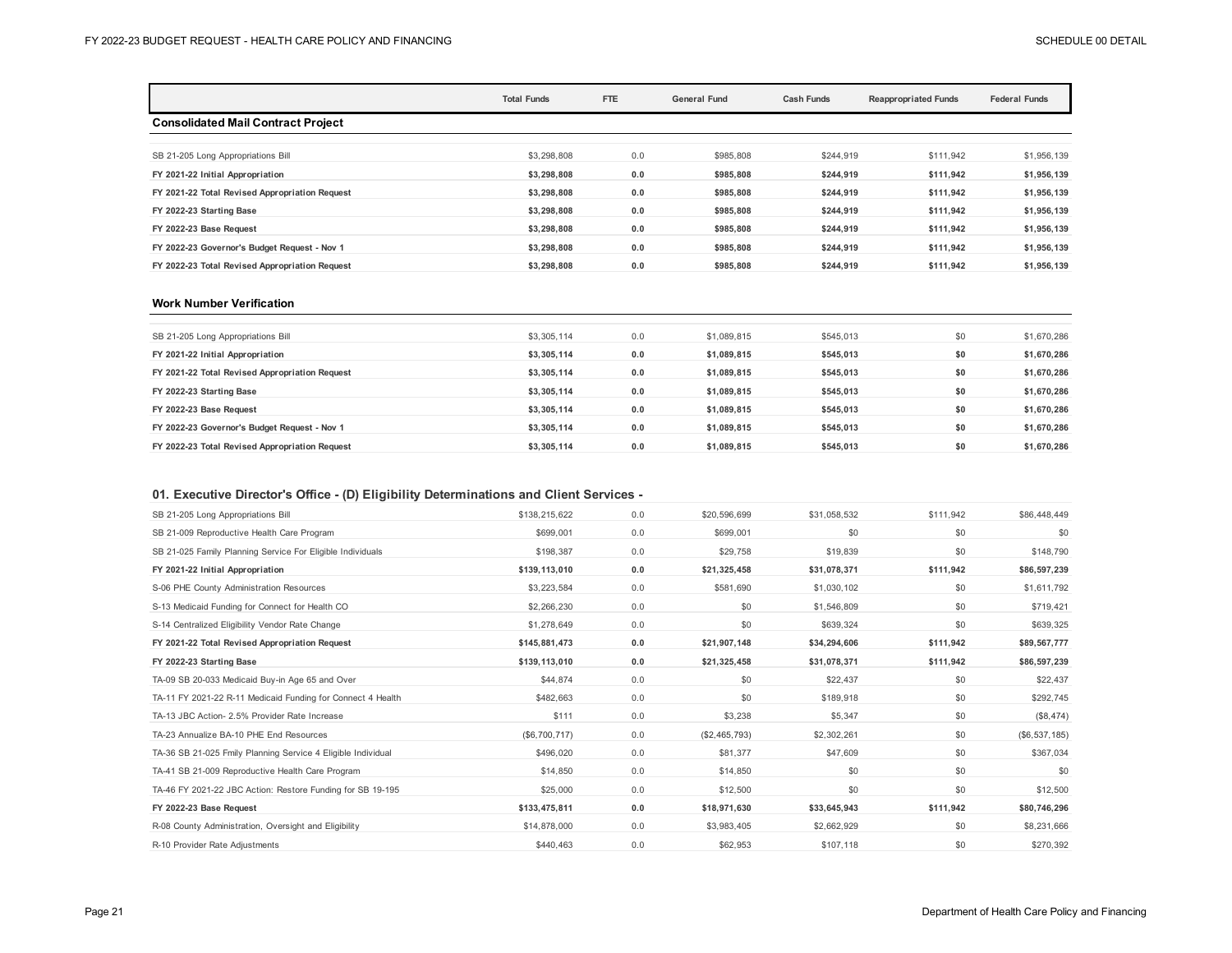|                                                | <b>Total Funds</b> | FTE | <b>General Fund</b> | <b>Cash Funds</b><br><b>Reappropriated Funds</b> |           | <b>Federal Funds</b> |
|------------------------------------------------|--------------------|-----|---------------------|--------------------------------------------------|-----------|----------------------|
| <b>Consolidated Mail Contract Project</b>      |                    |     |                     |                                                  |           |                      |
| SB 21-205 Long Appropriations Bill             | \$3,298,808        | 0.0 | \$985,808           | \$244.919                                        | \$111.942 | \$1,956,139          |
| FY 2021-22 Initial Appropriation               | \$3,298,808        | 0.0 | \$985.808           | \$244,919                                        | \$111.942 | \$1,956,139          |
| FY 2021-22 Total Revised Appropriation Request | \$3.298.808        | 0.0 | \$985,808           | \$244.919                                        | \$111.942 | \$1,956,139          |
| FY 2022-23 Starting Base                       | \$3,298,808        | 0.0 | \$985,808           | \$244,919                                        | \$111,942 | \$1,956,139          |
| FY 2022-23 Base Request                        | \$3,298,808        | 0.0 | \$985,808           | \$244,919                                        | \$111.942 | \$1,956,139          |
| FY 2022-23 Governor's Budget Request - Nov 1   | \$3,298,808        | 0.0 | \$985,808           | \$244,919                                        | \$111,942 | \$1,956,139          |
| FY 2022-23 Total Revised Appropriation Request | \$3,298,808        | 0.0 | \$985,808           | \$244.919                                        | \$111.942 | \$1,956,139          |

#### **Work Number Verification**

| SB 21-205 Long Appropriations Bill             | \$3,305,114 | 0.0 | \$1,089,815 | \$545,013 | \$0 | \$1,670,286 |
|------------------------------------------------|-------------|-----|-------------|-----------|-----|-------------|
| FY 2021-22 Initial Appropriation               | \$3,305,114 | 0.0 | \$1,089,815 | \$545.013 | \$0 | \$1,670,286 |
| FY 2021-22 Total Revised Appropriation Request | \$3,305,114 | 0.0 | \$1,089,815 | \$545,013 | \$0 | \$1,670,286 |
| FY 2022-23 Starting Base                       | \$3,305,114 | 0.0 | \$1,089,815 | \$545.013 | \$0 | \$1,670,286 |
| FY 2022-23 Base Request                        | \$3,305,114 | 0.0 | \$1,089,815 | \$545.013 | \$0 | \$1,670,286 |
| FY 2022-23 Governor's Budget Request - Nov 1   | \$3,305,114 | 0.0 | \$1,089,815 | \$545,013 | \$0 | \$1,670,286 |
| FY 2022-23 Total Revised Appropriation Request | \$3,305,114 | 0.0 | \$1.089.815 | \$545.013 | \$0 | \$1.670.286 |

## **01. Executive Director's Office - (D) Eligibility Determinations and Client Services -**

| SB 21-205 Long Appropriations Bill                           | \$138,215,622  | 0.0 | \$20,596,699  | \$31.058.532 | \$111.942 | \$86,448,449  |
|--------------------------------------------------------------|----------------|-----|---------------|--------------|-----------|---------------|
| SB 21-009 Reproductive Health Care Program                   | \$699.001      | 0.0 | \$699,001     | \$0          | \$0       | \$0           |
| SB 21-025 Family Planning Service For Eligible Individuals   | \$198,387      | 0.0 | \$29,758      | \$19,839     | \$0       | \$148,790     |
| FY 2021-22 Initial Appropriation                             | \$139,113,010  | 0.0 | \$21,325,458  | \$31,078,371 | \$111,942 | \$86,597,239  |
| S-06 PHE County Administration Resources                     | \$3,223,584    | 0.0 | \$581,690     | \$1,030,102  | \$0       | \$1,611,792   |
| S-13 Medicaid Funding for Connect for Health CO              | \$2,266,230    | 0.0 | \$0           | \$1,546,809  | \$0       | \$719,421     |
| S-14 Centralized Eligibility Vendor Rate Change              | \$1,278,649    | 0.0 | \$0           | \$639,324    | \$0       | \$639,325     |
| FY 2021-22 Total Revised Appropriation Request               | \$145,881,473  | 0.0 | \$21,907,148  | \$34,294,606 | \$111,942 | \$89,567,777  |
| FY 2022-23 Starting Base                                     | \$139,113,010  | 0.0 | \$21,325,458  | \$31,078,371 | \$111,942 | \$86,597,239  |
| TA-09 SB 20-033 Medicaid Buy-in Age 65 and Over              | \$44,874       | 0.0 | \$0           | \$22,437     | \$0       | \$22,437      |
| TA-11 FY 2021-22 R-11 Medicaid Funding for Connect 4 Health  | \$482,663      | 0.0 | \$0           | \$189,918    | \$0       | \$292,745     |
| TA-13 JBC Action- 2.5% Provider Rate Increase                | \$111          | 0.0 | \$3,238       | \$5,347      | \$0       | (\$8,474)     |
| TA-23 Annualize BA-10 PHE End Resources                      | (S6, 700, 717) | 0.0 | (\$2,465,793) | \$2,302,261  | \$0       | (\$6,537,185) |
| TA-36 SB 21-025 Fmily Planning Service 4 Eligible Individual | \$496,020      | 0.0 | \$81,377      | \$47,609     | \$0       | \$367,034     |
| TA-41 SB 21-009 Reproductive Health Care Program             | \$14,850       | 0.0 | \$14,850      | \$0          | \$0       | \$0           |
| TA-46 FY 2021-22 JBC Action: Restore Funding for SB 19-195   | \$25,000       | 0.0 | \$12,500      | \$0          | \$0       | \$12,500      |
| FY 2022-23 Base Request                                      | \$133,475,811  | 0.0 | \$18,971,630  | \$33,645,943 | \$111,942 | \$80,746,296  |
| R-08 County Administration, Oversight and Eligibility        | \$14,878,000   | 0.0 | \$3,983,405   | \$2,662,929  | \$0       | \$8,231,666   |
| R-10 Provider Rate Adjustments                               | \$440,463      | 0.0 | \$62,953      | \$107,118    | \$0       | \$270,392     |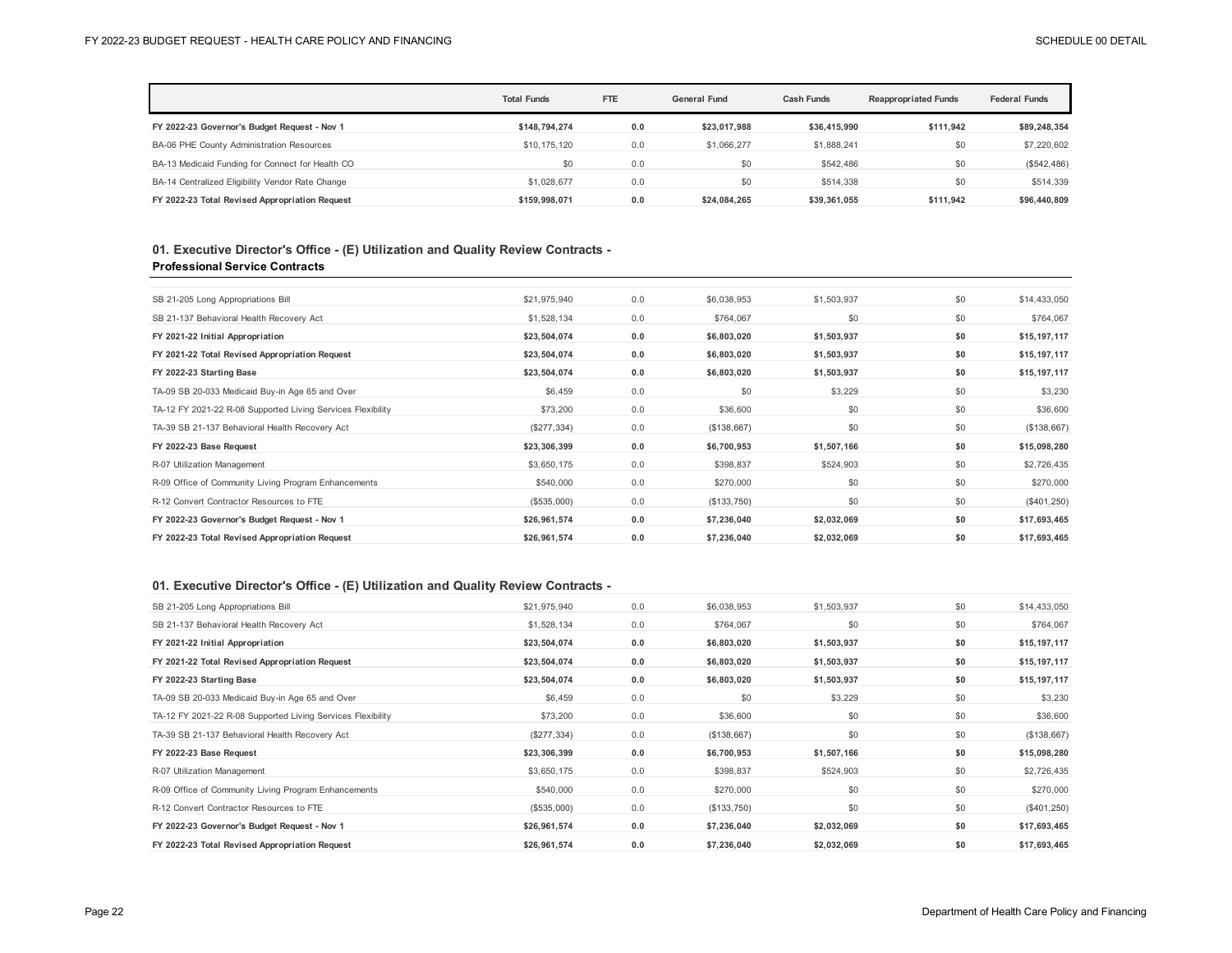|                                                  | <b>Total Funds</b> | <b>FTE</b> | <b>General Fund</b> | Cash Funds   | <b>Reappropriated Funds</b> | <b>Federal Funds</b> |
|--------------------------------------------------|--------------------|------------|---------------------|--------------|-----------------------------|----------------------|
| FY 2022-23 Governor's Budget Request - Nov 1     | \$148.794.274      | 0.0        | \$23.017.988        | \$36,415,990 | \$111.942                   | \$89,248,354         |
| BA-06 PHE County Administration Resources        | \$10,175,120       | 0.0        | \$1,066,277         | \$1,888,241  | \$0                         | \$7,220,602          |
| BA-13 Medicaid Funding for Connect for Health CO | \$0                | 0.0        | \$0                 | \$542,486    | \$0                         | (\$542,486)          |
| BA-14 Centralized Eligibility Vendor Rate Change | \$1,028,677        | 0.0        | \$0                 | \$514,338    | \$0                         | \$514,339            |
| FY 2022-23 Total Revised Appropriation Request   | \$159.998.071      | 0.0        | \$24.084.265        | \$39,361,055 | \$111.942                   | \$96,440,809         |

### **01. Executive Director's Office - (E) Utilization and Quality Review Contracts - Professional Service Contracts**

| SB 21-205 Long Appropriations Bill                          | \$21,975,940 | 0.0 | \$6,038,953 | \$1,503,937 | \$0 | \$14,433,050  |
|-------------------------------------------------------------|--------------|-----|-------------|-------------|-----|---------------|
| SB 21-137 Behavioral Health Recovery Act                    | \$1,528,134  | 0.0 | \$764,067   | \$0         | \$0 | \$764,067     |
| FY 2021-22 Initial Appropriation                            | \$23,504,074 | 0.0 | \$6,803,020 | \$1,503,937 | \$0 | \$15,197,117  |
| FY 2021-22 Total Revised Appropriation Request              | \$23,504,074 | 0.0 | \$6,803,020 | \$1,503,937 | \$0 | \$15,197,117  |
| FY 2022-23 Starting Base                                    | \$23,504,074 | 0.0 | \$6,803,020 | \$1,503,937 | \$0 | \$15,197,117  |
| TA-09 SB 20-033 Medicaid Buy-in Age 65 and Over             | \$6,459      | 0.0 | \$0         | \$3,229     | \$0 | \$3,230       |
| TA-12 FY 2021-22 R-08 Supported Living Services Flexibility | \$73,200     | 0.0 | \$36,600    | \$0         | \$0 | \$36,600      |
| TA-39 SB 21-137 Behavioral Health Recovery Act              | (\$277,334)  | 0.0 | (\$138,667) | \$0         | \$0 | (\$138,667)   |
| FY 2022-23 Base Request                                     | \$23,306,399 | 0.0 | \$6,700,953 | \$1,507,166 | \$0 | \$15,098,280  |
| R-07 Utilization Management                                 | \$3,650,175  | 0.0 | \$398,837   | \$524,903   | \$0 | \$2,726,435   |
| R-09 Office of Community Living Program Enhancements        | \$540,000    | 0.0 | \$270,000   | \$0         | \$0 | \$270,000     |
| R-12 Convert Contractor Resources to FTE                    | (\$535,000)  | 0.0 | (\$133,750) | \$0         | \$0 | $(\$401,250)$ |
| FY 2022-23 Governor's Budget Request - Nov 1                | \$26,961,574 | 0.0 | \$7,236,040 | \$2,032,069 | \$0 | \$17,693,465  |
| FY 2022-23 Total Revised Appropriation Request              | \$26,961,574 | 0.0 | \$7,236,040 | \$2,032,069 | \$0 | \$17,693,465  |
|                                                             |              |     |             |             |     |               |

## **01. Executive Director's Office - (E) Utilization and Quality Review Contracts -**

| SB 21-205 Long Appropriations Bill                          | \$21,975,940 | 0.0 | \$6,038,953 | \$1,503,937 | \$0 | \$14,433,050  |
|-------------------------------------------------------------|--------------|-----|-------------|-------------|-----|---------------|
| SB 21-137 Behavioral Health Recovery Act                    | \$1,528,134  | 0.0 | \$764,067   | \$0         | \$0 | \$764,067     |
| FY 2021-22 Initial Appropriation                            | \$23,504,074 | 0.0 | \$6,803,020 | \$1,503,937 | \$0 | \$15,197,117  |
| FY 2021-22 Total Revised Appropriation Request              | \$23,504,074 | 0.0 | \$6,803,020 | \$1,503,937 | \$0 | \$15,197,117  |
| FY 2022-23 Starting Base                                    | \$23,504,074 | 0.0 | \$6,803,020 | \$1,503,937 | \$0 | \$15,197,117  |
| TA-09 SB 20-033 Medicaid Buy-in Age 65 and Over             | \$6,459      | 0.0 | \$0         | \$3,229     | \$0 | \$3,230       |
| TA-12 FY 2021-22 R-08 Supported Living Services Flexibility | \$73,200     | 0.0 | \$36,600    | \$0         | \$0 | \$36,600      |
| TA-39 SB 21-137 Behavioral Health Recovery Act              | (\$277,334)  | 0.0 | (\$138,667) | \$0         | \$0 | (\$138,667)   |
| FY 2022-23 Base Request                                     | \$23,306,399 | 0.0 | \$6,700,953 | \$1,507,166 | \$0 | \$15,098,280  |
| R-07 Utilization Management                                 | \$3,650,175  | 0.0 | \$398,837   | \$524,903   | \$0 | \$2,726,435   |
| R-09 Office of Community Living Program Enhancements        | \$540,000    | 0.0 | \$270,000   | \$0         | \$0 | \$270,000     |
| R-12 Convert Contractor Resources to FTE                    | (\$535,000)  | 0.0 | (\$133,750) | \$0         | \$0 | $(\$401,250)$ |
| FY 2022-23 Governor's Budget Request - Nov 1                | \$26,961,574 | 0.0 | \$7,236,040 | \$2,032,069 | \$0 | \$17,693,465  |
| FY 2022-23 Total Revised Appropriation Request              | \$26,961,574 | 0.0 | \$7,236,040 | \$2,032,069 | \$0 | \$17,693,465  |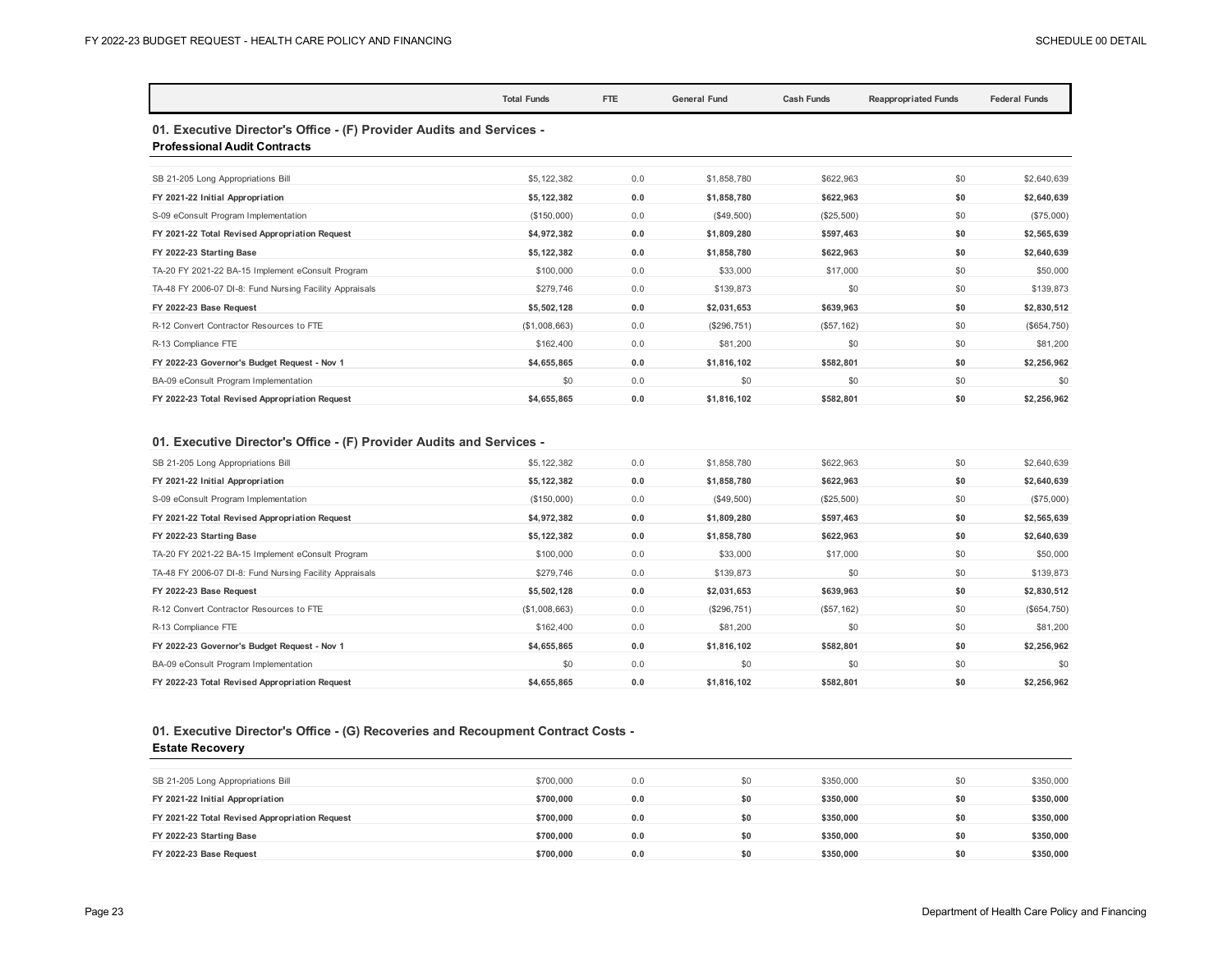|                                                                                                             | <b>Total Funds</b> | <b>FTE</b> | <b>General Fund</b> | <b>Cash Funds</b> | <b>Reappropriated Funds</b> | <b>Federal Funds</b> |  |  |
|-------------------------------------------------------------------------------------------------------------|--------------------|------------|---------------------|-------------------|-----------------------------|----------------------|--|--|
| 01. Executive Director's Office - (F) Provider Audits and Services -<br><b>Professional Audit Contracts</b> |                    |            |                     |                   |                             |                      |  |  |
| SB 21-205 Long Appropriations Bill                                                                          | \$5,122,382        | 0.0        | \$1,858,780         | \$622,963         | \$0                         | \$2,640,639          |  |  |
| FY 2021-22 Initial Appropriation                                                                            | \$5,122,382        | 0.0        | \$1,858,780         | \$622.963         | \$0                         | \$2,640,639          |  |  |
| S-09 eConsult Program Implementation                                                                        | (\$150,000)        | 0.0        | (\$49,500)          | (\$25,500)        | \$0                         | (\$75,000)           |  |  |
| FY 2021-22 Total Revised Appropriation Request                                                              | \$4,972,382        | 0.0        | \$1,809,280         | \$597,463         | \$0                         | \$2,565,639          |  |  |
| FY 2022-23 Starting Base                                                                                    | \$5,122,382        | 0.0        | \$1,858,780         | \$622,963         | \$0                         | \$2,640,639          |  |  |
| TA-20 FY 2021-22 BA-15 Implement eConsult Program                                                           | \$100,000          | 0.0        | \$33,000            | \$17,000          | \$0                         | \$50,000             |  |  |
| TA-48 FY 2006-07 DI-8: Fund Nursing Facility Appraisals                                                     | \$279,746          | 0.0        | \$139,873           | \$0               | \$0                         | \$139,873            |  |  |
| FY 2022-23 Base Request                                                                                     | \$5,502,128        | 0.0        | \$2,031,653         | \$639,963         | \$0                         | \$2,830,512          |  |  |
| R-12 Convert Contractor Resources to FTE                                                                    | (\$1,008,663)      | 0.0        | (\$296,751)         | (\$57, 162)       | \$0                         | (\$654,750)          |  |  |
| R-13 Compliance FTE                                                                                         | \$162,400          | 0.0        | \$81,200            | \$0               | \$0                         | \$81,200             |  |  |
| FY 2022-23 Governor's Budget Request - Nov 1                                                                | \$4,655,865        | 0.0        | \$1,816,102         | \$582.801         | \$0                         | \$2,256,962          |  |  |
| BA-09 eConsult Program Implementation                                                                       | \$0                | 0.0        | \$0                 | \$0               | \$0                         | \$0                  |  |  |
| FY 2022-23 Total Revised Appropriation Request                                                              | \$4,655,865        | 0.0        | \$1,816,102         | \$582.801         | \$0                         | \$2,256,962          |  |  |

## **01. Executive Director's Office - (F) Provider Audits and Services -**

| SB 21-205 Long Appropriations Bill                      | \$5,122,382  | 0.0 | \$1,858,780  | \$622,963   | \$0 | \$2,640,639 |
|---------------------------------------------------------|--------------|-----|--------------|-------------|-----|-------------|
| FY 2021-22 Initial Appropriation                        | \$5,122,382  | 0.0 | \$1,858,780  | \$622,963   | \$0 | \$2,640,639 |
| S-09 eConsult Program Implementation                    | (\$150,000)  | 0.0 | $(\$49,500)$ | (\$25,500)  | \$0 | (\$75,000)  |
| FY 2021-22 Total Revised Appropriation Request          | \$4,972,382  | 0.0 | \$1,809,280  | \$597,463   | \$0 | \$2,565,639 |
| FY 2022-23 Starting Base                                | \$5,122,382  | 0.0 | \$1,858,780  | \$622,963   | \$0 | \$2,640,639 |
| TA-20 FY 2021-22 BA-15 Implement eConsult Program       | \$100,000    | 0.0 | \$33,000     | \$17,000    | \$0 | \$50,000    |
| TA-48 FY 2006-07 DI-8: Fund Nursing Facility Appraisals | \$279,746    | 0.0 | \$139,873    | \$0         | \$0 | \$139,873   |
| FY 2022-23 Base Request                                 | \$5,502,128  | 0.0 | \$2,031,653  | \$639,963   | \$0 | \$2,830,512 |
| R-12 Convert Contractor Resources to FTE                | (S1,008,663) | 0.0 | (\$296,751)  | (\$57, 162) | \$0 | (\$654,750) |
| R-13 Compliance FTE                                     | \$162,400    | 0.0 | \$81,200     | \$0         | \$0 | \$81,200    |
| FY 2022-23 Governor's Budget Request - Nov 1            | \$4,655,865  | 0.0 | \$1,816,102  | \$582,801   | \$0 | \$2,256,962 |
| BA-09 eConsult Program Implementation                   | \$0          | 0.0 | \$0          | \$0         | \$0 | \$0         |
| FY 2022-23 Total Revised Appropriation Request          | \$4,655,865  | 0.0 | \$1,816,102  | \$582,801   | \$0 | \$2,256,962 |

# **01. Executive Director's Office - (G) Recoveries and Recoupment Contract Costs -**

### **Estate Recovery**

| SB 21-205 Long Appropriations Bill             | \$700,000 | 0.0 | \$0 | \$350,000 | \$0 | \$350,000 |
|------------------------------------------------|-----------|-----|-----|-----------|-----|-----------|
| FY 2021-22 Initial Appropriation               | \$700.000 | 0.0 | \$0 | \$350.000 | \$0 | \$350,000 |
| FY 2021-22 Total Revised Appropriation Request | \$700.000 | 0.0 | \$0 | \$350,000 | \$0 | \$350,000 |
| FY 2022-23 Starting Base                       | \$700.000 | 0.0 | \$0 | \$350.000 | \$0 | \$350,000 |
| FY 2022-23 Base Request                        | \$700.000 | 0.0 | \$0 | \$350,000 | \$0 | \$350,000 |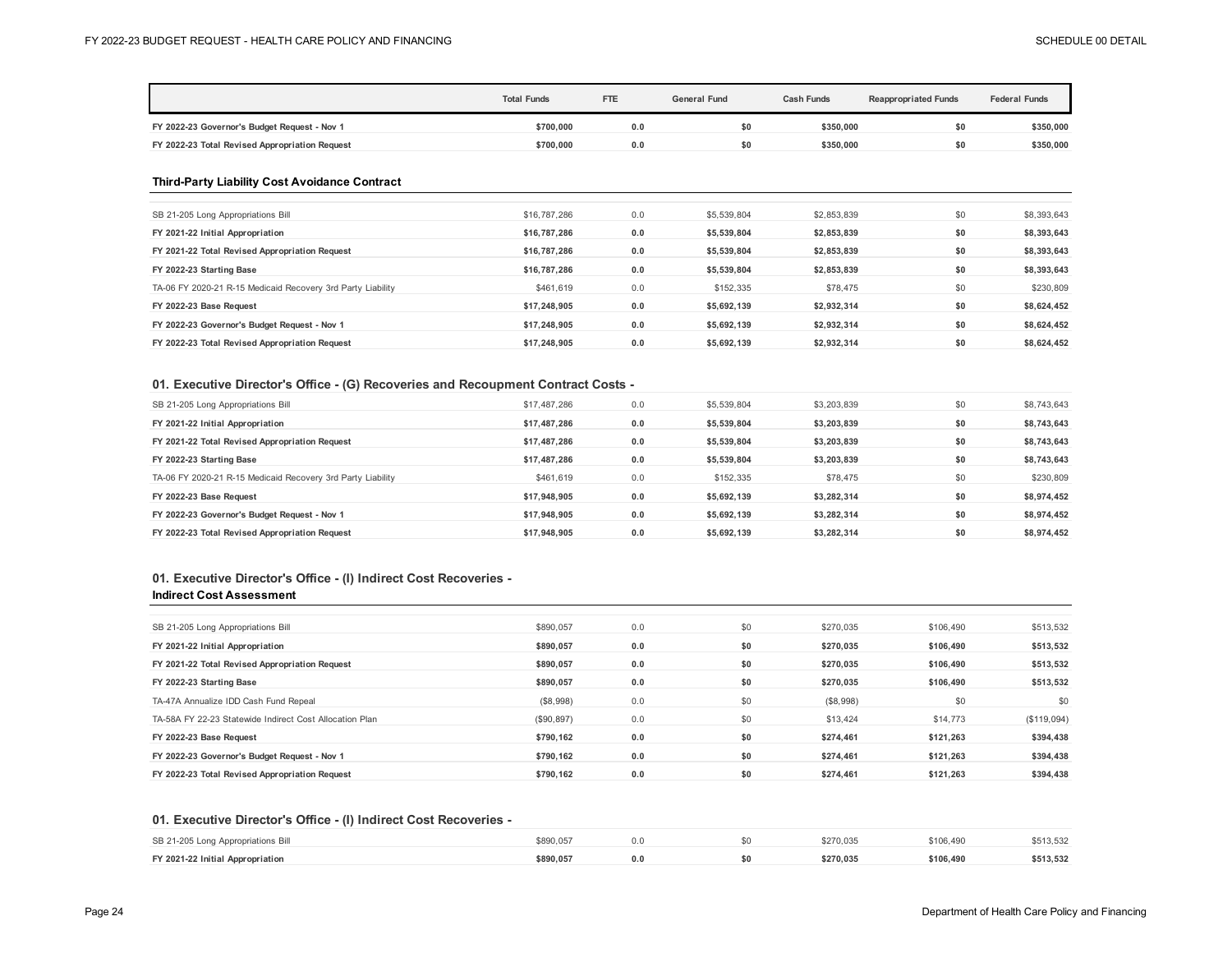|                                                             | <b>Total Funds</b> | FTE | <b>General Fund</b> | <b>Cash Funds</b> | <b>Reappropriated Funds</b> | <b>Federal Funds</b> |
|-------------------------------------------------------------|--------------------|-----|---------------------|-------------------|-----------------------------|----------------------|
| FY 2022-23 Governor's Budget Request - Nov 1                | \$700,000          | 0.0 | \$0                 | \$350,000         | \$0                         | \$350,000            |
| FY 2022-23 Total Revised Appropriation Request              | \$700,000          | 0.0 | \$0                 | \$350,000         | \$0                         | \$350,000            |
| <b>Third-Party Liability Cost Avoidance Contract</b>        |                    |     |                     |                   |                             |                      |
| SB 21-205 Long Appropriations Bill                          | \$16,787,286       | 0.0 | \$5,539,804         | \$2,853,839       | \$0                         | \$8,393,643          |
| FY 2021-22 Initial Appropriation                            | \$16,787,286       | 0.0 | \$5,539,804         | \$2,853,839       | \$0                         | \$8,393,643          |
| FY 2021-22 Total Revised Appropriation Request              | \$16,787,286       | 0.0 | \$5,539,804         | \$2,853,839       | \$0                         | \$8,393,643          |
| FY 2022-23 Starting Base                                    | \$16,787,286       | 0.0 | \$5,539,804         | \$2,853,839       | \$0                         | \$8,393,643          |
| TA-06 FY 2020-21 R-15 Medicaid Recovery 3rd Party Liability | \$461,619          | 0.0 | \$152,335           | \$78,475          | \$0                         | \$230,809            |
| FY 2022-23 Base Request                                     | \$17,248,905       | 0.0 | \$5,692,139         | \$2,932,314       | \$0                         | \$8,624,452          |
| FY 2022-23 Governor's Budget Request - Nov 1                | \$17,248,905       | 0.0 | \$5,692,139         | \$2,932,314       | \$0                         | \$8,624,452          |
| FY 2022-23 Total Revised Appropriation Request              | \$17,248,905       | 0.0 | \$5,692,139         | \$2,932,314       | \$0                         | \$8,624,452          |
|                                                             |                    |     |                     |                   |                             |                      |

### **01. Executive Director's Office - (G) Recoveries and Recoupment Contract Costs -**

| SB 21-205 Long Appropriations Bill                          | \$17,487,286 | 0.0 | \$5,539,804 | \$3,203,839 | \$0 | \$8,743,643 |
|-------------------------------------------------------------|--------------|-----|-------------|-------------|-----|-------------|
| FY 2021-22 Initial Appropriation                            | \$17,487,286 | 0.0 | \$5,539,804 | \$3,203,839 | \$0 | \$8,743,643 |
| FY 2021-22 Total Revised Appropriation Request              | \$17,487,286 | 0.0 | \$5.539.804 | \$3,203,839 | \$0 | \$8,743,643 |
| FY 2022-23 Starting Base                                    | \$17,487,286 | 0.0 | \$5.539.804 | \$3,203,839 | \$0 | \$8,743,643 |
| TA-06 FY 2020-21 R-15 Medicaid Recovery 3rd Party Liability | \$461.619    | 0.0 | \$152,335   | \$78.475    | \$0 | \$230,809   |
| FY 2022-23 Base Request                                     | \$17,948,905 | 0.0 | \$5.692.139 | \$3.282.314 | \$0 | \$8,974,452 |
| FY 2022-23 Governor's Budget Request - Nov 1                | \$17,948,905 | 0.0 | \$5.692.139 | \$3.282.314 | \$0 | \$8,974,452 |
| FY 2022-23 Total Revised Appropriation Request              | \$17,948,905 | 0.0 | \$5,692,139 | \$3,282,314 | \$0 | \$8,974,452 |

## **01. Executive Director's Office - (I) Indirect Cost Recoveries - Indirect Cost Assessment**

| SB 21-205 Long Appropriations Bill                      | \$890.057  | 0.0 | \$0 | \$270.035 | \$106,490 | \$513,532  |
|---------------------------------------------------------|------------|-----|-----|-----------|-----------|------------|
| FY 2021-22 Initial Appropriation                        | \$890.057  | 0.0 | \$0 | \$270.035 | \$106.490 | \$513,532  |
| FY 2021-22 Total Revised Appropriation Request          | \$890.057  | 0.0 | \$0 | \$270.035 | \$106.490 | \$513,532  |
| FY 2022-23 Starting Base                                | \$890,057  | 0.0 | \$0 | \$270.035 | \$106.490 | \$513,532  |
| TA-47A Annualize IDD Cash Fund Repeal                   | ( \$8,998) | 0.0 | \$0 | (S8,998)  | \$0       | \$0        |
| TA-58A FY 22-23 Statewide Indirect Cost Allocation Plan | (\$90,897) | 0.0 | \$0 | \$13,424  | \$14,773  | (S119,094) |
| FY 2022-23 Base Request                                 | \$790.162  | 0.0 | \$0 | \$274.461 | \$121.263 | \$394,438  |
| FY 2022-23 Governor's Budget Request - Nov 1            | \$790.162  | 0.0 | \$0 | \$274.461 | \$121.263 | \$394,438  |
| FY 2022-23 Total Revised Appropriation Request          | \$790.162  | 0.0 | \$0 | \$274.461 | \$121.263 | \$394,438  |
|                                                         |            |     |     |           |           |            |

#### **01. Executive Director's Office - (I) Indirect Cost Recoveries -**

| SB 21-205 Long Appropriations Bill | \$890.057 |  | \$270.035 | \$106.490 | \$513,532 |
|------------------------------------|-----------|--|-----------|-----------|-----------|
| FY 2021-22 Initial Appropriation   | \$890,057 |  | \$270.035 | \$106,490 | \$513,532 |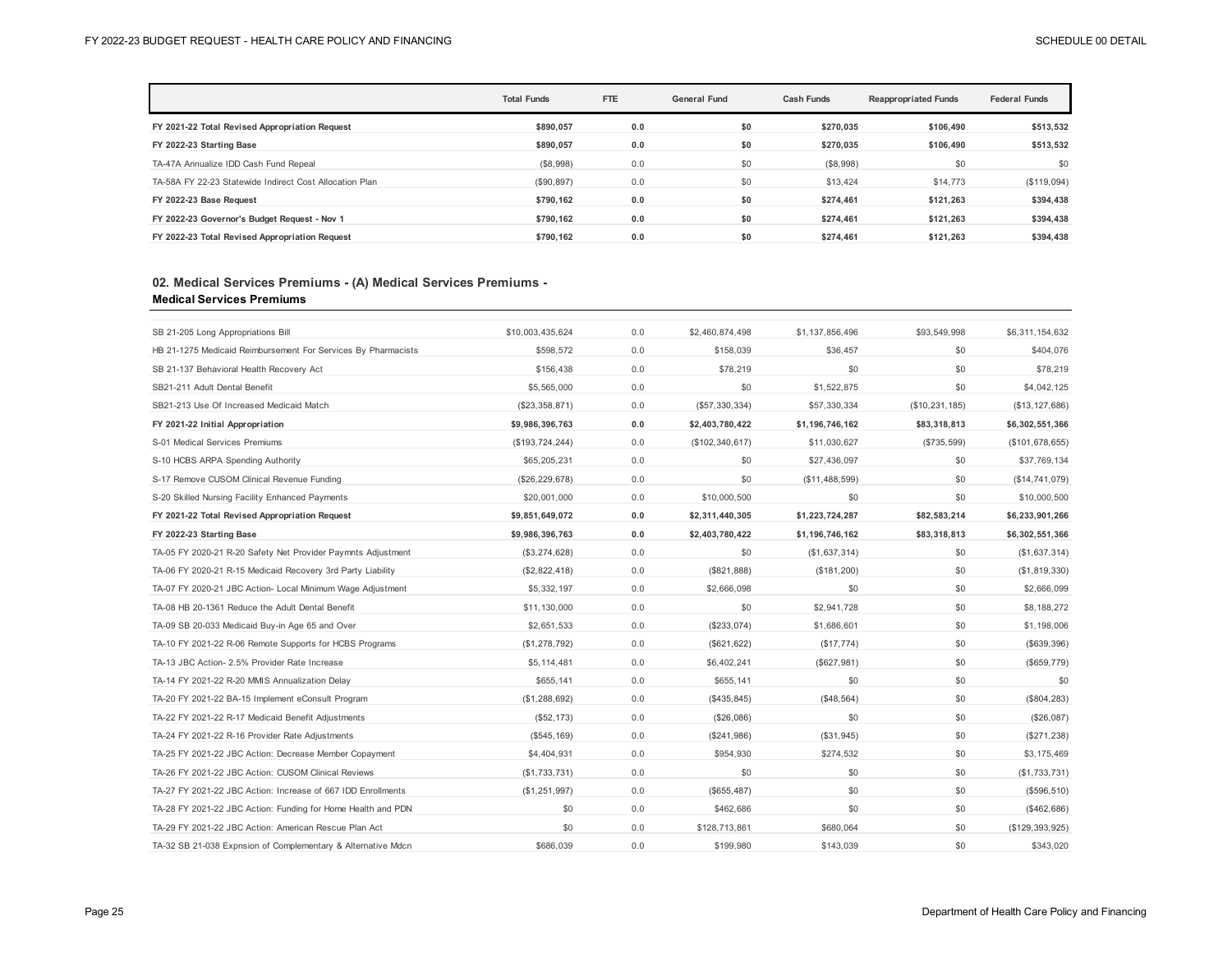|                                                         | <b>Total Funds</b> | <b>FTE</b> | <b>General Fund</b> | <b>Cash Funds</b> | <b>Reappropriated Funds</b> | <b>Federal Funds</b> |
|---------------------------------------------------------|--------------------|------------|---------------------|-------------------|-----------------------------|----------------------|
| FY 2021-22 Total Revised Appropriation Request          | \$890.057          | 0.0        | \$0                 | \$270.035         | \$106.490                   | \$513,532            |
| FY 2022-23 Starting Base                                | \$890.057          | 0.0        | \$0                 | \$270.035         | \$106.490                   | \$513,532            |
| TA-47A Annualize IDD Cash Fund Repeal                   | (\$8,998)          | 0.0        | \$0                 | (S8,998)          | \$0                         | \$0                  |
| TA-58A FY 22-23 Statewide Indirect Cost Allocation Plan | (\$90,897)         | 0.0        | \$0                 | \$13,424          | \$14,773                    | (\$119,094)          |
| FY 2022-23 Base Request                                 | \$790.162          | 0.0        | \$0                 | \$274.461         | \$121.263                   | \$394,438            |
| FY 2022-23 Governor's Budget Request - Nov 1            | \$790.162          | 0.0        | \$0                 | \$274,461         | \$121.263                   | \$394,438            |
| FY 2022-23 Total Revised Appropriation Request          | \$790.162          | 0.0        | \$0                 | \$274.461         | \$121.263                   | \$394,438            |

## **Medical Services Premiums 02. Medical Services Premiums - (A) Medical Services Premiums -**

| SB 21-205 Long Appropriations Bill                            | \$10,003,435,624  | 0.0 | \$2,460,874,498   | \$1,137,856,496 | \$93,549,998   | \$6,311,154,632   |
|---------------------------------------------------------------|-------------------|-----|-------------------|-----------------|----------------|-------------------|
| HB 21-1275 Medicaid Reimbursement For Services By Pharmacists | \$598,572         | 0.0 | \$158,039         | \$36.457        | \$0            | \$404,076         |
| SB 21-137 Behavioral Health Recovery Act                      | \$156,438         | 0.0 | \$78,219          | \$0             | \$0            | \$78,219          |
| SB21-211 Adult Dental Benefit                                 | \$5,565,000       | 0.0 | \$0               | \$1,522,875     | \$0            | \$4,042,125       |
| SB21-213 Use Of Increased Medicaid Match                      | (\$23,358,871)    | 0.0 | (\$57,330,334)    | \$57,330,334    | (\$10,231,185) | (\$13, 127, 686)  |
| FY 2021-22 Initial Appropriation                              | \$9,986,396,763   | 0.0 | \$2,403,780,422   | \$1,196,746,162 | \$83,318,813   | \$6,302,551,366   |
| S-01 Medical Services Premiums                                | (\$193, 724, 244) | 0.0 | (\$102, 340, 617) | \$11,030,627    | (\$735,599)    | (\$101, 678, 655) |
| S-10 HCBS ARPA Spending Authority                             | \$65,205,231      | 0.0 | \$0               | \$27,436,097    | \$0            | \$37,769,134      |
| S-17 Remove CUSOM Clinical Revenue Funding                    | (\$26, 229, 678)  | 0.0 | \$0               | (\$11,488,599)  | \$0            | (\$14,741,079)    |
| S-20 Skilled Nursing Facility Enhanced Payments               | \$20,001,000      | 0.0 | \$10,000.500      | \$0             | \$0            | \$10,000,500      |
| FY 2021-22 Total Revised Appropriation Request                | \$9,851,649,072   | 0.0 | \$2,311,440,305   | \$1,223,724,287 | \$82,583,214   | \$6,233,901,266   |
| FY 2022-23 Starting Base                                      | \$9,986,396,763   | 0.0 | \$2,403,780,422   | \$1,196,746,162 | \$83,318,813   | \$6,302,551,366   |
| TA-05 FY 2020-21 R-20 Safety Net Provider Paymnts Adjustment  | (\$3,274,628)     | 0.0 | \$0               | (\$1,637,314)   | \$0            | (\$1,637,314)     |
| TA-06 FY 2020-21 R-15 Medicaid Recovery 3rd Party Liability   | (\$2,822,418)     | 0.0 | (\$821, 888)      | (\$181,200)     | \$0            | (\$1,819,330)     |
| TA-07 FY 2020-21 JBC Action- Local Minimum Wage Adjustment    | \$5,332,197       | 0.0 | \$2,666,098       | \$0             | \$0            | \$2,666,099       |
| TA-08 HB 20-1361 Reduce the Adult Dental Benefit              | \$11,130,000      | 0.0 | \$0               | \$2.941.728     | \$0            | \$8,188,272       |
| TA-09 SB 20-033 Medicaid Buy-in Age 65 and Over               | \$2,651,533       | 0.0 | (\$233,074)       | \$1,686,601     | \$0            | \$1,198,006       |
| TA-10 FY 2021-22 R-06 Remote Supports for HCBS Programs       | (\$1,278,792)     | 0.0 | (\$621, 622)      | (\$17,774)      | \$0            | (\$639,396)       |
| TA-13 JBC Action- 2.5% Provider Rate Increase                 | \$5,114,481       | 0.0 | \$6,402,241       | (\$627,981)     | \$0            | (S659, 779)       |
| TA-14 FY 2021-22 R-20 MMIS Annualization Delay                | \$655,141         | 0.0 | \$655,141         | \$0             | \$0            | \$0               |
| TA-20 FY 2021-22 BA-15 Implement eConsult Program             | (\$1,288,692)     | 0.0 | (\$435, 845)      | (\$48,564)      | \$0            | (\$804, 283)      |
| TA-22 FY 2021-22 R-17 Medicaid Benefit Adjustments            | (\$52, 173)       | 0.0 | (\$26,086)        | \$0             | \$0            | (\$26,087)        |
| TA-24 FY 2021-22 R-16 Provider Rate Adjustments               | (\$545, 169)      | 0.0 | (\$241,986)       | (\$31,945)      | \$0            | (\$271,238)       |
| TA-25 FY 2021-22 JBC Action: Decrease Member Copayment        | \$4,404,931       | 0.0 | \$954,930         | \$274,532       | \$0            | \$3,175,469       |
| TA-26 FY 2021-22 JBC Action: CUSOM Clinical Reviews           | (S1, 733, 731)    | 0.0 | \$0               | \$0             | \$0            | (\$1,733,731)     |
| TA-27 FY 2021-22 JBC Action: Increase of 667 IDD Enrollments  | (\$1,251,997)     | 0.0 | (\$655,487)       | \$0             | \$0            | (\$596,510)       |
| TA-28 FY 2021-22 JBC Action: Funding for Home Health and PDN  | \$0               | 0.0 | \$462,686         | \$0             | \$0            | (\$462,686)       |
| TA-29 FY 2021-22 JBC Action: American Rescue Plan Act         | \$0               | 0.0 | \$128,713,861     | \$680.064       | \$0            | (\$129, 393, 925) |
| TA-32 SB 21-038 Expnsion of Complementary & Alternative Mdcn  | \$686.039         | 0.0 | \$199,980         | \$143.039       | \$0            | \$343,020         |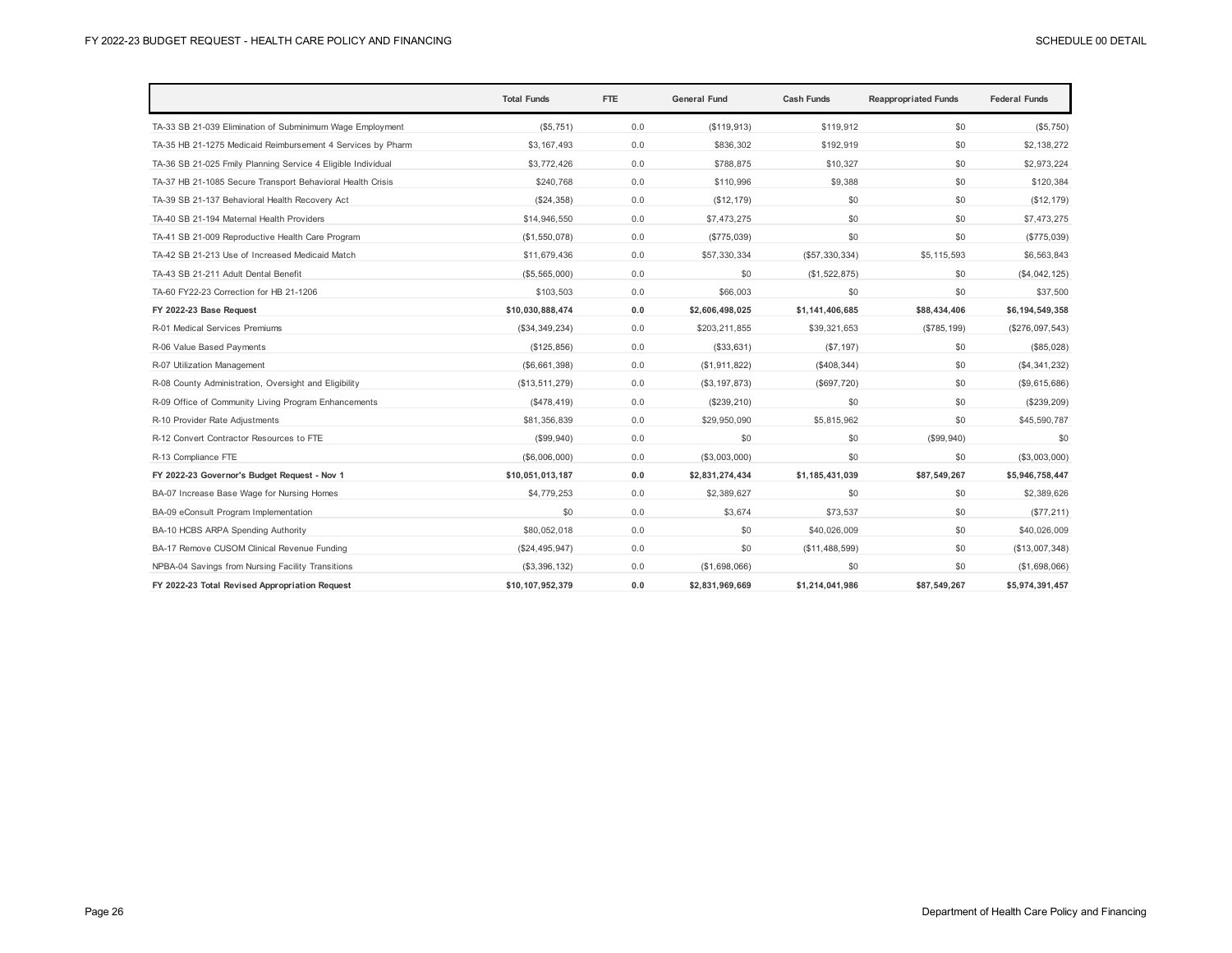|                                                              | <b>Total Funds</b> | FTE | <b>General Fund</b> | <b>Cash Funds</b> | <b>Reappropriated Funds</b> | <b>Federal Funds</b> |
|--------------------------------------------------------------|--------------------|-----|---------------------|-------------------|-----------------------------|----------------------|
| TA-33 SB 21-039 Elimination of Subminimum Wage Employment    | (\$5,751)          | 0.0 | (\$119,913)         | \$119,912         | \$0                         | (\$5,750)            |
| TA-35 HB 21-1275 Medicaid Reimbursement 4 Services by Pharm  | \$3,167,493        | 0.0 | \$836.302           | \$192,919         | \$0                         | \$2.138.272          |
| TA-36 SB 21-025 Fmily Planning Service 4 Eligible Individual | \$3,772,426        | 0.0 | \$788,875           | \$10,327          | \$0                         | \$2,973,224          |
| TA-37 HB 21-1085 Secure Transport Behavioral Health Crisis   | \$240,768          | 0.0 | \$110,996           | \$9,388           | \$0                         | \$120,384            |
| TA-39 SB 21-137 Behavioral Health Recovery Act               | (\$24,358)         | 0.0 | (\$12, 179)         | \$0               | \$0                         | (\$12, 179)          |
| TA-40 SB 21-194 Maternal Health Providers                    | \$14,946,550       | 0.0 | \$7,473,275         | \$0               | \$0                         | \$7,473,275          |
| TA-41 SB 21-009 Reproductive Health Care Program             | (\$1,550,078)      | 0.0 | (\$775,039)         | \$0               | \$0                         | (\$775,039)          |
| TA-42 SB 21-213 Use of Increased Medicaid Match              | \$11,679,436       | 0.0 | \$57,330,334        | (\$57,330,334)    | \$5,115,593                 | \$6,563,843          |
| TA-43 SB 21-211 Adult Dental Benefit                         | (\$5,565,000)      | 0.0 | \$0                 | (\$1,522,875)     | \$0                         | (\$4,042,125)        |
| TA-60 FY22-23 Correction for HB 21-1206                      | \$103,503          | 0.0 | \$66,003            | \$0               | \$0                         | \$37,500             |
| FY 2022-23 Base Request                                      | \$10,030,888,474   | 0.0 | \$2,606,498,025     | \$1,141,406,685   | \$88,434,406                | \$6,194,549,358      |
| R-01 Medical Services Premiums                               | (\$34,349,234)     | 0.0 | \$203,211,855       | \$39,321,653      | (\$785, 199)                | $(\$276,097,543)$    |
| R-06 Value Based Payments                                    | (S125, 856)        | 0.0 | (\$33,631)          | (S7, 197)         | \$0                         | (\$85,028)           |
| R-07 Utilization Management                                  | (S6, 661, 398)     | 0.0 | (\$1,911,822)       | (\$408,344)       | \$0                         | (\$4,341,232)        |
| R-08 County Administration, Oversight and Eligibility        | (\$13,511,279)     | 0.0 | (\$3, 197, 873)     | (\$697,720)       | \$0                         | (\$9,615,686)        |
| R-09 Office of Community Living Program Enhancements         | (S478, 419)        | 0.0 | (\$239, 210)        | \$0               | \$0                         | (\$239, 209)         |
| R-10 Provider Rate Adjustments                               | \$81,356,839       | 0.0 | \$29,950,090        | \$5,815,962       | \$0                         | \$45,590,787         |
| R-12 Convert Contractor Resources to FTE                     | (\$99,940)         | 0.0 | \$0                 | \$0               | (\$99,940)                  | \$0                  |
| R-13 Compliance FTE                                          | (\$6,006,000)      | 0.0 | (\$3,003,000)       | \$0               | \$0                         | (\$3,003,000)        |
| FY 2022-23 Governor's Budget Request - Nov 1                 | \$10,051,013,187   | 0.0 | \$2,831,274,434     | \$1,185,431,039   | \$87,549,267                | \$5,946,758,447      |
| BA-07 Increase Base Wage for Nursing Homes                   | \$4,779,253        | 0.0 | \$2,389,627         | \$0               | \$0                         | \$2,389,626          |
| BA-09 eConsult Program Implementation                        | \$0                | 0.0 | \$3,674             | \$73,537          | \$0                         | (\$77, 211)          |
| BA-10 HCBS ARPA Spending Authority                           | \$80,052,018       | 0.0 | \$0                 | \$40,026,009      | \$0                         | \$40,026,009         |
| BA-17 Remove CUSOM Clinical Revenue Funding                  | (\$24,495,947)     | 0.0 | \$0                 | (\$11,488,599)    | \$0                         | (\$13,007,348)       |
| NPBA-04 Savings from Nursing Facility Transitions            | (\$3,396,132)      | 0.0 | (\$1,698,066)       | \$0               | \$0                         | (\$1,698,066)        |
| FY 2022-23 Total Revised Appropriation Request               | \$10.107.952.379   | 0.0 | \$2.831.969.669     | \$1.214.041.986   | \$87.549.267                | \$5,974,391,457      |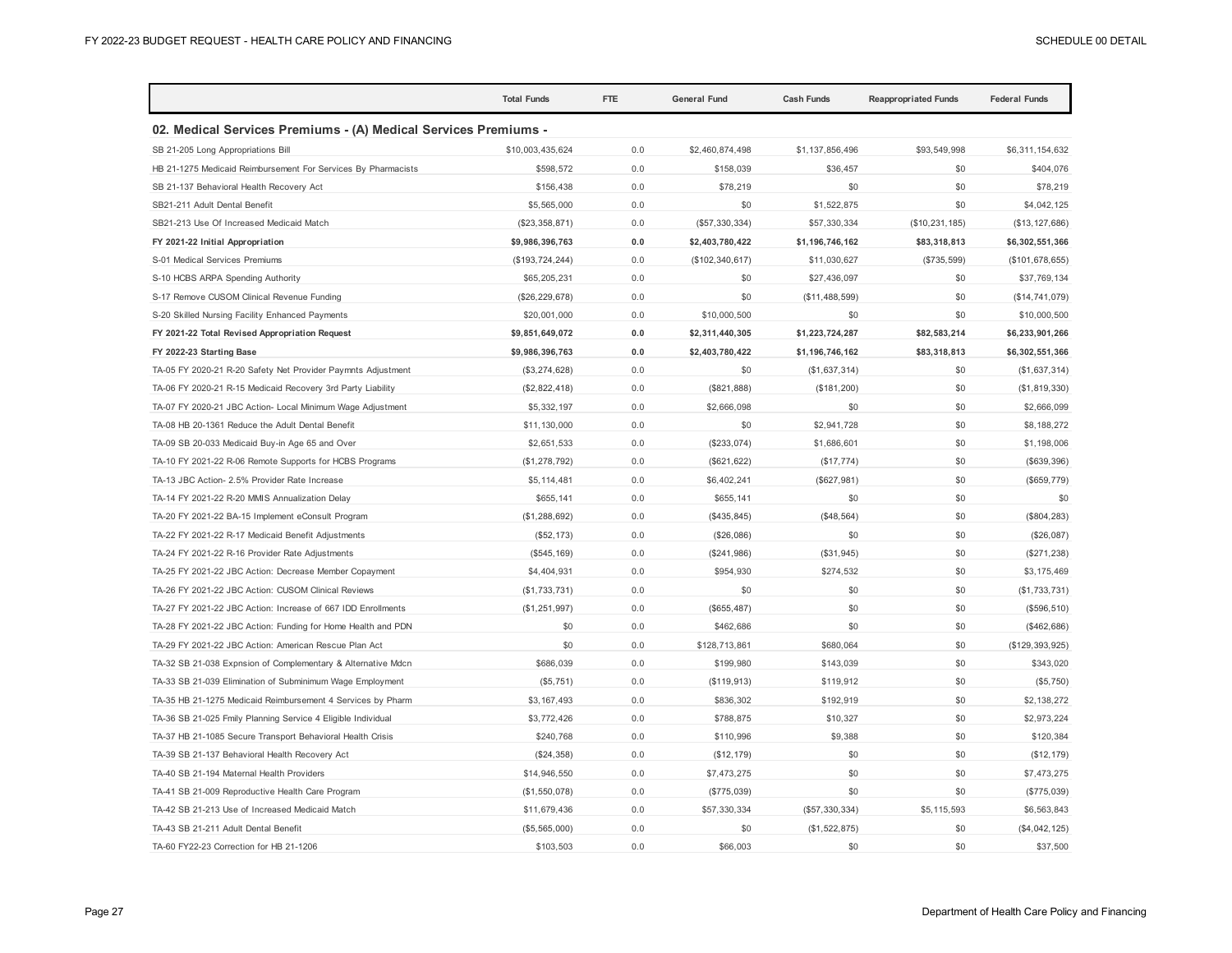|                                                                 | <b>Total Funds</b> | <b>FTE</b> | <b>General Fund</b> | <b>Cash Funds</b> | <b>Reappropriated Funds</b> | <b>Federal Funds</b> |
|-----------------------------------------------------------------|--------------------|------------|---------------------|-------------------|-----------------------------|----------------------|
| 02. Medical Services Premiums - (A) Medical Services Premiums - |                    |            |                     |                   |                             |                      |
| SB 21-205 Long Appropriations Bill                              | \$10,003,435,624   | 0.0        | \$2,460,874,498     | \$1,137,856,496   | \$93,549,998                | \$6,311,154,632      |
| HB 21-1275 Medicaid Reimbursement For Services By Pharmacists   | \$598,572          | 0.0        | \$158,039           | \$36,457          | \$0                         | \$404,076            |
| SB 21-137 Behavioral Health Recovery Act                        | \$156,438          | 0.0        | \$78,219            | \$0               | \$0                         | \$78,219             |
| SB21-211 Adult Dental Benefit                                   | \$5,565,000        | 0.0        | \$0                 | \$1,522,875       | \$0                         | \$4,042,125          |
| SB21-213 Use Of Increased Medicaid Match                        | (\$23,358,871)     | 0.0        | (\$57,330,334)      | \$57,330,334      | (\$10, 231, 185)            | (\$13, 127, 686)     |
| FY 2021-22 Initial Appropriation                                | \$9,986,396,763    | 0.0        | \$2,403,780,422     | \$1,196,746,162   | \$83,318,813                | \$6,302,551,366      |
| S-01 Medical Services Premiums                                  | (\$193, 724, 244)  | 0.0        | (\$102, 340, 617)   | \$11,030,627      | (\$735,599)                 | (\$101, 678, 655)    |
| S-10 HCBS ARPA Spending Authority                               | \$65,205,231       | 0.0        | \$0                 | \$27,436,097      | \$0                         | \$37,769,134         |
| S-17 Remove CUSOM Clinical Revenue Funding                      | (\$26, 229, 678)   | 0.0        | \$0                 | (\$11,488,599)    | \$0                         | (\$14,741,079)       |
| S-20 Skilled Nursing Facility Enhanced Payments                 | \$20,001,000       | 0.0        | \$10,000,500        | \$0               | \$0                         | \$10,000,500         |
| FY 2021-22 Total Revised Appropriation Request                  | \$9,851,649,072    | 0.0        | \$2,311,440,305     | \$1,223,724,287   | \$82,583,214                | \$6,233,901,266      |
| FY 2022-23 Starting Base                                        | \$9,986,396,763    | 0.0        | \$2,403,780,422     | \$1,196,746,162   | \$83,318,813                | \$6,302,551,366      |
| TA-05 FY 2020-21 R-20 Safety Net Provider Paymnts Adjustment    | (\$3,274,628)      | 0.0        | \$0                 | (\$1,637,314)     | \$0                         | (\$1,637,314)        |
| TA-06 FY 2020-21 R-15 Medicaid Recovery 3rd Party Liability     | (\$2,822,418)      | 0.0        | (\$821, 888)        | (\$181, 200)      | \$0                         | (\$1,819,330)        |
| TA-07 FY 2020-21 JBC Action- Local Minimum Wage Adjustment      | \$5,332,197        | 0.0        | \$2,666,098         | \$0               | \$0                         | \$2,666,099          |
| TA-08 HB 20-1361 Reduce the Adult Dental Benefit                | \$11,130,000       | 0.0        | \$0                 | \$2,941,728       | \$0                         | \$8,188,272          |
| TA-09 SB 20-033 Medicaid Buy-in Age 65 and Over                 | \$2,651,533        | 0.0        | (\$233,074)         | \$1,686,601       | \$0                         | \$1,198,006          |
| TA-10 FY 2021-22 R-06 Remote Supports for HCBS Programs         | (\$1,278,792)      | 0.0        | (\$621, 622)        | (\$17,774)        | \$0                         | (\$639,396)          |
| TA-13 JBC Action- 2.5% Provider Rate Increase                   | \$5,114,481        | 0.0        | \$6,402,241         | (\$627,981)       | \$0                         | (\$659, 779)         |
| TA-14 FY 2021-22 R-20 MMIS Annualization Delay                  | \$655,141          | 0.0        | \$655,141           | \$0               | \$0                         | \$0                  |
| TA-20 FY 2021-22 BA-15 Implement eConsult Program               | (\$1,288,692)      | 0.0        | (\$435, 845)        | (\$48,564)        | \$0                         | (\$804, 283)         |
| TA-22 FY 2021-22 R-17 Medicaid Benefit Adjustments              | (\$52, 173)        | 0.0        | (\$26,086)          | \$0               | \$0                         | (\$26,087)           |
| TA-24 FY 2021-22 R-16 Provider Rate Adjustments                 | (\$545, 169)       | 0.0        | (\$241,986)         | (\$31,945)        | \$0                         | (\$271,238)          |
| TA-25 FY 2021-22 JBC Action: Decrease Member Copayment          | \$4,404,931        | 0.0        | \$954,930           | \$274,532         | \$0                         | \$3,175,469          |
| TA-26 FY 2021-22 JBC Action: CUSOM Clinical Reviews             | (\$1,733,731)      | 0.0        | \$0                 | \$0               | \$0                         | (\$1,733,731)        |
| TA-27 FY 2021-22 JBC Action: Increase of 667 IDD Enrollments    | (\$1,251,997)      | 0.0        | (\$655, 487)        | \$0               | \$0                         | (\$596, 510)         |
| TA-28 FY 2021-22 JBC Action: Funding for Home Health and PDN    | \$0                | 0.0        | \$462,686           | \$0               | \$0                         | (\$462,686)          |
| TA-29 FY 2021-22 JBC Action: American Rescue Plan Act           | \$0                | 0.0        | \$128,713,861       | \$680,064         | \$0                         | (\$129, 393, 925)    |
| TA-32 SB 21-038 Expnsion of Complementary & Alternative Mdcn    | \$686,039          | 0.0        | \$199,980           | \$143,039         | \$0                         | \$343,020            |
| TA-33 SB 21-039 Elimination of Subminimum Wage Employment       | (\$5,751)          | 0.0        | (\$119,913)         | \$119,912         | \$0                         | (\$5,750)            |
| TA-35 HB 21-1275 Medicaid Reimbursement 4 Services by Pharm     | \$3,167,493        | 0.0        | \$836,302           | \$192,919         | \$0                         | \$2,138,272          |
| TA-36 SB 21-025 Fmily Planning Service 4 Eligible Individual    | \$3,772,426        | 0.0        | \$788,875           | \$10,327          | \$0                         | \$2,973,224          |
| TA-37 HB 21-1085 Secure Transport Behavioral Health Crisis      | \$240,768          | 0.0        | \$110,996           | \$9,388           | \$0                         | \$120,384            |
| TA-39 SB 21-137 Behavioral Health Recovery Act                  | (\$24,358)         | 0.0        | (\$12, 179)         | \$0               | \$0                         | (\$12, 179)          |
| TA-40 SB 21-194 Maternal Health Providers                       | \$14,946,550       | 0.0        | \$7,473,275         | \$0               | \$0                         | \$7,473,275          |
| TA-41 SB 21-009 Reproductive Health Care Program                | (\$1,550,078)      | 0.0        | (\$775,039)         | \$0               | \$0                         | (\$775,039)          |
| TA-42 SB 21-213 Use of Increased Medicaid Match                 | \$11,679,436       | 0.0        | \$57,330,334        | (\$57,330,334)    | \$5,115,593                 | \$6,563,843          |
| TA-43 SB 21-211 Adult Dental Benefit                            | (\$5,565,000)      | 0.0        | \$0                 | (\$1,522,875)     | \$0                         | (\$4,042,125)        |
| TA-60 FY22-23 Correction for HB 21-1206                         | \$103.503          | 0.0        | \$66,003            | \$0               | \$0                         | \$37,500             |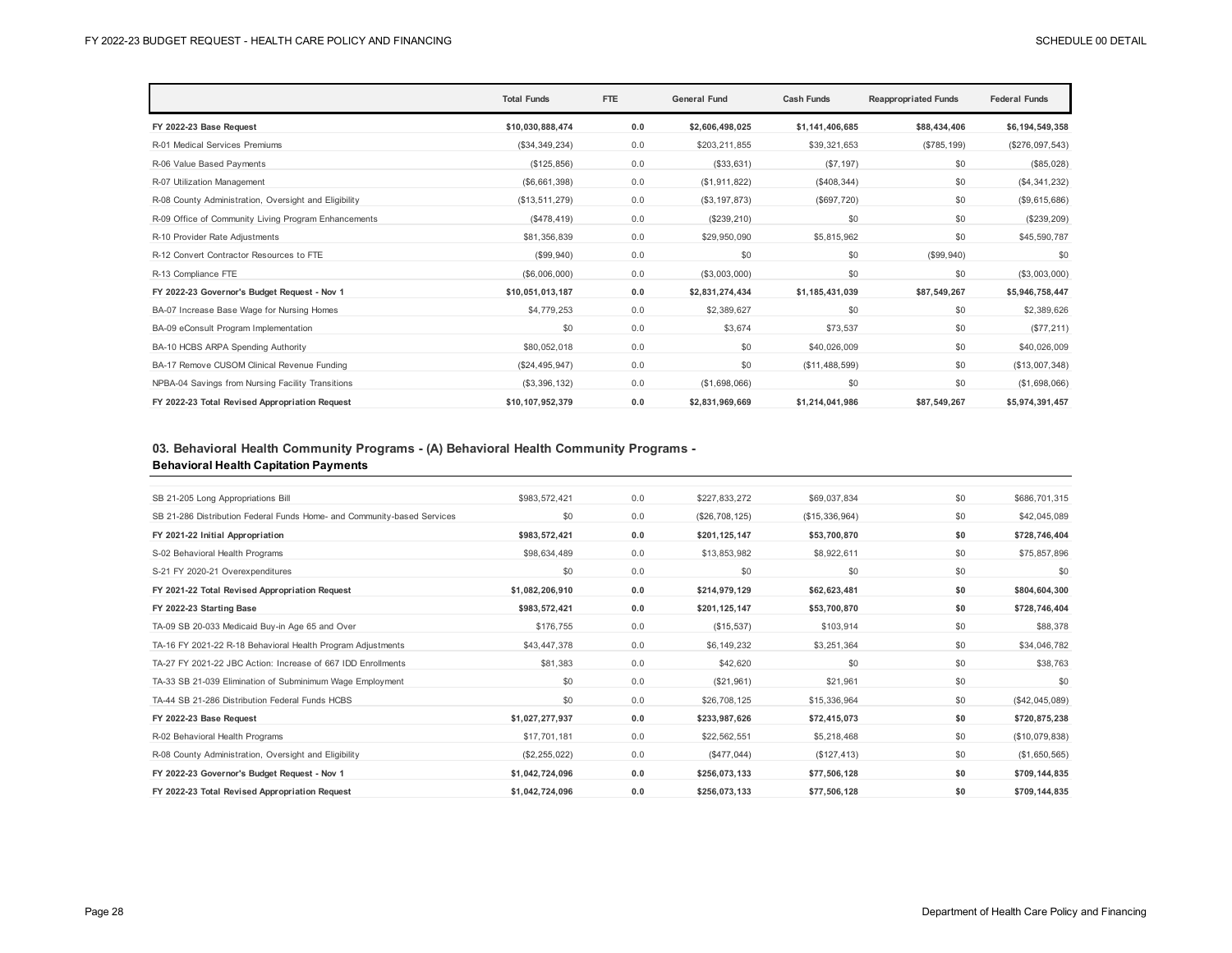|                                                       | <b>Total Funds</b> | FTE | <b>General Fund</b> | <b>Cash Funds</b> | <b>Reappropriated Funds</b> | <b>Federal Funds</b> |
|-------------------------------------------------------|--------------------|-----|---------------------|-------------------|-----------------------------|----------------------|
| FY 2022-23 Base Request                               | \$10.030.888.474   | 0.0 | \$2,606,498,025     | \$1,141,406,685   | \$88,434,406                | \$6,194,549,358      |
| R-01 Medical Services Premiums                        | (\$34,349,234)     | 0.0 | \$203,211,855       | \$39,321,653      | (\$785, 199)                | (\$276,097,543)      |
| R-06 Value Based Payments                             | (\$125,856)        | 0.0 | (\$33,631)          | (S7, 197)         | \$0                         | (\$85,028)           |
| R-07 Utilization Management                           | (\$6,661,398)      | 0.0 | (\$1,911,822)       | (\$408,344)       | \$0                         | (\$4,341,232)        |
| R-08 County Administration, Oversight and Eligibility | (\$13,511,279)     | 0.0 | (\$3, 197, 873)     | (\$697,720)       | \$0                         | (\$9,615,686)        |
| R-09 Office of Community Living Program Enhancements  | (\$478,419)        | 0.0 | (\$239, 210)        | \$0               | \$0                         | (\$239,209)          |
| R-10 Provider Rate Adjustments                        | \$81,356,839       | 0.0 | \$29,950,090        | \$5,815,962       | \$0                         | \$45,590,787         |
| R-12 Convert Contractor Resources to FTE              | (\$99,940)         | 0.0 | \$0                 | \$0               | (\$99,940)                  | \$0                  |
| R-13 Compliance FTE                                   | (\$6,006,000)      | 0.0 | (\$3,003,000)       | \$0               | \$0                         | (\$3,003,000)        |
| FY 2022-23 Governor's Budget Request - Nov 1          | \$10,051,013,187   | 0.0 | \$2,831,274,434     | \$1,185,431,039   | \$87,549,267                | \$5,946,758,447      |
| BA-07 Increase Base Wage for Nursing Homes            | \$4,779,253        | 0.0 | \$2,389,627         | \$0               | \$0                         | \$2,389,626          |
| BA-09 eConsult Program Implementation                 | \$0                | 0.0 | \$3,674             | \$73.537          | \$0                         | (\$77,211)           |
| BA-10 HCBS ARPA Spending Authority                    | \$80,052,018       | 0.0 | \$0                 | \$40,026,009      | \$0                         | \$40,026,009         |
| BA-17 Remove CUSOM Clinical Revenue Funding           | (\$24,495,947)     | 0.0 | \$0                 | (\$11,488,599)    | \$0                         | (\$13,007,348)       |
| NPBA-04 Savings from Nursing Facility Transitions     | (\$3,396,132)      | 0.0 | (\$1,698,066)       | \$0               | \$0                         | (\$1,698,066)        |
| FY 2022-23 Total Revised Appropriation Request        | \$10,107,952,379   | 0.0 | \$2,831,969,669     | \$1,214,041,986   | \$87,549,267                | \$5,974,391,457      |

## **03. Behavioral Health Community Programs - (A) Behavioral Health Community Programs - Behavioral Health Capitation Payments**

| SB 21-205 Long Appropriations Bill                                      | \$983,572,421   | 0.0 | \$227,833,272  | \$69,037,834   | \$0 | \$686,701,315  |
|-------------------------------------------------------------------------|-----------------|-----|----------------|----------------|-----|----------------|
| SB 21-286 Distribution Federal Funds Home- and Community-based Services | \$0             | 0.0 | (\$26,708,125) | (\$15,336,964) | \$0 | \$42,045,089   |
| FY 2021-22 Initial Appropriation                                        | \$983,572,421   | 0.0 | \$201,125,147  | \$53,700,870   | \$0 | \$728,746,404  |
| S-02 Behavioral Health Programs                                         | \$98,634,489    | 0.0 | \$13,853,982   | \$8,922,611    | \$0 | \$75,857,896   |
| S-21 FY 2020-21 Overexpenditures                                        | \$0             | 0.0 | \$0            | \$0            | \$0 | \$0            |
| FY 2021-22 Total Revised Appropriation Request                          | \$1,082,206,910 | 0.0 | \$214,979,129  | \$62,623,481   | \$0 | \$804,604,300  |
| FY 2022-23 Starting Base                                                | \$983,572,421   | 0.0 | \$201,125,147  | \$53,700,870   | \$0 | \$728,746,404  |
| TA-09 SB 20-033 Medicaid Buy-in Age 65 and Over                         | \$176,755       | 0.0 | (\$15,537)     | \$103,914      | \$0 | \$88,378       |
| TA-16 FY 2021-22 R-18 Behavioral Health Program Adjustments             | \$43,447,378    | 0.0 | \$6,149,232    | \$3,251,364    | \$0 | \$34,046,782   |
| TA-27 FY 2021-22 JBC Action: Increase of 667 IDD Enrollments            | \$81,383        | 0.0 | \$42,620       | \$0            | \$0 | \$38,763       |
| TA-33 SB 21-039 Elimination of Subminimum Wage Employment               | \$0             | 0.0 | (\$21,961)     | \$21,961       | \$0 | \$0            |
| TA-44 SB 21-286 Distribution Federal Funds HCBS                         | \$0             | 0.0 | \$26,708,125   | \$15,336,964   | \$0 | (\$42,045,089) |
| FY 2022-23 Base Request                                                 | \$1,027,277,937 | 0.0 | \$233,987,626  | \$72,415,073   | \$0 | \$720,875,238  |
| R-02 Behavioral Health Programs                                         | \$17,701,181    | 0.0 | \$22,562,551   | \$5,218,468    | \$0 | (\$10,079,838) |
| R-08 County Administration, Oversight and Eligibility                   | (\$2,255,022)   | 0.0 | (S477, 044)    | (\$127,413)    | \$0 | (\$1,650,565)  |
| FY 2022-23 Governor's Budget Request - Nov 1                            | \$1,042,724,096 | 0.0 | \$256,073,133  | \$77,506,128   | \$0 | \$709,144,835  |
| FY 2022-23 Total Revised Appropriation Request                          | \$1,042,724,096 | 0.0 | \$256,073,133  | \$77,506,128   | \$0 | \$709.144.835  |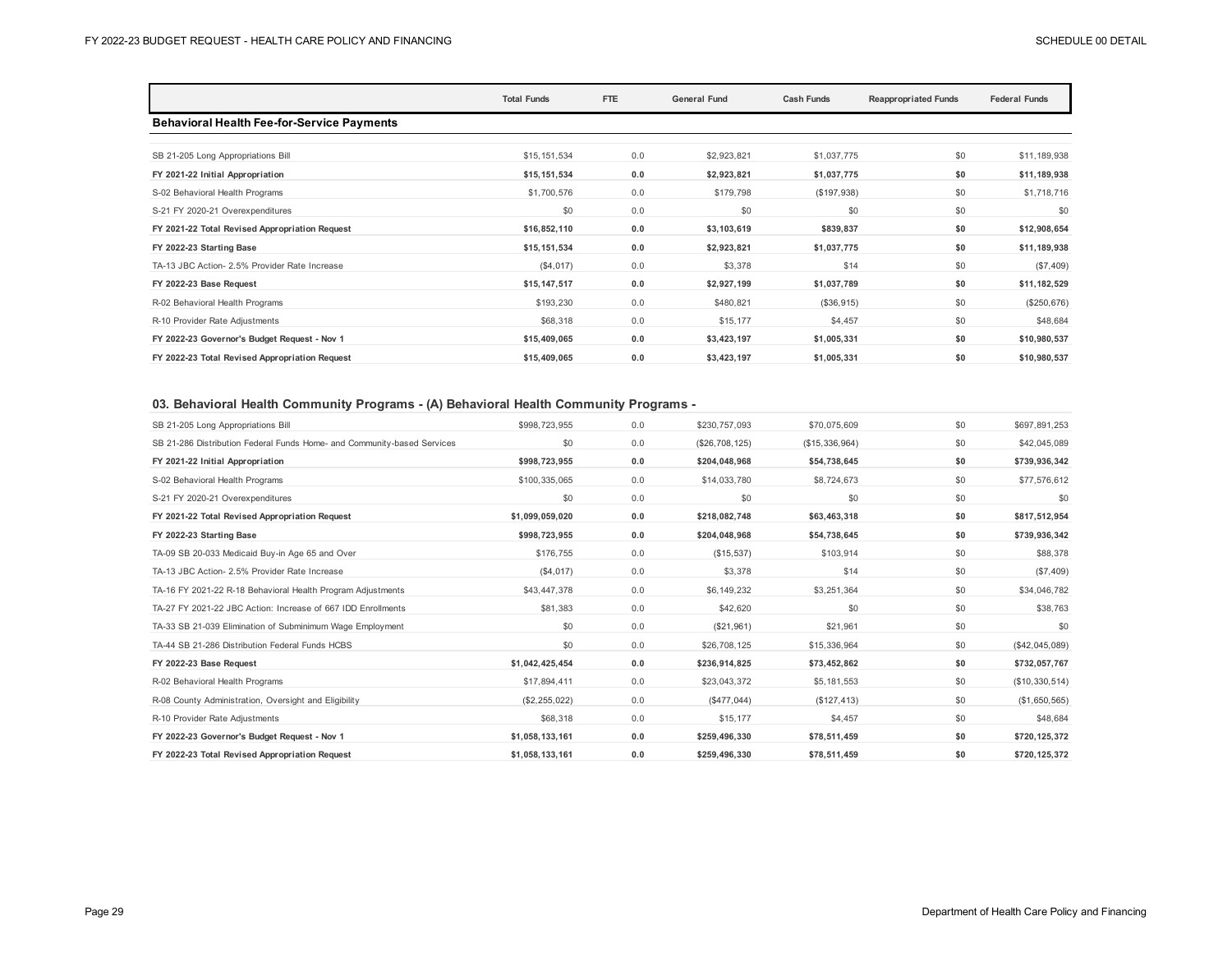|                                                   | <b>Total Funds</b> | <b>FTE</b> | <b>General Fund</b> | <b>Cash Funds</b> | <b>Reappropriated Funds</b> | <b>Federal Funds</b> |
|---------------------------------------------------|--------------------|------------|---------------------|-------------------|-----------------------------|----------------------|
| <b>Behavioral Health Fee-for-Service Payments</b> |                    |            |                     |                   |                             |                      |
| SB 21-205 Long Appropriations Bill                | \$15,151,534       | 0.0        | \$2,923,821         | \$1,037,775       | \$0                         | \$11,189,938         |
| FY 2021-22 Initial Appropriation                  | \$15,151,534       | 0.0        | \$2,923,821         | \$1,037,775       | \$0                         | \$11,189,938         |
| S-02 Behavioral Health Programs                   | \$1,700,576        | 0.0        | \$179,798           | (\$197,938)       | \$0                         | \$1,718,716          |
| S-21 FY 2020-21 Overexpenditures                  | \$0                | 0.0        | \$0                 | \$0               | \$0                         | \$0                  |
| FY 2021-22 Total Revised Appropriation Request    | \$16,852,110       | 0.0        | \$3,103,619         | \$839,837         | \$0                         | \$12,908,654         |
| FY 2022-23 Starting Base                          | \$15,151,534       | 0.0        | \$2,923,821         | \$1,037,775       | \$0                         | \$11,189,938         |
| TA-13 JBC Action- 2.5% Provider Rate Increase     | (\$4,017)          | 0.0        | \$3,378             | \$14              | \$0                         | (\$7,409)            |
| FY 2022-23 Base Request                           | \$15,147,517       | 0.0        | \$2,927,199         | \$1,037,789       | \$0                         | \$11,182,529         |
| R-02 Behavioral Health Programs                   | \$193,230          | 0.0        | \$480,821           | (\$36,915)        | \$0                         | (\$250,676)          |
| R-10 Provider Rate Adjustments                    | \$68,318           | 0.0        | \$15,177            | \$4,457           | \$0                         | \$48,684             |
| FY 2022-23 Governor's Budget Request - Nov 1      | \$15,409,065       | 0.0        | \$3,423,197         | \$1,005,331       | \$0                         | \$10,980,537         |
| FY 2022-23 Total Revised Appropriation Request    | \$15,409,065       | 0.0        | \$3,423,197         | \$1,005,331       | \$0                         | \$10,980,537         |

## **03. Behavioral Health Community Programs - (A) Behavioral Health Community Programs -**

| SB 21-205 Long Appropriations Bill                                      | \$998,723,955   | 0.0 | \$230,757,093  | \$70,075,609    | \$0 | \$697,891,253  |
|-------------------------------------------------------------------------|-----------------|-----|----------------|-----------------|-----|----------------|
| SB 21-286 Distribution Federal Funds Home- and Community-based Services | \$0             | 0.0 | (\$26,708,125) | (S15, 336, 964) | \$0 | \$42,045,089   |
| FY 2021-22 Initial Appropriation                                        | \$998,723,955   | 0.0 | \$204,048,968  | \$54,738,645    | \$0 | \$739,936,342  |
| S-02 Behavioral Health Programs                                         | \$100,335,065   | 0.0 | \$14,033,780   | \$8,724,673     | \$0 | \$77,576,612   |
| S-21 FY 2020-21 Overexpenditures                                        | \$0             | 0.0 | \$0            | \$0             | \$0 | \$0            |
| FY 2021-22 Total Revised Appropriation Request                          | \$1,099,059,020 | 0.0 | \$218,082,748  | \$63,463,318    | \$0 | \$817,512,954  |
| FY 2022-23 Starting Base                                                | \$998,723,955   | 0.0 | \$204,048,968  | \$54,738,645    | \$0 | \$739,936,342  |
| TA-09 SB 20-033 Medicaid Buy-in Age 65 and Over                         | \$176,755       | 0.0 | (\$15,537)     | \$103,914       | \$0 | \$88,378       |
| TA-13 JBC Action- 2.5% Provider Rate Increase                           | (\$4,017)       | 0.0 | \$3,378        | \$14            | \$0 | $(\$7,409)$    |
| TA-16 FY 2021-22 R-18 Behavioral Health Program Adjustments             | \$43,447,378    | 0.0 | \$6,149,232    | \$3,251,364     | \$0 | \$34,046,782   |
| TA-27 FY 2021-22 JBC Action: Increase of 667 IDD Enrollments            | \$81,383        | 0.0 | \$42,620       | \$0             | \$0 | \$38,763       |
| TA-33 SB 21-039 Elimination of Subminimum Wage Employment               | \$0             | 0.0 | (\$21,961)     | \$21,961        | \$0 | \$0            |
| TA-44 SB 21-286 Distribution Federal Funds HCBS                         | \$0             | 0.0 | \$26,708,125   | \$15,336,964    | \$0 | (\$42,045,089) |
| FY 2022-23 Base Request                                                 | \$1,042,425,454 | 0.0 | \$236,914,825  | \$73,452,862    | \$0 | \$732,057,767  |
| R-02 Behavioral Health Programs                                         | \$17,894,411    | 0.0 | \$23,043,372   | \$5,181,553     | \$0 | (\$10,330,514) |
| R-08 County Administration, Oversight and Eligibility                   | (\$2,255,022)   | 0.0 | (S477, 044)    | (\$127, 413)    | \$0 | (\$1,650,565)  |
| R-10 Provider Rate Adjustments                                          | \$68,318        | 0.0 | \$15,177       | \$4,457         | \$0 | \$48,684       |
| FY 2022-23 Governor's Budget Request - Nov 1                            | \$1,058,133,161 | 0.0 | \$259,496,330  | \$78,511,459    | \$0 | \$720,125,372  |
| FY 2022-23 Total Revised Appropriation Request                          | \$1,058,133,161 | 0.0 | \$259,496,330  | \$78,511,459    | \$0 | \$720,125,372  |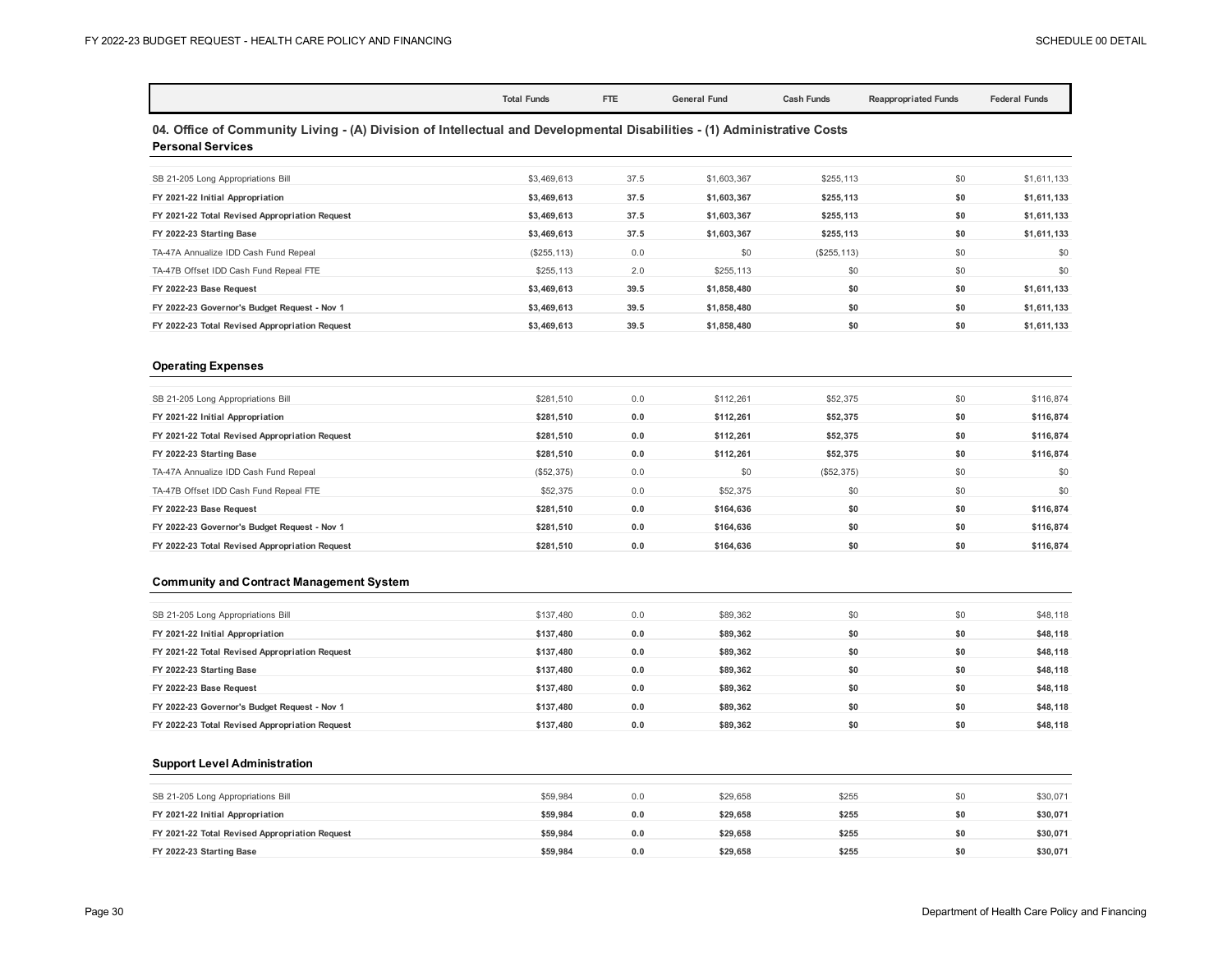|                                                                                                                                                     | <b>Total Funds</b> |      | <b>General Fund</b> |                   |                             | <b>Federal Funds</b> |  |  |  |
|-----------------------------------------------------------------------------------------------------------------------------------------------------|--------------------|------|---------------------|-------------------|-----------------------------|----------------------|--|--|--|
|                                                                                                                                                     |                    | FTE  |                     | <b>Cash Funds</b> | <b>Reappropriated Funds</b> |                      |  |  |  |
| 04. Office of Community Living - (A) Division of Intellectual and Developmental Disabilities - (1) Administrative Costs<br><b>Personal Services</b> |                    |      |                     |                   |                             |                      |  |  |  |
| SB 21-205 Long Appropriations Bill                                                                                                                  | \$3,469,613        | 37.5 | \$1,603,367         | \$255,113         | \$0                         | \$1,611,133          |  |  |  |
| FY 2021-22 Initial Appropriation                                                                                                                    | \$3,469,613        | 37.5 | \$1,603,367         | \$255,113         | \$0                         | \$1,611,133          |  |  |  |
| FY 2021-22 Total Revised Appropriation Request                                                                                                      | \$3,469,613        | 37.5 | \$1,603,367         | \$255,113         | \$0                         | \$1,611,133          |  |  |  |
| FY 2022-23 Starting Base                                                                                                                            | \$3,469,613        | 37.5 | \$1,603,367         | \$255,113         | \$0                         | \$1,611,133          |  |  |  |
| TA-47A Annualize IDD Cash Fund Repeal                                                                                                               | (\$255, 113)       | 0.0  | \$0                 | (\$255, 113)      | \$0                         | \$0                  |  |  |  |
| TA-47B Offset IDD Cash Fund Repeal FTE                                                                                                              | \$255,113          | 2.0  | \$255,113           | \$0               | \$0                         | \$0                  |  |  |  |
| FY 2022-23 Base Request                                                                                                                             | \$3,469,613        | 39.5 | \$1,858,480         | \$0               | \$0                         | \$1,611,133          |  |  |  |
| FY 2022-23 Governor's Budget Request - Nov 1                                                                                                        | \$3,469,613        | 39.5 | \$1,858,480         | \$0               | \$0                         | \$1,611,133          |  |  |  |

**FY 2022-23 Total Revised Appropriation Request \$3,469,613 39.5 \$1,858,480 \$0 \$0 \$1,611,133**

#### **Operating Expenses**

| SB 21-205 Long Appropriations Bill             | \$281,510  | 0.0 | \$112,261 | \$52,375   | \$0 | \$116,874 |
|------------------------------------------------|------------|-----|-----------|------------|-----|-----------|
| FY 2021-22 Initial Appropriation               | \$281,510  | 0.0 | \$112,261 | \$52,375   | \$0 | \$116,874 |
| FY 2021-22 Total Revised Appropriation Request | \$281.510  | 0.0 | \$112,261 | \$52,375   | \$0 | \$116,874 |
| FY 2022-23 Starting Base                       | \$281.510  | 0.0 | \$112.261 | \$52,375   | \$0 | \$116,874 |
| TA-47A Annualize IDD Cash Fund Repeal          | (\$52,375) | 0.0 | \$0       | (\$52,375) | \$0 | \$0       |
| TA-47B Offset IDD Cash Fund Repeal FTE         | \$52,375   | 0.0 | \$52,375  | \$0        | \$0 | \$0       |
| FY 2022-23 Base Request                        | \$281.510  | 0.0 | \$164.636 | \$0        | \$0 | \$116,874 |
| FY 2022-23 Governor's Budget Request - Nov 1   | \$281.510  | 0.0 | \$164,636 | \$0        | \$0 | \$116,874 |
| FY 2022-23 Total Revised Appropriation Request | \$281.510  | 0.0 | \$164,636 | \$0        | \$0 | \$116,874 |
|                                                |            |     |           |            |     |           |

#### **Community and Contract Management System**

| SB 21-205 Long Appropriations Bill             | \$137,480 | 0.0 | \$89,362 | \$0 | \$0 | \$48,118 |
|------------------------------------------------|-----------|-----|----------|-----|-----|----------|
| FY 2021-22 Initial Appropriation               | \$137.480 | 0.0 | \$89.362 | \$0 | \$0 | \$48,118 |
| FY 2021-22 Total Revised Appropriation Request | \$137.480 | 0.0 | \$89,362 | \$0 | \$0 | \$48,118 |
| FY 2022-23 Starting Base                       | \$137.480 | 0.0 | \$89.362 | \$0 | \$0 | \$48,118 |
| FY 2022-23 Base Request                        | \$137.480 | 0.0 | \$89,362 | \$0 | \$0 | \$48,118 |
| FY 2022-23 Governor's Budget Request - Nov 1   | \$137.480 | 0.0 | \$89,362 | \$0 | \$0 | \$48,118 |
| FY 2022-23 Total Revised Appropriation Request | \$137.480 | 0.0 | \$89.362 | \$0 | \$0 | \$48,118 |

#### **Support Level Administration**

| SB 21-205 Long Appropriations Bill             | \$59,984 | 0.0 | \$29,658 | \$255 | \$0 | \$30,071 |
|------------------------------------------------|----------|-----|----------|-------|-----|----------|
| FY 2021-22 Initial Appropriation               | \$59.984 | 0.0 | \$29.658 | \$255 | \$0 | \$30,071 |
| FY 2021-22 Total Revised Appropriation Request | \$59.984 | 0.0 | \$29.658 | \$255 | \$0 | \$30,071 |
| FY 2022-23 Starting Base                       | \$59.984 | 0.0 | \$29.658 | \$255 | \$0 | \$30,071 |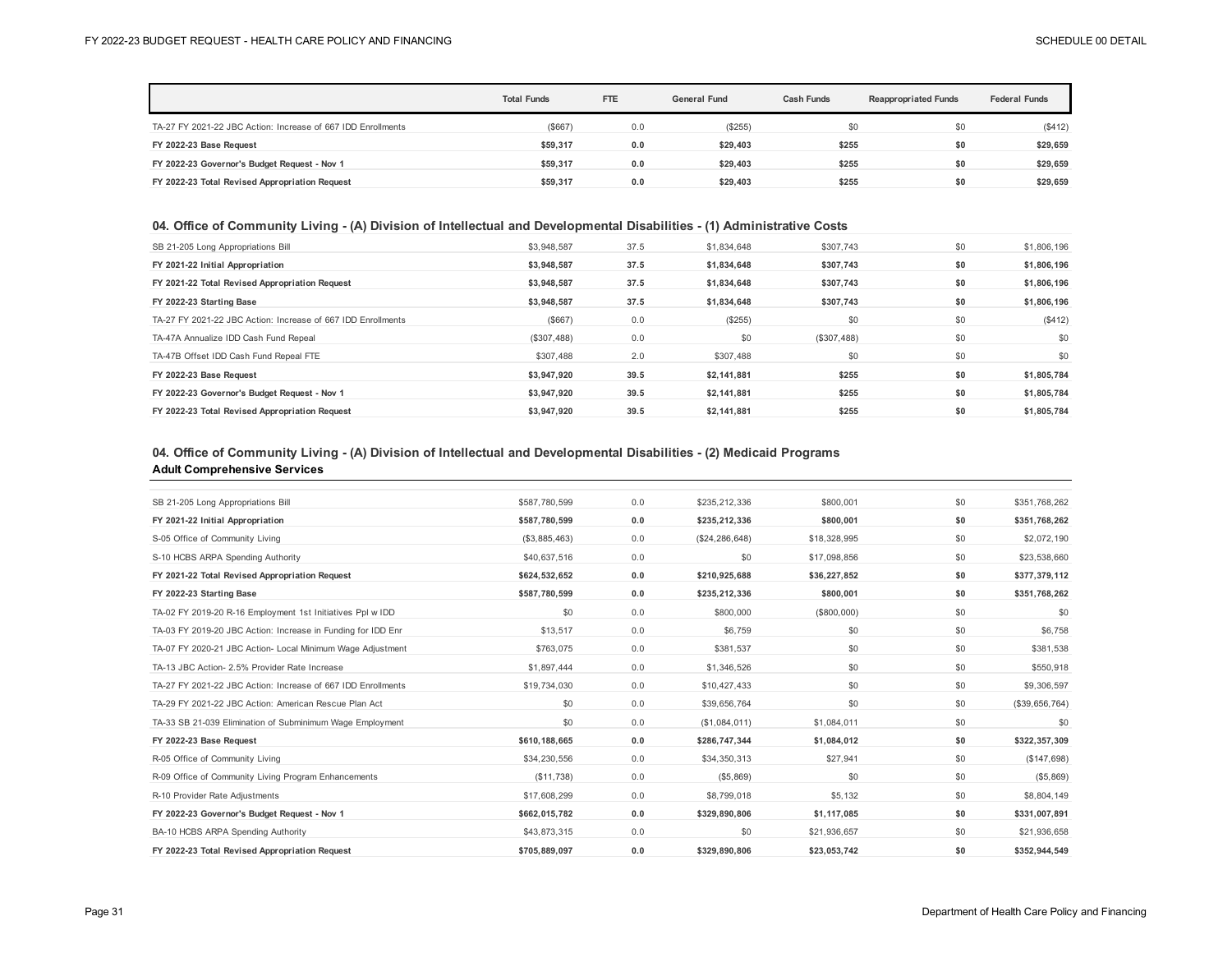|                                                              | <b>Total Funds</b> | <b>FTE</b> | <b>General Fund</b> | Cash Funds | <b>Reappropriated Funds</b> | <b>Federal Funds</b> |
|--------------------------------------------------------------|--------------------|------------|---------------------|------------|-----------------------------|----------------------|
| TA-27 FY 2021-22 JBC Action: Increase of 667 IDD Enrollments | (S667)             | 0.0        | (\$255)             | \$0        | \$0                         | (\$412)              |
| FY 2022-23 Base Request                                      | \$59,317           | 0.0        | \$29.403            | \$255      | \$0                         | \$29,659             |
| FY 2022-23 Governor's Budget Request - Nov 1                 | \$59.317           | 0.0        | \$29.403            | \$255      | \$0                         | \$29,659             |
| FY 2022-23 Total Revised Appropriation Request               | \$59.317           | 0.0        | \$29.403            | \$255      | \$0                         | \$29,659             |

## **04. Office of Community Living - (A) Division of Intellectual and Developmental Disabilities - (1) Administrative Costs**

| SB 21-205 Long Appropriations Bill                           | \$3.948.587 | 37.5 | \$1,834,648 | \$307,743   | \$0 | \$1,806,196 |
|--------------------------------------------------------------|-------------|------|-------------|-------------|-----|-------------|
| FY 2021-22 Initial Appropriation                             | \$3.948.587 | 37.5 | \$1.834.648 | \$307.743   | \$0 | \$1,806,196 |
| FY 2021-22 Total Revised Appropriation Request               | \$3,948,587 | 37.5 | \$1,834,648 | \$307,743   | \$0 | \$1,806,196 |
| FY 2022-23 Starting Base                                     | \$3,948,587 | 37.5 | \$1,834,648 | \$307,743   | \$0 | \$1,806,196 |
| TA-27 FY 2021-22 JBC Action: Increase of 667 IDD Enrollments | (S667)      | 0.0  | (\$255)     | \$0         | \$0 | (\$412)     |
| TA-47A Annualize IDD Cash Fund Repeal                        | (\$307,488) | 0.0  | \$0         | (\$307,488) | \$0 | \$0         |
| TA-47B Offset IDD Cash Fund Repeal FTE                       | \$307,488   | 2.0  | \$307,488   | \$0         | \$0 | \$0         |
| FY 2022-23 Base Request                                      | \$3,947,920 | 39.5 | \$2,141,881 | \$255       | \$0 | \$1,805,784 |
| FY 2022-23 Governor's Budget Request - Nov 1                 | \$3.947.920 | 39.5 | \$2.141.881 | \$255       | \$0 | \$1,805,784 |
| FY 2022-23 Total Revised Appropriation Request               | \$3.947.920 | 39.5 | \$2.141.881 | \$255       | \$0 | \$1.805.784 |

## **04. Office of Community Living - (A) Division of Intellectual and Developmental Disabilities - (2) Medicaid Programs**

#### **Adult Comprehensive Services**

| SB 21-205 Long Appropriations Bill                           | \$587,780,599 | 0.0 | \$235,212,336    | \$800,001    | \$0 | \$351,768,262  |
|--------------------------------------------------------------|---------------|-----|------------------|--------------|-----|----------------|
| FY 2021-22 Initial Appropriation                             | \$587,780,599 | 0.0 | \$235,212,336    | \$800,001    | \$0 | \$351,768,262  |
| S-05 Office of Community Living                              | (\$3,885,463) | 0.0 | (\$24, 286, 648) | \$18,328,995 | \$0 | \$2,072,190    |
| S-10 HCBS ARPA Spending Authority                            | \$40,637,516  | 0.0 | \$0              | \$17,098,856 | \$0 | \$23,538,660   |
| FY 2021-22 Total Revised Appropriation Request               | \$624,532,652 | 0.0 | \$210,925,688    | \$36,227,852 | \$0 | \$377,379,112  |
| FY 2022-23 Starting Base                                     | \$587,780,599 | 0.0 | \$235,212,336    | \$800,001    | \$0 | \$351,768,262  |
| TA-02 FY 2019-20 R-16 Employment 1st Initiatives Ppl w IDD   | \$0           | 0.0 | \$800,000        | (\$800,000)  | \$0 | \$0            |
| TA-03 FY 2019-20 JBC Action: Increase in Funding for IDD Enr | \$13,517      | 0.0 | \$6,759          | \$0          | \$0 | \$6,758        |
| TA-07 FY 2020-21 JBC Action- Local Minimum Wage Adjustment   | \$763,075     | 0.0 | \$381,537        | \$0          | \$0 | \$381,538      |
| TA-13 JBC Action- 2.5% Provider Rate Increase                | \$1,897,444   | 0.0 | \$1,346,526      | \$0          | \$0 | \$550,918      |
| TA-27 FY 2021-22 JBC Action: Increase of 667 IDD Enrollments | \$19,734,030  | 0.0 | \$10,427,433     | \$0          | \$0 | \$9,306,597    |
| TA-29 FY 2021-22 JBC Action: American Rescue Plan Act        | \$0           | 0.0 | \$39,656,764     | \$0          | \$0 | (\$39,656,764) |
| TA-33 SB 21-039 Elimination of Subminimum Wage Employment    | \$0           | 0.0 | (\$1,084,011)    | \$1,084,011  | \$0 | \$0            |
| FY 2022-23 Base Request                                      | \$610,188,665 | 0.0 | \$286,747,344    | \$1,084,012  | \$0 | \$322,357,309  |
| R-05 Office of Community Living                              | \$34,230,556  | 0.0 | \$34,350,313     | \$27,941     | \$0 | (\$147,698)    |
| R-09 Office of Community Living Program Enhancements         | (\$11,738)    | 0.0 | (\$5,869)        | \$0          | \$0 | (\$5,869)      |
| R-10 Provider Rate Adjustments                               | \$17,608,299  | 0.0 | \$8,799,018      | \$5,132      | \$0 | \$8,804,149    |
| FY 2022-23 Governor's Budget Request - Nov 1                 | \$662,015,782 | 0.0 | \$329,890,806    | \$1,117,085  | \$0 | \$331,007,891  |
| BA-10 HCBS ARPA Spending Authority                           | \$43,873,315  | 0.0 | \$0              | \$21,936,657 | \$0 | \$21,936,658   |
| FY 2022-23 Total Revised Appropriation Request               | \$705.889.097 | 0.0 | \$329.890.806    | \$23,053,742 | \$0 | \$352.944.549  |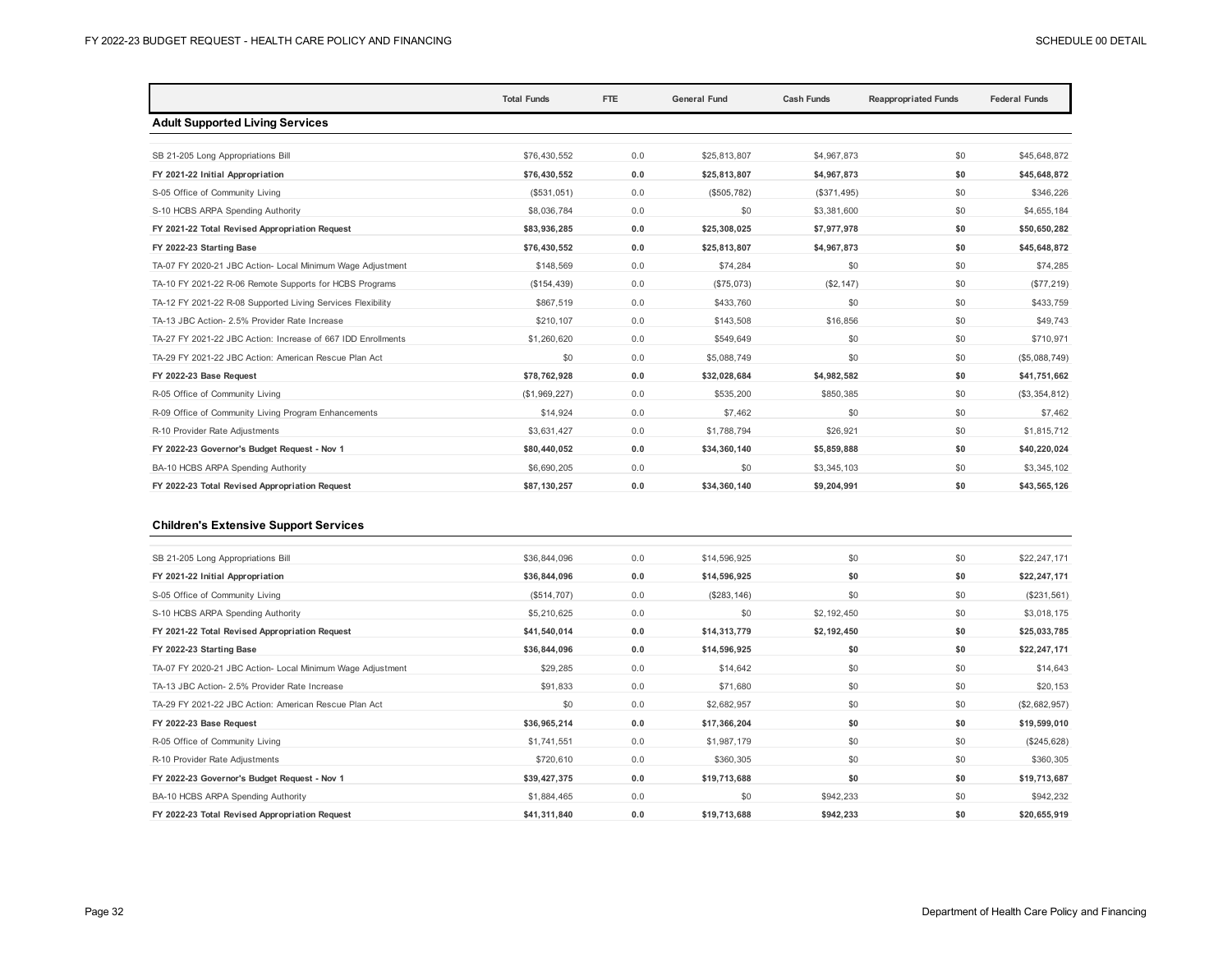|                                                              | <b>Total Funds</b> | <b>FTE</b> | <b>General Fund</b> | <b>Cash Funds</b> | <b>Reappropriated Funds</b> | <b>Federal Funds</b> |
|--------------------------------------------------------------|--------------------|------------|---------------------|-------------------|-----------------------------|----------------------|
| <b>Adult Supported Living Services</b>                       |                    |            |                     |                   |                             |                      |
|                                                              |                    |            |                     |                   |                             |                      |
| SB 21-205 Long Appropriations Bill                           | \$76,430,552       | 0.0        | \$25,813,807        | \$4,967,873       | \$0                         | \$45,648,872         |
| FY 2021-22 Initial Appropriation                             | \$76,430,552       | 0.0        | \$25,813,807        | \$4,967,873       | \$0                         | \$45,648,872         |
| S-05 Office of Community Living                              | (\$531,051)        | 0.0        | (\$505,782)         | (\$371,495)       | \$0                         | \$346.226            |
| S-10 HCBS ARPA Spending Authority                            | \$8,036,784        | 0.0        | \$0                 | \$3,381,600       | \$0                         | \$4,655,184          |
| FY 2021-22 Total Revised Appropriation Request               | \$83,936,285       | 0.0        | \$25,308,025        | \$7,977,978       | \$0                         | \$50,650,282         |
| FY 2022-23 Starting Base                                     | \$76,430,552       | 0.0        | \$25,813,807        | \$4,967,873       | \$0                         | \$45,648,872         |
| TA-07 FY 2020-21 JBC Action- Local Minimum Wage Adjustment   | \$148.569          | 0.0        | \$74,284            | \$0               | \$0                         | \$74,285             |
| TA-10 FY 2021-22 R-06 Remote Supports for HCBS Programs      | (\$154,439)        | 0.0        | (\$75,073)          | (S2, 147)         | \$0                         | (\$77, 219)          |
| TA-12 FY 2021-22 R-08 Supported Living Services Flexibility  | \$867,519          | 0.0        | \$433,760           | \$0               | \$0                         | \$433.759            |
| TA-13 JBC Action- 2.5% Provider Rate Increase                | \$210,107          | 0.0        | \$143,508           | \$16,856          | \$0                         | \$49,743             |
| TA-27 FY 2021-22 JBC Action: Increase of 667 IDD Enrollments | \$1,260,620        | 0.0        | \$549.649           | \$0               | \$0                         | \$710,971            |
| TA-29 FY 2021-22 JBC Action: American Rescue Plan Act        | \$0                | 0.0        | \$5,088,749         | \$0               | \$0                         | (\$5,088,749)        |
| FY 2022-23 Base Request                                      | \$78,762,928       | 0.0        | \$32,028,684        | \$4,982,582       | \$0                         | \$41,751,662         |
| R-05 Office of Community Living                              | (\$1,969,227)      | 0.0        | \$535,200           | \$850,385         | \$0                         | (\$3,354,812)        |
| R-09 Office of Community Living Program Enhancements         | \$14.924           | 0.0        | \$7,462             | \$0               | \$0                         | \$7,462              |
| R-10 Provider Rate Adjustments                               | \$3,631,427        | 0.0        | \$1,788,794         | \$26.921          | \$0                         | \$1,815,712          |
| FY 2022-23 Governor's Budget Request - Nov 1                 | \$80,440,052       | 0.0        | \$34,360,140        | \$5,859,888       | \$0                         | \$40,220,024         |
| BA-10 HCBS ARPA Spending Authority                           | \$6,690,205        | 0.0        | \$0                 | \$3,345,103       | \$0                         | \$3,345,102          |
| FY 2022-23 Total Revised Appropriation Request               | \$87,130,257       | 0.0        | \$34,360,140        | \$9,204,991       | \$0                         | \$43,565,126         |

### **Children's Extensive Support Services**

| SB 21-205 Long Appropriations Bill                         | \$36,844,096 | 0.0 | \$14,596,925 | \$0         | \$0 | \$22,247,171  |
|------------------------------------------------------------|--------------|-----|--------------|-------------|-----|---------------|
| FY 2021-22 Initial Appropriation                           | \$36,844,096 | 0.0 | \$14,596,925 | \$0         | \$0 | \$22,247,171  |
| S-05 Office of Community Living                            | (\$514,707)  | 0.0 | (\$283, 146) | \$0         | \$0 | (\$231,561)   |
| S-10 HCBS ARPA Spending Authority                          | \$5,210,625  | 0.0 | \$0          | \$2,192,450 | \$0 | \$3,018,175   |
| FY 2021-22 Total Revised Appropriation Request             | \$41,540,014 | 0.0 | \$14,313,779 | \$2,192,450 | \$0 | \$25,033,785  |
| FY 2022-23 Starting Base                                   | \$36,844,096 | 0.0 | \$14,596,925 | \$0         | \$0 | \$22,247,171  |
| TA-07 FY 2020-21 JBC Action- Local Minimum Wage Adjustment | \$29,285     | 0.0 | \$14,642     | \$0         | \$0 | \$14,643      |
| TA-13 JBC Action- 2.5% Provider Rate Increase              | \$91,833     | 0.0 | \$71,680     | \$0         | \$0 | \$20,153      |
| TA-29 FY 2021-22 JBC Action: American Rescue Plan Act      | \$0          | 0.0 | \$2,682,957  | \$0         | \$0 | (\$2,682,957) |
| FY 2022-23 Base Request                                    | \$36,965,214 | 0.0 | \$17,366,204 | \$0         | \$0 | \$19,599,010  |
| R-05 Office of Community Living                            | \$1,741,551  | 0.0 | \$1,987,179  | \$0         | \$0 | (\$245,628)   |
| R-10 Provider Rate Adjustments                             | \$720,610    | 0.0 | \$360,305    | \$0         | \$0 | \$360,305     |
| FY 2022-23 Governor's Budget Request - Nov 1               | \$39,427,375 | 0.0 | \$19,713,688 | \$0         | \$0 | \$19,713,687  |
| BA-10 HCBS ARPA Spending Authority                         | \$1,884,465  | 0.0 | \$0          | \$942,233   | \$0 | \$942,232     |
| FY 2022-23 Total Revised Appropriation Request             | \$41,311,840 | 0.0 | \$19,713,688 | \$942,233   | \$0 | \$20,655,919  |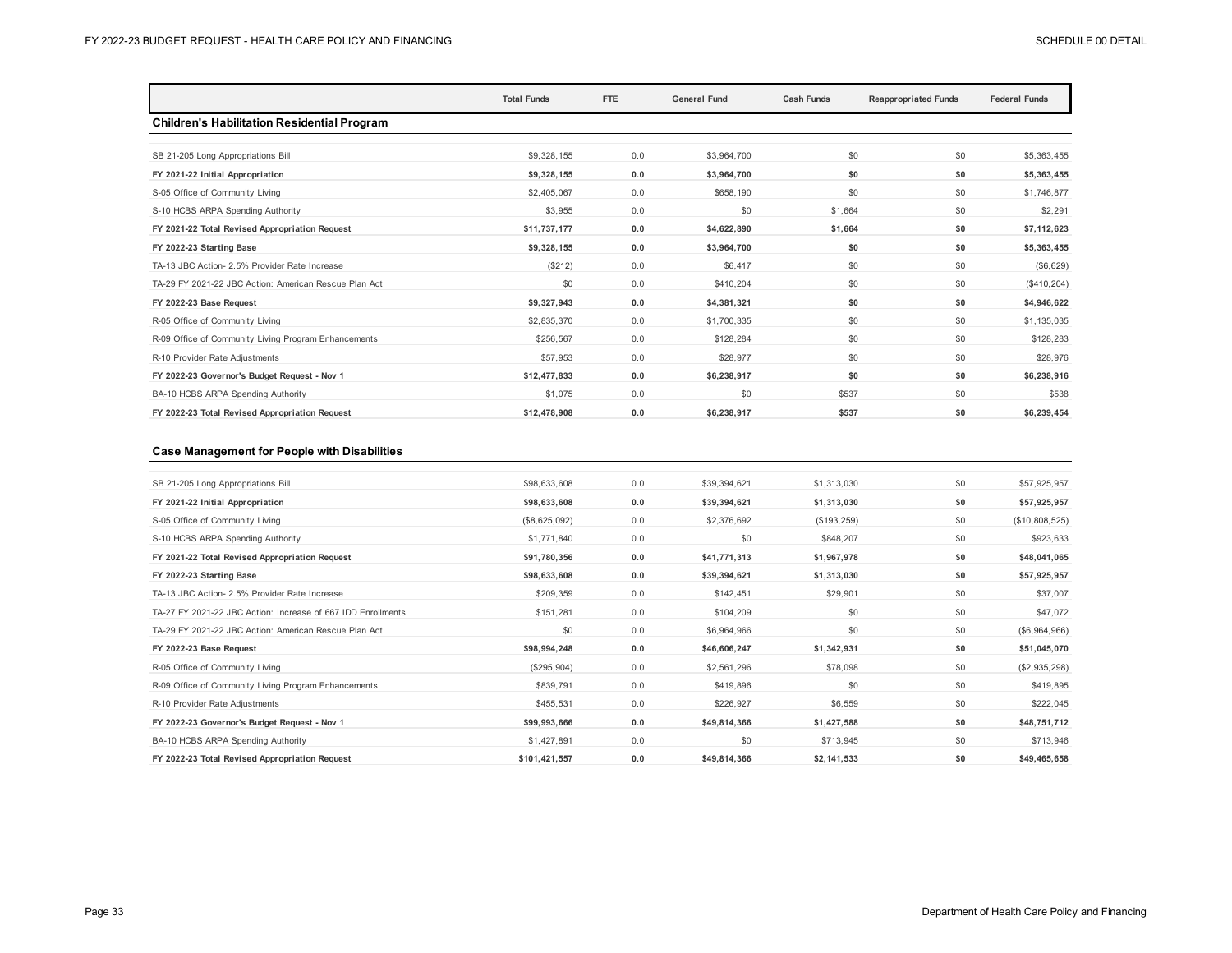|                                                       | <b>Total Funds</b> | FTE | <b>General Fund</b> | <b>Cash Funds</b> | <b>Reappropriated Funds</b> | <b>Federal Funds</b> |
|-------------------------------------------------------|--------------------|-----|---------------------|-------------------|-----------------------------|----------------------|
| <b>Children's Habilitation Residential Program</b>    |                    |     |                     |                   |                             |                      |
|                                                       |                    |     |                     |                   |                             |                      |
| SB 21-205 Long Appropriations Bill                    | \$9,328,155        | 0.0 | \$3,964,700         | \$0               | \$0                         | \$5,363,455          |
| FY 2021-22 Initial Appropriation                      | \$9,328,155        | 0.0 | \$3,964,700         | \$0               | \$0                         | \$5,363,455          |
| S-05 Office of Community Living                       | \$2,405,067        | 0.0 | \$658,190           | \$0               | \$0                         | \$1,746,877          |
| S-10 HCBS ARPA Spending Authority                     | \$3,955            | 0.0 | \$0                 | \$1,664           | \$0                         | \$2,291              |
| FY 2021-22 Total Revised Appropriation Request        | \$11,737,177       | 0.0 | \$4,622,890         | \$1,664           | \$0                         | \$7,112,623          |
| FY 2022-23 Starting Base                              | \$9,328,155        | 0.0 | \$3,964,700         | \$0               | \$0                         | \$5,363,455          |
| TA-13 JBC Action- 2.5% Provider Rate Increase         | (S212)             | 0.0 | \$6,417             | \$0               | \$0                         | (\$6,629)            |
| TA-29 FY 2021-22 JBC Action: American Rescue Plan Act | \$0                | 0.0 | \$410,204           | \$0               | \$0                         | (\$410, 204)         |
| FY 2022-23 Base Request                               | \$9,327,943        | 0.0 | \$4,381,321         | \$0               | \$0                         | \$4,946,622          |
| R-05 Office of Community Living                       | \$2,835,370        | 0.0 | \$1,700,335         | \$0               | \$0                         | \$1,135,035          |
| R-09 Office of Community Living Program Enhancements  | \$256.567          | 0.0 | \$128,284           | \$0               | \$0                         | \$128,283            |
| R-10 Provider Rate Adjustments                        | \$57.953           | 0.0 | \$28,977            | \$0               | \$0                         | \$28,976             |
| FY 2022-23 Governor's Budget Request - Nov 1          | \$12,477,833       | 0.0 | \$6,238,917         | \$0               | \$0                         | \$6,238,916          |
| BA-10 HCBS ARPA Spending Authority                    | \$1,075            | 0.0 | \$0                 | \$537             | \$0                         | \$538                |
| FY 2022-23 Total Revised Appropriation Request        | \$12,478,908       | 0.0 | \$6,238,917         | \$537             | \$0                         | \$6,239,454          |

#### **Case Management for People with Disabilities**

| SB 21-205 Long Appropriations Bill                           | \$98,633,608  | 0.0 | \$39,394,621 | \$1,313,030 | \$0 | \$57,925,957   |
|--------------------------------------------------------------|---------------|-----|--------------|-------------|-----|----------------|
| FY 2021-22 Initial Appropriation                             | \$98,633,608  | 0.0 | \$39,394,621 | \$1,313,030 | \$0 | \$57,925,957   |
| S-05 Office of Community Living                              | (\$8,625,092) | 0.0 | \$2,376,692  | (\$193,259) | \$0 | (\$10,808,525) |
| S-10 HCBS ARPA Spending Authority                            | \$1,771,840   | 0.0 | \$0          | \$848,207   | \$0 | \$923,633      |
| FY 2021-22 Total Revised Appropriation Request               | \$91,780,356  | 0.0 | \$41,771,313 | \$1,967,978 | \$0 | \$48,041,065   |
| FY 2022-23 Starting Base                                     | \$98,633,608  | 0.0 | \$39,394,621 | \$1,313,030 | \$0 | \$57,925,957   |
| TA-13 JBC Action- 2.5% Provider Rate Increase                | \$209,359     | 0.0 | \$142,451    | \$29,901    | \$0 | \$37,007       |
| TA-27 FY 2021-22 JBC Action: Increase of 667 IDD Enrollments | \$151,281     | 0.0 | \$104,209    | \$0         | \$0 | \$47,072       |
| TA-29 FY 2021-22 JBC Action: American Rescue Plan Act        | \$0           | 0.0 | \$6,964,966  | \$0         | \$0 | (\$6,964,966)  |
| FY 2022-23 Base Request                                      | \$98,994,248  | 0.0 | \$46,606,247 | \$1,342,931 | \$0 | \$51,045,070   |
| R-05 Office of Community Living                              | (\$295,904)   | 0.0 | \$2,561,296  | \$78,098    | \$0 | (\$2,935,298)  |
| R-09 Office of Community Living Program Enhancements         | \$839,791     | 0.0 | \$419,896    | \$0         | \$0 | \$419,895      |
| R-10 Provider Rate Adjustments                               | \$455,531     | 0.0 | \$226,927    | \$6,559     | \$0 | \$222,045      |
| FY 2022-23 Governor's Budget Request - Nov 1                 | \$99,993,666  | 0.0 | \$49,814,366 | \$1,427,588 | \$0 | \$48,751,712   |
| BA-10 HCBS ARPA Spending Authority                           | \$1,427,891   | 0.0 | \$0          | \$713,945   | \$0 | \$713,946      |
| FY 2022-23 Total Revised Appropriation Request               | \$101,421,557 | 0.0 | \$49,814,366 | \$2,141,533 | \$0 | \$49,465,658   |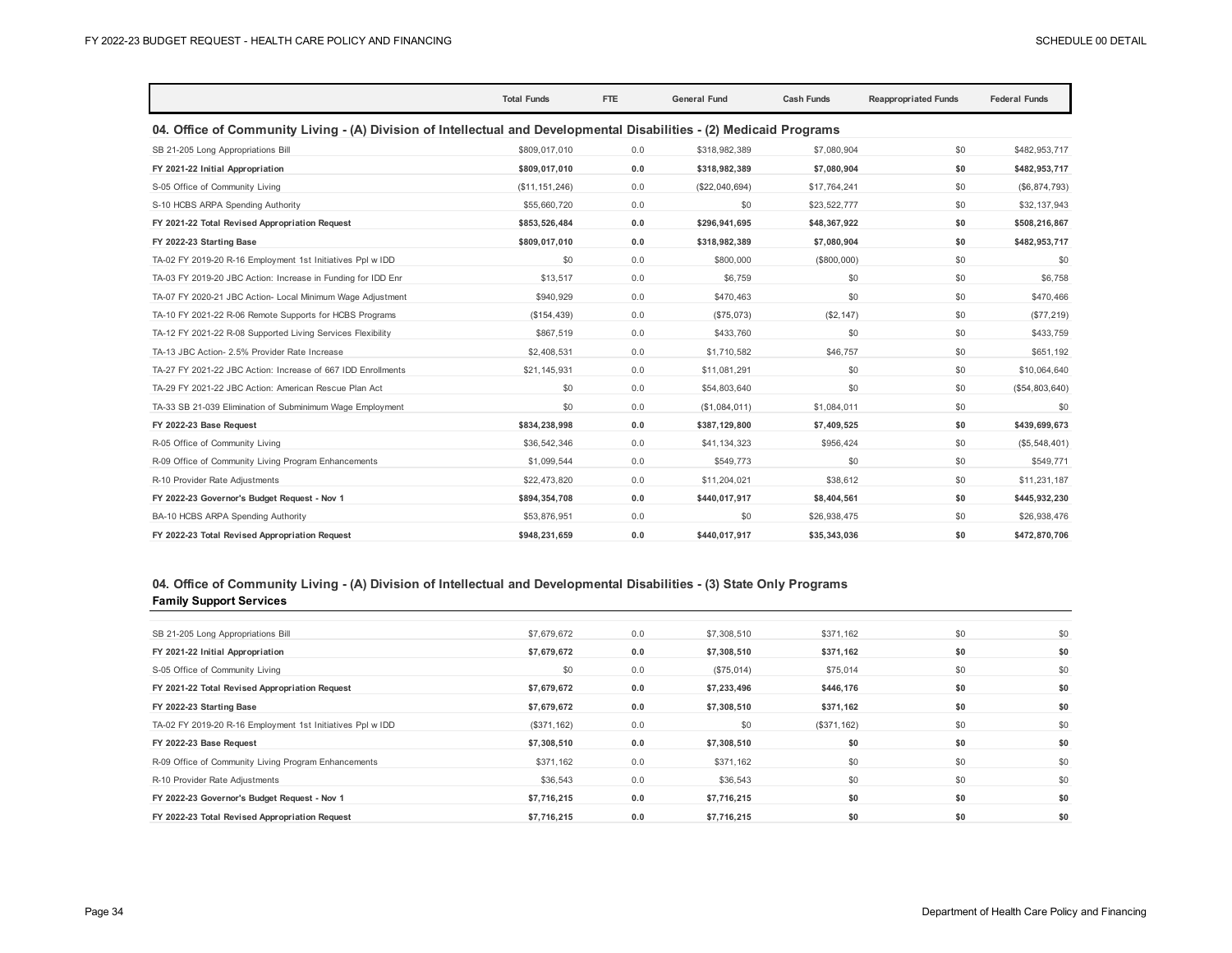|                                                                                                                      | <b>Total Funds</b> | <b>FTE</b> | <b>General Fund</b> | <b>Cash Funds</b> | <b>Reappropriated Funds</b> | <b>Federal Funds</b> |
|----------------------------------------------------------------------------------------------------------------------|--------------------|------------|---------------------|-------------------|-----------------------------|----------------------|
| 04. Office of Community Living - (A) Division of Intellectual and Developmental Disabilities - (2) Medicaid Programs |                    |            |                     |                   |                             |                      |
| SB 21-205 Long Appropriations Bill                                                                                   | \$809,017,010      | 0.0        | \$318,982,389       | \$7,080.904       | \$0                         | \$482,953,717        |
| FY 2021-22 Initial Appropriation                                                                                     | \$809.017.010      | 0.0        | \$318,982,389       | \$7.080.904       | \$0                         | \$482,953,717        |
| S-05 Office of Community Living                                                                                      | (\$11, 151, 246)   | 0.0        | (\$22,040,694)      | \$17,764,241      | \$0                         | (\$6,874,793)        |
| S-10 HCBS ARPA Spending Authority                                                                                    | \$55,660,720       | 0.0        | \$0                 | \$23,522,777      | \$0                         | \$32,137,943         |
| FY 2021-22 Total Revised Appropriation Request                                                                       | \$853,526,484      | 0.0        | \$296,941,695       | \$48,367,922      | \$0                         | \$508,216,867        |
| FY 2022-23 Starting Base                                                                                             | \$809,017,010      | 0.0        | \$318,982,389       | \$7,080,904       | \$0                         | \$482,953,717        |
| TA-02 FY 2019-20 R-16 Employment 1st Initiatives Ppl w IDD                                                           | \$0                | 0.0        | \$800,000           | (\$800,000)       | \$0                         | \$0                  |
| TA-03 FY 2019-20 JBC Action: Increase in Funding for IDD Enr                                                         | \$13,517           | 0.0        | \$6,759             | \$0               | \$0                         | \$6,758              |
| TA-07 FY 2020-21 JBC Action- Local Minimum Wage Adjustment                                                           | \$940,929          | 0.0        | \$470,463           | \$0               | \$0                         | \$470,466            |
| TA-10 FY 2021-22 R-06 Remote Supports for HCBS Programs                                                              | (\$154,439)        | 0.0        | (\$75,073)          | (S2, 147)         | \$0                         | (\$77,219)           |
| TA-12 FY 2021-22 R-08 Supported Living Services Flexibility                                                          | \$867,519          | 0.0        | \$433,760           | \$0               | \$0                         | \$433,759            |
| TA-13 JBC Action- 2.5% Provider Rate Increase                                                                        | \$2,408,531        | 0.0        | \$1,710.582         | \$46,757          | \$0                         | \$651,192            |
| TA-27 FY 2021-22 JBC Action: Increase of 667 IDD Enrollments                                                         | \$21,145,931       | 0.0        | \$11,081,291        | \$0               | \$0                         | \$10,064,640         |
| TA-29 FY 2021-22 JBC Action: American Rescue Plan Act                                                                | \$0                | 0.0        | \$54,803,640        | \$0               | \$0                         | (\$54,803,640)       |
| TA-33 SB 21-039 Elimination of Subminimum Wage Employment                                                            | \$0                | 0.0        | (\$1,084,011)       | \$1,084,011       | \$0                         | \$0                  |
| FY 2022-23 Base Request                                                                                              | \$834,238,998      | 0.0        | \$387,129,800       | \$7,409,525       | \$0                         | \$439,699,673        |
| R-05 Office of Community Living                                                                                      | \$36,542,346       | 0.0        | \$41,134,323        | \$956,424         | \$0                         | (\$5,548,401)        |
| R-09 Office of Community Living Program Enhancements                                                                 | \$1,099.544        | 0.0        | \$549,773           | \$0               | \$0                         | \$549,771            |
| R-10 Provider Rate Adjustments                                                                                       | \$22,473,820       | 0.0        | \$11,204,021        | \$38,612          | \$0                         | \$11,231,187         |
| FY 2022-23 Governor's Budget Request - Nov 1                                                                         | \$894,354,708      | 0.0        | \$440,017,917       | \$8,404,561       | \$0                         | \$445,932,230        |
| BA-10 HCBS ARPA Spending Authority                                                                                   | \$53,876,951       | 0.0        | \$0                 | \$26,938,475      | \$0                         | \$26,938,476         |
| FY 2022-23 Total Revised Appropriation Request                                                                       | \$948,231,659      | 0.0        | \$440,017,917       | \$35,343,036      | \$0                         | \$472,870,706        |

## **04. Office of Community Living - (A) Division of Intellectual and Developmental Disabilities - (3) State Only Programs Family Support Services**

| SB 21-205 Long Appropriations Bill                         | \$7,679,672 | 0.0 | \$7,308,510 | \$371,162   | \$0 | \$0 |
|------------------------------------------------------------|-------------|-----|-------------|-------------|-----|-----|
| FY 2021-22 Initial Appropriation                           | \$7,679,672 | 0.0 | \$7,308,510 | \$371,162   | \$0 | \$0 |
| S-05 Office of Community Living                            | \$0         | 0.0 | (\$75,014)  | \$75,014    | \$0 | \$0 |
| FY 2021-22 Total Revised Appropriation Request             | \$7,679,672 | 0.0 | \$7,233,496 | \$446,176   | \$0 | \$0 |
| FY 2022-23 Starting Base                                   | \$7,679,672 | 0.0 | \$7,308,510 | \$371,162   | \$0 | \$0 |
| TA-02 FY 2019-20 R-16 Employment 1st Initiatives Ppl w IDD | (\$371,162) | 0.0 | \$0         | (\$371,162) | \$0 | \$0 |
| FY 2022-23 Base Request                                    | \$7,308,510 | 0.0 | \$7,308,510 | \$0         | \$0 | \$0 |
| R-09 Office of Community Living Program Enhancements       | \$371,162   | 0.0 | \$371,162   | \$0         | \$0 | \$0 |
| R-10 Provider Rate Adjustments                             | \$36,543    | 0.0 | \$36,543    | \$0         | \$0 | \$0 |
| FY 2022-23 Governor's Budget Request - Nov 1               | \$7,716,215 | 0.0 | \$7,716,215 | \$0         | \$0 | \$0 |
| FY 2022-23 Total Revised Appropriation Request             | \$7.716.215 | 0.0 | \$7,716,215 | \$0         | \$0 | \$0 |
|                                                            |             |     |             |             |     |     |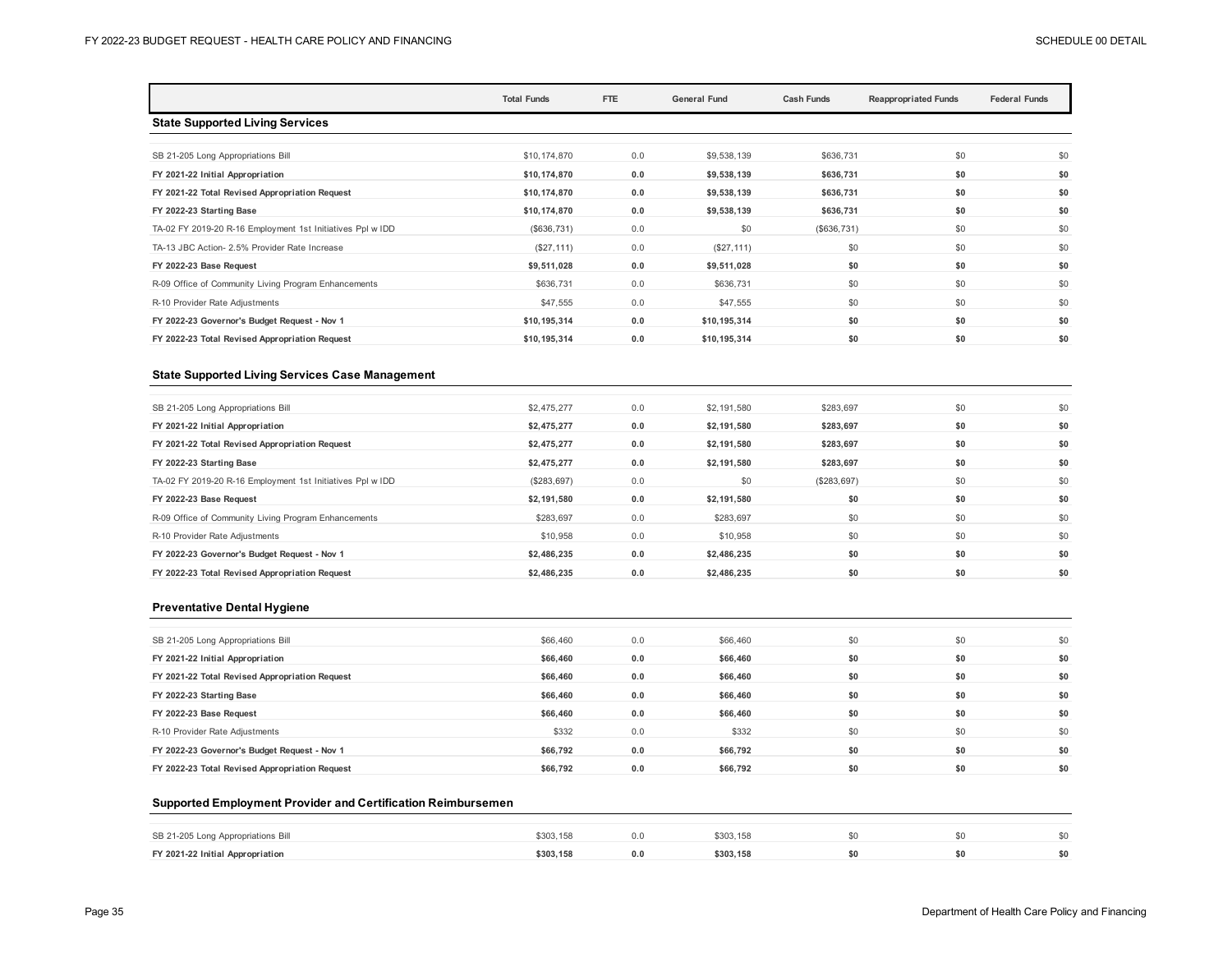|                                                            | <b>Total Funds</b> | FTE | <b>General Fund</b> | <b>Cash Funds</b> | <b>Reappropriated Funds</b> | <b>Federal Funds</b> |
|------------------------------------------------------------|--------------------|-----|---------------------|-------------------|-----------------------------|----------------------|
| <b>State Supported Living Services</b>                     |                    |     |                     |                   |                             |                      |
|                                                            |                    |     |                     |                   |                             |                      |
| SB 21-205 Long Appropriations Bill                         | \$10,174,870       | 0.0 | \$9,538,139         | \$636,731         | \$0                         | \$0                  |
| FY 2021-22 Initial Appropriation                           | \$10,174,870       | 0.0 | \$9,538,139         | \$636,731         | \$0                         | \$0                  |
| FY 2021-22 Total Revised Appropriation Request             | \$10,174,870       | 0.0 | \$9,538,139         | \$636,731         | \$0                         | \$0                  |
| FY 2022-23 Starting Base                                   | \$10,174,870       | 0.0 | \$9,538,139         | \$636,731         | \$0                         | \$0                  |
| TA-02 FY 2019-20 R-16 Employment 1st Initiatives Ppl w IDD | (S636, 731)        | 0.0 | \$0                 | (\$636,731)       | \$0                         | \$0                  |
| TA-13 JBC Action- 2.5% Provider Rate Increase              | (\$27,111)         | 0.0 | (\$27, 111)         | \$0               | \$0                         | \$0                  |
| FY 2022-23 Base Request                                    | \$9,511,028        | 0.0 | \$9,511,028         | \$0               | \$0                         | \$0                  |
| R-09 Office of Community Living Program Enhancements       | \$636,731          | 0.0 | \$636,731           | \$0               | \$0                         | \$0                  |
| R-10 Provider Rate Adjustments                             | \$47,555           | 0.0 | \$47,555            | \$0               | \$0                         | \$0                  |
| FY 2022-23 Governor's Budget Request - Nov 1               | \$10,195,314       | 0.0 | \$10,195,314        | \$0               | \$0                         | \$0                  |
| FY 2022-23 Total Revised Appropriation Request             | \$10,195,314       | 0.0 | \$10,195,314        | \$0               | \$0                         | \$0                  |

#### **State Supported Living Services Case Management**

| SB 21-205 Long Appropriations Bill                         | \$2,475,277 | 0.0 | \$2,191,580 | \$283,697   | \$0 | \$0 |
|------------------------------------------------------------|-------------|-----|-------------|-------------|-----|-----|
| FY 2021-22 Initial Appropriation                           | \$2,475,277 | 0.0 | \$2.191.580 | \$283.697   | \$0 | \$0 |
| FY 2021-22 Total Revised Appropriation Request             | \$2,475,277 | 0.0 | \$2,191,580 | \$283,697   | \$0 | \$0 |
| FY 2022-23 Starting Base                                   | \$2,475,277 | 0.0 | \$2,191,580 | \$283,697   | \$0 | \$0 |
| TA-02 FY 2019-20 R-16 Employment 1st Initiatives Ppl w IDD | (\$283,697) | 0.0 | \$0         | (\$283,697) | \$0 | \$0 |
| FY 2022-23 Base Request                                    | \$2,191,580 | 0.0 | \$2,191,580 | \$0         | \$0 | \$0 |
| R-09 Office of Community Living Program Enhancements       | \$283.697   | 0.0 | \$283,697   | \$0         | \$0 | \$0 |
| R-10 Provider Rate Adjustments                             | \$10,958    | 0.0 | \$10,958    | \$0         | \$0 | \$0 |
| FY 2022-23 Governor's Budget Request - Nov 1               | \$2,486,235 | 0.0 | \$2,486,235 | \$0         | \$0 | \$0 |
| FY 2022-23 Total Revised Appropriation Request             | \$2,486,235 | 0.0 | \$2,486,235 | \$0         | \$0 | \$0 |
|                                                            |             |     |             |             |     |     |

#### **Preventative Dental Hygiene**

| SB 21-205 Long Appropriations Bill             | \$66,460 | 0.0 | \$66,460 | \$0 | \$0 | \$0 |
|------------------------------------------------|----------|-----|----------|-----|-----|-----|
| FY 2021-22 Initial Appropriation               | \$66,460 | 0.0 | \$66,460 | \$0 | \$0 | \$0 |
| FY 2021-22 Total Revised Appropriation Request | \$66,460 | 0.0 | \$66,460 | \$0 | \$0 | \$0 |
| FY 2022-23 Starting Base                       | \$66,460 | 0.0 | \$66,460 | \$0 | \$0 | \$0 |
| FY 2022-23 Base Request                        | \$66,460 | 0.0 | \$66,460 | \$0 | \$0 | \$0 |
| R-10 Provider Rate Adjustments                 | \$332    | 0.0 | \$332    | \$0 | \$0 | \$0 |
| FY 2022-23 Governor's Budget Request - Nov 1   | \$66.792 | 0.0 | \$66,792 | \$0 | \$0 | \$0 |
| FY 2022-23 Total Revised Appropriation Request | \$66.792 | 0.0 | \$66,792 | \$0 | \$0 | \$0 |

#### **Supported Employment Provider and Certification Reimbursemen**

| SB 21-205 Long Appropriations Bill | \$303.158 |     | \$303.158 |  | ¢∩  |
|------------------------------------|-----------|-----|-----------|--|-----|
| FY 2021-22 Initial Appropriation   | \$303.158 | 0.0 | \$303.158 |  | \$0 |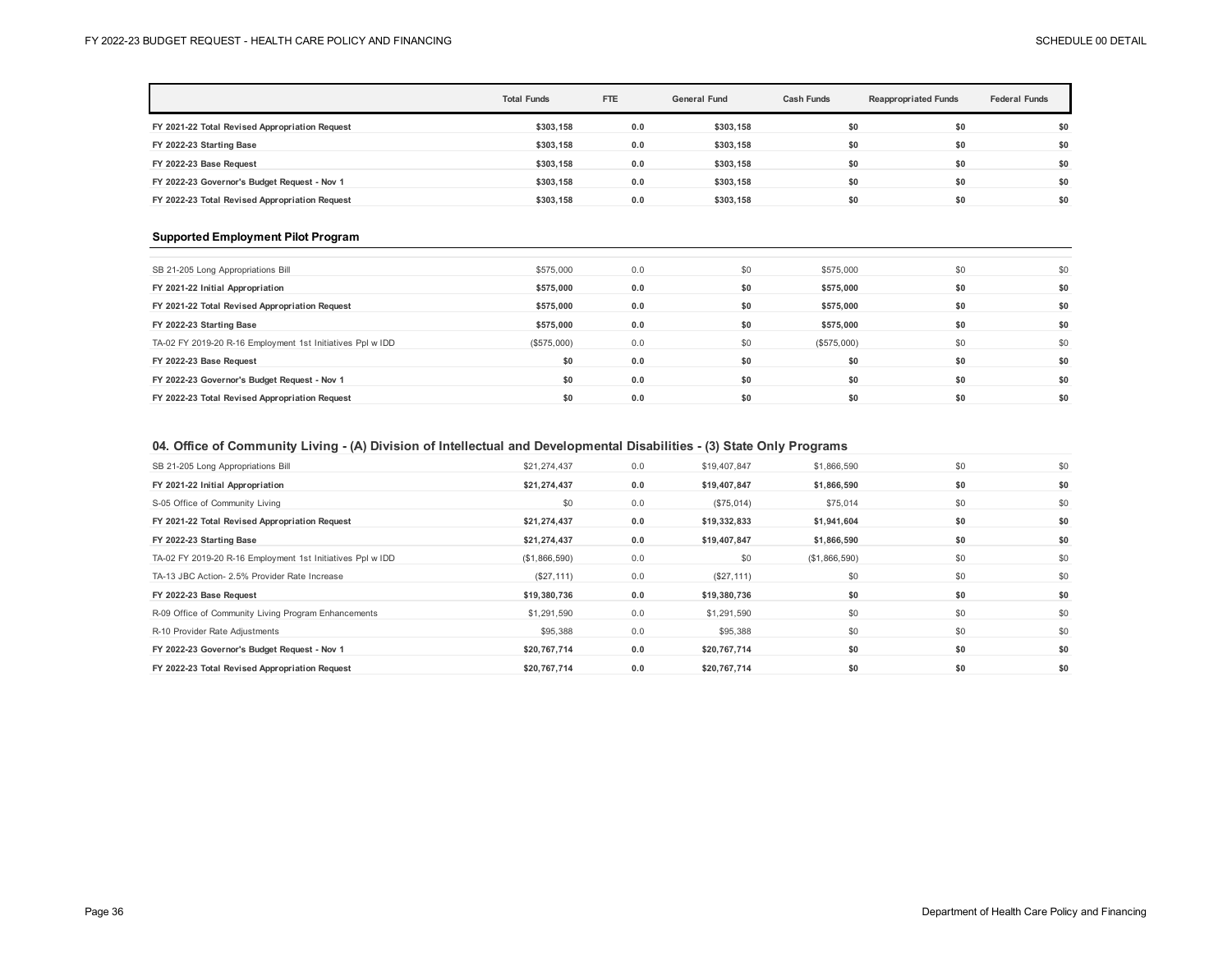|                                                | <b>Total Funds</b> | <b>FTE</b> | <b>General Fund</b> | <b>Cash Funds</b> | <b>Reappropriated Funds</b> | <b>Federal Funds</b> |
|------------------------------------------------|--------------------|------------|---------------------|-------------------|-----------------------------|----------------------|
| FY 2021-22 Total Revised Appropriation Request | \$303.158          | 0.0        | \$303.158           | \$0               | \$0                         | \$0                  |
| FY 2022-23 Starting Base                       | \$303.158          | 0.0        | \$303.158           | \$0               | \$0                         | \$0                  |
| FY 2022-23 Base Request                        | \$303.158          | 0.0        | \$303,158           | \$0               | \$0                         | \$0                  |
| FY 2022-23 Governor's Budget Request - Nov 1   | \$303.158          | 0.0        | \$303,158           | \$0               | \$0                         | \$0                  |
| FY 2022-23 Total Revised Appropriation Request | \$303.158          | 0.0        | \$303.158           | \$0               | \$0                         | \$0                  |

## **Supported Employment Pilot Program**

| SB 21-205 Long Appropriations Bill                         | \$575,000   | 0.0 | \$0 | \$575,000   | \$0 | \$0 |
|------------------------------------------------------------|-------------|-----|-----|-------------|-----|-----|
| FY 2021-22 Initial Appropriation                           | \$575,000   | 0.0 | \$0 | \$575,000   | \$0 | \$0 |
| FY 2021-22 Total Revised Appropriation Request             | \$575,000   | 0.0 | \$0 | \$575,000   | \$0 | \$0 |
| FY 2022-23 Starting Base                                   | \$575,000   | 0.0 | \$0 | \$575,000   | \$0 | \$0 |
| TA-02 FY 2019-20 R-16 Employment 1st Initiatives Ppl w IDD | (\$575,000) | 0.0 | \$0 | (\$575,000) | \$0 | \$0 |
| FY 2022-23 Base Request                                    | \$0         | 0.0 | \$0 | \$0         | \$0 | \$0 |
| FY 2022-23 Governor's Budget Request - Nov 1               | \$0         | 0.0 | \$0 | \$0         | \$0 | \$0 |
| FY 2022-23 Total Revised Appropriation Request             | \$0         | 0.0 | \$0 | \$0         | \$0 | \$0 |
|                                                            |             |     |     |             |     |     |

## **04. Office of Community Living - (A) Division of Intellectual and Developmental Disabilities - (3) State Only Programs**

| SB 21-205 Long Appropriations Bill                         | \$21,274,437  | 0.0 | \$19,407,847 | \$1,866,590   | \$0 | \$0 |
|------------------------------------------------------------|---------------|-----|--------------|---------------|-----|-----|
| FY 2021-22 Initial Appropriation                           | \$21,274,437  | 0.0 | \$19,407,847 | \$1,866,590   | \$0 | \$0 |
| S-05 Office of Community Living                            | \$0           | 0.0 | (\$75,014)   | \$75,014      | \$0 | \$0 |
| FY 2021-22 Total Revised Appropriation Request             | \$21,274,437  | 0.0 | \$19,332,833 | \$1,941,604   | \$0 | \$0 |
| FY 2022-23 Starting Base                                   | \$21,274,437  | 0.0 | \$19,407,847 | \$1,866,590   | \$0 | \$0 |
| TA-02 FY 2019-20 R-16 Employment 1st Initiatives Ppl w IDD | (\$1,866,590) | 0.0 | \$0          | (\$1,866,590) | \$0 | \$0 |
| TA-13 JBC Action- 2.5% Provider Rate Increase              | (\$27,111)    | 0.0 | (\$27,111)   | \$0           | \$0 | \$0 |
| FY 2022-23 Base Request                                    | \$19,380,736  | 0.0 | \$19,380,736 | \$0           | \$0 | \$0 |
| R-09 Office of Community Living Program Enhancements       | \$1,291,590   | 0.0 | \$1,291,590  | \$0           | \$0 | \$0 |
| R-10 Provider Rate Adjustments                             | \$95,388      | 0.0 | \$95,388     | \$0           | \$0 | \$0 |
| FY 2022-23 Governor's Budget Request - Nov 1               | \$20,767,714  | 0.0 | \$20,767,714 | \$0           | \$0 | \$0 |
| FY 2022-23 Total Revised Appropriation Request             | \$20,767,714  | 0.0 | \$20,767,714 | \$0           | \$0 | \$0 |
|                                                            |               |     |              |               |     |     |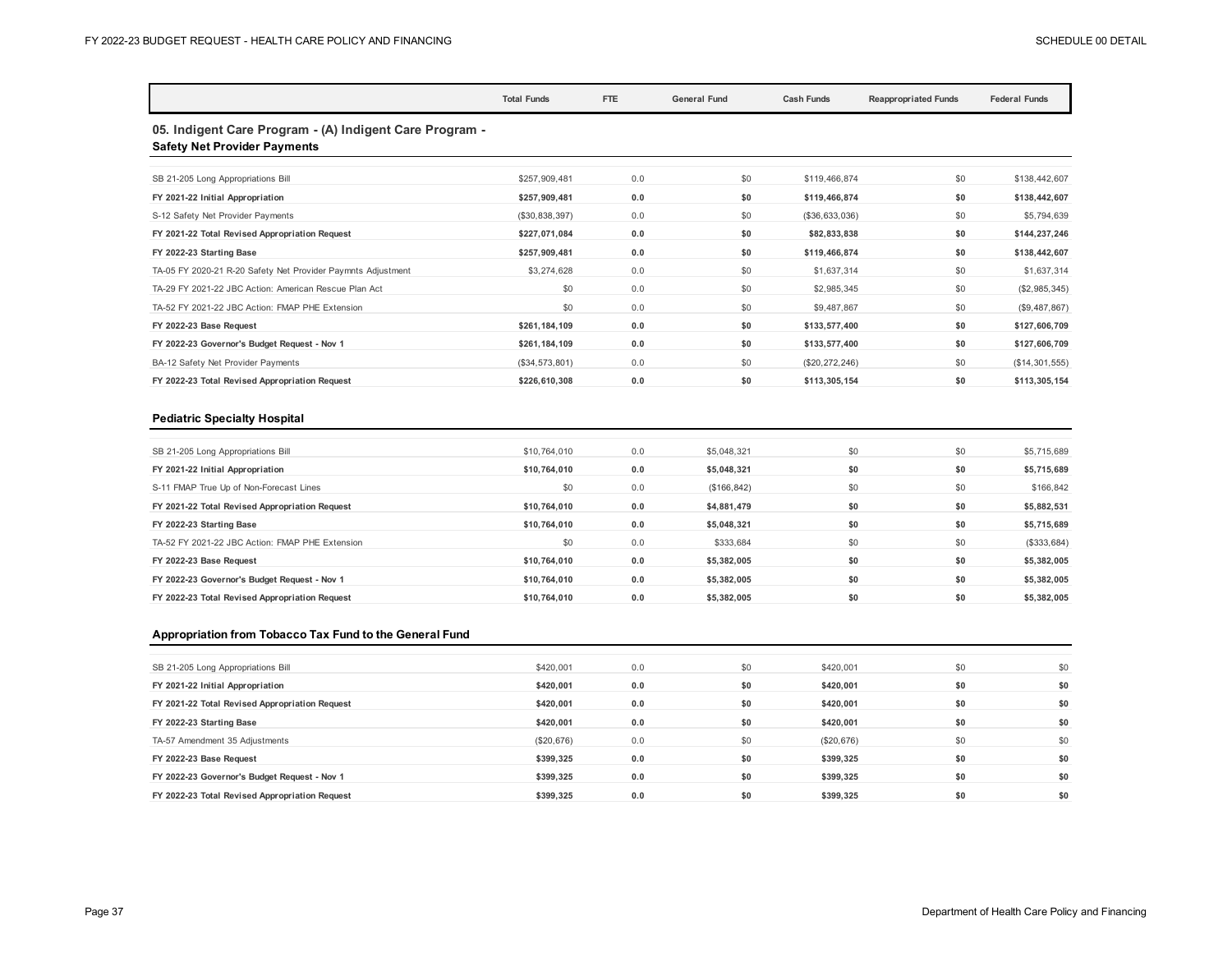|                                                                                                | <b>Total Funds</b> | FTE | <b>General Fund</b> | <b>Cash Funds</b> | <b>Reappropriated Funds</b> | <b>Federal Funds</b> |
|------------------------------------------------------------------------------------------------|--------------------|-----|---------------------|-------------------|-----------------------------|----------------------|
| 05. Indigent Care Program - (A) Indigent Care Program -<br><b>Safety Net Provider Payments</b> |                    |     |                     |                   |                             |                      |
| SB 21-205 Long Appropriations Bill                                                             | \$257,909,481      | 0.0 | \$0                 | \$119,466.874     | \$0                         | \$138,442,607        |
| FY 2021-22 Initial Appropriation                                                               | \$257,909,481      | 0.0 | \$0                 | \$119,466,874     | \$0                         | \$138,442,607        |
| S-12 Safety Net Provider Payments                                                              | (\$30,838,397)     | 0.0 | \$0                 | (\$36,633,036)    | \$0                         | \$5,794,639          |
| FY 2021-22 Total Revised Appropriation Request                                                 | \$227.071.084      | 0.0 | \$0                 | \$82,833,838      | \$0                         | \$144,237,246        |
| FY 2022-23 Starting Base                                                                       | \$257,909,481      | 0.0 | \$0                 | \$119,466,874     | \$0                         | \$138,442,607        |
| TA-05 FY 2020-21 R-20 Safety Net Provider Paymnts Adjustment                                   | \$3,274,628        | 0.0 | \$0                 | \$1,637,314       | \$0                         | \$1,637,314          |
| TA-29 FY 2021-22 JBC Action: American Rescue Plan Act                                          | \$0                | 0.0 | \$0                 | \$2,985,345       | \$0                         | (\$2,985,345)        |
| TA-52 FY 2021-22 JBC Action: FMAP PHE Extension                                                | \$0                | 0.0 | \$0                 | \$9,487,867       | \$0                         | (\$9,487,867)        |
| FY 2022-23 Base Request                                                                        | \$261,184,109      | 0.0 | \$0                 | \$133,577,400     | \$0                         | \$127,606,709        |
| FY 2022-23 Governor's Budget Request - Nov 1                                                   | \$261,184,109      | 0.0 | \$0                 | \$133,577,400     | \$0                         | \$127,606,709        |
| BA-12 Safety Net Provider Payments                                                             | (\$34,573,801)     | 0.0 | \$0                 | (\$20,272,246)    | \$0                         | (\$14,301,555)       |
| FY 2022-23 Total Revised Appropriation Request                                                 | \$226,610,308      | 0.0 | \$0                 | \$113,305,154     | \$0                         | \$113,305,154        |

## **Pediatric Specialty Hospital**

| SB 21-205 Long Appropriations Bill              | \$10,764,010 | 0.0 | \$5,048,321  | \$0 | \$0 | \$5,715,689 |
|-------------------------------------------------|--------------|-----|--------------|-----|-----|-------------|
| FY 2021-22 Initial Appropriation                | \$10,764,010 | 0.0 | \$5,048,321  | \$0 | \$0 | \$5,715,689 |
| S-11 FMAP True Up of Non-Forecast Lines         | \$0          | 0.0 | (\$166, 842) | \$0 | \$0 | \$166,842   |
| FY 2021-22 Total Revised Appropriation Request  | \$10,764,010 | 0.0 | \$4,881,479  | \$0 | \$0 | \$5,882,531 |
| FY 2022-23 Starting Base                        | \$10,764,010 | 0.0 | \$5,048,321  | \$0 | \$0 | \$5,715,689 |
| TA-52 FY 2021-22 JBC Action: FMAP PHE Extension | \$0          | 0.0 | \$333,684    | \$0 | \$0 | (\$333,684) |
| FY 2022-23 Base Request                         | \$10,764,010 | 0.0 | \$5.382.005  | \$0 | \$0 | \$5,382,005 |
| FY 2022-23 Governor's Budget Request - Nov 1    | \$10,764,010 | 0.0 | \$5.382.005  | \$0 | \$0 | \$5,382,005 |
| FY 2022-23 Total Revised Appropriation Request  | \$10,764,010 | 0.0 | \$5.382.005  | \$0 | \$0 | \$5.382.005 |
|                                                 |              |     |              |     |     |             |

## **Appropriation from Tobacco Tax Fund to the General Fund**

| SB 21-205 Long Appropriations Bill             | \$420,001  | 0.0 | \$0 | \$420,001  | \$0 | \$0 |
|------------------------------------------------|------------|-----|-----|------------|-----|-----|
| FY 2021-22 Initial Appropriation               | \$420,001  | 0.0 | \$0 | \$420,001  | \$0 | \$0 |
| FY 2021-22 Total Revised Appropriation Request | \$420,001  | 0.0 | \$0 | \$420,001  | \$0 | \$0 |
| FY 2022-23 Starting Base                       | \$420,001  | 0.0 | \$0 | \$420.001  | \$0 | \$0 |
| TA-57 Amendment 35 Adjustments                 | (\$20,676) | 0.0 | \$0 | (\$20,676) | \$0 | \$0 |
| FY 2022-23 Base Request                        | \$399,325  | 0.0 | \$0 | \$399,325  | \$0 | \$0 |
| FY 2022-23 Governor's Budget Request - Nov 1   | \$399.325  | 0.0 | \$0 | \$399,325  | \$0 | \$0 |
| FY 2022-23 Total Revised Appropriation Request | \$399,325  | 0.0 | \$0 | \$399,325  | \$0 | \$0 |
|                                                |            |     |     |            |     |     |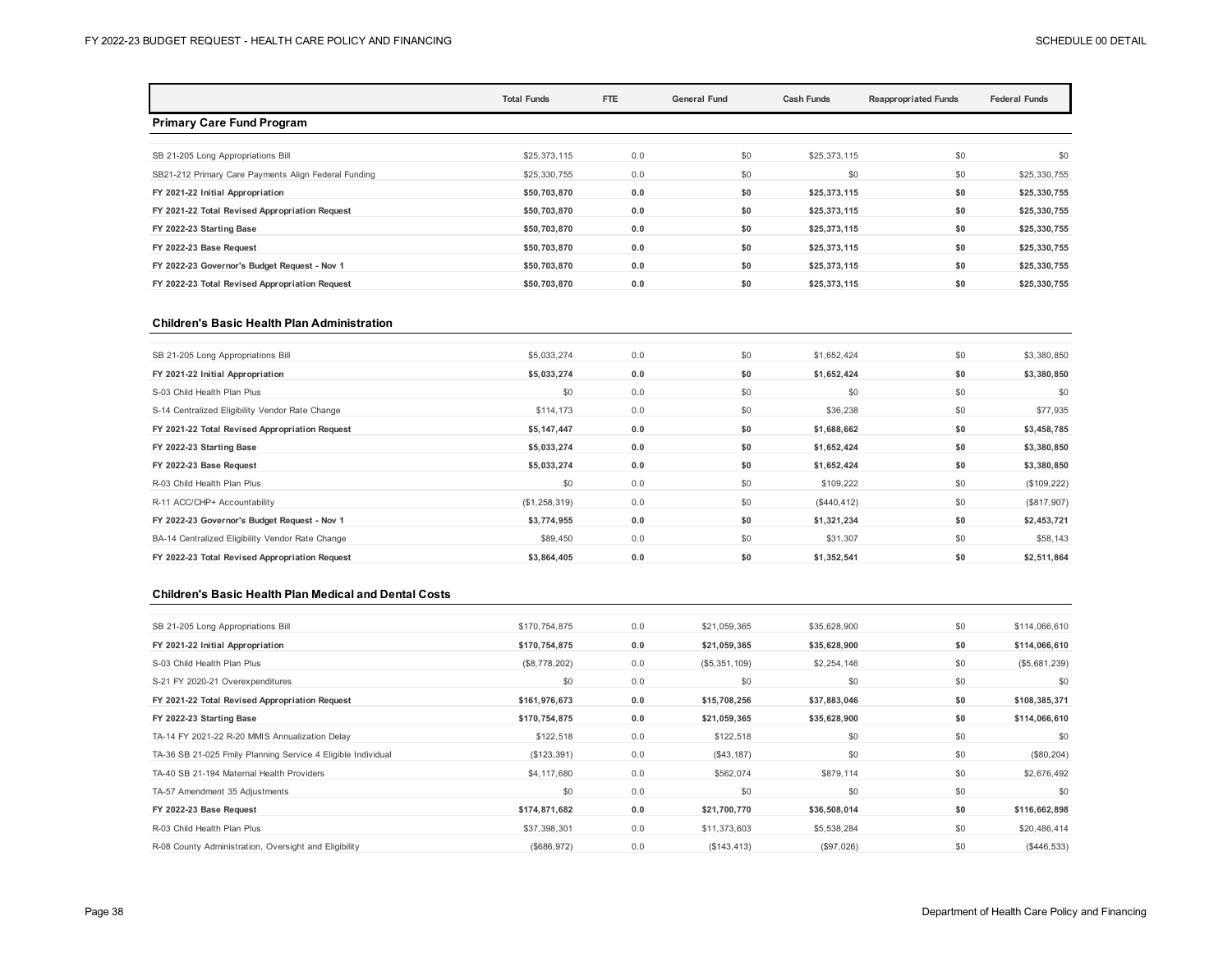|                                                      | <b>Total Funds</b> | FTE | <b>General Fund</b> | <b>Cash Funds</b> | <b>Reappropriated Funds</b> | <b>Federal Funds</b> |
|------------------------------------------------------|--------------------|-----|---------------------|-------------------|-----------------------------|----------------------|
| <b>Primary Care Fund Program</b>                     |                    |     |                     |                   |                             |                      |
| SB 21-205 Long Appropriations Bill                   | \$25,373,115       | 0.0 | \$0                 | \$25,373,115      | \$0                         | \$0                  |
| SB21-212 Primary Care Payments Align Federal Funding | \$25,330,755       | 0.0 | \$0                 | \$0               | \$0                         | \$25,330,755         |
| FY 2021-22 Initial Appropriation                     | \$50,703,870       | 0.0 | \$0                 | \$25,373,115      | \$0                         | \$25,330,755         |
| FY 2021-22 Total Revised Appropriation Request       | \$50,703,870       | 0.0 | \$0                 | \$25,373,115      | \$0                         | \$25,330,755         |
| FY 2022-23 Starting Base                             | \$50,703,870       | 0.0 | \$0                 | \$25,373,115      | \$0                         | \$25,330,755         |
| FY 2022-23 Base Request                              | \$50,703,870       | 0.0 | \$0                 | \$25,373,115      | \$0                         | \$25,330,755         |
| FY 2022-23 Governor's Budget Request - Nov 1         | \$50,703,870       | 0.0 | \$0                 | \$25,373,115      | \$0                         | \$25,330,755         |
| FY 2022-23 Total Revised Appropriation Request       | \$50,703,870       | 0.0 | \$0                 | \$25,373,115      | \$0                         | \$25,330,755         |

#### **Children's Basic Health Plan Administration**

| \$5,033,274   | 0.0 | \$0 | \$1,652,424  | \$0 | \$3,380,850 |
|---------------|-----|-----|--------------|-----|-------------|
| \$5,033,274   | 0.0 | \$0 | \$1,652,424  | \$0 | \$3,380,850 |
| \$0           | 0.0 | \$0 | \$0          | \$0 | \$0         |
| \$114,173     | 0.0 | \$0 | \$36,238     | \$0 | \$77,935    |
| \$5,147,447   | 0.0 | \$0 | \$1,688,662  | \$0 | \$3,458,785 |
| \$5,033,274   | 0.0 | \$0 | \$1,652,424  | \$0 | \$3,380,850 |
| \$5,033,274   | 0.0 | \$0 | \$1,652,424  | \$0 | \$3,380,850 |
| \$0           | 0.0 | \$0 | \$109,222    | \$0 | (\$109,222) |
| (\$1,258,319) | 0.0 | \$0 | (\$440, 412) | \$0 | (\$817,907) |
| \$3,774,955   | 0.0 | \$0 | \$1,321,234  | \$0 | \$2,453,721 |
| \$89,450      | 0.0 | \$0 | \$31,307     | \$0 | \$58,143    |
| \$3,864,405   | 0.0 | \$0 | \$1,352,541  | \$0 | \$2,511,864 |
|               |     |     |              |     |             |

#### **Children's Basic Health Plan Medical and Dental Costs**

| SB 21-205 Long Appropriations Bill                           | \$170,754,875 | 0.0 | \$21,059,365  | \$35,628,900 | \$0 | \$114,066,610 |
|--------------------------------------------------------------|---------------|-----|---------------|--------------|-----|---------------|
| FY 2021-22 Initial Appropriation                             | \$170,754,875 | 0.0 | \$21,059,365  | \$35,628,900 | \$0 | \$114,066,610 |
| S-03 Child Health Plan Plus                                  | (\$8,778,202) | 0.0 | (\$5,351,109) | \$2,254,146  | \$0 | (\$5,681,239) |
| S-21 FY 2020-21 Overexpenditures                             | \$0           | 0.0 | \$0           | \$0          | \$0 | \$0           |
| FY 2021-22 Total Revised Appropriation Request               | \$161,976,673 | 0.0 | \$15,708,256  | \$37,883,046 | \$0 | \$108,385,371 |
| FY 2022-23 Starting Base                                     | \$170,754,875 | 0.0 | \$21,059,365  | \$35,628,900 | \$0 | \$114,066,610 |
| TA-14 FY 2021-22 R-20 MMIS Annualization Delay               | \$122,518     | 0.0 | \$122,518     | \$0          | \$0 | \$0           |
| TA-36 SB 21-025 Fmily Planning Service 4 Eligible Individual | (\$123,391)   | 0.0 | (\$43,187)    | \$0          | \$0 | (\$80, 204)   |
| TA-40 SB 21-194 Maternal Health Providers                    | \$4,117,680   | 0.0 | \$562,074     | \$879,114    | \$0 | \$2,676,492   |
| TA-57 Amendment 35 Adjustments                               | \$0           | 0.0 | \$0           | \$0          | \$0 | \$0           |
| FY 2022-23 Base Request                                      | \$174,871,682 | 0.0 | \$21,700,770  | \$36,508,014 | \$0 | \$116,662,898 |
| R-03 Child Health Plan Plus                                  | \$37,398,301  | 0.0 | \$11,373,603  | \$5,538,284  | \$0 | \$20,486,414  |
| R-08 County Administration, Oversight and Eligibility        | (\$686,972)   | 0.0 | (\$143, 413)  | (\$97,026)   | \$0 | (S446, 533)   |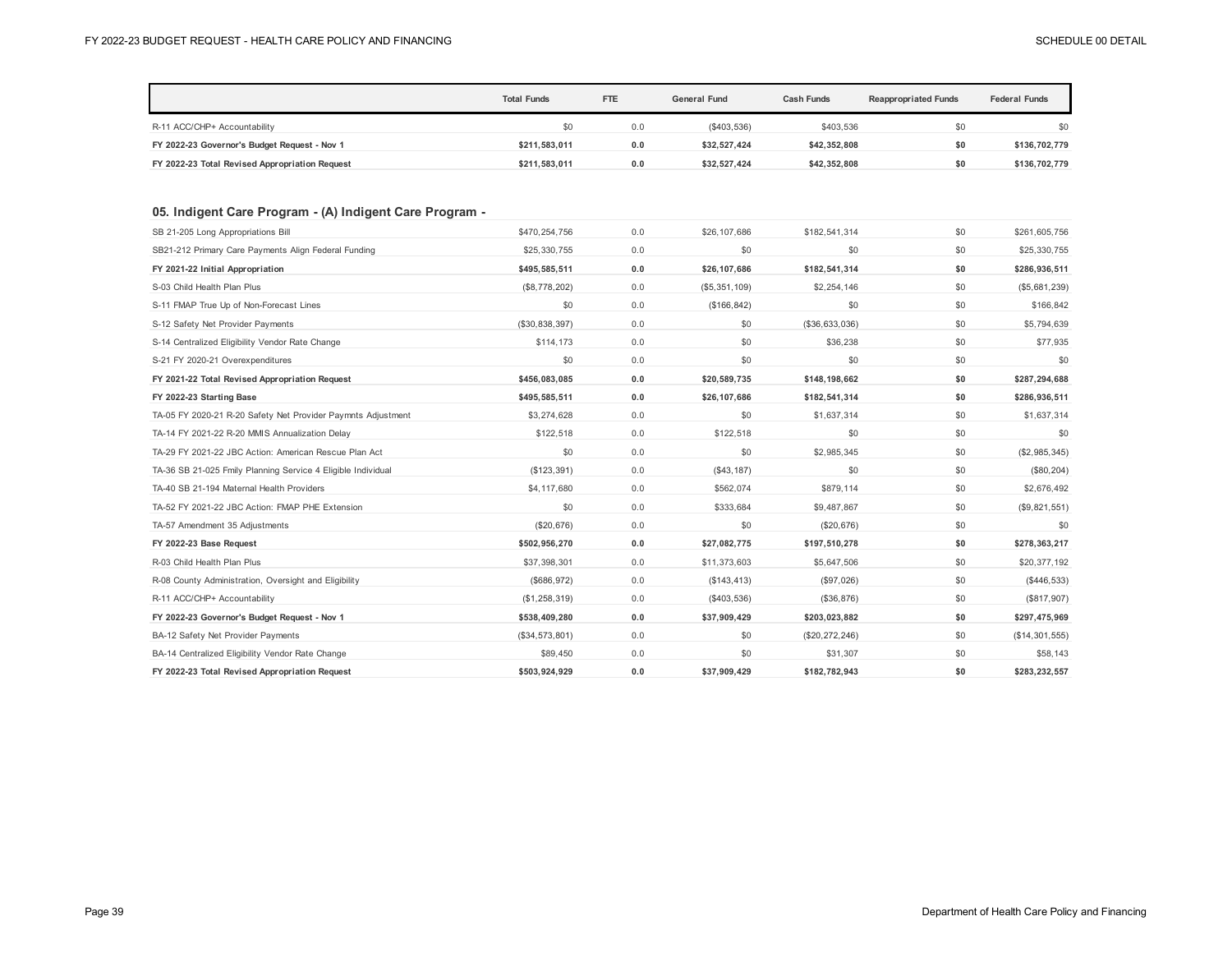|                                                              | <b>Total Funds</b> | FTE | <b>General Fund</b> | <b>Cash Funds</b> | <b>Reappropriated Funds</b> | <b>Federal Funds</b> |
|--------------------------------------------------------------|--------------------|-----|---------------------|-------------------|-----------------------------|----------------------|
| R-11 ACC/CHP+ Accountability                                 | \$0                | 0.0 | (\$403,536)         | \$403.536         | \$0                         | \$0                  |
| FY 2022-23 Governor's Budget Request - Nov 1                 | \$211,583,011      | 0.0 | \$32,527,424        | \$42,352,808      | \$0                         | \$136,702,779        |
| FY 2022-23 Total Revised Appropriation Request               | \$211,583,011      | 0.0 | \$32,527,424        | \$42,352,808      | \$0                         | \$136,702,779        |
| 05. Indigent Care Program - (A) Indigent Care Program -      |                    |     |                     |                   |                             |                      |
| SB 21-205 Long Appropriations Bill                           | \$470,254,756      | 0.0 | \$26,107,686        | \$182,541,314     | \$0                         | \$261,605,756        |
| SB21-212 Primary Care Payments Align Federal Funding         | \$25,330,755       | 0.0 | \$0                 | \$0               | \$0                         | \$25,330,755         |
| FY 2021-22 Initial Appropriation                             | \$495,585,511      | 0.0 | \$26,107,686        | \$182,541,314     | \$0                         | \$286,936,511        |
| S-03 Child Health Plan Plus                                  | (\$8,778,202)      | 0.0 | (\$5,351,109)       | \$2,254,146       | \$0                         | (\$5,681,239)        |
| S-11 FMAP True Up of Non-Forecast Lines                      | \$0                | 0.0 | (\$166, 842)        | \$0               | \$0                         | \$166,842            |
| S-12 Safety Net Provider Payments                            | (\$30,838,397)     | 0.0 | \$0                 | (\$36,633,036)    | \$0                         | \$5,794,639          |
| S-14 Centralized Eligibility Vendor Rate Change              | \$114,173          | 0.0 | \$0                 | \$36,238          | \$0                         | \$77,935             |
| S-21 FY 2020-21 Overexpenditures                             | \$0                | 0.0 | \$0                 | \$0               | \$0                         | \$0                  |
| FY 2021-22 Total Revised Appropriation Request               | \$456,083,085      | 0.0 | \$20,589,735        | \$148,198,662     | \$0                         | \$287,294,688        |
| FY 2022-23 Starting Base                                     | \$495,585,511      | 0.0 | \$26,107,686        | \$182,541,314     | \$0                         | \$286,936,511        |
| TA-05 FY 2020-21 R-20 Safety Net Provider Paymnts Adjustment | \$3,274,628        | 0.0 | \$0                 | \$1,637,314       | \$0                         | \$1,637,314          |
| TA-14 FY 2021-22 R-20 MMIS Annualization Delay               | \$122,518          | 0.0 | \$122,518           | \$0               | \$0                         | \$0                  |
| TA-29 FY 2021-22 JBC Action: American Rescue Plan Act        | \$0                | 0.0 | \$0                 | \$2,985,345       | \$0                         | (\$2,985,345)        |
| TA-36 SB 21-025 Fmily Planning Service 4 Eligible Individual | (\$123,391)        | 0.0 | (\$43, 187)         | \$0               | \$0                         | (\$80, 204)          |
| TA-40 SB 21-194 Maternal Health Providers                    | \$4,117,680        | 0.0 | \$562,074           | \$879,114         | \$0                         | \$2,676,492          |
| TA-52 FY 2021-22 JBC Action: FMAP PHE Extension              | \$0                | 0.0 | \$333,684           | \$9,487,867       | \$0                         | (\$9,821,551)        |
| TA-57 Amendment 35 Adjustments                               | (\$20,676)         | 0.0 | \$0                 | (\$20,676)        | \$0                         | \$0                  |
| FY 2022-23 Base Request                                      | \$502,956,270      | 0.0 | \$27,082,775        | \$197,510,278     | \$0                         | \$278,363,217        |
| R-03 Child Health Plan Plus                                  | \$37,398,301       | 0.0 | \$11,373,603        | \$5,647,506       | \$0                         | \$20,377,192         |
| R-08 County Administration, Oversight and Eligibility        | (\$686,972)        | 0.0 | (\$143, 413)        | (\$97,026)        | \$0                         | (\$446,533)          |
| R-11 ACC/CHP+ Accountability                                 | (\$1,258,319)      | 0.0 | (\$403,536)         | (\$36,876)        | \$0                         | (\$817,907)          |
| FY 2022-23 Governor's Budget Request - Nov 1                 | \$538,409,280      | 0.0 | \$37,909,429        | \$203,023,882     | \$0                         | \$297,475,969        |
| BA-12 Safety Net Provider Payments                           | (\$34,573,801)     | 0.0 | \$0                 | (\$20,272,246)    | \$0                         | (\$14,301,555)       |
| BA-14 Centralized Eligibility Vendor Rate Change             | \$89,450           | 0.0 | \$0                 | \$31,307          | \$0                         | \$58,143             |
| FY 2022-23 Total Revised Appropriation Request               | \$503,924,929      | 0.0 | \$37,909,429        | \$182,782,943     | \$0                         | \$283,232,557        |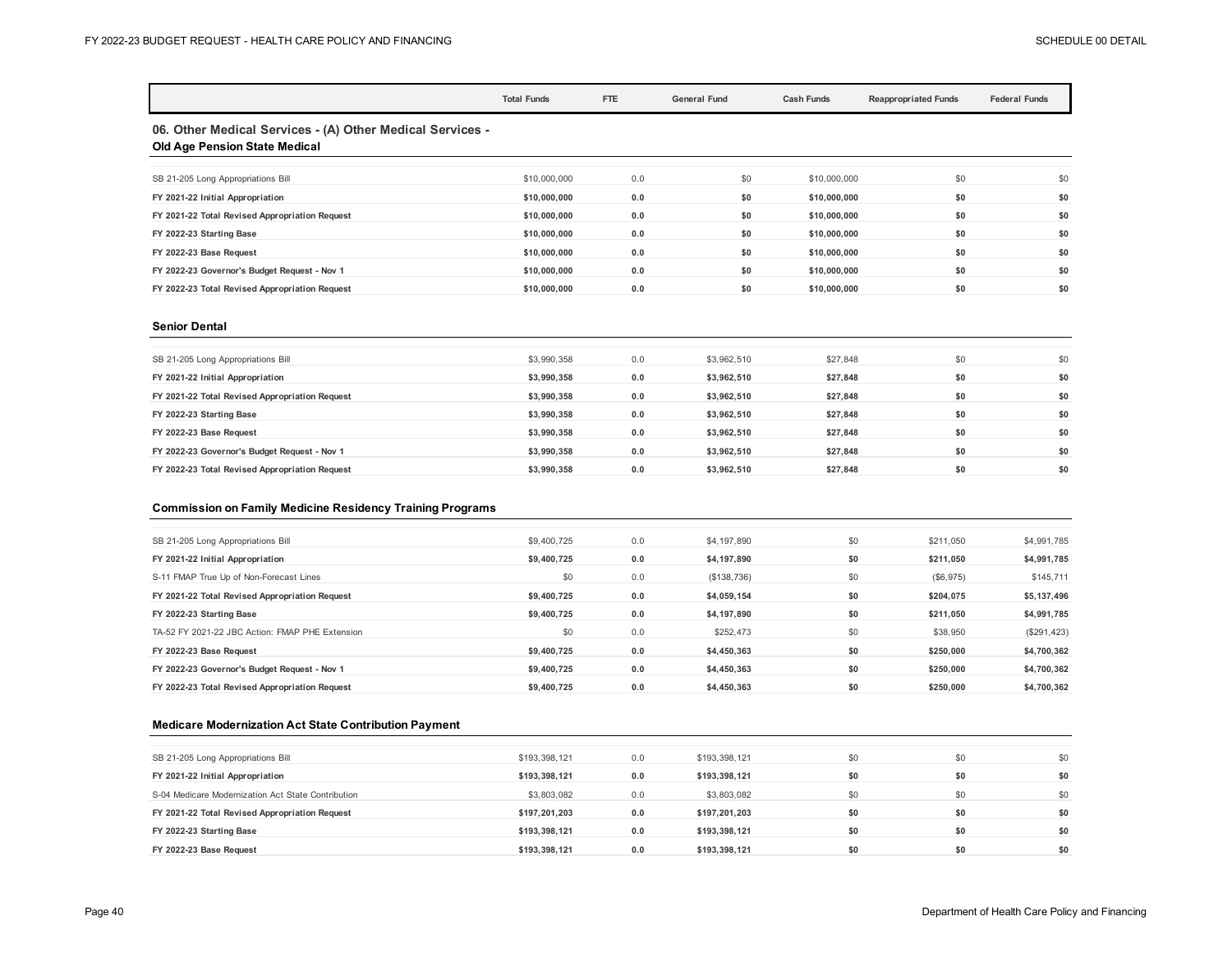|                                                                                                   | <b>Total Funds</b> | FTE | <b>General Fund</b> | <b>Cash Funds</b> | <b>Reappropriated Funds</b> | <b>Federal Funds</b> |
|---------------------------------------------------------------------------------------------------|--------------------|-----|---------------------|-------------------|-----------------------------|----------------------|
| 06. Other Medical Services - (A) Other Medical Services -<br><b>Old Age Pension State Medical</b> |                    |     |                     |                   |                             |                      |
| SB 21-205 Long Appropriations Bill                                                                | \$10,000,000       | 0.0 | \$0                 | \$10,000,000      | \$0                         | \$0                  |
| FY 2021-22 Initial Appropriation                                                                  | \$10,000,000       | 0.0 | \$0                 | \$10,000,000      | \$0                         | \$0                  |
| FY 2021-22 Total Revised Appropriation Request                                                    | \$10,000,000       | 0.0 | \$0                 | \$10,000,000      | \$0                         | \$0                  |
| FY 2022-23 Starting Base                                                                          | \$10,000,000       | 0.0 | \$0                 | \$10,000,000      | \$0                         | \$0                  |
| FY 2022-23 Base Request                                                                           | \$10,000,000       | 0.0 | \$0                 | \$10,000,000      | \$0                         | \$0                  |
| FY 2022-23 Governor's Budget Request - Nov 1                                                      | \$10,000,000       | 0.0 | \$0                 | \$10,000,000      | \$0                         | \$0                  |
| FY 2022-23 Total Revised Appropriation Request                                                    | \$10,000,000       | 0.0 | \$0                 | \$10,000,000      | \$0                         | \$0                  |
| <b>Senior Dental</b>                                                                              |                    |     |                     |                   |                             |                      |

| SB 21-205 Long Appropriations Bill             | \$3,990,358 | 0.0 | \$3,962.510 | \$27,848 | \$0 | \$0 |
|------------------------------------------------|-------------|-----|-------------|----------|-----|-----|
| FY 2021-22 Initial Appropriation               | \$3,990,358 | 0.0 | \$3.962.510 | \$27.848 | \$0 | \$0 |
| FY 2021-22 Total Revised Appropriation Request | \$3,990,358 | 0.0 | \$3.962.510 | \$27.848 | \$0 | \$0 |
| FY 2022-23 Starting Base                       | \$3.990.358 | 0.0 | \$3.962.510 | \$27.848 | \$0 | \$0 |
| FY 2022-23 Base Request                        | \$3,990,358 | 0.0 | \$3.962.510 | \$27.848 | \$0 | \$0 |
| FY 2022-23 Governor's Budget Request - Nov 1   | \$3,990,358 | 0.0 | \$3,962,510 | \$27.848 | \$0 | \$0 |
| FY 2022-23 Total Revised Appropriation Request | \$3.990.358 | 0.0 | \$3.962.510 | \$27.848 | \$0 | \$0 |
|                                                |             |     |             |          |     |     |

#### **Commission on Family Medicine Residency Training Programs**

| SB 21-205 Long Appropriations Bill              | \$9,400,725 | 0.0 | \$4,197,890 | \$0 | \$211.050 | \$4,991,785 |
|-------------------------------------------------|-------------|-----|-------------|-----|-----------|-------------|
| FY 2021-22 Initial Appropriation                | \$9.400.725 | 0.0 | \$4,197,890 | \$0 | \$211.050 | \$4,991,785 |
| S-11 FMAP True Up of Non-Forecast Lines         | \$0         | 0.0 | (S138, 736) | \$0 | (\$6,975) | \$145,711   |
| FY 2021-22 Total Revised Appropriation Request  | \$9.400.725 | 0.0 | \$4.059.154 | \$0 | \$204.075 | \$5,137,496 |
| FY 2022-23 Starting Base                        | \$9.400.725 | 0.0 | \$4,197,890 | \$0 | \$211.050 | \$4,991,785 |
| TA-52 FY 2021-22 JBC Action: FMAP PHE Extension | \$0         | 0.0 | \$252,473   | \$0 | \$38,950  | (\$291,423) |
| FY 2022-23 Base Request                         | \$9.400.725 | 0.0 | \$4,450,363 | \$0 | \$250,000 | \$4,700,362 |
| FY 2022-23 Governor's Budget Request - Nov 1    | \$9,400,725 | 0.0 | \$4,450,363 | \$0 | \$250,000 | \$4,700,362 |
| FY 2022-23 Total Revised Appropriation Request  | \$9,400,725 | 0.0 | \$4,450,363 | \$0 | \$250,000 | \$4,700,362 |
|                                                 |             |     |             |     |           |             |

#### **Medicare Modernization Act State Contribution Payment**

| SB 21-205 Long Appropriations Bill                 | \$193,398,121 | 0.0 | \$193,398,121 | \$0 | \$0 | \$0 |
|----------------------------------------------------|---------------|-----|---------------|-----|-----|-----|
| FY 2021-22 Initial Appropriation                   | \$193,398,121 | 0.0 | \$193,398,121 | \$0 | \$0 | \$0 |
| S-04 Medicare Modernization Act State Contribution | \$3,803,082   | 0.0 | \$3,803,082   |     | \$0 | \$0 |
| FY 2021-22 Total Revised Appropriation Request     | \$197,201,203 | 0.0 | \$197.201.203 |     | \$0 | \$0 |
| FY 2022-23 Starting Base                           | \$193.398.121 | 0.0 | \$193,398,121 |     | \$0 | \$0 |
| FY 2022-23 Base Request                            | \$193.398.121 | 0.0 | \$193,398,121 |     | \$0 | \$0 |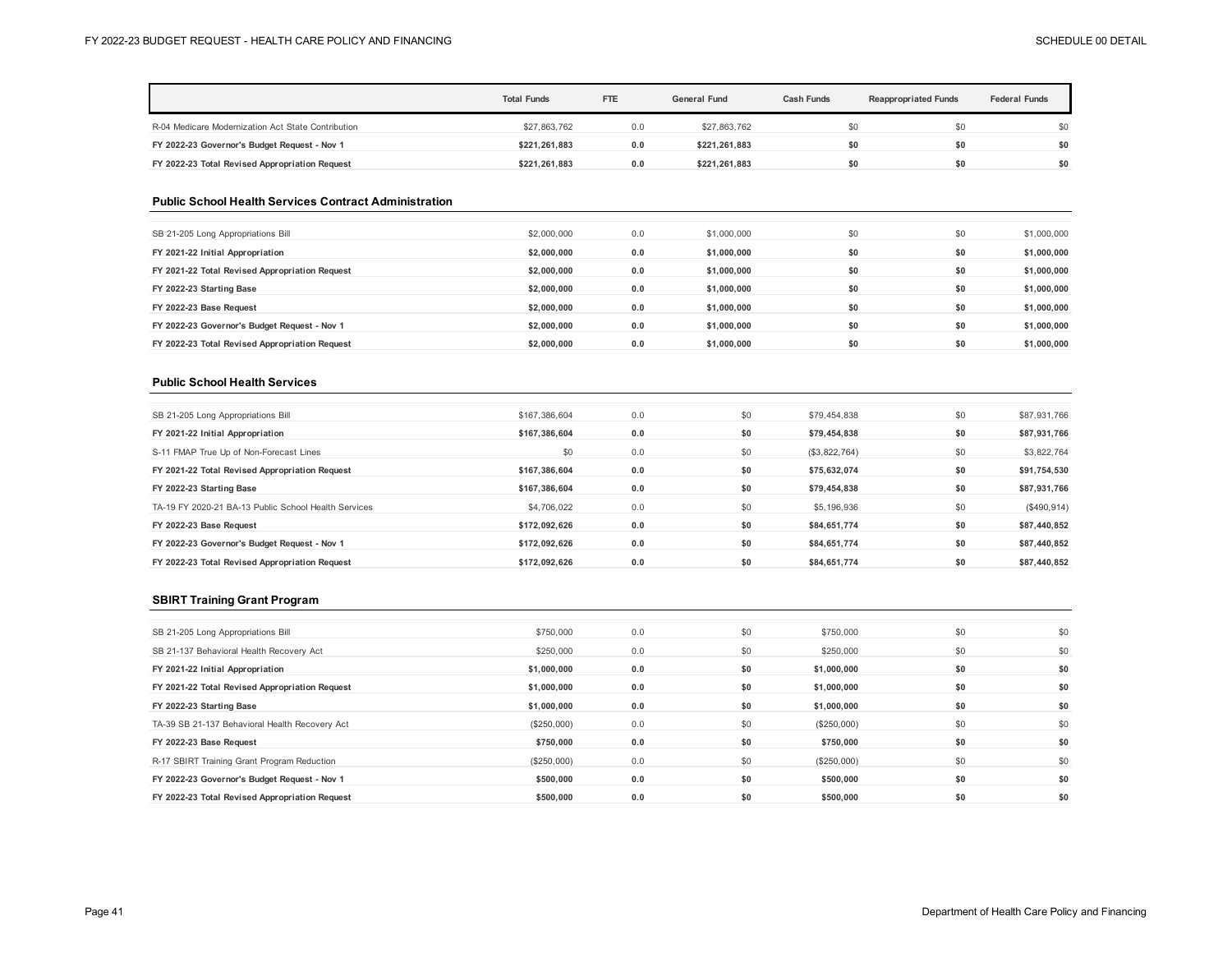|                                                    | <b>Total Funds</b> | <b>FTE</b> | <b>General Fund</b> | <b>Cash Funds</b> | <b>Reappropriated Funds</b> | <b>Federal Funds</b> |
|----------------------------------------------------|--------------------|------------|---------------------|-------------------|-----------------------------|----------------------|
| R-04 Medicare Modernization Act State Contribution | \$27,863,762       | 0.0        | \$27,863,762        | \$0               | \$0                         | \$0                  |
| FY 2022-23 Governor's Budget Request - Nov 1       | \$221.261.883      | 0.0        | \$221.261.883       | \$0               | \$0                         | \$0                  |
| FY 2022-23 Total Revised Appropriation Request     | \$221.261.883      | 0.0        | \$221,261,883       | \$0               | \$0                         | \$0                  |

#### **Public School Health Services Contract Administration**

| SB 21-205 Long Appropriations Bill             | \$2,000,000 | 0.0 | \$1,000,000 | \$0 | \$0 | \$1,000,000 |
|------------------------------------------------|-------------|-----|-------------|-----|-----|-------------|
| FY 2021-22 Initial Appropriation               | \$2,000,000 | 0.0 | \$1,000,000 | \$0 | \$0 | \$1,000,000 |
| FY 2021-22 Total Revised Appropriation Request | \$2,000,000 | 0.0 | \$1.000.000 | \$0 | \$0 | \$1,000,000 |
| FY 2022-23 Starting Base                       | \$2,000,000 | 0.0 | \$1,000,000 | \$0 | \$0 | \$1,000,000 |
| FY 2022-23 Base Request                        | \$2,000,000 | 0.0 | \$1,000,000 | \$0 | \$0 | \$1,000,000 |
| FY 2022-23 Governor's Budget Request - Nov 1   | \$2,000,000 | 0.0 | \$1.000.000 | \$0 | \$0 | \$1,000,000 |
| FY 2022-23 Total Revised Appropriation Request | \$2,000,000 | 0.0 | \$1,000,000 | \$0 | \$0 | \$1,000,000 |

## **Public School Health Services**

| SB 21-205 Long Appropriations Bill                   | \$167,386,604 | 0.0 | \$0 | \$79,454,838  | \$0 | \$87,931,766 |
|------------------------------------------------------|---------------|-----|-----|---------------|-----|--------------|
| FY 2021-22 Initial Appropriation                     | \$167,386,604 | 0.0 | \$0 | \$79,454,838  | \$0 | \$87,931,766 |
| S-11 FMAP True Up of Non-Forecast Lines              | \$0           | 0.0 | \$0 | (\$3,822,764) | \$0 | \$3,822,764  |
| FY 2021-22 Total Revised Appropriation Request       | \$167,386,604 | 0.0 | \$0 | \$75.632.074  | \$0 | \$91,754,530 |
| FY 2022-23 Starting Base                             | \$167.386.604 | 0.0 | \$0 | \$79,454,838  | \$0 | \$87,931,766 |
| TA-19 FY 2020-21 BA-13 Public School Health Services | \$4,706,022   | 0.0 | \$0 | \$5,196,936   | \$0 | (S490, 914)  |
| FY 2022-23 Base Request                              | \$172.092.626 | 0.0 | \$0 | \$84.651.774  | \$0 | \$87,440,852 |
| FY 2022-23 Governor's Budget Request - Nov 1         | \$172,092,626 | 0.0 | \$0 | \$84,651,774  | \$0 | \$87,440,852 |
| FY 2022-23 Total Revised Appropriation Request       | \$172,092,626 | 0.0 | \$0 | \$84,651,774  | \$0 | \$87,440,852 |
|                                                      |               |     |     |               |     |              |

## **SBIRT Training Grant Program**

| SB 21-205 Long Appropriations Bill             | \$750,000   | 0.0 | \$0 | \$750,000   | \$0 | \$0 |
|------------------------------------------------|-------------|-----|-----|-------------|-----|-----|
| SB 21-137 Behavioral Health Recovery Act       | \$250,000   | 0.0 | \$0 | \$250,000   | \$0 | \$0 |
| FY 2021-22 Initial Appropriation               | \$1,000,000 | 0.0 | \$0 | \$1,000,000 | \$0 | \$0 |
| FY 2021-22 Total Revised Appropriation Request | \$1,000,000 | 0.0 | \$0 | \$1,000,000 | \$0 | \$0 |
| FY 2022-23 Starting Base                       | \$1,000,000 | 0.0 | \$0 | \$1,000,000 | \$0 | \$0 |
| TA-39 SB 21-137 Behavioral Health Recovery Act | (\$250,000) | 0.0 | \$0 | (\$250,000) | \$0 | \$0 |
| FY 2022-23 Base Request                        | \$750,000   | 0.0 | \$0 | \$750,000   | \$0 | \$0 |
| R-17 SBIRT Training Grant Program Reduction    | (\$250,000) | 0.0 | \$0 | (\$250,000) | \$0 | \$0 |
| FY 2022-23 Governor's Budget Request - Nov 1   | \$500,000   | 0.0 | \$0 | \$500,000   | \$0 | \$0 |
| FY 2022-23 Total Revised Appropriation Request | \$500,000   | 0.0 | \$0 | \$500.000   | \$0 | \$0 |
|                                                |             |     |     |             |     |     |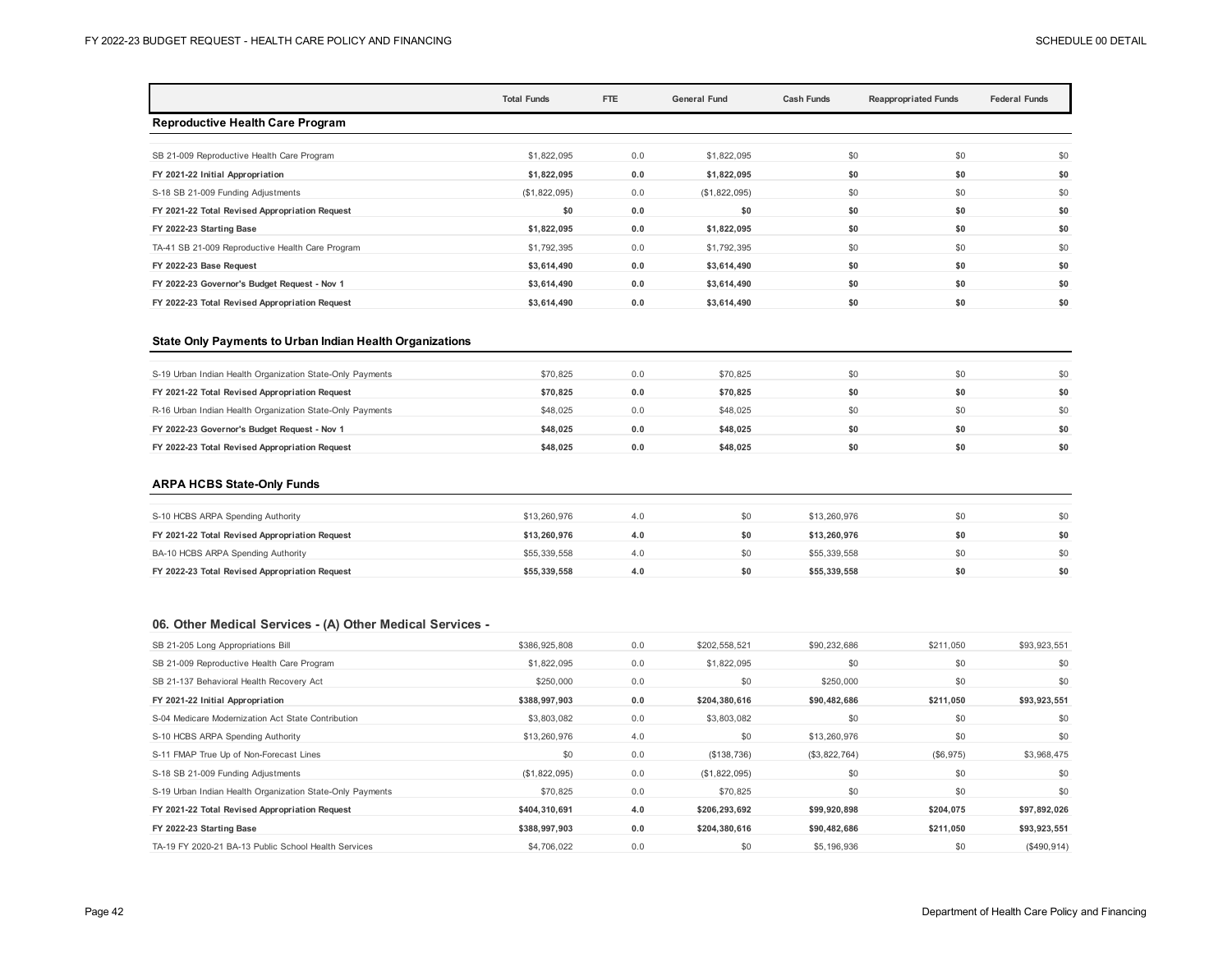|                                                  | <b>Total Funds</b> | FTE | <b>General Fund</b><br><b>Cash Funds</b> |     | <b>Reappropriated Funds</b> |     |
|--------------------------------------------------|--------------------|-----|------------------------------------------|-----|-----------------------------|-----|
| <b>Reproductive Health Care Program</b>          |                    |     |                                          |     |                             |     |
| SB 21-009 Reproductive Health Care Program       | \$1,822,095        | 0.0 | \$1,822,095                              | \$0 | \$0                         | \$0 |
| FY 2021-22 Initial Appropriation                 | \$1,822,095        | 0.0 | \$1,822,095                              | \$0 | \$0                         | \$0 |
| S-18 SB 21-009 Funding Adjustments               | (\$1,822,095)      | 0.0 | (\$1,822,095)                            | \$0 | \$0                         | \$0 |
| FY 2021-22 Total Revised Appropriation Request   | \$0                | 0.0 | \$0                                      | \$0 | \$0                         | \$0 |
| FY 2022-23 Starting Base                         | \$1,822,095        | 0.0 | \$1,822,095                              | \$0 | \$0                         | \$0 |
| TA-41 SB 21-009 Reproductive Health Care Program | \$1,792,395        | 0.0 | \$1,792,395                              | \$0 | \$0                         | \$0 |
| FY 2022-23 Base Request                          | \$3,614,490        | 0.0 | \$3,614,490                              | \$0 | \$0                         | \$0 |
| FY 2022-23 Governor's Budget Request - Nov 1     | \$3,614,490        | 0.0 | \$3,614,490                              | \$0 | \$0                         | \$0 |
| FY 2022-23 Total Revised Appropriation Request   | \$3,614,490        | 0.0 | \$3,614,490                              | \$0 | \$0                         | \$0 |

### **State Only Payments to Urban Indian Health Organizations**

| S-19 Urban Indian Health Organization State-Only Payments | \$70.825 | 0.0 | \$70.825 |     |     | \$0 |
|-----------------------------------------------------------|----------|-----|----------|-----|-----|-----|
| FY 2021-22 Total Revised Appropriation Request            | \$70.825 | 0.0 | \$70.825 | \$0 |     | \$0 |
| R-16 Urban Indian Health Organization State-Only Payments | \$48,025 | 0.0 | \$48,025 | \$0 | \$0 | \$0 |
| FY 2022-23 Governor's Budget Request - Nov 1              | \$48.025 | 0.0 | \$48.025 | \$0 | \$0 | \$0 |
| FY 2022-23 Total Revised Appropriation Request            | \$48.025 | 0.0 | \$48.025 | \$0 | \$0 | \$0 |

#### **ARPA HCBS State-Only Funds**

| S-10 HCBS ARPA Spending Authority              | \$13,260,976 | 4.0 | \$0 | \$13,260,976 |    | \$0 |
|------------------------------------------------|--------------|-----|-----|--------------|----|-----|
| FY 2021-22 Total Revised Appropriation Request | \$13.260.976 | 4.0 | \$0 | \$13,260,976 |    | \$0 |
| BA-10 HCBS ARPA Spending Authority             | \$55,339,558 | 4.0 | \$0 | \$55,339,558 |    | \$0 |
| FY 2022-23 Total Revised Appropriation Request | \$55,339,558 | 4.0 | \$0 | \$55,339,558 | 50 | \$0 |

## **06. Other Medical Services - (A) Other Medical Services -**

| SB 21-205 Long Appropriations Bill                        | \$386,925,808 | 0.0 | \$202,558,521 | \$90,232,686  | \$211,050 | \$93,923,551 |
|-----------------------------------------------------------|---------------|-----|---------------|---------------|-----------|--------------|
| SB 21-009 Reproductive Health Care Program                | \$1,822,095   | 0.0 | \$1,822,095   | \$0           | \$0       | \$0          |
| SB 21-137 Behavioral Health Recovery Act                  | \$250,000     | 0.0 | \$0           | \$250,000     | \$0       | \$0          |
| FY 2021-22 Initial Appropriation                          | \$388,997,903 | 0.0 | \$204,380,616 | \$90,482,686  | \$211,050 | \$93,923,551 |
| S-04 Medicare Modernization Act State Contribution        | \$3,803,082   | 0.0 | \$3,803,082   | \$0           | \$0       | \$0          |
| S-10 HCBS ARPA Spending Authority                         | \$13,260,976  | 4.0 | \$0           | \$13,260,976  | \$0       | \$0          |
| S-11 FMAP True Up of Non-Forecast Lines                   | \$0           | 0.0 | (S138, 736)   | (\$3,822,764) | (\$6,975) | \$3,968,475  |
| S-18 SB 21-009 Funding Adjustments                        | (\$1,822,095) | 0.0 | (\$1,822,095) | \$0           | \$0       | \$0          |
| S-19 Urban Indian Health Organization State-Only Payments | \$70,825      | 0.0 | \$70,825      | \$0           | \$0       | \$0          |
| FY 2021-22 Total Revised Appropriation Request            | \$404,310,691 | 4.0 | \$206,293,692 | \$99,920,898  | \$204,075 | \$97,892,026 |
| FY 2022-23 Starting Base                                  | \$388,997,903 | 0.0 | \$204,380,616 | \$90,482,686  | \$211.050 | \$93,923,551 |
| TA-19 FY 2020-21 BA-13 Public School Health Services      | \$4,706,022   | 0.0 | \$0           | \$5,196,936   | \$0       | (\$490,914)  |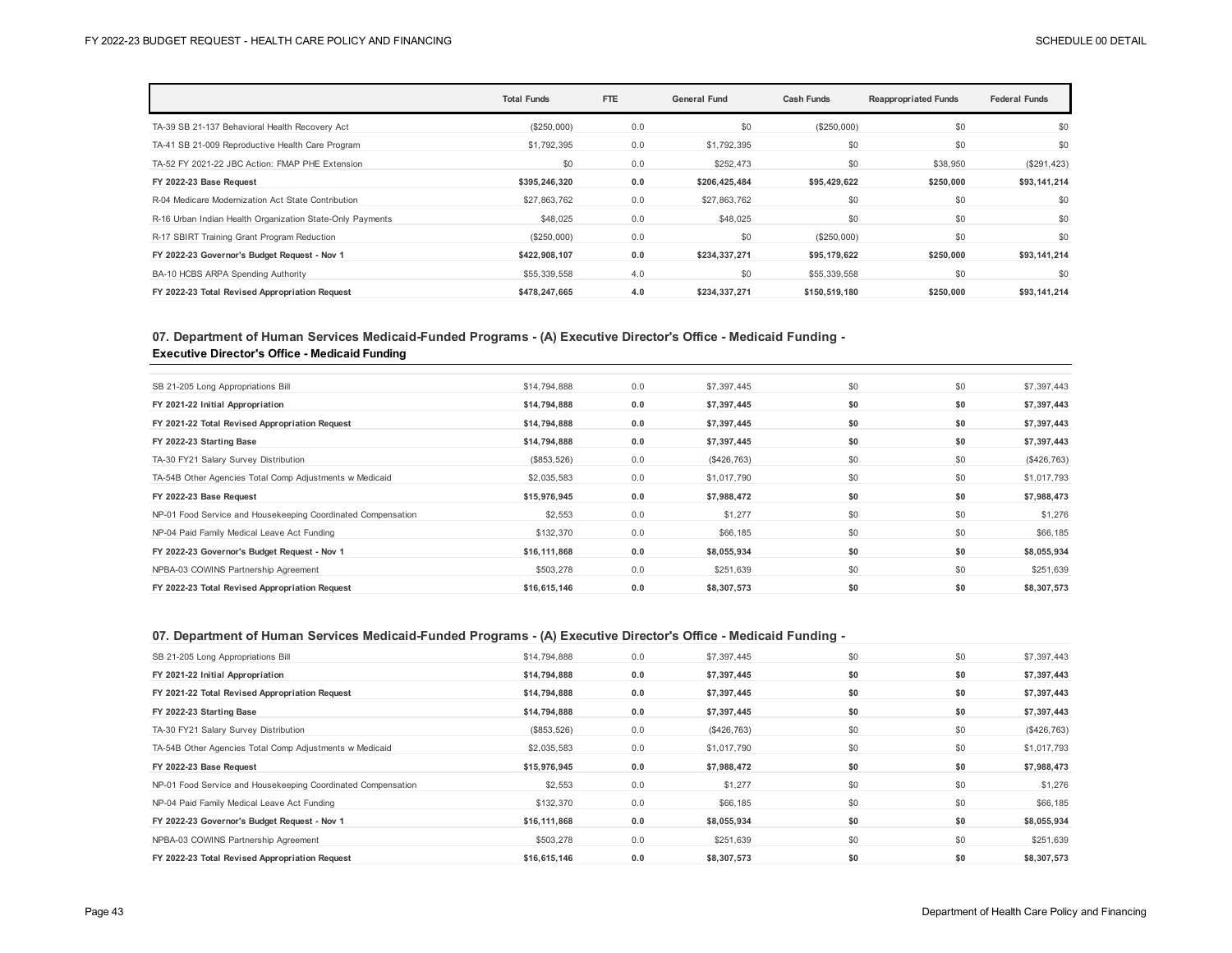|                                                           | <b>Total Funds</b> | FTE | <b>General Fund</b> | <b>Cash Funds</b> | <b>Reappropriated Funds</b> | <b>Federal Funds</b> |
|-----------------------------------------------------------|--------------------|-----|---------------------|-------------------|-----------------------------|----------------------|
| TA-39 SB 21-137 Behavioral Health Recovery Act            | (\$250,000)        | 0.0 | \$0                 | (\$250,000)       | \$0                         | \$0                  |
| TA-41 SB 21-009 Reproductive Health Care Program          | \$1,792,395        | 0.0 | \$1,792,395         | \$0               | \$0                         | \$0                  |
| TA-52 FY 2021-22 JBC Action: FMAP PHE Extension           | \$0                | 0.0 | \$252,473           | \$0               | \$38,950                    | $(\$291,423)$        |
| FY 2022-23 Base Request                                   | \$395,246,320      | 0.0 | \$206,425,484       | \$95,429,622      | \$250,000                   | \$93,141,214         |
| R-04 Medicare Modernization Act State Contribution        | \$27,863,762       | 0.0 | \$27,863,762        | \$0               | \$0                         | \$0                  |
| R-16 Urban Indian Health Organization State-Only Payments | \$48,025           | 0.0 | \$48,025            | \$0               | \$0                         | \$0                  |
| R-17 SBIRT Training Grant Program Reduction               | (\$250,000)        | 0.0 | \$0                 | (\$250,000)       | \$0                         | \$0                  |
| FY 2022-23 Governor's Budget Request - Nov 1              | \$422,908,107      | 0.0 | \$234,337,271       | \$95,179,622      | \$250,000                   | \$93,141,214         |
| BA-10 HCBS ARPA Spending Authority                        | \$55,339,558       | 4.0 | \$0                 | \$55,339,558      | \$0                         | \$0                  |
| FY 2022-23 Total Revised Appropriation Request            | \$478,247,665      | 4.0 | \$234,337,271       | \$150,519,180     | \$250,000                   | \$93,141,214         |

## **07. Department of Human Services Medicaid-Funded Programs - (A) Executive Director's Office - Medicaid Funding - Executive Director's Office - Medicaid Funding**

| \$14,794,888 | 0.0 | \$7,397,445 | \$0 | \$0 | \$7,397,443 |
|--------------|-----|-------------|-----|-----|-------------|
| \$14,794,888 | 0.0 | \$7,397,445 | \$0 | \$0 | \$7,397,443 |
| \$14,794,888 | 0.0 | \$7,397,445 | \$0 | \$0 | \$7,397,443 |
| \$14,794,888 | 0.0 | \$7,397,445 | \$0 | \$0 | \$7,397,443 |
| (\$853,526)  | 0.0 | (\$426,763) | \$0 | \$0 | (\$426,763) |
| \$2,035,583  | 0.0 | \$1,017,790 | \$0 | \$0 | \$1,017,793 |
| \$15,976,945 | 0.0 | \$7,988,472 | \$0 | \$0 | \$7,988,473 |
| \$2,553      | 0.0 | \$1,277     | \$0 | \$0 | \$1,276     |
| \$132,370    | 0.0 | \$66,185    | \$0 | \$0 | \$66,185    |
| \$16,111,868 | 0.0 | \$8,055,934 | \$0 | \$0 | \$8,055,934 |
| \$503,278    | 0.0 | \$251,639   | \$0 | \$0 | \$251,639   |
| \$16,615,146 | 0.0 | \$8,307,573 | \$0 | \$0 | \$8,307,573 |
|              |     |             |     |     |             |

## **07. Department of Human Services Medicaid-Funded Programs - (A) Executive Director's Office - Medicaid Funding -**

| SB 21-205 Long Appropriations Bill                           | \$14,794,888 | 0.0 | \$7,397,445 | \$0 | \$0 | \$7,397,443 |
|--------------------------------------------------------------|--------------|-----|-------------|-----|-----|-------------|
| FY 2021-22 Initial Appropriation                             | \$14,794,888 | 0.0 | \$7,397,445 | \$0 | \$0 | \$7,397,443 |
| FY 2021-22 Total Revised Appropriation Request               | \$14,794,888 | 0.0 | \$7,397,445 | \$0 | \$0 | \$7,397,443 |
| FY 2022-23 Starting Base                                     | \$14,794,888 | 0.0 | \$7,397,445 | \$0 | \$0 | \$7,397,443 |
| TA-30 FY21 Salary Survey Distribution                        | (\$853,526)  | 0.0 | (\$426,763) | \$0 | \$0 | (\$426,763) |
| TA-54B Other Agencies Total Comp Adjustments w Medicaid      | \$2,035,583  | 0.0 | \$1,017,790 | \$0 | \$0 | \$1,017,793 |
|                                                              |              |     |             |     |     |             |
| FY 2022-23 Base Request                                      | \$15,976,945 | 0.0 | \$7,988,472 | \$0 | \$0 | \$7,988,473 |
| NP-01 Food Service and Housekeeping Coordinated Compensation | \$2,553      | 0.0 | \$1,277     | \$0 | \$0 | \$1,276     |
| NP-04 Paid Family Medical Leave Act Funding                  | \$132,370    | 0.0 | \$66,185    | \$0 | \$0 | \$66,185    |
| FY 2022-23 Governor's Budget Request - Nov 1                 | \$16,111,868 | 0.0 | \$8,055,934 | \$0 | \$0 | \$8,055,934 |
| NPBA-03 COWINS Partnership Agreement                         | \$503,278    | 0.0 | \$251,639   | \$0 | \$0 | \$251,639   |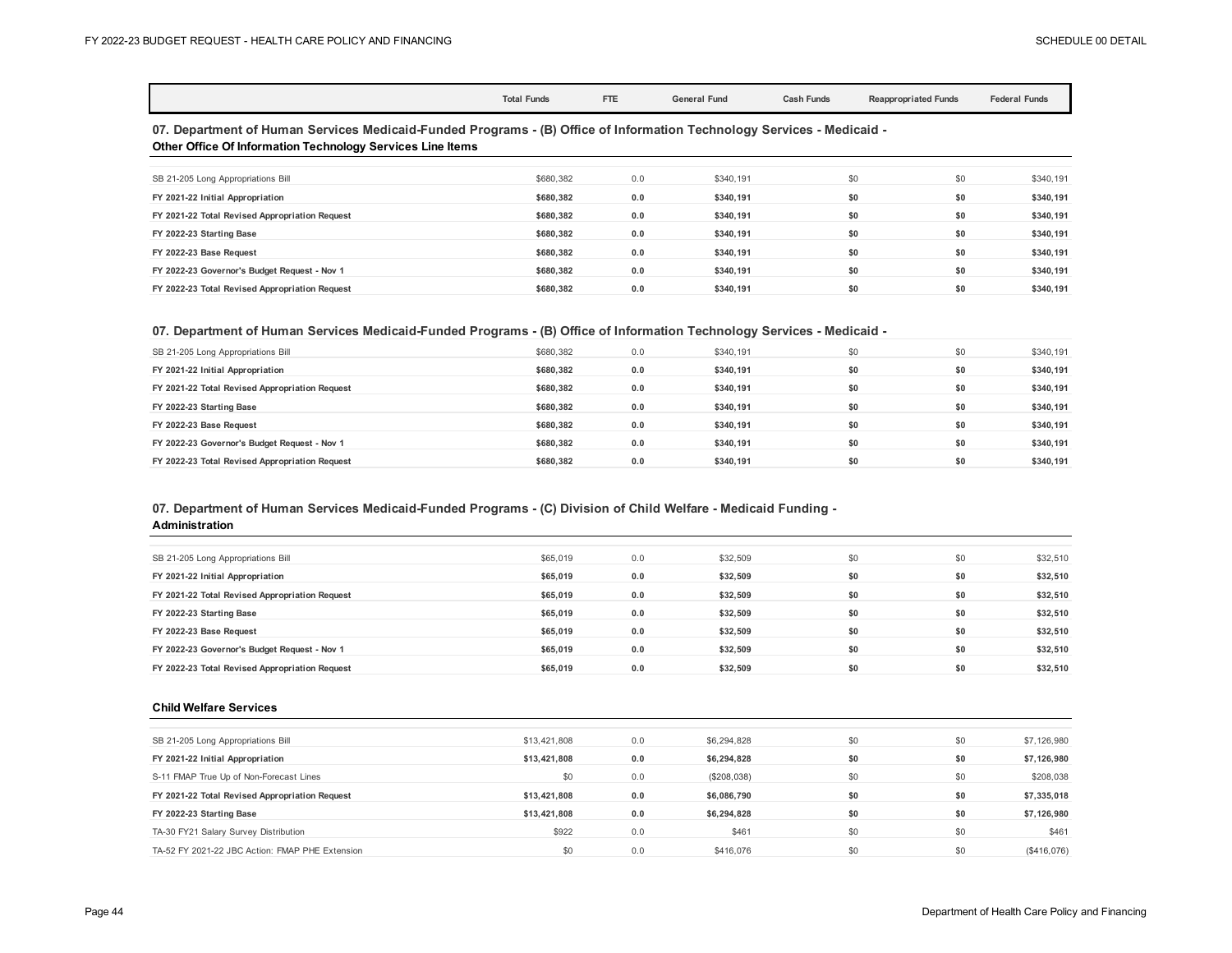|                                                                                                                                                                                             | <b>Total Funds</b> | FTE | <b>General Fund</b> | <b>Cash Funds</b> | <b>Reappropriated Funds</b> | <b>Federal Funds</b> |  |  |  |  |
|---------------------------------------------------------------------------------------------------------------------------------------------------------------------------------------------|--------------------|-----|---------------------|-------------------|-----------------------------|----------------------|--|--|--|--|
| 07. Department of Human Services Medicaid-Funded Programs - (B) Office of Information Technology Services - Medicaid -<br><b>Other Office Of Information Technology Services Line Items</b> |                    |     |                     |                   |                             |                      |  |  |  |  |
| SB 21-205 Long Appropriations Bill                                                                                                                                                          | \$680,382          | 0.0 | \$340.191           |                   | \$0<br>\$0                  | \$340,191            |  |  |  |  |
| FY 2021-22 Initial Appropriation                                                                                                                                                            | \$680,382          | 0.0 | \$340,191           |                   | \$0<br>\$0                  | \$340,191            |  |  |  |  |
| FY 2021-22 Total Revised Appropriation Request                                                                                                                                              | \$680,382          | 0.0 | \$340,191           |                   | \$0<br>\$0                  | \$340,191            |  |  |  |  |
| FY 2022-23 Starting Base                                                                                                                                                                    | \$680.382          | 0.0 | \$340,191           |                   | \$0<br>\$0                  | \$340,191            |  |  |  |  |
| FY 2022-23 Base Request                                                                                                                                                                     | \$680.382          | 0.0 | \$340,191           |                   | \$0<br>\$0                  | \$340,191            |  |  |  |  |
| FY 2022-23 Governor's Budget Request - Nov 1                                                                                                                                                | \$680.382          | 0.0 | \$340,191           |                   | \$0<br>\$0                  | \$340,191            |  |  |  |  |
| FY 2022-23 Total Revised Appropriation Request                                                                                                                                              | \$680,382          | 0.0 | \$340,191           |                   | \$0<br>\$0                  | \$340,191            |  |  |  |  |

## **07. Department of Human Services Medicaid-Funded Programs - (B) Office of Information Technology Services - Medicaid -**

| SB 21-205 Long Appropriations Bill             | \$680.382 | 0.0 | \$340.191 | \$0 | \$0 | \$340,191 |
|------------------------------------------------|-----------|-----|-----------|-----|-----|-----------|
| FY 2021-22 Initial Appropriation               | \$680.382 | 0.0 | \$340.191 | \$0 | \$0 | \$340,191 |
| FY 2021-22 Total Revised Appropriation Request | \$680.382 | 0.0 | \$340.191 | \$0 | \$0 | \$340,191 |
| FY 2022-23 Starting Base                       | \$680.382 | 0.0 | \$340.191 | \$0 | \$0 | \$340,191 |
| FY 2022-23 Base Request                        | \$680.382 | 0.0 | \$340.191 | \$0 | \$0 | \$340,191 |
| FY 2022-23 Governor's Budget Request - Nov 1   | \$680.382 | 0.0 | \$340.191 | \$0 | \$0 | \$340,191 |
| FY 2022-23 Total Revised Appropriation Request | \$680.382 | 0.0 | \$340.191 | \$0 | \$0 | \$340.191 |

## **07. Department of Human Services Medicaid-Funded Programs - (C) Division of Child Welfare - Medicaid Funding -**

**Administration**

| SB 21-205 Long Appropriations Bill             | \$65,019 | 0.0 | \$32,509 | \$0 | \$0 | \$32,510 |
|------------------------------------------------|----------|-----|----------|-----|-----|----------|
| FY 2021-22 Initial Appropriation               | \$65,019 | 0.0 | \$32.509 | \$0 | \$0 | \$32,510 |
| FY 2021-22 Total Revised Appropriation Request | \$65,019 | 0.0 | \$32,509 | \$0 | \$0 | \$32,510 |
| FY 2022-23 Starting Base                       | \$65,019 | 0.0 | \$32,509 | \$0 | \$0 | \$32,510 |
| FY 2022-23 Base Request                        | \$65,019 | 0.0 | \$32,509 | \$0 | \$0 | \$32,510 |
| FY 2022-23 Governor's Budget Request - Nov 1   | \$65,019 | 0.0 | \$32,509 | \$0 | \$0 | \$32,510 |
| FY 2022-23 Total Revised Appropriation Request | \$65,019 | 0.0 | \$32.509 | \$0 | \$0 | \$32,510 |

#### **Child Welfare Services**

| SB 21-205 Long Appropriations Bill              | \$13,421,808 | 0.0 | \$6,294,828 | \$0 | \$0 | \$7,126,980 |
|-------------------------------------------------|--------------|-----|-------------|-----|-----|-------------|
| FY 2021-22 Initial Appropriation                | \$13,421,808 | 0.0 | \$6,294,828 | \$0 | \$0 | \$7,126,980 |
| S-11 FMAP True Up of Non-Forecast Lines         | \$0          | 0.0 | (\$208,038) | \$0 | \$0 | \$208,038   |
| FY 2021-22 Total Revised Appropriation Request  | \$13,421,808 | 0.0 | \$6,086,790 | \$0 | \$0 | \$7,335,018 |
| FY 2022-23 Starting Base                        | \$13,421,808 | 0.0 | \$6,294,828 | \$0 | \$0 | \$7,126,980 |
| TA-30 FY21 Salary Survey Distribution           | \$922        | 0.0 | \$461       | \$0 | \$0 | \$461       |
| TA-52 FY 2021-22 JBC Action: FMAP PHE Extension | \$0          | 0.0 | \$416,076   | \$0 | \$0 | (\$416,076) |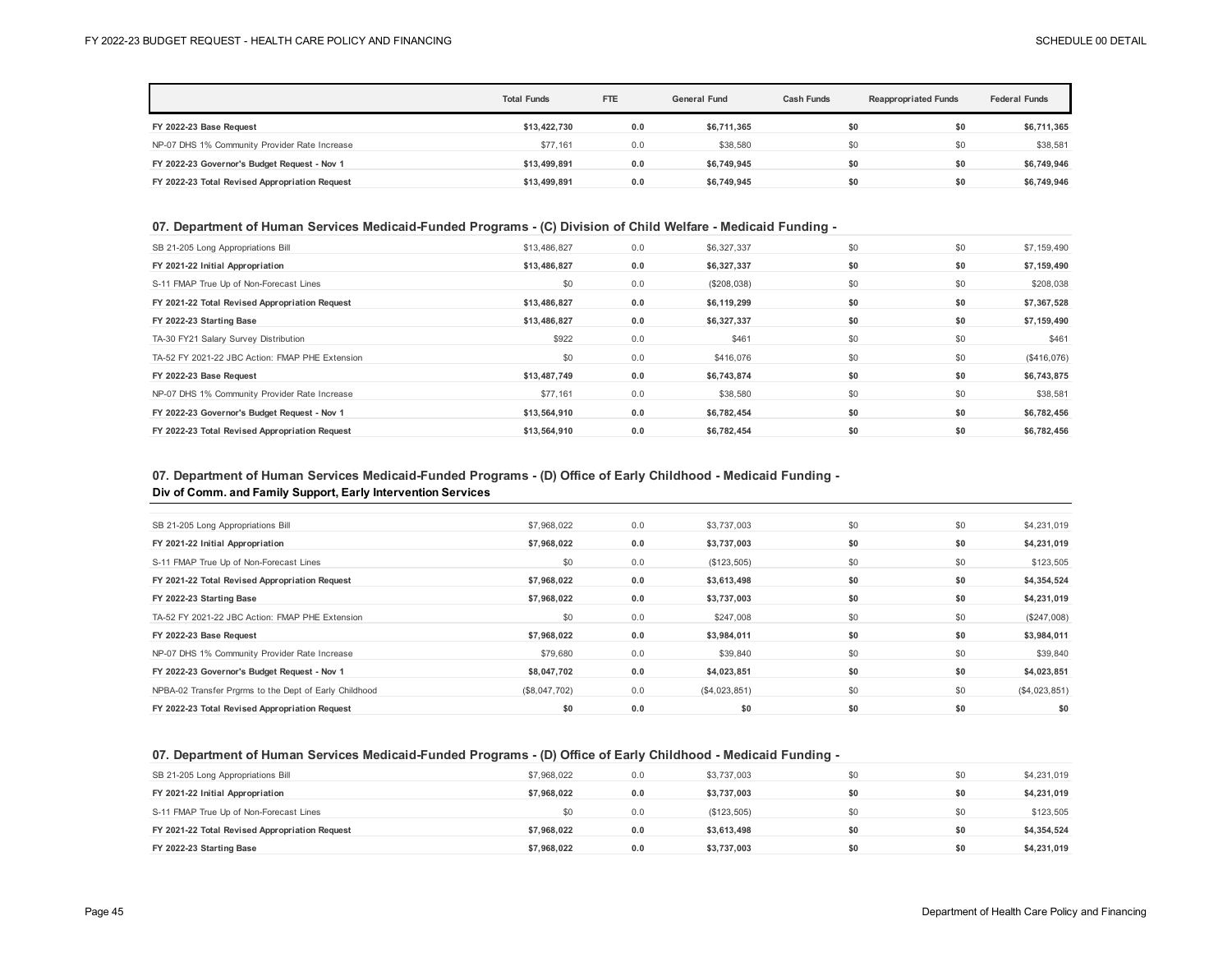|                                                | <b>Total Funds</b> | <b>FTE</b> | <b>General Fund</b> | <b>Cash Funds</b> | <b>Reappropriated Funds</b> |             |
|------------------------------------------------|--------------------|------------|---------------------|-------------------|-----------------------------|-------------|
| FY 2022-23 Base Request                        | \$13,422,730       | 0.0        | \$6,711,365         | \$0               | \$0                         | \$6,711,365 |
| NP-07 DHS 1% Community Provider Rate Increase  | \$77.161           | 0.0        | \$38,580            | \$0               | \$0                         | \$38,581    |
| FY 2022-23 Governor's Budget Request - Nov 1   | \$13.499.891       | 0.0        | \$6.749.945         | \$0               | \$0                         | \$6,749,946 |
| FY 2022-23 Total Revised Appropriation Request | \$13.499.891       | 0.0        | \$6,749,945         | \$0               | \$0                         | \$6,749,946 |

## **07. Department of Human Services Medicaid-Funded Programs - (C) Division of Child Welfare - Medicaid Funding -**

| SB 21-205 Long Appropriations Bill              | \$13,486,827 | 0.0 | \$6,327,337 | \$0 | \$0 | \$7,159,490 |
|-------------------------------------------------|--------------|-----|-------------|-----|-----|-------------|
| FY 2021-22 Initial Appropriation                | \$13,486,827 | 0.0 | \$6,327,337 | \$0 | \$0 | \$7,159,490 |
| S-11 FMAP True Up of Non-Forecast Lines         | \$0          | 0.0 | (\$208,038) | \$0 | \$0 | \$208,038   |
| FY 2021-22 Total Revised Appropriation Request  | \$13,486,827 | 0.0 | \$6,119,299 | \$0 | \$0 | \$7,367,528 |
| FY 2022-23 Starting Base                        | \$13,486,827 | 0.0 | \$6,327,337 | \$0 | \$0 | \$7,159,490 |
| TA-30 FY21 Salary Survey Distribution           | \$922        | 0.0 | \$461       | \$0 | \$0 | \$461       |
| TA-52 FY 2021-22 JBC Action: FMAP PHE Extension | \$0          | 0.0 | \$416,076   | \$0 | \$0 | (S416, 076) |
| FY 2022-23 Base Request                         | \$13,487,749 | 0.0 | \$6,743,874 | \$0 | \$0 | \$6,743,875 |
| NP-07 DHS 1% Community Provider Rate Increase   | \$77.161     | 0.0 | \$38,580    | \$0 | \$0 | \$38,581    |
| FY 2022-23 Governor's Budget Request - Nov 1    | \$13,564,910 | 0.0 | \$6,782,454 | \$0 | \$0 | \$6,782,456 |
| FY 2022-23 Total Revised Appropriation Request  | \$13.564.910 | 0.0 | \$6.782.454 | \$0 | \$0 | \$6,782,456 |

# **07. Department of Human Services Medicaid-Funded Programs - (D) Office of Early Childhood - Medicaid Funding -**

## **Div of Comm. and Family Support, Early Intervention Services**

| SB 21-205 Long Appropriations Bill                     | \$7,968,022   | 0.0 | \$3,737,003   | \$0 | \$0 | \$4,231,019   |
|--------------------------------------------------------|---------------|-----|---------------|-----|-----|---------------|
| FY 2021-22 Initial Appropriation                       | \$7,968,022   | 0.0 | \$3,737,003   | \$0 | \$0 | \$4,231,019   |
| S-11 FMAP True Up of Non-Forecast Lines                | \$0           | 0.0 | (\$123,505)   | \$0 | \$0 | \$123,505     |
| FY 2021-22 Total Revised Appropriation Request         | \$7,968,022   | 0.0 | \$3,613,498   | \$0 | \$0 | \$4,354,524   |
| FY 2022-23 Starting Base                               | \$7,968,022   | 0.0 | \$3,737,003   | \$0 | \$0 | \$4,231,019   |
| TA-52 FY 2021-22 JBC Action: FMAP PHE Extension        | \$0           | 0.0 | \$247,008     | \$0 | \$0 | (\$247,008)   |
| FY 2022-23 Base Request                                | \$7,968,022   | 0.0 | \$3,984,011   | \$0 | \$0 | \$3,984,011   |
| NP-07 DHS 1% Community Provider Rate Increase          | \$79,680      | 0.0 | \$39,840      | \$0 | \$0 | \$39,840      |
| FY 2022-23 Governor's Budget Request - Nov 1           | \$8,047,702   | 0.0 | \$4,023,851   | \$0 | \$0 | \$4,023,851   |
| NPBA-02 Transfer Prgrms to the Dept of Early Childhood | (\$8,047,702) | 0.0 | (\$4,023,851) | \$0 | \$0 | (\$4,023,851) |
| FY 2022-23 Total Revised Appropriation Request         | \$0           | 0.0 | \$0           | \$0 | \$0 | \$0           |
|                                                        |               |     |               |     |     |               |

## **07. Department of Human Services Medicaid-Funded Programs - (D) Office of Early Childhood - Medicaid Funding -**

| SB 21-205 Long Appropriations Bill             | \$7,968,022 | 0.0 | \$3,737,003 | \$0 | \$0 | \$4,231,019 |
|------------------------------------------------|-------------|-----|-------------|-----|-----|-------------|
| FY 2021-22 Initial Appropriation               | \$7.968.022 | 0.0 | \$3,737,003 | \$0 | \$0 | \$4,231,019 |
| S-11 FMAP True Up of Non-Forecast Lines        | \$0         | 0.0 | (\$123,505) | \$0 | \$0 | \$123,505   |
| FY 2021-22 Total Revised Appropriation Request | \$7.968.022 | 0.0 | \$3.613.498 | \$0 | \$0 | \$4,354,524 |
| FY 2022-23 Starting Base                       | \$7.968.022 | 0.0 | \$3.737.003 | \$0 | \$0 | \$4,231,019 |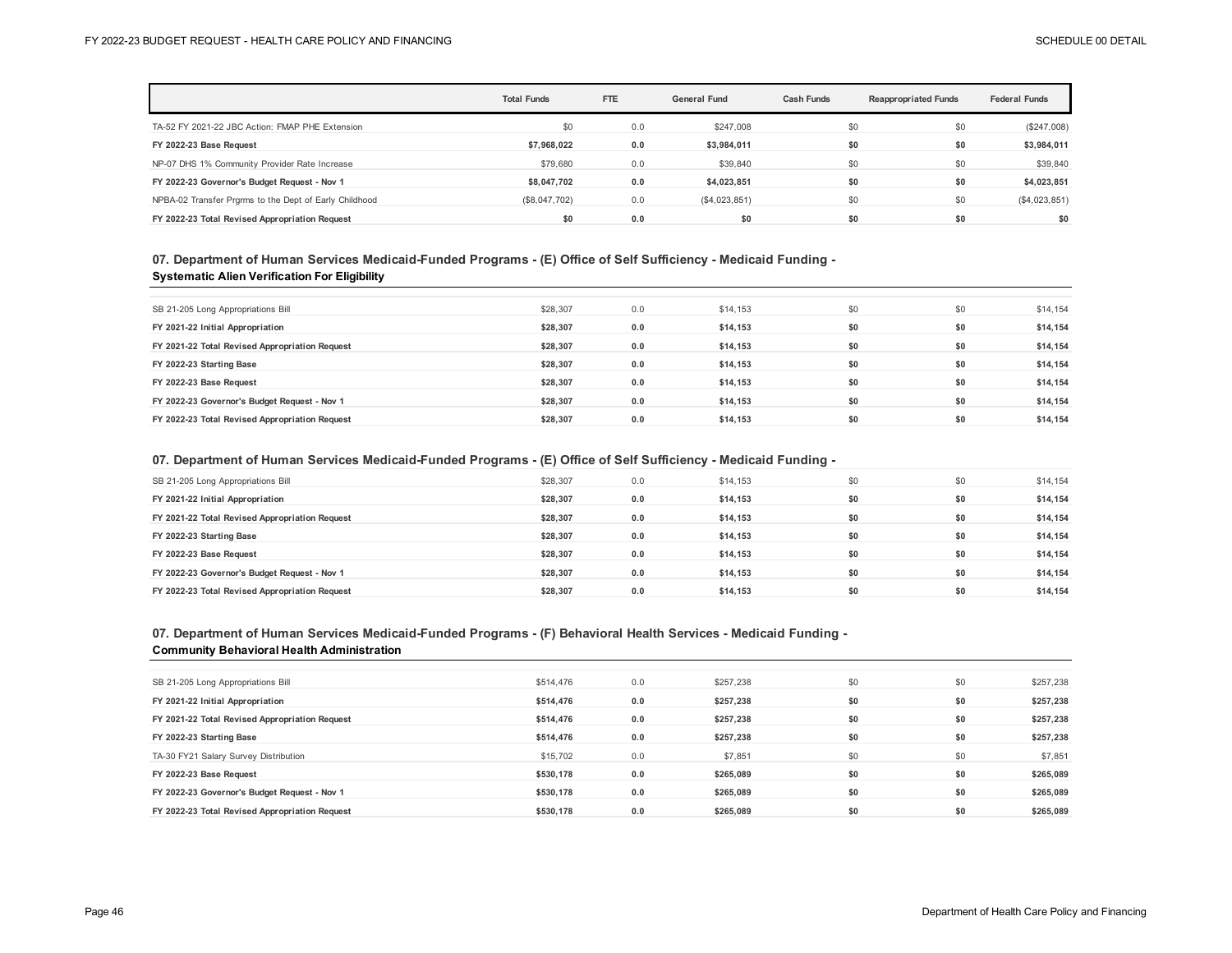|                                                        | <b>Total Funds</b> | FTE | <b>General Fund</b> | <b>Cash Funds</b> | <b>Reappropriated Funds</b> | <b>Federal Funds</b> |
|--------------------------------------------------------|--------------------|-----|---------------------|-------------------|-----------------------------|----------------------|
| TA-52 FY 2021-22 JBC Action: FMAP PHE Extension        | \$0                | 0.0 | \$247,008           | \$0               | \$0                         | (\$247,008)          |
| FY 2022-23 Base Request                                | \$7.968.022        | 0.0 | \$3,984,011         | \$0               | \$0                         | \$3,984,011          |
| NP-07 DHS 1% Community Provider Rate Increase          | \$79,680           | 0.0 | \$39,840            | \$0               | \$0                         | \$39,840             |
| FY 2022-23 Governor's Budget Request - Nov 1           | \$8.047.702        | 0.0 | \$4,023,851         | \$0               | \$0                         | \$4,023,851          |
| NPBA-02 Transfer Prgrms to the Dept of Early Childhood | (\$8,047,702)      | 0.0 | (\$4,023,851)       | \$0               | \$0                         | (\$4,023,851)        |
| FY 2022-23 Total Revised Appropriation Request         | \$0                | 0.0 | \$0                 | \$0               | \$0                         | \$0                  |

## **07. Department of Human Services Medicaid-Funded Programs - (E) Office of Self Sufficiency - Medicaid Funding - Systematic Alien Verification For Eligibility**

| SB 21-205 Long Appropriations Bill             | \$28,307 | 0.0 | \$14,153 | \$0 | \$0 | \$14,154 |
|------------------------------------------------|----------|-----|----------|-----|-----|----------|
|                                                |          |     |          |     |     |          |
| FY 2021-22 Initial Appropriation               | \$28,307 | 0.0 | \$14.153 | \$0 | \$0 | \$14,154 |
| FY 2021-22 Total Revised Appropriation Request | \$28.307 | 0.0 | \$14.153 | \$0 | \$0 | \$14,154 |
| FY 2022-23 Starting Base                       | \$28.307 | 0.0 | \$14,153 | \$0 | \$0 | \$14,154 |
| FY 2022-23 Base Request                        | \$28.307 | 0.0 | \$14.153 | \$0 | \$0 | \$14,154 |
| FY 2022-23 Governor's Budget Request - Nov 1   | \$28.307 | 0.0 | \$14.153 | \$0 | \$0 | \$14,154 |
| FY 2022-23 Total Revised Appropriation Request | \$28,307 | 0.0 | \$14,153 | \$0 | \$0 | \$14,154 |

## **07. Department of Human Services Medicaid-Funded Programs - (E) Office of Self Sufficiency - Medicaid Funding -**

| SB 21-205 Long Appropriations Bill             | \$28,307 | 0.0 | \$14,153 | \$0 | \$0 | \$14,154 |
|------------------------------------------------|----------|-----|----------|-----|-----|----------|
| FY 2021-22 Initial Appropriation               | \$28.307 | 0.0 | \$14.153 | \$0 | \$0 | \$14,154 |
| FY 2021-22 Total Revised Appropriation Request | \$28.307 | 0.0 | \$14.153 | \$0 | \$0 | \$14,154 |
| FY 2022-23 Starting Base                       | \$28.307 | 0.0 | \$14.153 | \$0 | \$0 | \$14,154 |
| FY 2022-23 Base Request                        | \$28,307 | 0.0 | \$14.153 | \$0 | \$0 | \$14,154 |
| FY 2022-23 Governor's Budget Request - Nov 1   | \$28.307 | 0.0 | \$14.153 | \$0 | \$0 | \$14,154 |
| FY 2022-23 Total Revised Appropriation Request | \$28.307 | 0.0 | \$14.153 | \$0 | \$0 | \$14,154 |

### **07. Department of Human Services Medicaid-Funded Programs - (F) Behavioral Health Services - Medicaid Funding - Community Behavioral Health Administration**

| \$514,476 | 0.0                                                                                              | \$257,238 | \$0 | \$0 | \$257,238 |
|-----------|--------------------------------------------------------------------------------------------------|-----------|-----|-----|-----------|
| \$514,476 | 0.0                                                                                              | \$257,238 | \$0 | \$0 | \$257,238 |
| \$514.476 | 0.0                                                                                              | \$257,238 | \$0 | \$0 | \$257,238 |
| \$514,476 | 0.0                                                                                              | \$257,238 | \$0 | \$0 | \$257,238 |
| \$15,702  | 0.0                                                                                              | \$7,851   | \$0 | \$0 | \$7,851   |
| \$530.178 | 0.0                                                                                              | \$265.089 | \$0 | \$0 | \$265.089 |
| \$530.178 | 0.0                                                                                              | \$265.089 | \$0 | \$0 | \$265,089 |
| \$530.178 | 0.0                                                                                              | \$265,089 | \$0 | \$0 | \$265,089 |
|           | FY 2021-22 Total Revised Appropriation Request<br>FY 2022-23 Total Revised Appropriation Request |           |     |     |           |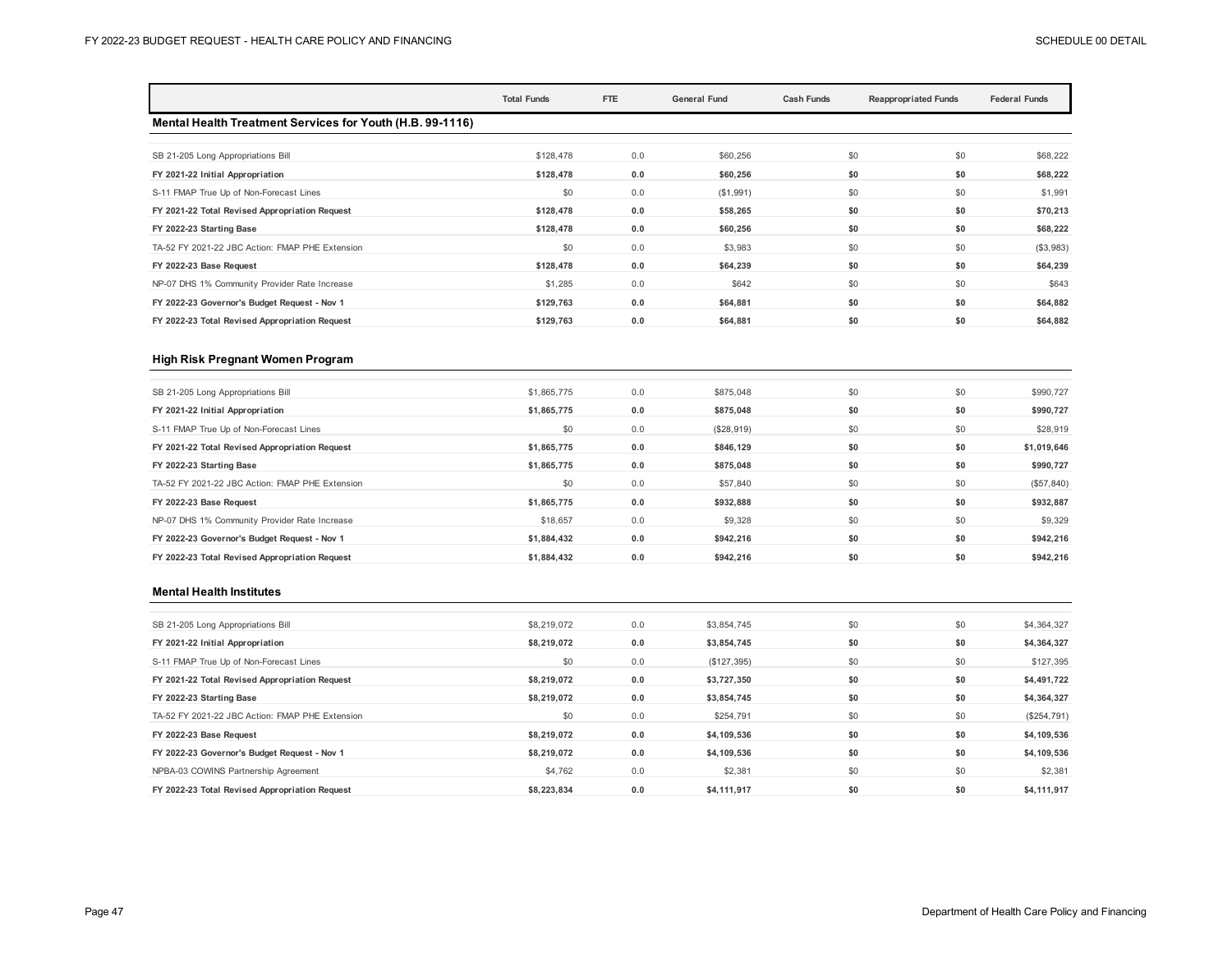|                                                           | <b>Total Funds</b> | FTE | <b>General Fund</b> | <b>Cash Funds</b> | <b>Reappropriated Funds</b> | <b>Federal Funds</b> |
|-----------------------------------------------------------|--------------------|-----|---------------------|-------------------|-----------------------------|----------------------|
| Mental Health Treatment Services for Youth (H.B. 99-1116) |                    |     |                     |                   |                             |                      |
| SB 21-205 Long Appropriations Bill                        | \$128,478          | 0.0 | \$60,256            | \$0               | \$0                         | \$68,222             |
| FY 2021-22 Initial Appropriation                          | \$128,478          | 0.0 | \$60,256            | \$0               | \$0                         | \$68,222             |
| S-11 FMAP True Up of Non-Forecast Lines                   | \$0                | 0.0 | (\$1,991)           | \$0               | \$0                         | \$1,991              |
| FY 2021-22 Total Revised Appropriation Request            | \$128,478          | 0.0 | \$58,265            | \$0               | \$0                         | \$70,213             |
| FY 2022-23 Starting Base                                  | \$128,478          | 0.0 | \$60,256            | \$0               | \$0                         | \$68,222             |
| TA-52 FY 2021-22 JBC Action: FMAP PHE Extension           | \$0                | 0.0 | \$3,983             | \$0               | \$0                         | (\$3,983)            |
| FY 2022-23 Base Request                                   | \$128,478          | 0.0 | \$64,239            | \$0               | \$0                         | \$64,239             |
| NP-07 DHS 1% Community Provider Rate Increase             | \$1,285            | 0.0 | \$642               | \$0               | \$0                         | \$643                |
| FY 2022-23 Governor's Budget Request - Nov 1              | \$129,763          | 0.0 | \$64,881            | \$0               | \$0                         | \$64,882             |
| FY 2022-23 Total Revised Appropriation Request            | \$129,763          | 0.0 | \$64,881            | \$0               | \$0                         | \$64,882             |

#### **High Risk Pregnant Women Program**

| 0.0<br>\$1,865,775<br>SB 21-205 Long Appropriations Bill             | \$875,048  | \$0 | \$0 | \$990,727   |
|----------------------------------------------------------------------|------------|-----|-----|-------------|
| 0.0<br>\$1,865,775<br>FY 2021-22 Initial Appropriation               | \$875,048  | \$0 | \$0 | \$990,727   |
| \$0<br>0.0<br>S-11 FMAP True Up of Non-Forecast Lines                | (\$28,919) | \$0 | \$0 | \$28,919    |
| 0.0<br>FY 2021-22 Total Revised Appropriation Request<br>\$1,865,775 | \$846,129  | \$0 | \$0 | \$1,019,646 |
| 0.0<br>\$1,865,775<br>FY 2022-23 Starting Base                       | \$875,048  | \$0 | \$0 | \$990,727   |
| \$0<br>0.0<br>TA-52 FY 2021-22 JBC Action: FMAP PHE Extension        | \$57,840   | \$0 | \$0 | (\$57, 840) |
| 0.0<br>FY 2022-23 Base Request<br>\$1,865,775                        | \$932,888  | \$0 | \$0 | \$932,887   |
| 0.0<br>NP-07 DHS 1% Community Provider Rate Increase<br>\$18,657     | \$9,328    | \$0 | \$0 | \$9,329     |
| 0.0<br>FY 2022-23 Governor's Budget Request - Nov 1<br>\$1,884,432   | \$942,216  | \$0 | \$0 | \$942,216   |
| 0.0<br>FY 2022-23 Total Revised Appropriation Request<br>\$1.884.432 | \$942.216  | \$0 | \$0 | \$942.216   |

#### **Mental Health Institutes**

| SB 21-205 Long Appropriations Bill              | \$8,219,072 | 0.0 | \$3,854,745 | \$0 | \$0 | \$4,364,327 |
|-------------------------------------------------|-------------|-----|-------------|-----|-----|-------------|
| FY 2021-22 Initial Appropriation                | \$8,219,072 | 0.0 | \$3,854,745 | \$0 | \$0 | \$4,364,327 |
| S-11 FMAP True Up of Non-Forecast Lines         | \$0         | 0.0 | (\$127,395) | \$0 | \$0 | \$127,395   |
| FY 2021-22 Total Revised Appropriation Request  | \$8,219,072 | 0.0 | \$3,727,350 | \$0 | \$0 | \$4,491,722 |
| FY 2022-23 Starting Base                        | \$8,219,072 | 0.0 | \$3,854,745 | \$0 | \$0 | \$4,364,327 |
| TA-52 FY 2021-22 JBC Action: FMAP PHE Extension | \$0         | 0.0 | \$254,791   | \$0 | \$0 | (\$254,791) |
| FY 2022-23 Base Request                         | \$8,219,072 | 0.0 | \$4,109,536 | \$0 | \$0 | \$4,109,536 |
| FY 2022-23 Governor's Budget Request - Nov 1    | \$8,219,072 | 0.0 | \$4,109,536 | \$0 | \$0 | \$4,109,536 |
| NPBA-03 COWINS Partnership Agreement            | \$4,762     | 0.0 | \$2,381     | \$0 | \$0 | \$2,381     |
| FY 2022-23 Total Revised Appropriation Request  | \$8.223.834 | 0.0 | \$4.111.917 | \$0 | \$0 | \$4,111,917 |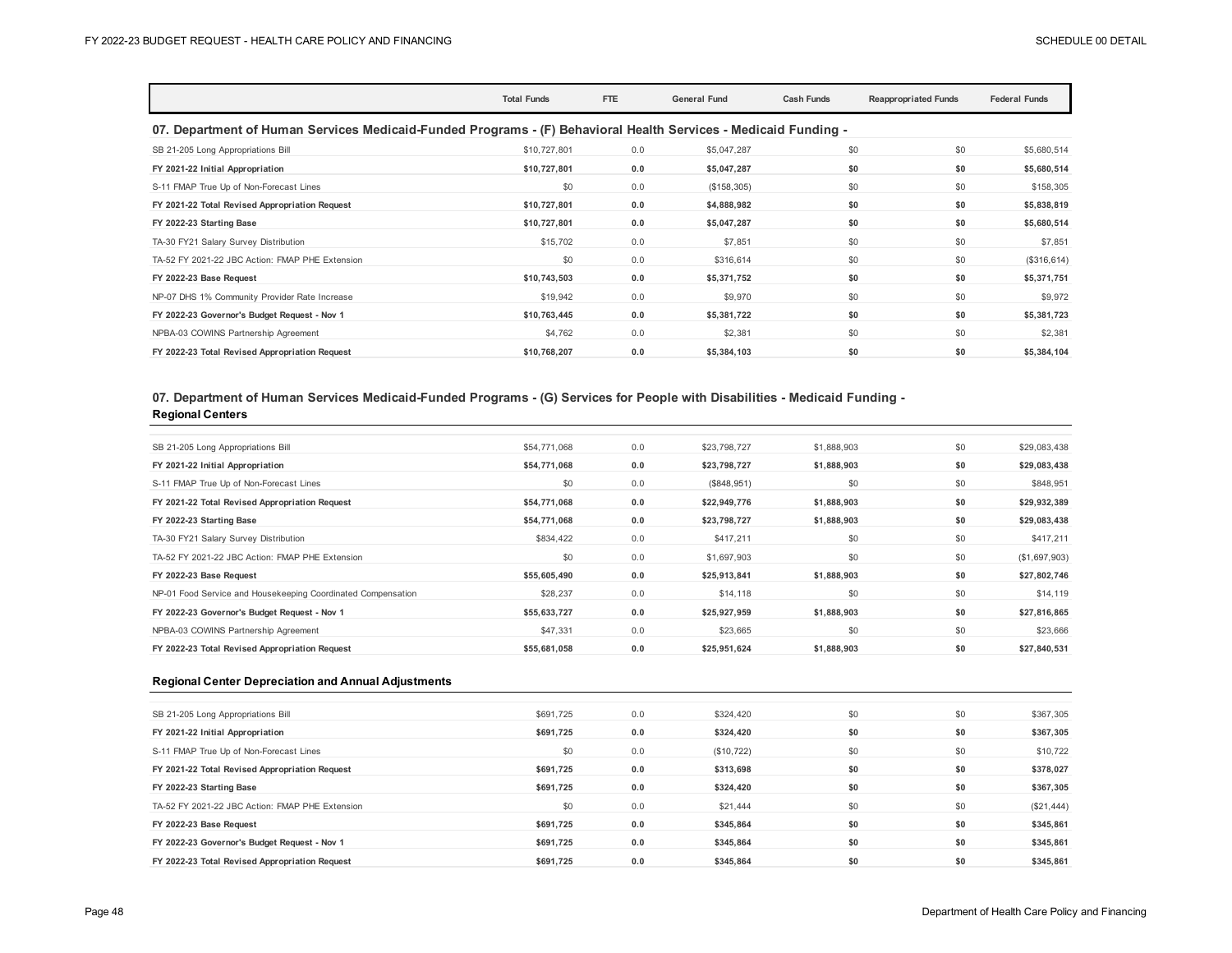|                                                                                                                 | <b>Total Funds</b> | FTE | <b>General Fund</b> | <b>Cash Funds</b> | <b>Reappropriated Funds</b> | <b>Federal Funds</b> |  |  |  |
|-----------------------------------------------------------------------------------------------------------------|--------------------|-----|---------------------|-------------------|-----------------------------|----------------------|--|--|--|
| 07. Department of Human Services Medicaid-Funded Programs - (F) Behavioral Health Services - Medicaid Funding - |                    |     |                     |                   |                             |                      |  |  |  |
| SB 21-205 Long Appropriations Bill                                                                              | \$10,727,801       | 0.0 | \$5,047,287         | \$0               | \$0                         | \$5,680,514          |  |  |  |
| FY 2021-22 Initial Appropriation                                                                                | \$10,727,801       | 0.0 | \$5,047,287         | \$0               | \$0                         | \$5,680,514          |  |  |  |
| S-11 FMAP True Up of Non-Forecast Lines                                                                         | \$0                | 0.0 | (\$158,305)         | \$0               | \$0                         | \$158,305            |  |  |  |
| FY 2021-22 Total Revised Appropriation Request                                                                  | \$10,727,801       | 0.0 | \$4,888,982         | \$0               | \$0                         | \$5,838,819          |  |  |  |
| FY 2022-23 Starting Base                                                                                        | \$10,727,801       | 0.0 | \$5,047,287         | \$0               | \$0                         | \$5,680,514          |  |  |  |
| TA-30 FY21 Salary Survey Distribution                                                                           | \$15,702           | 0.0 | \$7,851             | \$0               | \$0                         | \$7,851              |  |  |  |
| TA-52 FY 2021-22 JBC Action: FMAP PHE Extension                                                                 | \$0                | 0.0 | \$316,614           | \$0               | \$0                         | (\$316, 614)         |  |  |  |
| FY 2022-23 Base Request                                                                                         | \$10,743,503       | 0.0 | \$5,371,752         | \$0               | \$0                         | \$5,371,751          |  |  |  |
| NP-07 DHS 1% Community Provider Rate Increase                                                                   | \$19,942           | 0.0 | \$9,970             | \$0               | \$0                         | \$9,972              |  |  |  |
| FY 2022-23 Governor's Budget Request - Nov 1                                                                    | \$10,763,445       | 0.0 | \$5,381,722         | \$0               | \$0                         | \$5,381,723          |  |  |  |
| NPBA-03 COWINS Partnership Agreement                                                                            | \$4,762            | 0.0 | \$2,381             | \$0               | \$0                         | \$2,381              |  |  |  |
| FY 2022-23 Total Revised Appropriation Request                                                                  | \$10,768,207       | 0.0 | \$5,384,103         | \$0               | \$0                         | \$5,384,104          |  |  |  |

## **07. Department of Human Services Medicaid-Funded Programs - (G) Services for People with Disabilities - Medicaid Funding - Regional Centers**

| SB 21-205 Long Appropriations Bill                           | \$54,771,068 | 0.0 | \$23,798,727 | \$1,888,903 | \$0 | \$29,083,438  |
|--------------------------------------------------------------|--------------|-----|--------------|-------------|-----|---------------|
| FY 2021-22 Initial Appropriation                             | \$54,771,068 | 0.0 | \$23,798,727 | \$1,888,903 | \$0 | \$29,083,438  |
| S-11 FMAP True Up of Non-Forecast Lines                      | \$0          | 0.0 | (\$848,951)  | \$0         | \$0 | \$848,951     |
| FY 2021-22 Total Revised Appropriation Request               | \$54,771,068 | 0.0 | \$22,949,776 | \$1,888,903 | \$0 | \$29,932,389  |
| FY 2022-23 Starting Base                                     | \$54,771,068 | 0.0 | \$23,798,727 | \$1,888,903 | \$0 | \$29,083,438  |
| TA-30 FY21 Salary Survey Distribution                        | \$834,422    | 0.0 | \$417,211    | \$0         | \$0 | \$417,211     |
| TA-52 FY 2021-22 JBC Action: FMAP PHE Extension              | \$0          | 0.0 | \$1,697,903  | \$0         | \$0 | (\$1,697,903) |
| FY 2022-23 Base Request                                      | \$55,605,490 | 0.0 | \$25,913,841 | \$1,888,903 | \$0 | \$27,802,746  |
| NP-01 Food Service and Housekeeping Coordinated Compensation | \$28,237     | 0.0 | \$14,118     | \$0         | \$0 | \$14,119      |
| FY 2022-23 Governor's Budget Request - Nov 1                 | \$55,633,727 | 0.0 | \$25,927,959 | \$1,888,903 | \$0 | \$27,816,865  |
| NPBA-03 COWINS Partnership Agreement                         | \$47,331     | 0.0 | \$23,665     | \$0         | \$0 | \$23,666      |
| FY 2022-23 Total Revised Appropriation Request               | \$55,681,058 | 0.0 | \$25,951,624 | \$1,888,903 | \$0 | \$27,840,531  |

#### **Regional Center Depreciation and Annual Adjustments**

| SB 21-205 Long Appropriations Bill              | \$691,725 | 0.0 | \$324,420   | \$0 | \$0 | \$367,305  |
|-------------------------------------------------|-----------|-----|-------------|-----|-----|------------|
| FY 2021-22 Initial Appropriation                | \$691,725 | 0.0 | \$324,420   | \$0 | \$0 | \$367,305  |
| S-11 FMAP True Up of Non-Forecast Lines         | \$0       | 0.0 | (\$10, 722) | \$0 | \$0 | \$10,722   |
| FY 2021-22 Total Revised Appropriation Request  | \$691.725 | 0.0 | \$313,698   | \$0 | \$0 | \$378,027  |
| FY 2022-23 Starting Base                        | \$691.725 | 0.0 | \$324,420   | \$0 | \$0 | \$367,305  |
| TA-52 FY 2021-22 JBC Action: FMAP PHE Extension | \$0       | 0.0 | \$21,444    | \$0 | \$0 | (\$21,444) |
| FY 2022-23 Base Request                         | \$691.725 | 0.0 | \$345.864   | \$0 | \$0 | \$345,861  |
| FY 2022-23 Governor's Budget Request - Nov 1    | \$691,725 | 0.0 | \$345,864   | \$0 | \$0 | \$345,861  |
| FY 2022-23 Total Revised Appropriation Request  | \$691.725 | 0.0 | \$345.864   | \$0 | \$0 | \$345,861  |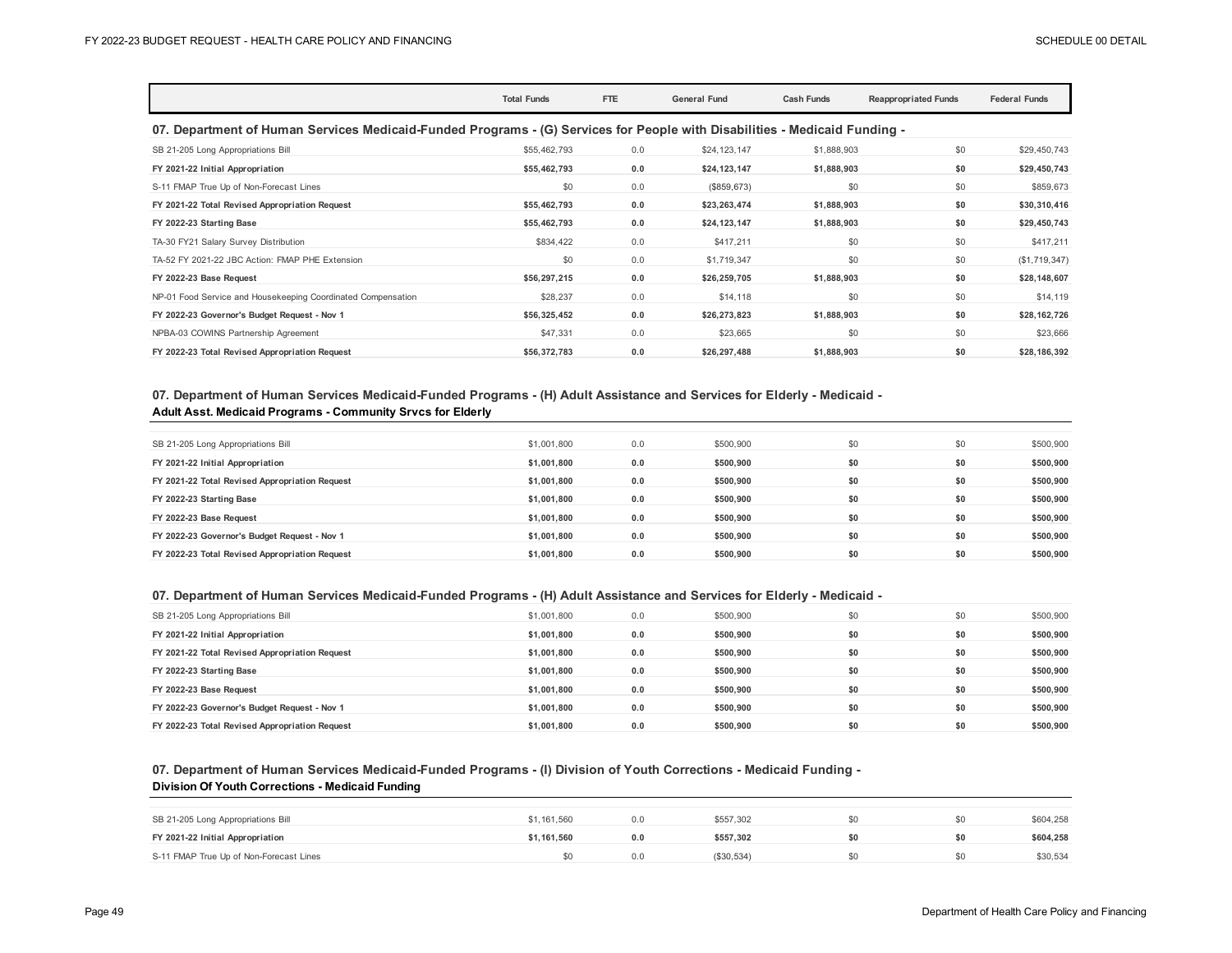|                                                                                                                            | <b>Total Funds</b> | FTE | <b>General Fund</b> | <b>Cash Funds</b> | <b>Reappropriated Funds</b> | <b>Federal Funds</b> |  |  |  |
|----------------------------------------------------------------------------------------------------------------------------|--------------------|-----|---------------------|-------------------|-----------------------------|----------------------|--|--|--|
| 07. Department of Human Services Medicaid-Funded Programs - (G) Services for People with Disabilities - Medicaid Funding - |                    |     |                     |                   |                             |                      |  |  |  |
| SB 21-205 Long Appropriations Bill                                                                                         | \$55,462,793       | 0.0 | \$24,123,147        | \$1,888,903       | \$0                         | \$29,450,743         |  |  |  |
| FY 2021-22 Initial Appropriation                                                                                           | \$55,462,793       | 0.0 | \$24,123,147        | \$1,888,903       | \$0                         | \$29,450,743         |  |  |  |
| S-11 FMAP True Up of Non-Forecast Lines                                                                                    | \$0                | 0.0 | (\$859, 673)        | \$0               | \$0                         | \$859,673            |  |  |  |
| FY 2021-22 Total Revised Appropriation Request                                                                             | \$55,462,793       | 0.0 | \$23,263,474        | \$1,888,903       | \$0                         | \$30,310,416         |  |  |  |
| FY 2022-23 Starting Base                                                                                                   | \$55,462,793       | 0.0 | \$24,123,147        | \$1,888,903       | \$0                         | \$29,450,743         |  |  |  |
| TA-30 FY21 Salary Survey Distribution                                                                                      | \$834,422          | 0.0 | \$417,211           | \$0               | \$0                         | \$417,211            |  |  |  |
| TA-52 FY 2021-22 JBC Action: FMAP PHE Extension                                                                            | \$0                | 0.0 | \$1,719,347         | \$0               | \$0                         | (\$1,719,347)        |  |  |  |
| FY 2022-23 Base Request                                                                                                    | \$56,297,215       | 0.0 | \$26,259,705        | \$1,888,903       | \$0                         | \$28,148,607         |  |  |  |
| NP-01 Food Service and Housekeeping Coordinated Compensation                                                               | \$28,237           | 0.0 | \$14,118            | \$0               | \$0                         | \$14,119             |  |  |  |
| FY 2022-23 Governor's Budget Request - Nov 1                                                                               | \$56,325,452       | 0.0 | \$26,273,823        | \$1,888,903       | \$0                         | \$28,162,726         |  |  |  |
| NPBA-03 COWINS Partnership Agreement                                                                                       | \$47,331           | 0.0 | \$23,665            | \$0               | \$0                         | \$23,666             |  |  |  |
| FY 2022-23 Total Revised Appropriation Request                                                                             | \$56,372,783       | 0.0 | \$26,297,488        | \$1,888,903       | \$0                         | \$28,186,392         |  |  |  |

### **07. Department of Human Services Medicaid-Funded Programs - (H) Adult Assistance and Services for Elderly - Medicaid - Adult Asst. Medicaid Programs - Community Srvcs for Elderly**

| SB 21-205 Long Appropriations Bill             | \$1,001,800 | 0.0 | \$500,900 | \$0 | \$0 | \$500,900 |
|------------------------------------------------|-------------|-----|-----------|-----|-----|-----------|
| FY 2021-22 Initial Appropriation               | \$1,001,800 | 0.0 | \$500,900 | \$0 | \$0 | \$500,900 |
| FY 2021-22 Total Revised Appropriation Request | \$1,001,800 | 0.0 | \$500,900 | \$0 | \$0 | \$500.900 |
| FY 2022-23 Starting Base                       | \$1,001,800 | 0.0 | \$500,900 | \$0 | \$0 | \$500,900 |
| FY 2022-23 Base Request                        | \$1,001,800 | 0.0 | \$500.900 | \$0 | \$0 | \$500,900 |
| FY 2022-23 Governor's Budget Request - Nov 1   | \$1,001,800 | 0.0 | \$500.900 | \$0 | \$0 | \$500,900 |
| FY 2022-23 Total Revised Appropriation Request | \$1,001,800 | 0.0 | \$500.900 | \$0 | \$0 | \$500,900 |

## **07. Department of Human Services Medicaid-Funded Programs - (H) Adult Assistance and Services for Elderly - Medicaid -**

| SB 21-205 Long Appropriations Bill             | \$1,001.800 | 0.0 | \$500,900 | \$0 | \$0 | \$500,900 |
|------------------------------------------------|-------------|-----|-----------|-----|-----|-----------|
| FY 2021-22 Initial Appropriation               | \$1.001.800 | 0.0 | \$500.900 |     | \$0 | \$500,900 |
| FY 2021-22 Total Revised Appropriation Request | \$1,001,800 | 0.0 | \$500.900 |     | \$0 | \$500,900 |
| FY 2022-23 Starting Base                       | \$1.001.800 | 0.0 | \$500.900 |     | \$0 | \$500.900 |
| FY 2022-23 Base Request                        | \$1.001.800 | 0.0 | \$500.900 | \$0 | \$0 | \$500,900 |
| FY 2022-23 Governor's Budget Request - Nov 1   | \$1.001.800 | 0.0 | \$500.900 |     | \$0 | \$500,900 |
| FY 2022-23 Total Revised Appropriation Request | \$1.001.800 | 0.0 | \$500.900 |     | \$0 | \$500.900 |

### **07. Department of Human Services Medicaid-Funded Programs - (I) Division of Youth Corrections - Medicaid Funding - Division Of Youth Corrections - Medicaid Funding**

| SB 21-205 Long Appropriations Bill      | \$1,161,560 | 0.0 | \$557.302  | \$0 | \$604,258 |
|-----------------------------------------|-------------|-----|------------|-----|-----------|
| FY 2021-22 Initial Appropriation        | \$1.161.560 |     | \$557.302  | \$0 | \$604,258 |
| S-11 FMAP True Up of Non-Forecast Lines |             | 0.0 | (\$30,534) | \$0 | \$30,534  |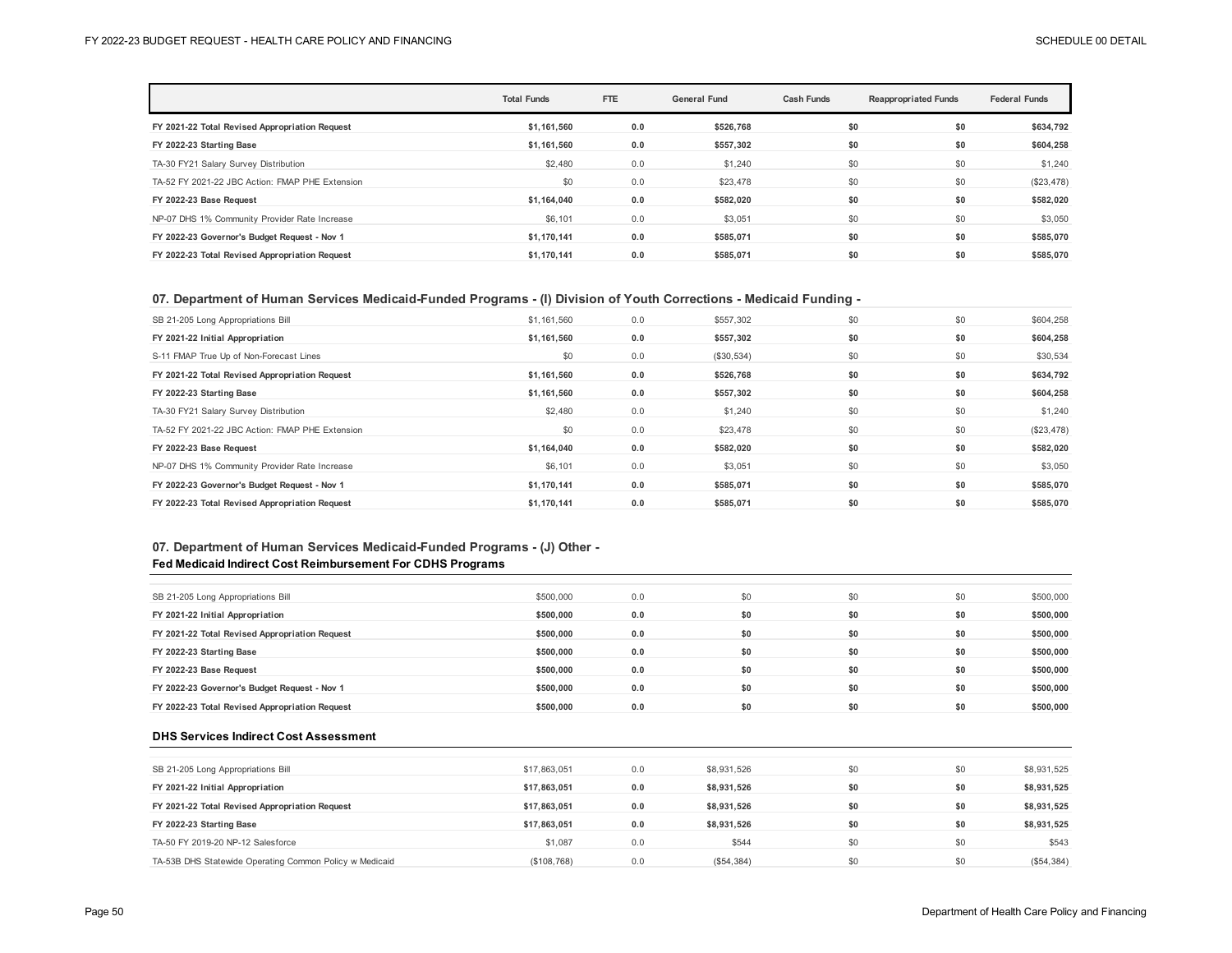|                                                 | <b>Total Funds</b> | FTE | <b>General Fund</b> | <b>Cash Funds</b> | <b>Reappropriated Funds</b> | <b>Federal Funds</b> |
|-------------------------------------------------|--------------------|-----|---------------------|-------------------|-----------------------------|----------------------|
| FY 2021-22 Total Revised Appropriation Request  | \$1,161,560        | 0.0 | \$526,768           | \$0               | \$0                         | \$634,792            |
| FY 2022-23 Starting Base                        | \$1,161,560        | 0.0 | \$557,302           | \$0               | \$0                         | \$604,258            |
| TA-30 FY21 Salary Survey Distribution           | \$2,480            | 0.0 | \$1,240             | \$0               | \$0                         | \$1,240              |
| TA-52 FY 2021-22 JBC Action: FMAP PHE Extension | \$0                | 0.0 | \$23,478            | \$0               | \$0                         | $(\$23,478)$         |
| FY 2022-23 Base Request                         | \$1.164.040        | 0.0 | \$582.020           | \$0               | \$0                         | \$582,020            |
| NP-07 DHS 1% Community Provider Rate Increase   | \$6,101            | 0.0 | \$3,051             | \$0               | \$0                         | \$3,050              |
| FY 2022-23 Governor's Budget Request - Nov 1    | \$1.170.141        | 0.0 | \$585.071           | \$0               | \$0                         | \$585,070            |
| FY 2022-23 Total Revised Appropriation Request  | \$1.170.141        | 0.0 | \$585.071           | \$0               | \$0                         | \$585,070            |

#### **07. Department of Human Services Medicaid-Funded Programs - (I) Division of Youth Corrections - Medicaid Funding -**

| SB 21-205 Long Appropriations Bill              | \$1,161,560 | 0.0 | \$557,302  | \$0 | \$0 | \$604,258    |
|-------------------------------------------------|-------------|-----|------------|-----|-----|--------------|
| FY 2021-22 Initial Appropriation                | \$1,161,560 | 0.0 | \$557,302  | \$0 | \$0 | \$604,258    |
| S-11 FMAP True Up of Non-Forecast Lines         | \$0         | 0.0 | (\$30,534) | \$0 | \$0 | \$30,534     |
| FY 2021-22 Total Revised Appropriation Request  | \$1,161,560 | 0.0 | \$526,768  | \$0 | \$0 | \$634,792    |
| FY 2022-23 Starting Base                        | \$1,161,560 | 0.0 | \$557,302  | \$0 | \$0 | \$604,258    |
| TA-30 FY21 Salary Survey Distribution           | \$2,480     | 0.0 | \$1,240    | \$0 | \$0 | \$1,240      |
| TA-52 FY 2021-22 JBC Action: FMAP PHE Extension | \$0         | 0.0 | \$23,478   | \$0 | \$0 | $(\$23,478)$ |
| FY 2022-23 Base Request                         | \$1,164,040 | 0.0 | \$582,020  | \$0 | \$0 | \$582,020    |
| NP-07 DHS 1% Community Provider Rate Increase   | \$6,101     | 0.0 | \$3,051    | \$0 | \$0 | \$3,050      |
| FY 2022-23 Governor's Budget Request - Nov 1    | \$1,170,141 | 0.0 | \$585,071  | \$0 | \$0 | \$585,070    |
| FY 2022-23 Total Revised Appropriation Request  | \$1.170.141 | 0.0 | \$585,071  | \$0 | \$0 | \$585.070    |

### **07. Department of Human Services Medicaid-Funded Programs - (J) Other - Fed Medicaid Indirect Cost Reimbursement For CDHS Programs**

| SB 21-205 Long Appropriations Bill             | \$500,000 | 0.0 | \$0 | \$0 | \$0 | \$500,000 |
|------------------------------------------------|-----------|-----|-----|-----|-----|-----------|
| FY 2021-22 Initial Appropriation               | \$500.000 | 0.0 | \$0 | \$0 | \$0 | \$500,000 |
| FY 2021-22 Total Revised Appropriation Request | \$500,000 | 0.0 | \$0 | \$0 | \$0 | \$500,000 |
| FY 2022-23 Starting Base                       | \$500,000 | 0.0 | \$0 | \$0 | \$0 | \$500,000 |
| FY 2022-23 Base Request                        | \$500,000 | 0.0 | \$0 | \$0 | \$0 | \$500,000 |
| FY 2022-23 Governor's Budget Request - Nov 1   | \$500.000 | 0.0 | \$0 | \$0 | \$0 | \$500,000 |
| FY 2022-23 Total Revised Appropriation Request | \$500.000 | 0.0 | \$0 | \$0 | \$0 | \$500.000 |

#### **DHS Services Indirect Cost Assessment**

| SB 21-205 Long Appropriations Bill                      | \$17,863,051 | 0.0 | \$8,931,526 | \$0 | \$0 | \$8,931,525 |
|---------------------------------------------------------|--------------|-----|-------------|-----|-----|-------------|
| FY 2021-22 Initial Appropriation                        | \$17.863.051 | 0.0 | \$8.931.526 | \$0 | \$0 | \$8,931,525 |
| FY 2021-22 Total Revised Appropriation Request          | \$17,863,051 | 0.0 | \$8,931,526 | \$0 | \$0 | \$8,931,525 |
| FY 2022-23 Starting Base                                | \$17.863.051 | 0.0 | \$8.931.526 | \$0 | \$0 | \$8,931,525 |
| TA-50 FY 2019-20 NP-12 Salesforce                       | \$1.087      | 0.0 | \$544       | \$0 | \$0 | \$543       |
| TA-53B DHS Statewide Operating Common Policy w Medicaid | (\$108,768)  | 0.0 | (\$54,384)  | \$0 | \$0 | (\$54,384)  |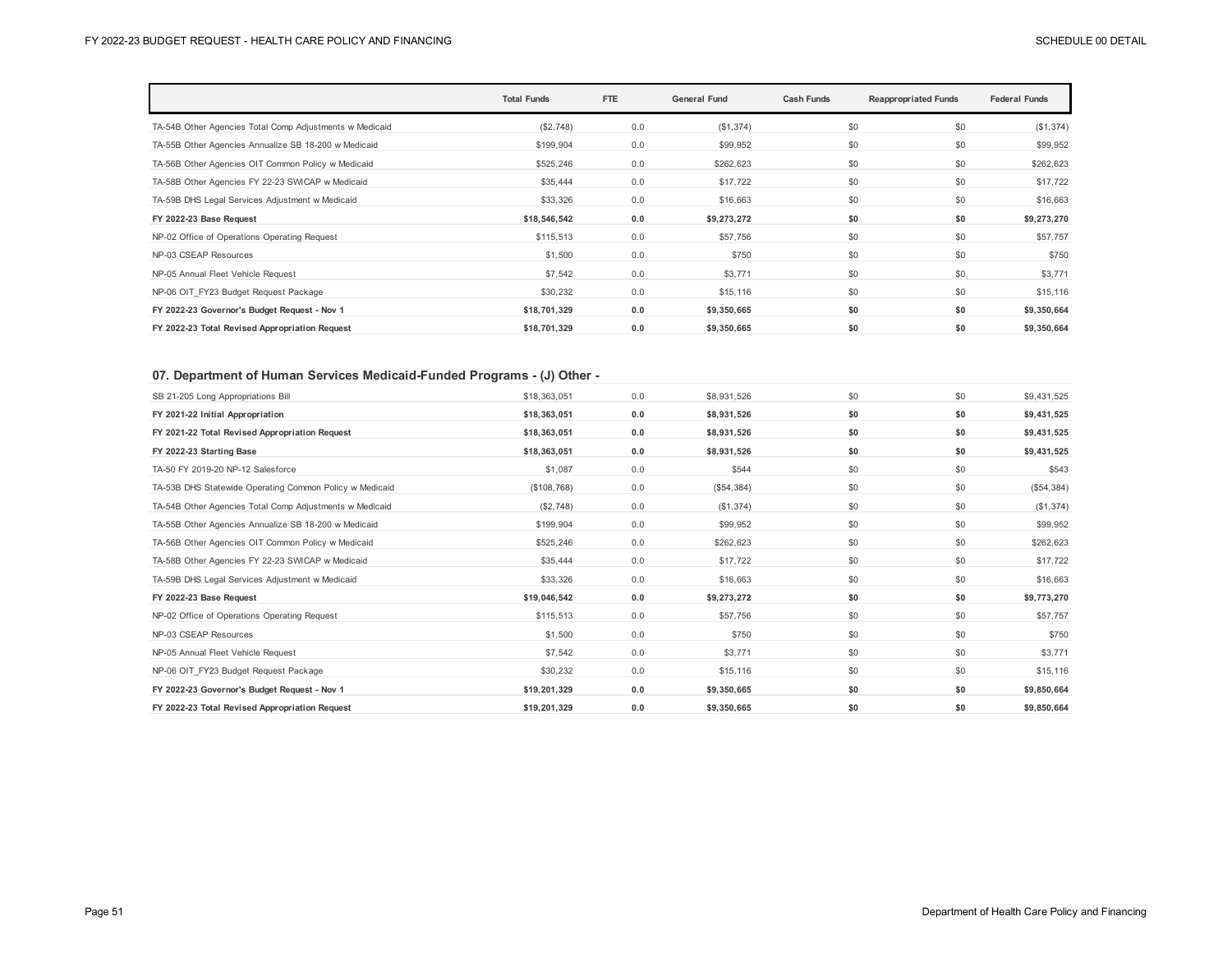|                                                         | <b>Total Funds</b> | FTE | <b>General Fund</b> | <b>Cash Funds</b> | <b>Reappropriated Funds</b> | <b>Federal Funds</b> |
|---------------------------------------------------------|--------------------|-----|---------------------|-------------------|-----------------------------|----------------------|
| TA-54B Other Agencies Total Comp Adjustments w Medicaid | (\$2,748)          | 0.0 | (\$1,374)           | \$0               | \$0                         | (\$1,374)            |
| TA-55B Other Agencies Annualize SB 18-200 w Medicaid    | \$199,904          | 0.0 | \$99,952            | \$0               | \$0                         | \$99,952             |
| TA-56B Other Agencies OIT Common Policy w Medicaid      | \$525,246          | 0.0 | \$262,623           | \$0               | \$0                         | \$262,623            |
| TA-58B Other Agencies FY 22-23 SWICAP w Medicaid        | \$35,444           | 0.0 | \$17,722            | \$0               | \$0                         | \$17,722             |
| TA-59B DHS Legal Services Adjustment w Medicaid         | \$33,326           | 0.0 | \$16,663            | \$0               | \$0                         | \$16,663             |
| FY 2022-23 Base Request                                 | \$18,546,542       | 0.0 | \$9,273,272         | \$0               | \$0                         | \$9,273,270          |
| NP-02 Office of Operations Operating Request            | \$115,513          | 0.0 | \$57,756            | \$0               | \$0                         | \$57,757             |
| NP-03 CSEAP Resources                                   | \$1,500            | 0.0 | \$750               | \$0               | \$0                         | \$750                |
| NP-05 Annual Fleet Vehicle Request                      | \$7,542            | 0.0 | \$3,771             | \$0               | \$0                         | \$3,771              |
| NP-06 OIT FY23 Budget Request Package                   | \$30,232           | 0.0 | \$15,116            | \$0               | \$0                         | \$15,116             |
| FY 2022-23 Governor's Budget Request - Nov 1            | \$18,701,329       | 0.0 | \$9,350,665         | \$0               | \$0                         | \$9,350,664          |
| FY 2022-23 Total Revised Appropriation Request          | \$18,701,329       | 0.0 | \$9,350,665         | \$0               | \$0                         | \$9,350,664          |

## **07. Department of Human Services Medicaid-Funded Programs - (J) Other -**

| SB 21-205 Long Appropriations Bill                      | \$18,363,051 | 0.0 | \$8,931,526 | \$0 | \$0 | \$9,431,525 |
|---------------------------------------------------------|--------------|-----|-------------|-----|-----|-------------|
| FY 2021-22 Initial Appropriation                        | \$18,363,051 | 0.0 | \$8,931,526 | \$0 | \$0 | \$9,431,525 |
| FY 2021-22 Total Revised Appropriation Request          | \$18,363,051 | 0.0 | \$8,931,526 | \$0 | \$0 | \$9,431,525 |
| FY 2022-23 Starting Base                                | \$18,363,051 | 0.0 | \$8,931,526 | \$0 | \$0 | \$9,431,525 |
| TA-50 FY 2019-20 NP-12 Salesforce                       | \$1,087      | 0.0 | \$544       | \$0 | \$0 | \$543       |
| TA-53B DHS Statewide Operating Common Policy w Medicaid | (\$108,768)  | 0.0 | (\$54,384)  | \$0 | \$0 | (\$54,384)  |
| TA-54B Other Agencies Total Comp Adjustments w Medicaid | (\$2,748)    | 0.0 | (\$1,374)   | \$0 | \$0 | (\$1,374)   |
| TA-55B Other Agencies Annualize SB 18-200 w Medicaid    | \$199,904    | 0.0 | \$99,952    | \$0 | \$0 | \$99,952    |
| TA-56B Other Agencies OIT Common Policy w Medicaid      | \$525,246    | 0.0 | \$262.623   | \$0 | \$0 | \$262.623   |
| TA-58B Other Agencies FY 22-23 SWICAP w Medicaid        | \$35,444     | 0.0 | \$17,722    | \$0 | \$0 | \$17,722    |
| TA-59B DHS Legal Services Adjustment w Medicaid         | \$33,326     | 0.0 | \$16,663    | \$0 | \$0 | \$16,663    |
| FY 2022-23 Base Request                                 | \$19,046,542 | 0.0 | \$9,273,272 | \$0 | \$0 | \$9,773,270 |
| NP-02 Office of Operations Operating Request            | \$115,513    | 0.0 | \$57,756    | \$0 | \$0 | \$57,757    |
| NP-03 CSEAP Resources                                   | \$1,500      | 0.0 | \$750       | \$0 | \$0 | \$750       |
| NP-05 Annual Fleet Vehicle Request                      | \$7,542      | 0.0 | \$3,771     | \$0 | \$0 | \$3,771     |
| NP-06 OIT FY23 Budget Request Package                   | \$30,232     | 0.0 | \$15,116    | \$0 | \$0 | \$15,116    |
| FY 2022-23 Governor's Budget Request - Nov 1            | \$19,201,329 | 0.0 | \$9,350,665 | \$0 | \$0 | \$9,850,664 |
| FY 2022-23 Total Revised Appropriation Request          | \$19,201,329 | 0.0 | \$9,350,665 | \$0 | \$0 | \$9,850,664 |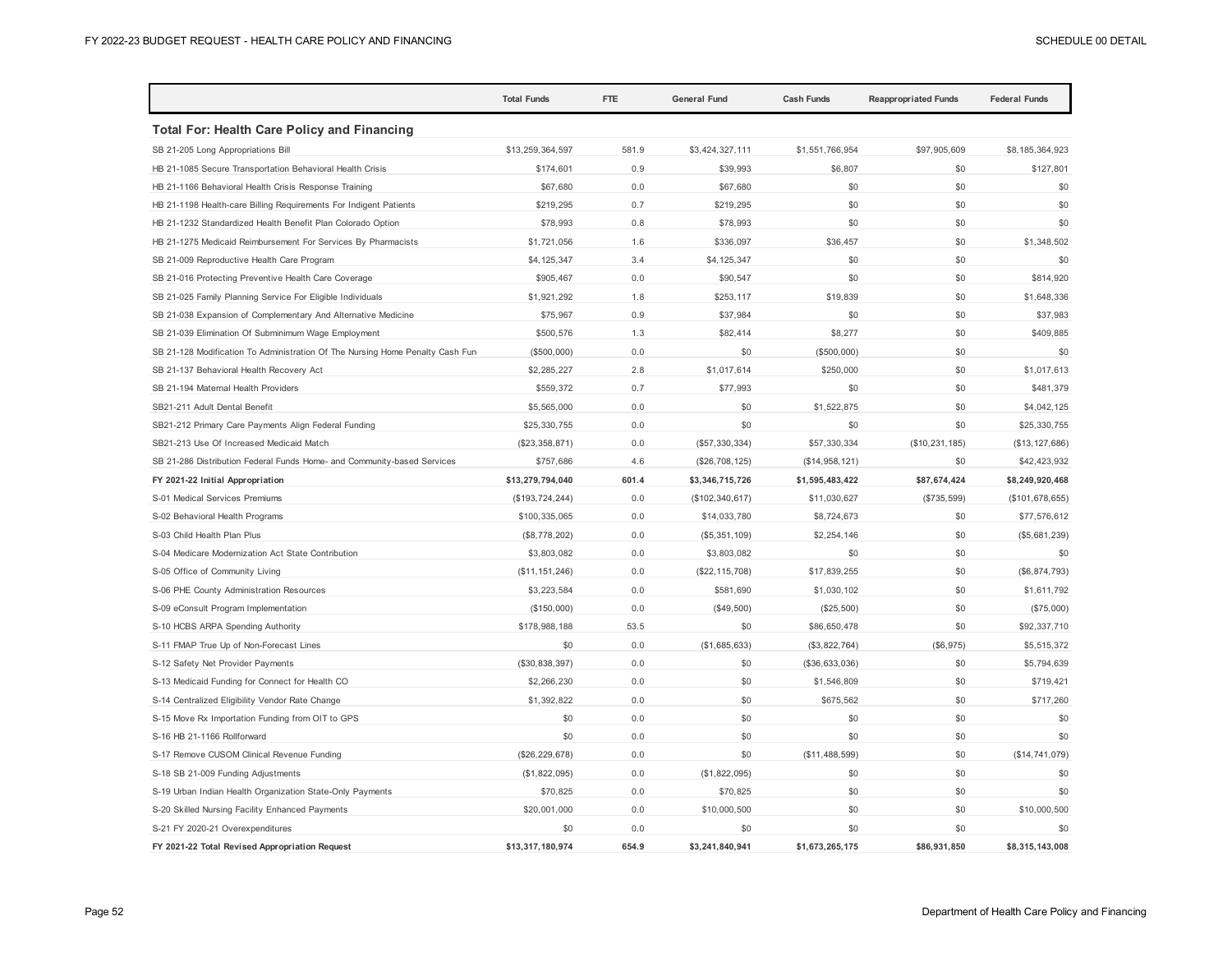|                                                                               | <b>Total Funds</b> | <b>FTE</b> | <b>General Fund</b> | <b>Cash Funds</b> | <b>Reappropriated Funds</b> | <b>Federal Funds</b> |
|-------------------------------------------------------------------------------|--------------------|------------|---------------------|-------------------|-----------------------------|----------------------|
| <b>Total For: Health Care Policy and Financing</b>                            |                    |            |                     |                   |                             |                      |
| SB 21-205 Long Appropriations Bill                                            | \$13,259,364,597   | 581.9      | \$3,424,327,111     | \$1,551,766,954   | \$97,905,609                | \$8,185,364,923      |
| HB 21-1085 Secure Transportation Behavioral Health Crisis                     | \$174,601          | 0.9        | \$39,993            | \$6,807           | \$0                         | \$127,801            |
| HB 21-1166 Behavioral Health Crisis Response Training                         | \$67,680           | 0.0        | \$67,680            | \$0               | \$0                         | \$0                  |
| HB 21-1198 Health-care Billing Requirements For Indigent Patients             | \$219,295          | 0.7        | \$219,295           | \$0               | \$0                         | \$0                  |
| HB 21-1232 Standardized Health Benefit Plan Colorado Option                   | \$78,993           | 0.8        | \$78,993            | \$0               | \$0                         | \$0                  |
| HB 21-1275 Medicaid Reimbursement For Services By Pharmacists                 | \$1,721,056        | 1.6        | \$336,097           | \$36,457          | \$0                         | \$1,348,502          |
| SB 21-009 Reproductive Health Care Program                                    | \$4,125,347        | 3.4        | \$4,125,347         | \$0               | \$0                         | \$0                  |
| SB 21-016 Protecting Preventive Health Care Coverage                          | \$905,467          | 0.0        | \$90,547            | \$0               | \$0                         | \$814,920            |
| SB 21-025 Family Planning Service For Eligible Individuals                    | \$1,921,292        | 1.8        | \$253.117           | \$19,839          | \$0                         | \$1,648,336          |
| SB 21-038 Expansion of Complementary And Alternative Medicine                 | \$75,967           | 0.9        | \$37,984            | \$0               | \$0                         | \$37,983             |
| SB 21-039 Elimination Of Subminimum Wage Employment                           | \$500,576          | 1.3        | \$82,414            | \$8,277           | \$0                         | \$409,885            |
| SB 21-128 Modification To Administration Of The Nursing Home Penalty Cash Fun | (\$500,000)        | 0.0        | \$0                 | (\$500,000)       | \$0                         | \$0                  |
| SB 21-137 Behavioral Health Recovery Act                                      | \$2,285,227        | 2.8        | \$1,017,614         | \$250,000         | \$0                         | \$1,017,613          |
| SB 21-194 Maternal Health Providers                                           | \$559,372          | 0.7        | \$77,993            | \$0               | \$0                         | \$481,379            |
| SB21-211 Adult Dental Benefit                                                 | \$5,565,000        | 0.0        | \$0                 | \$1,522,875       | \$0                         | \$4,042,125          |
| SB21-212 Primary Care Payments Align Federal Funding                          | \$25,330,755       | 0.0        | \$0                 | \$0               | \$0                         | \$25,330,755         |
| SB21-213 Use Of Increased Medicaid Match                                      | (\$23,358,871)     | 0.0        | (\$57,330,334)      | \$57,330,334      | (\$10, 231, 185)            | (\$13, 127, 686)     |
| SB 21-286 Distribution Federal Funds Home- and Community-based Services       | \$757,686          | 4.6        | (\$26,708,125)      | (\$14,958,121)    | \$0                         | \$42,423,932         |
| FY 2021-22 Initial Appropriation                                              | \$13,279,794,040   | 601.4      | \$3,346,715,726     | \$1,595,483,422   | \$87,674,424                | \$8,249,920,468      |
| S-01 Medical Services Premiums                                                | (\$193, 724, 244)  | 0.0        | (\$102, 340, 617)   | \$11,030,627      | (\$735,599)                 | (\$101, 678, 655)    |
| S-02 Behavioral Health Programs                                               | \$100,335,065      | 0.0        | \$14,033,780        | \$8,724,673       | \$0                         | \$77,576,612         |
| S-03 Child Health Plan Plus                                                   | (\$8,778,202)      | 0.0        | (\$5,351,109)       | \$2,254,146       | \$0                         | (\$5,681,239)        |
| S-04 Medicare Modernization Act State Contribution                            | \$3,803,082        | 0.0        | \$3,803,082         | \$0               | \$0                         | \$0                  |
| S-05 Office of Community Living                                               | (\$11, 151, 246)   | 0.0        | (\$22, 115, 708)    | \$17,839,255      | \$0                         | (\$6, 874, 793)      |
| S-06 PHE County Administration Resources                                      | \$3,223,584        | 0.0        | \$581,690           | \$1,030,102       | \$0                         | \$1,611,792          |
| S-09 eConsult Program Implementation                                          | (\$150,000)        | 0.0        | (\$49,500)          | (\$25,500)        | \$0                         | (\$75,000)           |
| S-10 HCBS ARPA Spending Authority                                             | \$178,988,188      | 53.5       | \$0                 | \$86,650,478      | \$0                         | \$92,337,710         |
| S-11 FMAP True Up of Non-Forecast Lines                                       | \$0                | 0.0        | (\$1,685,633)       | (\$3,822,764)     | (\$6,975)                   | \$5,515,372          |
| S-12 Safety Net Provider Payments                                             | (\$30,838,397)     | 0.0        | \$0                 | (\$36,633,036)    | \$0                         | \$5,794,639          |
| S-13 Medicaid Funding for Connect for Health CO                               | \$2,266,230        | 0.0        | \$0                 | \$1,546,809       | \$0                         | \$719,421            |
| S-14 Centralized Eligibility Vendor Rate Change                               | \$1,392,822        | 0.0        | \$0                 | \$675,562         | \$0                         | \$717,260            |
| S-15 Move Rx Importation Funding from OIT to GPS                              | \$0                | 0.0        | \$0                 | \$0               | \$0                         | \$0                  |
| S-16 HB 21-1166 Rollforward                                                   | \$0                | 0.0        | \$0                 | \$0               | \$0                         | \$0                  |
| S-17 Remove CUSOM Clinical Revenue Funding                                    | (\$26, 229, 678)   | 0.0        | \$0                 | (\$11,488,599)    | \$0                         | (\$14, 741, 079)     |
| S-18 SB 21-009 Funding Adjustments                                            | (\$1,822,095)      | 0.0        | (\$1,822,095)       | \$0               | \$0                         | \$0                  |
| S-19 Urban Indian Health Organization State-Only Payments                     | \$70,825           | 0.0        | \$70,825            | \$0               | \$0                         | \$0                  |
| S-20 Skilled Nursing Facility Enhanced Payments                               | \$20,001,000       | 0.0        | \$10,000,500        | \$0               | \$0                         | \$10,000,500         |
| S-21 FY 2020-21 Overexpenditures                                              | \$0                | 0.0        | \$0                 | \$0               | \$0                         | \$0                  |
| FY 2021-22 Total Revised Appropriation Request                                | \$13,317,180,974   | 654.9      | \$3,241,840,941     | \$1,673,265,175   | \$86,931,850                | \$8,315,143,008      |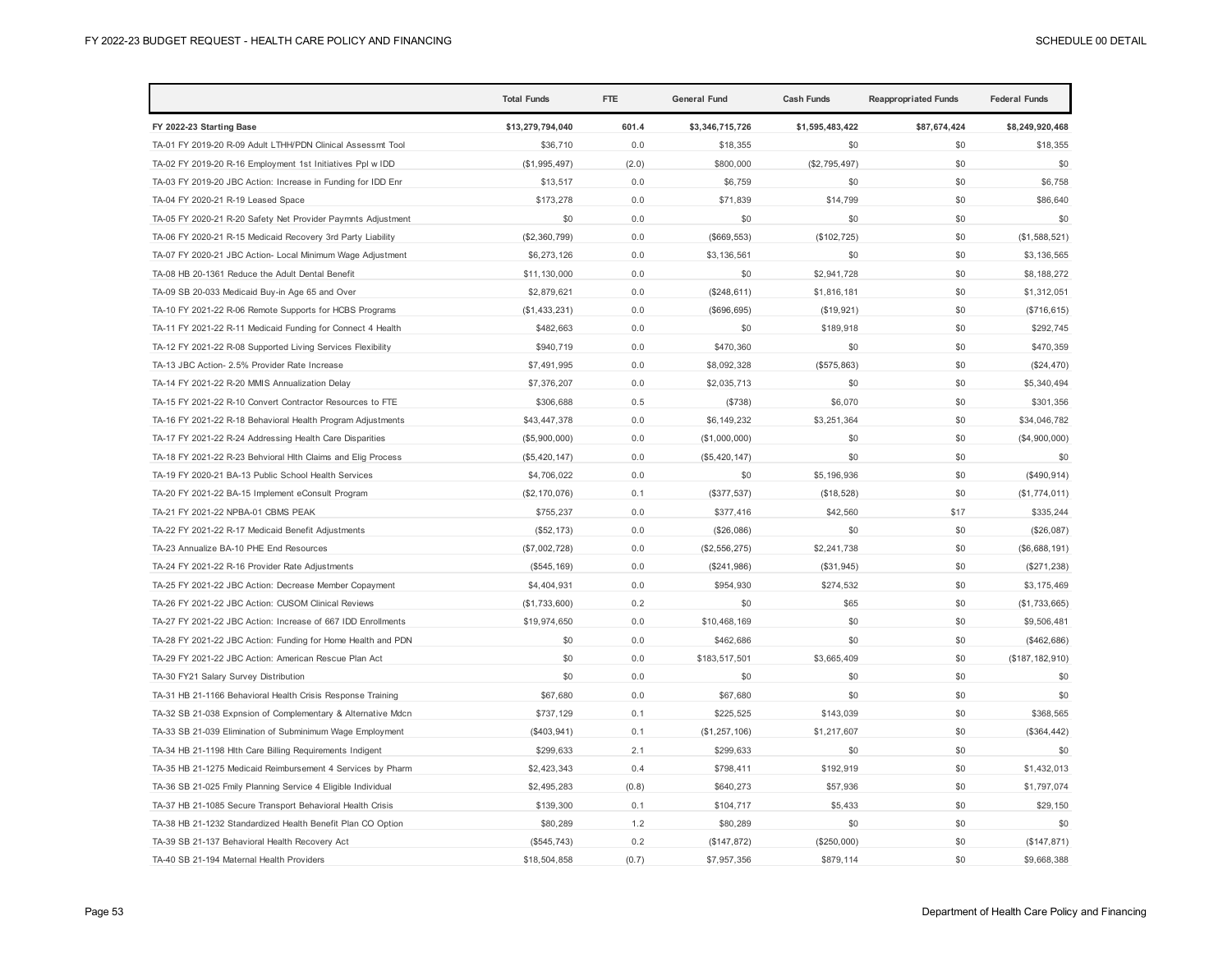|                                                              | <b>Total Funds</b> | <b>FTE</b> | <b>General Fund</b> | <b>Cash Funds</b> | <b>Reappropriated Funds</b> | <b>Federal Funds</b> |
|--------------------------------------------------------------|--------------------|------------|---------------------|-------------------|-----------------------------|----------------------|
| FY 2022-23 Starting Base                                     | \$13,279,794,040   | 601.4      | \$3,346,715,726     | \$1,595,483,422   | \$87,674,424                | \$8,249,920,468      |
| TA-01 FY 2019-20 R-09 Adult LTHH/PDN Clinical Assessmt Tool  | \$36,710           | 0.0        | \$18,355            | \$0               | \$0                         | \$18,355             |
| TA-02 FY 2019-20 R-16 Employment 1st Initiatives Ppl w IDD   | (\$1,995,497)      | (2.0)      | \$800,000           | (\$2,795,497)     | \$0                         | \$0                  |
| TA-03 FY 2019-20 JBC Action: Increase in Funding for IDD Enr | \$13,517           | 0.0        | \$6,759             | \$0               | \$0                         | \$6,758              |
| TA-04 FY 2020-21 R-19 Leased Space                           | \$173,278          | 0.0        | \$71,839            | \$14,799          | \$0                         | \$86,640             |
| TA-05 FY 2020-21 R-20 Safety Net Provider Paymnts Adjustment | \$0                | 0.0        | \$0                 | \$0               | \$0                         | \$0                  |
| TA-06 FY 2020-21 R-15 Medicaid Recovery 3rd Party Liability  | (\$2,360,799)      | 0.0        | (\$669, 553)        | (\$102, 725)      | \$0                         | (\$1,588,521)        |
| TA-07 FY 2020-21 JBC Action- Local Minimum Wage Adjustment   | \$6,273,126        | 0.0        | \$3,136,561         | \$0               | \$0                         | \$3,136,565          |
| TA-08 HB 20-1361 Reduce the Adult Dental Benefit             | \$11,130,000       | 0.0        | \$0                 | \$2,941,728       | \$0                         | \$8,188,272          |
| TA-09 SB 20-033 Medicaid Buy-in Age 65 and Over              | \$2,879,621        | 0.0        | (\$248,611)         | \$1,816,181       | \$0                         | \$1,312,051          |
| TA-10 FY 2021-22 R-06 Remote Supports for HCBS Programs      | (\$1,433,231)      | 0.0        | (\$696,695)         | (\$19,921)        | \$0                         | (\$716, 615)         |
| TA-11 FY 2021-22 R-11 Medicaid Funding for Connect 4 Health  | \$482,663          | 0.0        | \$0                 | \$189,918         | \$0                         | \$292,745            |
| TA-12 FY 2021-22 R-08 Supported Living Services Flexibility  | \$940,719          | 0.0        | \$470,360           | \$0               | \$0                         | \$470,359            |
| TA-13 JBC Action- 2.5% Provider Rate Increase                | \$7,491,995        | 0.0        | \$8,092,328         | (\$575,863)       | \$0                         | (\$24,470)           |
| TA-14 FY 2021-22 R-20 MMIS Annualization Delay               | \$7,376,207        | 0.0        | \$2,035,713         | \$0               | \$0                         | \$5,340,494          |
| TA-15 FY 2021-22 R-10 Convert Contractor Resources to FTE    | \$306,688          | 0.5        | (\$738)             | \$6,070           | \$0                         | \$301,356            |
| TA-16 FY 2021-22 R-18 Behavioral Health Program Adjustments  | \$43,447,378       | 0.0        | \$6,149,232         | \$3,251,364       | \$0                         | \$34,046,782         |
| TA-17 FY 2021-22 R-24 Addressing Health Care Disparities     | (\$5,900,000)      | 0.0        | (\$1,000,000)       | \$0               | \$0                         | (\$4,900,000)        |
| TA-18 FY 2021-22 R-23 Behvioral Hlth Claims and Elig Process | (\$5,420,147)      | 0.0        | (\$5,420,147)       | \$0               | \$0                         | \$0                  |
| TA-19 FY 2020-21 BA-13 Public School Health Services         | \$4,706,022        | 0.0        | \$0                 | \$5,196,936       | \$0                         | (S490, 914)          |
| TA-20 FY 2021-22 BA-15 Implement eConsult Program            | (\$2,170,076)      | 0.1        | (\$377,537)         | (\$18,528)        | \$0                         | (\$1,774,011)        |
| TA-21 FY 2021-22 NPBA-01 CBMS PEAK                           | \$755,237          | 0.0        | \$377,416           | \$42,560          | \$17                        | \$335,244            |
| TA-22 FY 2021-22 R-17 Medicaid Benefit Adjustments           | (\$52,173)         | 0.0        | (\$26,086)          | \$0               | \$0                         | (\$26,087)           |
| TA-23 Annualize BA-10 PHE End Resources                      | (\$7,002,728)      | 0.0        | (\$2,556,275)       | \$2,241,738       | \$0                         | (\$6,688,191)        |
| TA-24 FY 2021-22 R-16 Provider Rate Adjustments              | (\$545, 169)       | 0.0        | (\$241,986)         | (\$31,945)        | \$0                         | (\$271,238)          |
| TA-25 FY 2021-22 JBC Action: Decrease Member Copayment       | \$4,404,931        | 0.0        | \$954,930           | \$274,532         | \$0                         | \$3,175,469          |
| TA-26 FY 2021-22 JBC Action: CUSOM Clinical Reviews          | (\$1,733,600)      | 0.2        | \$0                 | \$65              | \$0                         | (\$1,733,665)        |
| TA-27 FY 2021-22 JBC Action: Increase of 667 IDD Enrollments | \$19,974,650       | 0.0        | \$10,468,169        | \$0               | \$0                         | \$9,506,481          |
| TA-28 FY 2021-22 JBC Action: Funding for Home Health and PDN | \$0                | 0.0        | \$462,686           | \$0               | \$0                         | (\$462,686)          |
| TA-29 FY 2021-22 JBC Action: American Rescue Plan Act        | \$0                | 0.0        | \$183,517,501       | \$3,665,409       | \$0                         | (\$187, 182, 910)    |
| TA-30 FY21 Salary Survey Distribution                        | \$0                | 0.0        | \$0                 | \$0               | \$0                         | \$0                  |
| TA-31 HB 21-1166 Behavioral Health Crisis Response Training  | \$67,680           | 0.0        | \$67,680            | \$0               | \$0                         | \$0                  |
| TA-32 SB 21-038 Expnsion of Complementary & Alternative Mdcn | \$737,129          | 0.1        | \$225,525           | \$143,039         | \$0                         | \$368,565            |
| TA-33 SB 21-039 Elimination of Subminimum Wage Employment    | (\$403,941)        | 0.1        | (\$1,257,106)       | \$1,217,607       | \$0                         | (\$364, 442)         |
| TA-34 HB 21-1198 Hlth Care Billing Requirements Indigent     | \$299,633          | 2.1        | \$299,633           | \$0               | \$0                         | \$0                  |
| TA-35 HB 21-1275 Medicaid Reimbursement 4 Services by Pharm  | \$2,423,343        | 0.4        | \$798,411           | \$192,919         | \$0                         | \$1,432,013          |
| TA-36 SB 21-025 Fmily Planning Service 4 Eligible Individual | \$2,495,283        | (0.8)      | \$640,273           | \$57,936          | \$0                         | \$1,797,074          |
| TA-37 HB 21-1085 Secure Transport Behavioral Health Crisis   | \$139,300          | 0.1        | \$104,717           | \$5,433           | \$0                         | \$29,150             |
| TA-38 HB 21-1232 Standardized Health Benefit Plan CO Option  | \$80,289           | 1.2        | \$80,289            | \$0               | \$0                         | \$0                  |
| TA-39 SB 21-137 Behavioral Health Recovery Act               | (\$545,743)        | 0.2        | (\$147,872)         | (\$250,000)       | \$0                         | (\$147, 871)         |
| TA-40 SB 21-194 Maternal Health Providers                    | \$18,504,858       | (0.7)      | \$7,957,356         | \$879,114         | \$0                         | \$9,668,388          |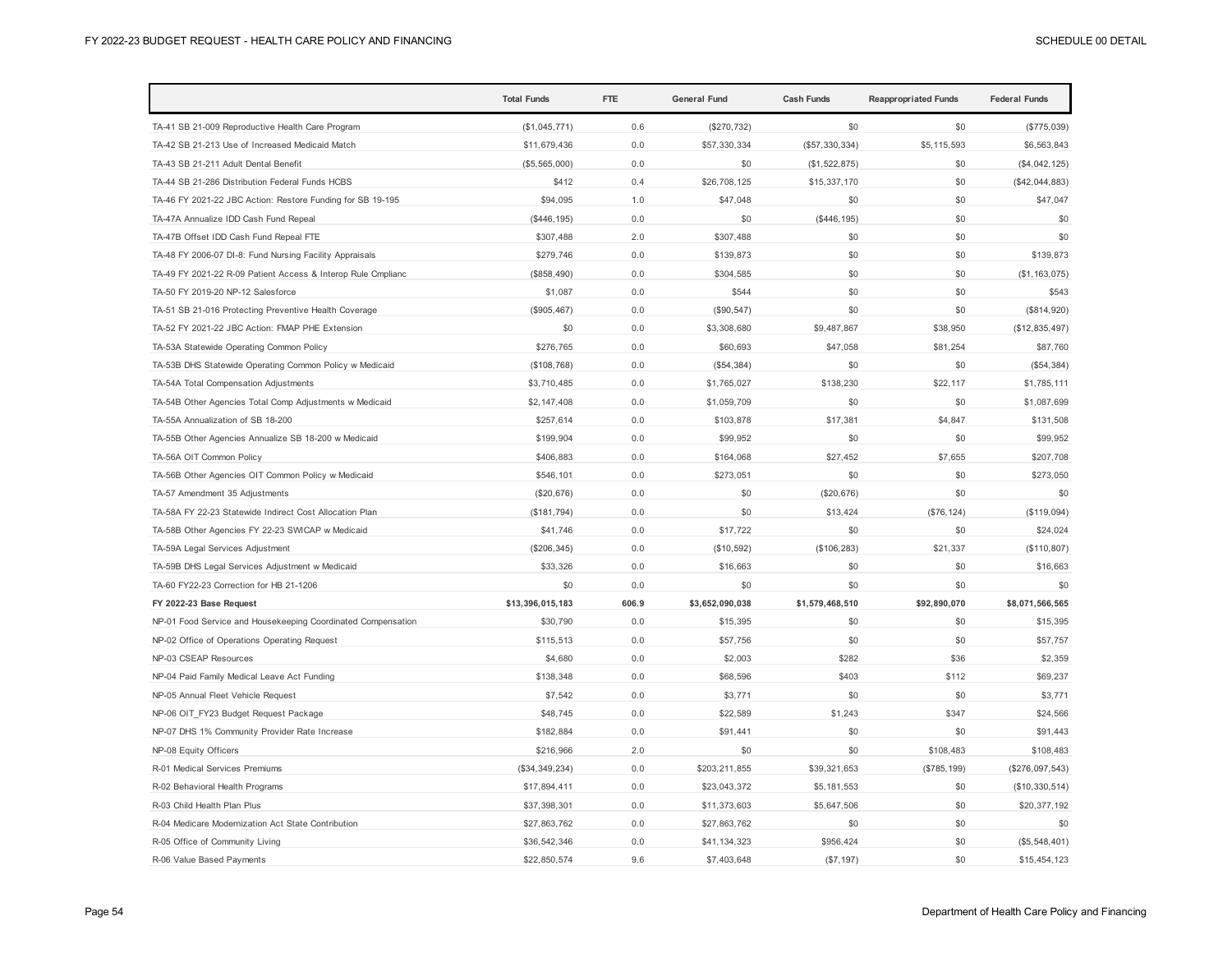|                                                              | <b>Total Funds</b> | <b>FTE</b> | <b>General Fund</b> | <b>Cash Funds</b> | <b>Reappropriated Funds</b> | <b>Federal Funds</b> |
|--------------------------------------------------------------|--------------------|------------|---------------------|-------------------|-----------------------------|----------------------|
| TA-41 SB 21-009 Reproductive Health Care Program             | (\$1,045,771)      | 0.6        | (\$270,732)         | \$0               | \$0                         | (\$775,039)          |
| TA-42 SB 21-213 Use of Increased Medicaid Match              | \$11,679,436       | 0.0        | \$57,330,334        | (\$57,330,334)    | \$5,115,593                 | \$6,563,843          |
| TA-43 SB 21-211 Adult Dental Benefit                         | (\$5,565,000)      | 0.0        | \$0                 | (\$1,522,875)     | \$0                         | (\$4,042,125)        |
| TA-44 SB 21-286 Distribution Federal Funds HCBS              | \$412              | 0.4        | \$26,708,125        | \$15,337,170      | \$0                         | (\$42,044,883)       |
| TA-46 FY 2021-22 JBC Action: Restore Funding for SB 19-195   | \$94,095           | 1.0        | \$47,048            | \$0               | \$0                         | \$47,047             |
| TA-47A Annualize IDD Cash Fund Repeal                        | (S446, 195)        | 0.0        | \$0                 | (\$446, 195)      | \$0                         | \$0                  |
| TA-47B Offset IDD Cash Fund Repeal FTE                       | \$307,488          | 2.0        | \$307,488           | \$0               | \$0                         | \$0                  |
| TA-48 FY 2006-07 DI-8: Fund Nursing Facility Appraisals      | \$279,746          | 0.0        | \$139,873           | \$0               | \$0                         | \$139,873            |
| TA-49 FY 2021-22 R-09 Patient Access & Interop Rule Cmplianc | (\$858,490)        | 0.0        | \$304,585           | \$0               | \$0                         | (\$1, 163, 075)      |
| TA-50 FY 2019-20 NP-12 Salesforce                            | \$1,087            | 0.0        | \$544               | \$0               | \$0                         | \$543                |
| TA-51 SB 21-016 Protecting Preventive Health Coverage        | (\$905,467)        | 0.0        | (\$90, 547)         | \$0               | \$0                         | (\$814,920)          |
| TA-52 FY 2021-22 JBC Action: FMAP PHE Extension              | \$0                | 0.0        | \$3,308,680         | \$9,487,867       | \$38,950                    | (\$12,835,497)       |
| TA-53A Statewide Operating Common Policy                     | \$276,765          | 0.0        | \$60,693            | \$47,058          | \$81,254                    | \$87,760             |
| TA-53B DHS Statewide Operating Common Policy w Medicaid      | (\$108,768)        | 0.0        | (\$54,384)          | \$0               | \$0                         | (\$54,384)           |
| TA-54A Total Compensation Adjustments                        | \$3,710,485        | 0.0        | \$1,765,027         | \$138,230         | \$22,117                    | \$1,785,111          |
| TA-54B Other Agencies Total Comp Adjustments w Medicaid      | \$2,147,408        | 0.0        | \$1,059,709         | \$0               | \$0                         | \$1,087,699          |
| TA-55A Annualization of SB 18-200                            | \$257,614          | 0.0        | \$103,878           | \$17,381          | \$4,847                     | \$131,508            |
| TA-55B Other Agencies Annualize SB 18-200 w Medicaid         | \$199,904          | 0.0        | \$99,952            | \$0               | \$0                         | \$99,952             |
| TA-56A OIT Common Policy                                     | \$406,883          | 0.0        | \$164,068           | \$27,452          | \$7,655                     | \$207,708            |
| TA-56B Other Agencies OIT Common Policy w Medicaid           | \$546,101          | 0.0        | \$273,051           | \$0               | \$0                         | \$273,050            |
| TA-57 Amendment 35 Adjustments                               | (\$20,676)         | 0.0        | \$0                 | (\$20,676)        | \$0                         | \$0                  |
| TA-58A FY 22-23 Statewide Indirect Cost Allocation Plan      | (\$181,794)        | 0.0        | \$0                 | \$13,424          | (\$76, 124)                 | (\$119,094)          |
| TA-58B Other Agencies FY 22-23 SWICAP w Medicaid             | \$41,746           | 0.0        | \$17,722            | \$0               | \$0                         | \$24,024             |
| TA-59A Legal Services Adjustment                             | (\$206,345)        | 0.0        | (\$10,592)          | (\$106, 283)      | \$21,337                    | (\$110, 807)         |
| TA-59B DHS Legal Services Adjustment w Medicaid              | \$33,326           | 0.0        | \$16,663            | \$0               | \$0                         | \$16,663             |
| TA-60 FY22-23 Correction for HB 21-1206                      | \$0                | 0.0        | \$0                 | \$0               | \$0                         | \$0                  |
| FY 2022-23 Base Request                                      | \$13,396,015,183   | 606.9      | \$3,652,090,038     | \$1,579,468,510   | \$92,890,070                | \$8,071,566,565      |
| NP-01 Food Service and Housekeeping Coordinated Compensation | \$30,790           | 0.0        | \$15,395            | \$0               | \$0                         | \$15,395             |
| NP-02 Office of Operations Operating Request                 | \$115,513          | 0.0        | \$57,756            | \$0               | \$0                         | \$57,757             |
| NP-03 CSEAP Resources                                        | \$4,680            | 0.0        | \$2,003             | \$282             | \$36                        | \$2,359              |
| NP-04 Paid Family Medical Leave Act Funding                  | \$138,348          | 0.0        | \$68,596            | \$403             | \$112                       | \$69,237             |
| NP-05 Annual Fleet Vehicle Request                           | \$7,542            | 0.0        | \$3,771             | \$0               | \$0                         | \$3,771              |
| NP-06 OIT FY23 Budget Request Package                        | \$48,745           | 0.0        | \$22,589            | \$1,243           | \$347                       | \$24,566             |
| NP-07 DHS 1% Community Provider Rate Increase                | \$182,884          | 0.0        | \$91,441            | \$0               | \$0                         | \$91,443             |
| NP-08 Equity Officers                                        | \$216,966          | 2.0        | \$0                 | \$0               | \$108,483                   | \$108,483            |
| R-01 Medical Services Premiums                               | (\$34,349,234)     | 0.0        | \$203,211,855       | \$39,321,653      | (S785, 199)                 | (\$276,097,543)      |
| R-02 Behavioral Health Programs                              | \$17,894,411       | 0.0        | \$23,043,372        | \$5,181,553       | \$0                         | (\$10,330,514)       |
| R-03 Child Health Plan Plus                                  | \$37,398,301       | 0.0        | \$11,373,603        | \$5,647,506       | \$0                         | \$20,377,192         |
| R-04 Medicare Modernization Act State Contribution           | \$27,863,762       | 0.0        | \$27,863,762        | \$0               | \$0                         | \$0                  |
| R-05 Office of Community Living                              | \$36,542,346       | 0.0        | \$41,134,323        | \$956,424         | \$0                         | (\$5,548,401)        |
| R-06 Value Based Payments                                    | \$22,850,574       | 9.6        | \$7,403,648         | (S7, 197)         | \$0                         | \$15,454,123         |